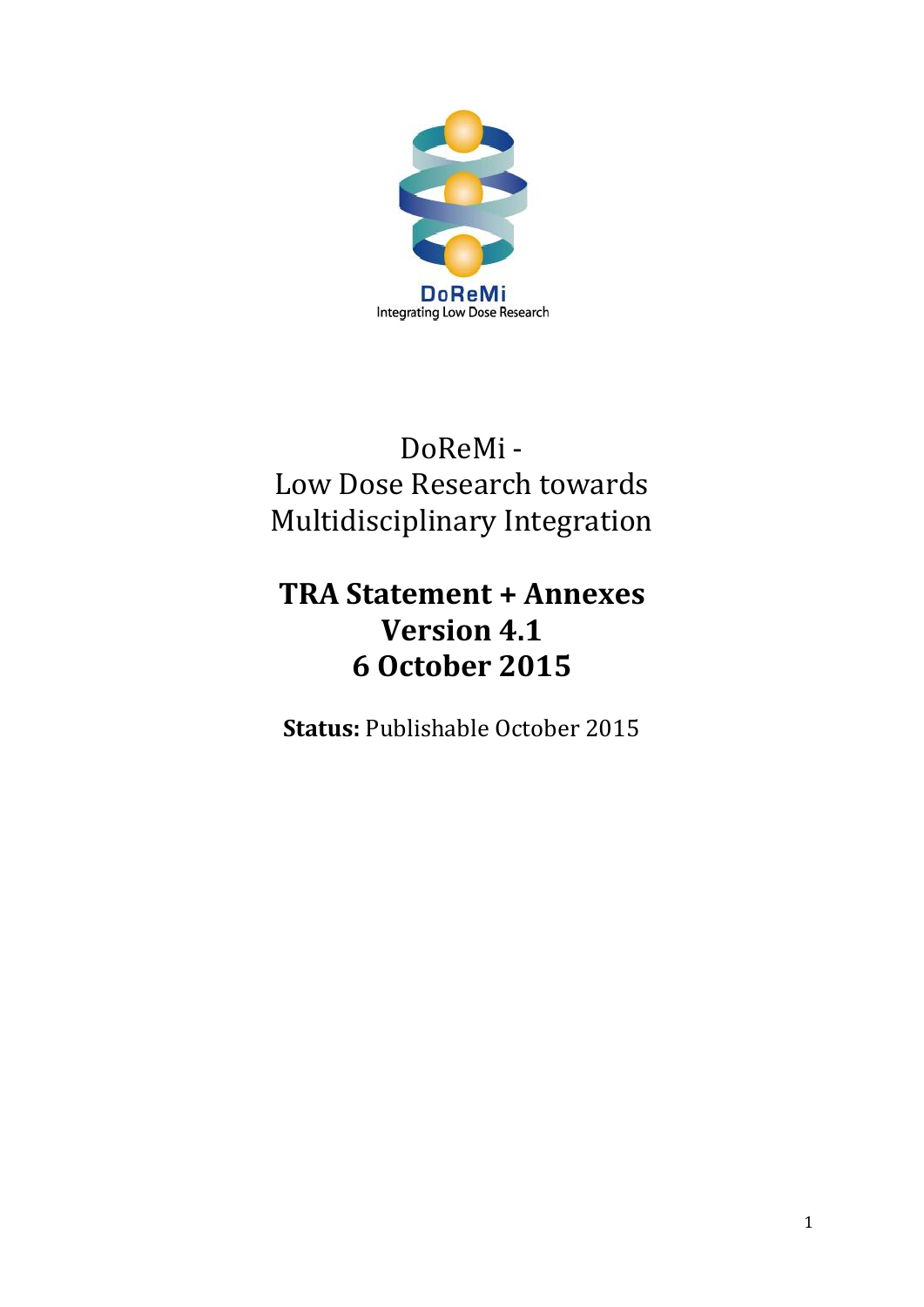

# DoReMi - Low Dose Research towards Multidisciplinary Integration

# **TRA Statement + Annexes Version 4.1 6 October 2015**

**Status:** Publishable October 2015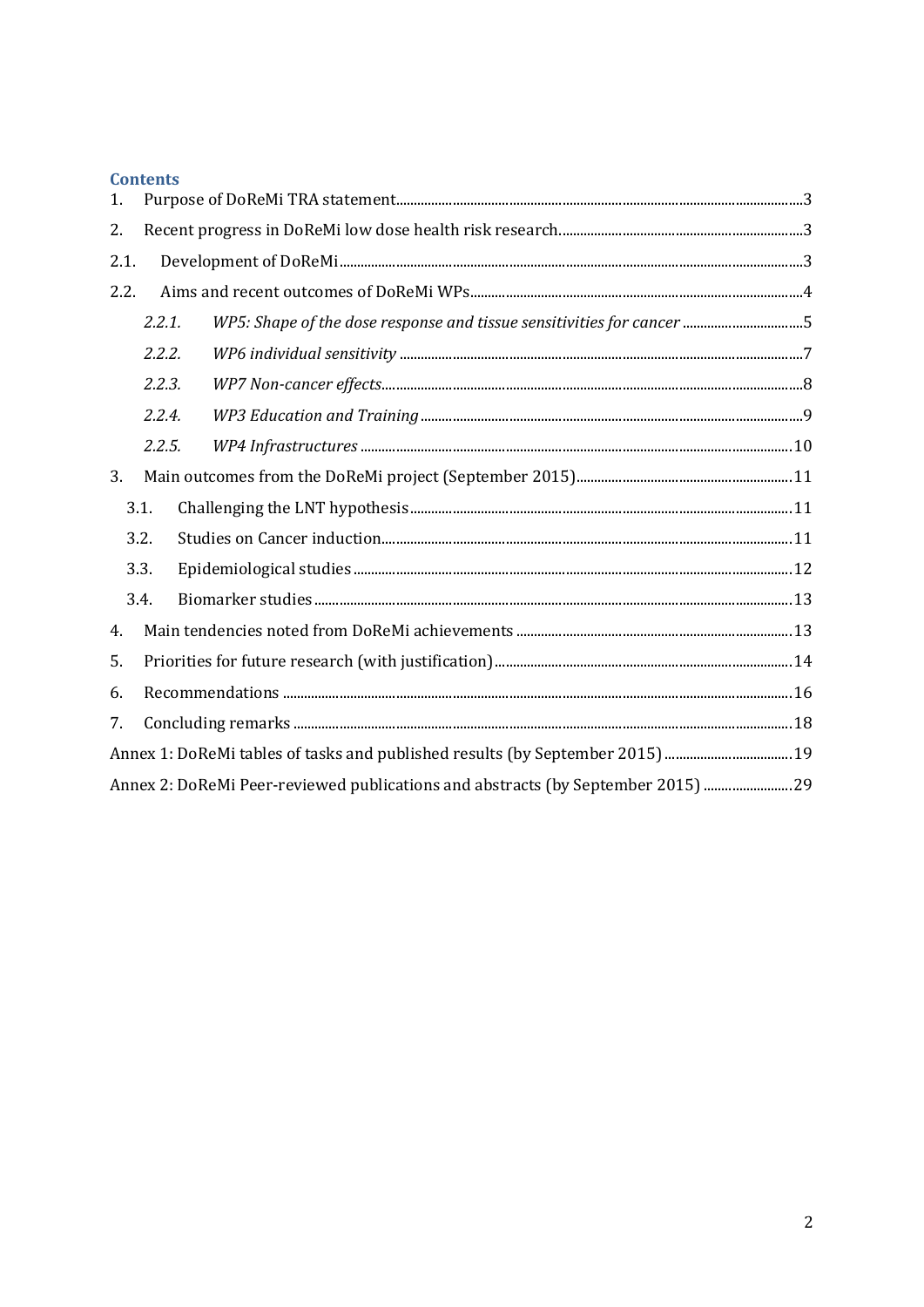### **Contents**

| 1.   |        |                                                                                  |  |
|------|--------|----------------------------------------------------------------------------------|--|
| 2.   |        |                                                                                  |  |
| 2.1. |        |                                                                                  |  |
| 2.2. |        |                                                                                  |  |
|      | 2.2.1. | WP5: Shape of the dose response and tissue sensitivities for cancer 5            |  |
|      | 2.2.2. |                                                                                  |  |
|      | 2.2.3. |                                                                                  |  |
|      | 2.2.4. |                                                                                  |  |
|      | 2.2.5. |                                                                                  |  |
| 3.   |        |                                                                                  |  |
|      | 3.1.   |                                                                                  |  |
|      | 3.2.   |                                                                                  |  |
|      | 3.3.   |                                                                                  |  |
|      | 3.4.   |                                                                                  |  |
| 4.   |        |                                                                                  |  |
| 5.   |        |                                                                                  |  |
| 6.   |        |                                                                                  |  |
| 7.   |        |                                                                                  |  |
|      |        | Annex 1: DoReMi tables of tasks and published results (by September 2015) 19     |  |
|      |        | Annex 2: DoReMi Peer-reviewed publications and abstracts (by September 2015)  29 |  |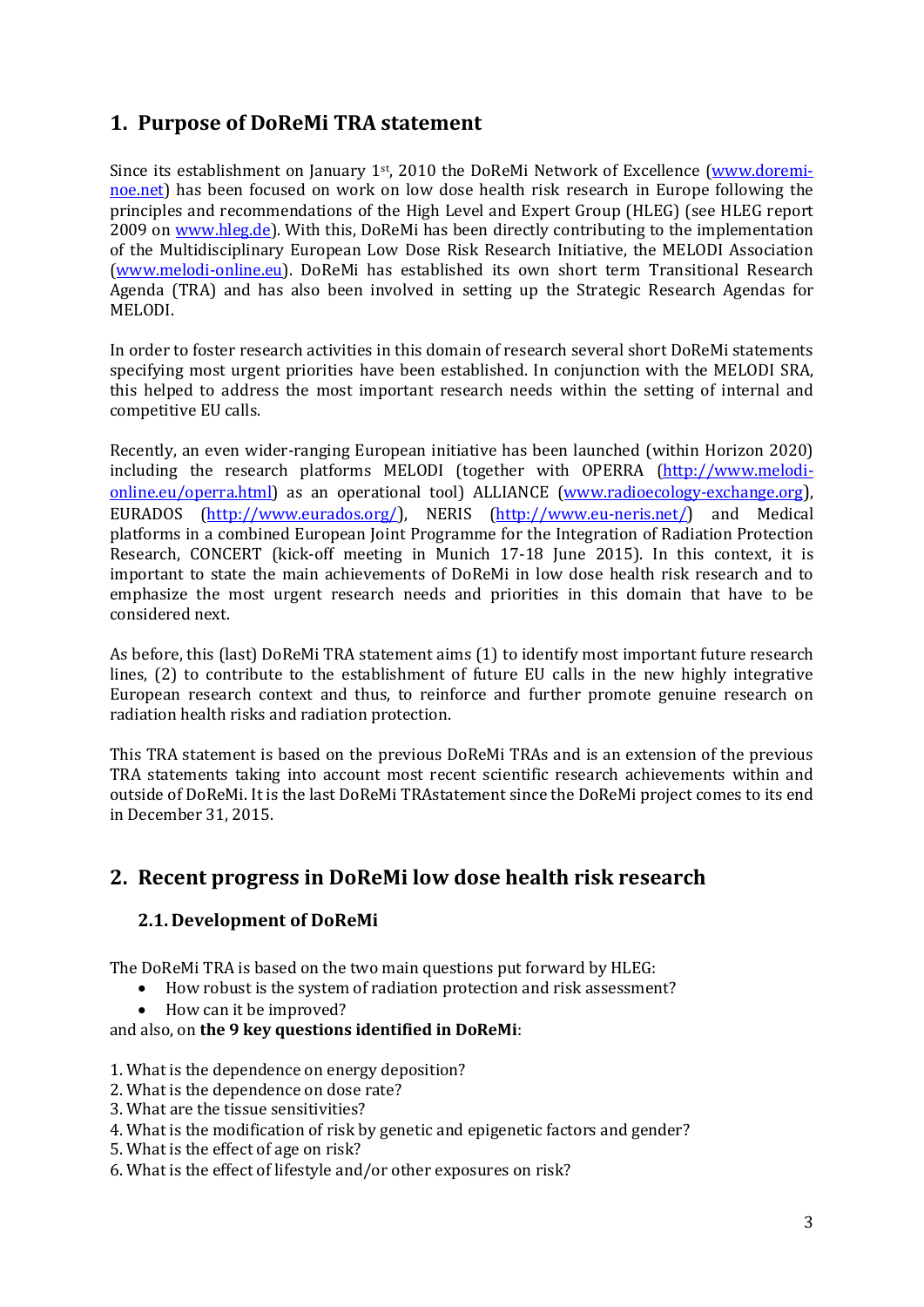# <span id="page-2-0"></span>**1. Purpose of DoReMi TRA statement**

Since its establishment on January 1<sup>st</sup>, 2010 the DoReMi Network of Excellence [\(www.doremi](http://www.doremi-noe.net/)[noe.net\)](http://www.doremi-noe.net/) has been focused on work on low dose health risk research in Europe following the principles and recommendations of the High Level and Expert Group (HLEG) (see HLEG report 2009 on [www.hleg.de\)](http://www.hleg.de/). With this, DoReMi has been directly contributing to the implementation of the Multidisciplinary European Low Dose Risk Research Initiative, the MELODI Association [\(www.melodi-online.eu\)](http://www.melodi-online.eu/). DoReMi has established its own short term Transitional Research Agenda (TRA) and has also been involved in setting up the Strategic Research Agendas for MELODI.

In order to foster research activities in this domain of research several short DoReMi statements specifying most urgent priorities have been established. In conjunction with the MELODI SRA, this helped to address the most important research needs within the setting of internal and competitive EU calls.

Recently, an even wider-ranging European initiative has been launched (within Horizon 2020) including the research platforms MELODI (together with OPERRA [\(http://www.melodi](http://www.melodi-online.eu/operra.html)[online.eu/operra.html\)](http://www.melodi-online.eu/operra.html) as an operational tool) ALLIANCE [\(www.radioecology-exchange.org](http://www.radioecology-exchange.org/)), EURADOS [\(http://www.eurados.org/](http://www.eurados.org/)), NERIS [\(http://www.eu-neris.net/](http://www.eu-neris.net/)) and Medical platforms in a combined European Joint Programme for the Integration of Radiation Protection Research, CONCERT (kick-off meeting in Munich 17-18 June 2015). In this context, it is important to state the main achievements of DoReMi in low dose health risk research and to emphasize the most urgent research needs and priorities in this domain that have to be considered next.

As before, this (last) DoReMi TRA statement aims (1) to identify most important future research lines, (2) to contribute to the establishment of future EU calls in the new highly integrative European research context and thus, to reinforce and further promote genuine research on radiation health risks and radiation protection.

This TRA statement is based on the previous DoReMi TRAs and is an extension of the previous TRA statements taking into account most recent scientific research achievements within and outside of DoReMi. It is the last DoReMi TRAstatement since the DoReMi project comes to its end in December 31, 2015.

# <span id="page-2-2"></span><span id="page-2-1"></span>**2. Recent progress in DoReMi low dose health risk research**

### **2.1. Development of DoReMi**

The DoReMi TRA is based on the two main questions put forward by HLEG:

- How robust is the system of radiation protection and risk assessment?
- How can it be improved?

### and also, on **the 9 key questions identified in DoReMi**:

- 1. What is the dependence on energy deposition?
- 2. What is the dependence on dose rate?
- 3. What are the tissue sensitivities?
- 4. What is the modification of risk by genetic and epigenetic factors and gender?
- 5. What is the effect of age on risk?
- 6. What is the effect of lifestyle and/or other exposures on risk?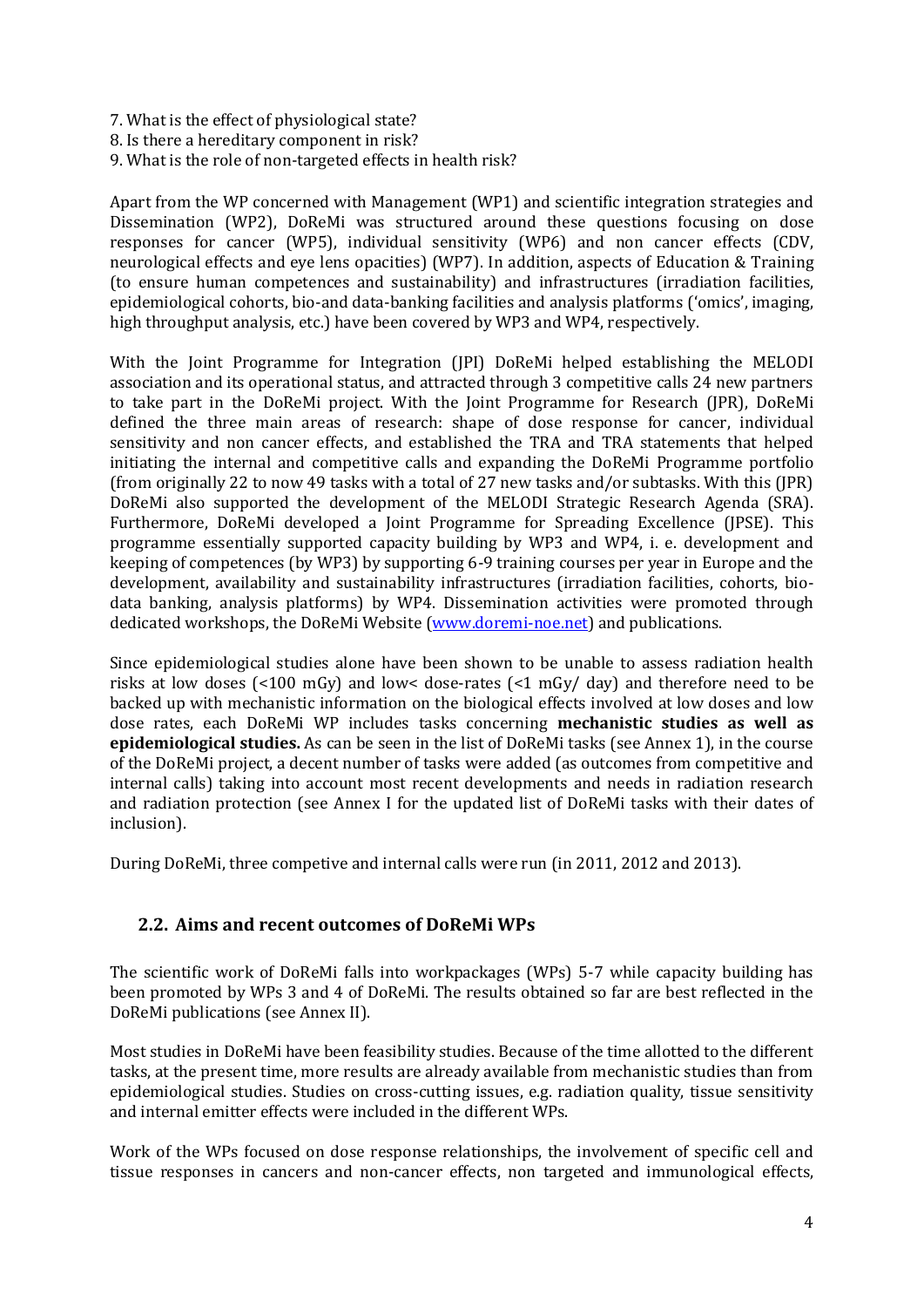- 7. What is the effect of physiological state?
- 8. Is there a hereditary component in risk?
- 9. What is the role of non-targeted effects in health risk?

Apart from the WP concerned with Management (WP1) and scientific integration strategies and Dissemination (WP2), DoReMi was structured around these questions focusing on dose responses for cancer (WP5), individual sensitivity (WP6) and non cancer effects (CDV, neurological effects and eye lens opacities) (WP7). In addition, aspects of Education & Training (to ensure human competences and sustainability) and infrastructures (irradiation facilities, epidemiological cohorts, bio-and data-banking facilities and analysis platforms ('omics', imaging, high throughput analysis, etc.) have been covered by WP3 and WP4, respectively.

With the Joint Programme for Integration (JPI) DoReMi helped establishing the MELODI association and its operational status, and attracted through 3 competitive calls 24 new partners to take part in the DoReMi project. With the Joint Programme for Research (JPR), DoReMi defined the three main areas of research: shape of dose response for cancer, individual sensitivity and non cancer effects, and established the TRA and TRA statements that helped initiating the internal and competitive calls and expanding the DoReMi Programme portfolio (from originally 22 to now 49 tasks with a total of 27 new tasks and/or subtasks. With this (JPR) DoReMi also supported the development of the MELODI Strategic Research Agenda (SRA). Furthermore, DoReMi developed a Joint Programme for Spreading Excellence (JPSE). This programme essentially supported capacity building by WP3 and WP4, i. e. development and keeping of competences (by WP3) by supporting 6-9 training courses per year in Europe and the development, availability and sustainability infrastructures (irradiation facilities, cohorts, biodata banking, analysis platforms) by WP4. Dissemination activities were promoted through dedicated workshops, the DoReMi Website [\(www.doremi-noe.net\)](http://www.doremi-noe.net/) and publications.

Since epidemiological studies alone have been shown to be unable to assess radiation health risks at low doses (<100 mGy) and low< dose-rates (<1 mGy/ day) and therefore need to be backed up with mechanistic information on the biological effects involved at low doses and low dose rates, each DoReMi WP includes tasks concerning **mechanistic studies as well as epidemiological studies.** As can be seen in the list of DoReMi tasks (see Annex 1), in the course of the DoReMi project, a decent number of tasks were added (as outcomes from competitive and internal calls) taking into account most recent developments and needs in radiation research and radiation protection (see Annex I for the updated list of DoReMi tasks with their dates of inclusion).

During DoReMi, three competive and internal calls were run (in 2011, 2012 and 2013).

### <span id="page-3-0"></span>**2.2. Aims and recent outcomes of DoReMi WPs**

The scientific work of DoReMi falls into workpackages (WPs) 5-7 while capacity building has been promoted by WPs 3 and 4 of DoReMi. The results obtained so far are best reflected in the DoReMi publications (see Annex II).

Most studies in DoReMi have been feasibility studies. Because of the time allotted to the different tasks, at the present time, more results are already available from mechanistic studies than from epidemiological studies. Studies on cross-cutting issues, e.g. radiation quality, tissue sensitivity and internal emitter effects were included in the different WPs.

Work of the WPs focused on dose response relationships, the involvement of specific cell and tissue responses in cancers and non-cancer effects, non targeted and immunological effects,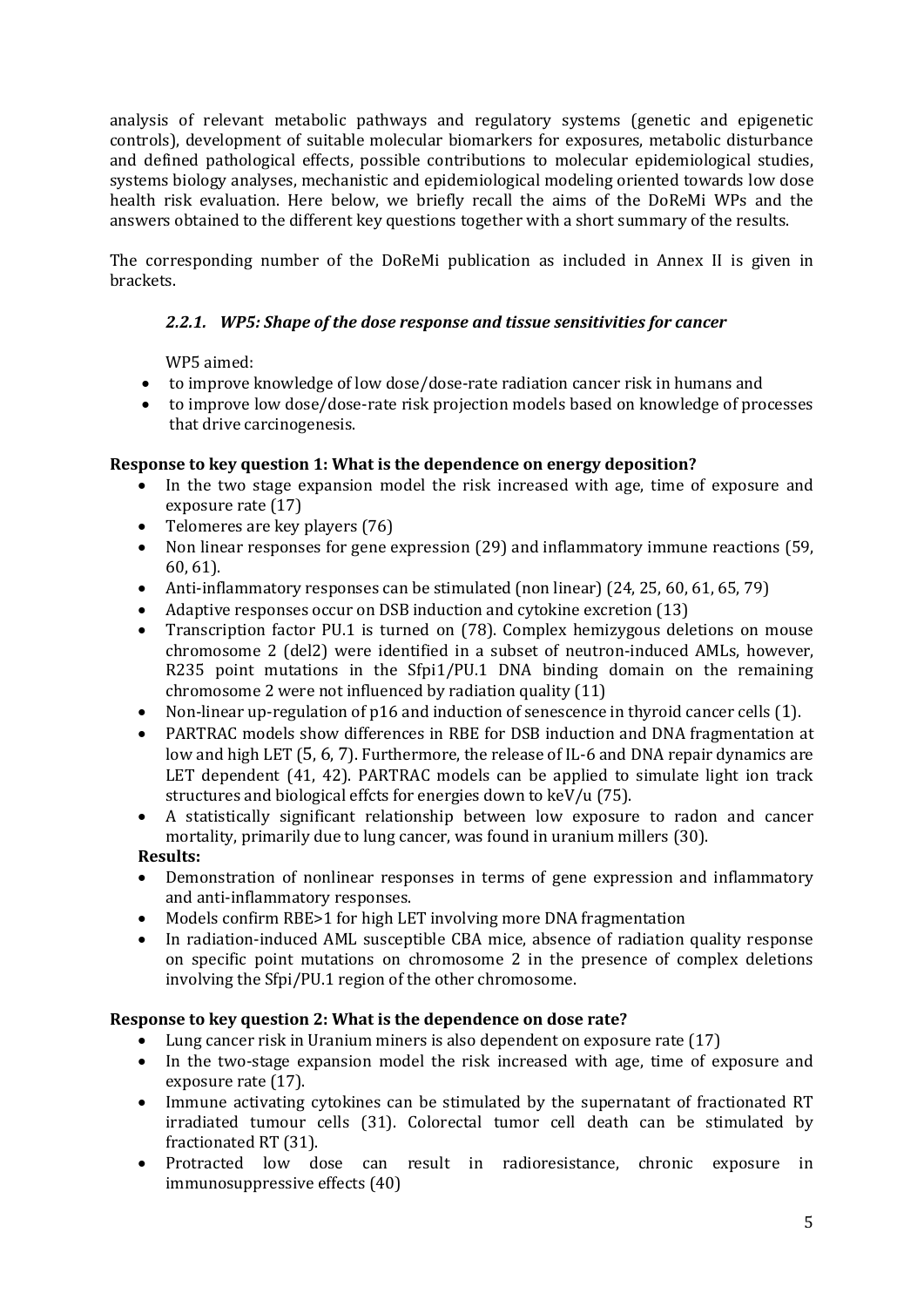analysis of relevant metabolic pathways and regulatory systems (genetic and epigenetic controls), development of suitable molecular biomarkers for exposures, metabolic disturbance and defined pathological effects, possible contributions to molecular epidemiological studies, systems biology analyses, mechanistic and epidemiological modeling oriented towards low dose health risk evaluation. Here below, we briefly recall the aims of the DoReMi WPs and the answers obtained to the different key questions together with a short summary of the results.

The corresponding number of the DoReMi publication as included in Annex II is given in brackets.

### <span id="page-4-0"></span>*2.2.1. WP5: Shape of the dose response and tissue sensitivities for cancer*

WP5 aimed:

- to improve knowledge of low dose/dose-rate radiation cancer risk in humans and
- to improve low dose/dose-rate risk projection models based on knowledge of processes that drive carcinogenesis.

### **Response to key question 1: What is the dependence on energy deposition?**

- In the two stage expansion model the risk increased with age, time of exposure and exposure rate [\(17\)](#page-36-0)
- Telomeres are key players [\(76\)](#page-63-0)
- Non linear responses for gene expression [\(29\)](#page-41-0) and inflammatory immune reactions [\(59,](#page-55-0) [60,](#page-56-0) [61\)](#page-56-1).
- Anti-inflammatory responses can be stimulated (non linear) [\(24,](#page-39-0) [25,](#page-39-1) [60,](#page-56-0) [61,](#page-56-1) [65,](#page-58-0) [79\)](#page-64-0)
- Adaptive responses occur on DSB induction and cytokine excretion [\(13\)](#page-34-0)
- Transcription factor PU.1 is turned on [\(78\)](#page-64-1). Complex hemizygous deletions on mouse chromosome 2 (del2) were identified in a subset of neutron-induced AMLs, however, R235 point mutations in the Sfpi1/PU.1 DNA binding domain on the remaining chromosome 2 were not influenced by radiation quality [\(11\)](#page-33-0)
- Non-linear up-regulation of p16 and induction of senescence in thyroid cancer cells ([1](#page-28-1)).
- PARTRAC models show differences in RBE for DSB induction and DNA fragmentation at low and high LET ([5](#page-30-0), [6](#page-30-1), [7](#page-31-0)). Furthermore, the release of IL-6 and DNA repair dynamics are LET dependent [\(41,](#page-46-0) [42\)](#page-47-0). PARTRAC models can be applied to simulate light ion track structures and biological effcts for energies down to keV/u [\(75\)](#page-63-1).
- A statistically significant relationship between low exposure to radon and cancer mortality, primarily due to lung cancer, was found in uranium millers [\(30\)](#page-42-0).

### **Results:**

- Demonstration of nonlinear responses in terms of gene expression and inflammatory and anti-inflammatory responses.
- Models confirm RBE>1 for high LET involving more DNA fragmentation
- In radiation-induced AML susceptible CBA mice, absence of radiation quality response on specific point mutations on chromosome 2 in the presence of complex deletions involving the Sfpi/PU.1 region of the other chromosome.

### **Response to key question 2: What is the dependence on dose rate?**

- Lung cancer risk in Uranium miners is also dependent on exposure rate [\(17\)](#page-36-0)
- In the two-stage expansion model the risk increased with age, time of exposure and exposure rate [\(17\)](#page-36-0).
- Immune activating cytokines can be stimulated by the supernatant of fractionated RT irradiated tumour cells [\(31\)](#page-42-1). Colorectal tumor cell death can be stimulated by fractionated RT [\(31\)](#page-42-1).
- Protracted low dose can result in radioresistance, chronic exposure in immunosuppressive effects [\(40\)](#page-46-1)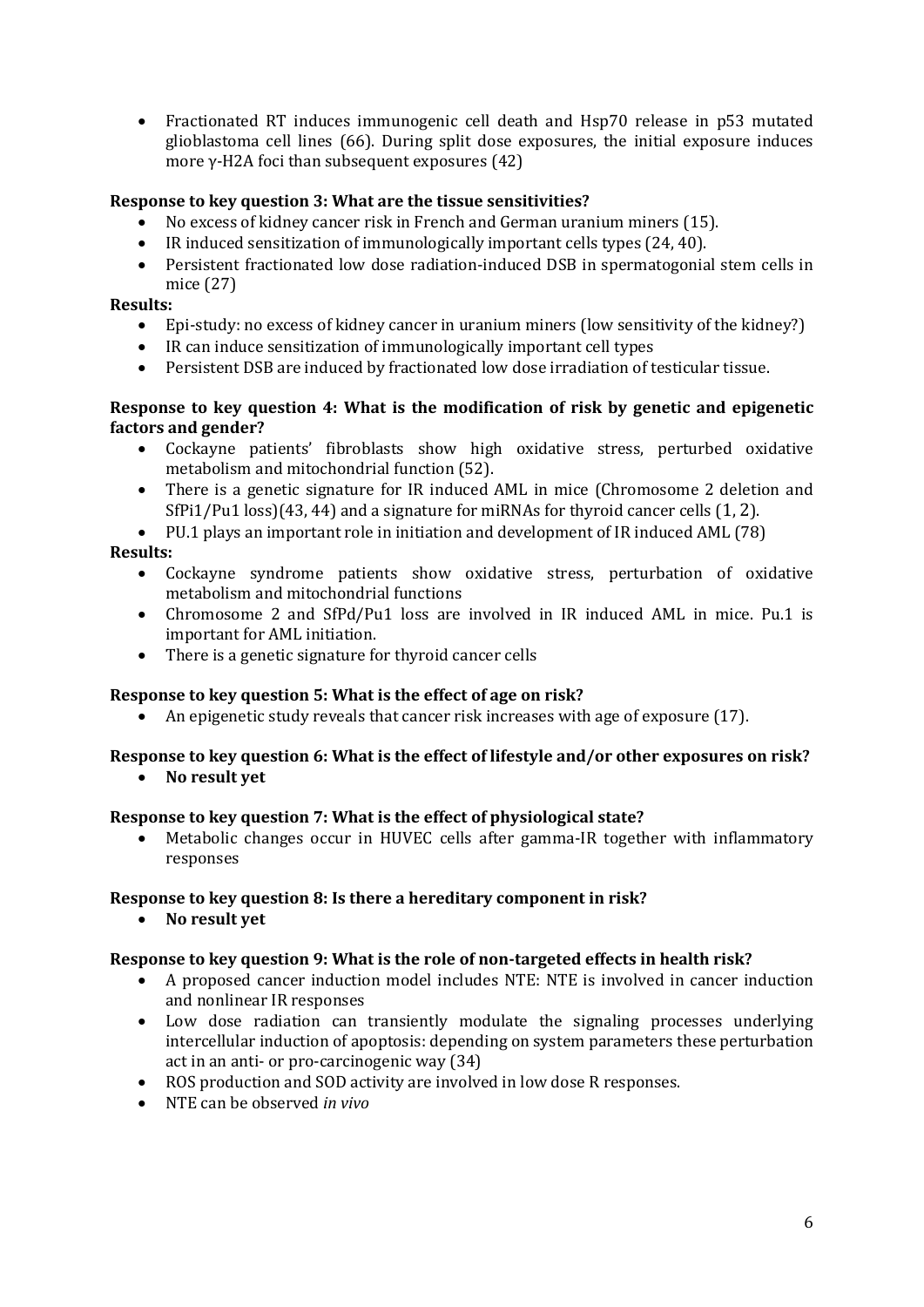Fractionated RT induces immunogenic cell death and Hsp70 release in p53 mutated glioblastoma cell lines [\(66\)](#page-59-0). During split dose exposures, the initial exposure induces more  $\gamma$ -H2A foci than subsequent exposures [\(42\)](#page-47-0)

### **Response to key question 3: What are the tissue sensitivities?**

- No excess of kidney cancer risk in French and German uranium miners [\(15\)](#page-35-0).
- IR induced sensitization of immunologically important cells types [\(24,](#page-39-0) [40\)](#page-46-1).
- Persistent fractionated low dose radiation-induced DSB in spermatogonial stem cells in mice [\(27\)](#page-40-0)

### **Results:**

- Epi-study: no excess of kidney cancer in uranium miners (low sensitivity of the kidney?)
- IR can induce sensitization of immunologically important cell types
- Persistent DSB are induced by fractionated low dose irradiation of testicular tissue.

### **Response to key question 4: What is the modification of risk by genetic and epigenetic factors and gender?**

- Cockayne patients' fibroblasts show high oxidative stress, perturbed oxidative metabolism and mitochondrial function [\(52\)](#page-52-0).
- There is a genetic signature for IR induced AML in mice (Chromosome 2 deletion and SfPi1/Pu1 loss)[\(43,](#page-47-1) [44\)](#page-48-0) and a signature for miRNAs for thyroid cancer cells ([1](#page-28-1), [2](#page-29-0)).

PU.1 plays an important role in initiation and development of IR induced AML [\(78\)](#page-64-1)

### **Results:**

- Cockayne syndrome patients show oxidative stress, perturbation of oxidative metabolism and mitochondrial functions
- Chromosome 2 and SfPd/Pu1 loss are involved in IR induced AML in mice. Pu.1 is important for AML initiation.
- There is a genetic signature for thyroid cancer cells

### **Response to key question 5: What is the effect of age on risk?**

An epigenetic study reveals that cancer risk increases with age of exposure [\(17\)](#page-36-0).

# **Response to key question 6: What is the effect of lifestyle and/or other exposures on risk?**

**No result yet**

### **Response to key question 7: What is the effect of physiological state?**

 Metabolic changes occur in HUVEC cells after gamma-IR together with inflammatory responses

### **Response to key question 8: Is there a hereditary component in risk?**

**No result yet**

### **Response to key question 9: What is the role of non-targeted effects in health risk?**

- A proposed cancer induction model includes NTE: NTE is involved in cancer induction and nonlinear IR responses
- Low dose radiation can transiently modulate the signaling processes underlying intercellular induction of apoptosis: depending on system parameters these perturbation act in an anti- or pro-carcinogenic way [\(34\)](#page-44-0)
- ROS production and SOD activity are involved in low dose R responses.
- NTE can be observed *in vivo*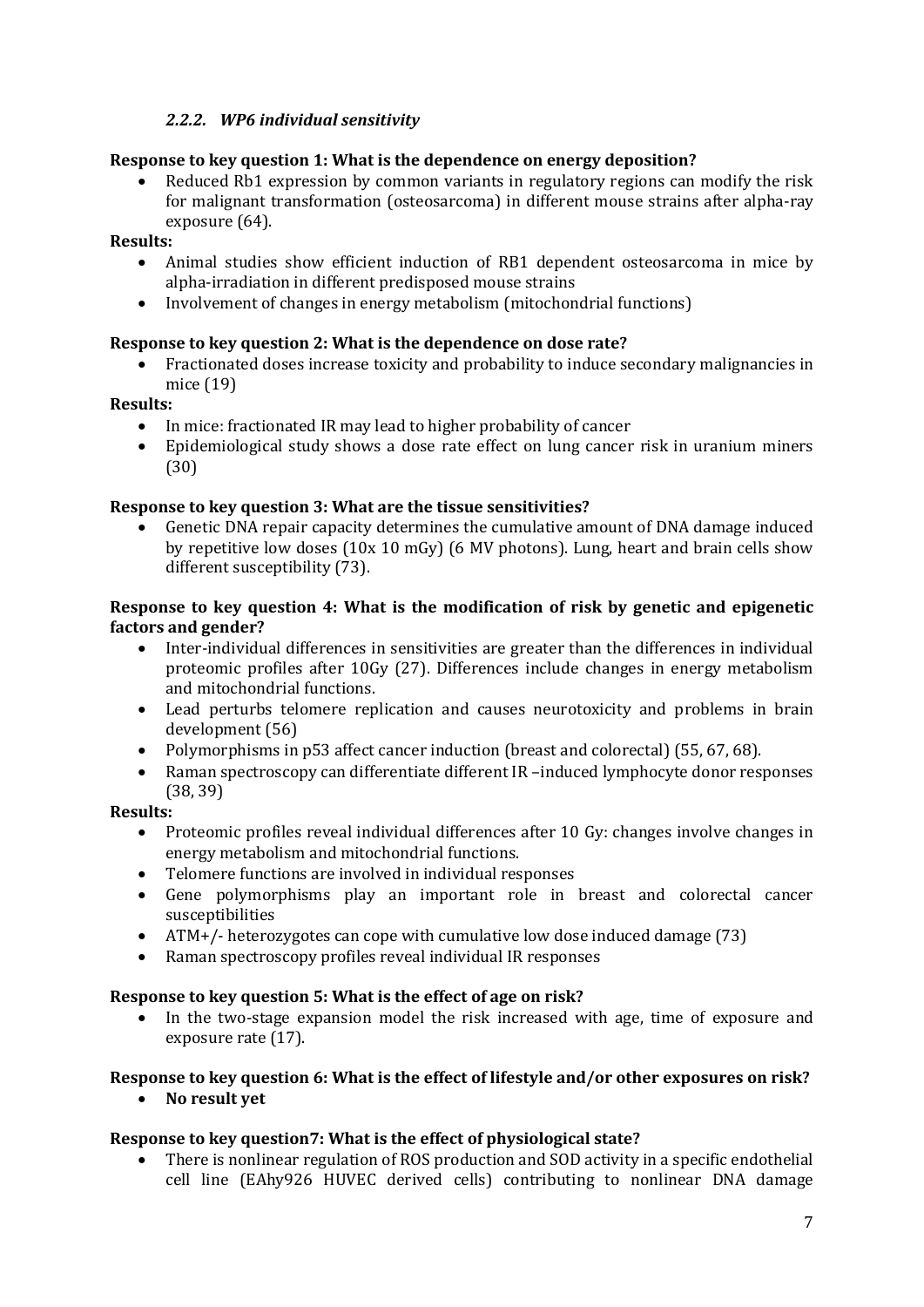### *2.2.2. WP6 individual sensitivity*

### <span id="page-6-0"></span>**Response to key question 1: What is the dependence on energy deposition?**

 Reduced Rb1 expression by common variants in regulatory regions can modify the risk for malignant transformation (osteosarcoma) in different mouse strains after alpha-ray exposure [\(64\)](#page-57-0).

### **Results:**

- Animal studies show efficient induction of RB1 dependent osteosarcoma in mice by alpha-irradiation in different predisposed mouse strains
- Involvement of changes in energy metabolism (mitochondrial functions)

### **Response to key question 2: What is the dependence on dose rate?**

 Fractionated doses increase toxicity and probability to induce secondary malignancies in mice [\(19\)](#page-36-1)

### **Results:**

- In mice: fractionated IR may lead to higher probability of cancer
- Epidemiological study shows a dose rate effect on lung cancer risk in uranium miners [\(30\)](#page-42-0)

### **Response to key question 3: What are the tissue sensitivities?**

 Genetic DNA repair capacity determines the cumulative amount of DNA damage induced by repetitive low doses (10x 10 mGy) (6 MV photons). Lung, heart and brain cells show different susceptibility [\(73\)](#page-62-0).

### **Response to key question 4: What is the modification of risk by genetic and epigenetic factors and gender?**

- Inter-individual differences in sensitivities are greater than the differences in individual proteomic profiles after 10Gy [\(27\)](#page-40-0). Differences include changes in energy metabolism and mitochondrial functions.
- Lead perturbs telomere replication and causes neurotoxicity and problems in brain development [\(56\)](#page-54-0)
- Polymorphisms in p53 affect cancer induction (breast and colorectal) [\(55,](#page-54-1) [67,](#page-59-1) [68\)](#page-60-0).
- Raman spectroscopy can differentiate different IR –induced lymphocyte donor responses [\(38,](#page-45-0) [39\)](#page-46-2)

### **Results:**

- Proteomic profiles reveal individual differences after 10 Gy: changes involve changes in energy metabolism and mitochondrial functions.
- Telomere functions are involved in individual responses
- Gene polymorphisms play an important role in breast and colorectal cancer susceptibilities
- ATM+/- heterozygotes can cope with cumulative low dose induced damage [\(73\)](#page-62-0)
- Raman spectroscopy profiles reveal individual IR responses

### **Response to key question 5: What is the effect of age on risk?**

• In the two-stage expansion model the risk increased with age, time of exposure and exposure rate [\(17\)](#page-36-0).

### **Response to key question 6: What is the effect of lifestyle and/or other exposures on risk?**

**No result yet**

### **Response to key question7: What is the effect of physiological state?**

 There is nonlinear regulation of ROS production and SOD activity in a specific endothelial cell line (EAhy926 HUVEC derived cells) contributing to nonlinear DNA damage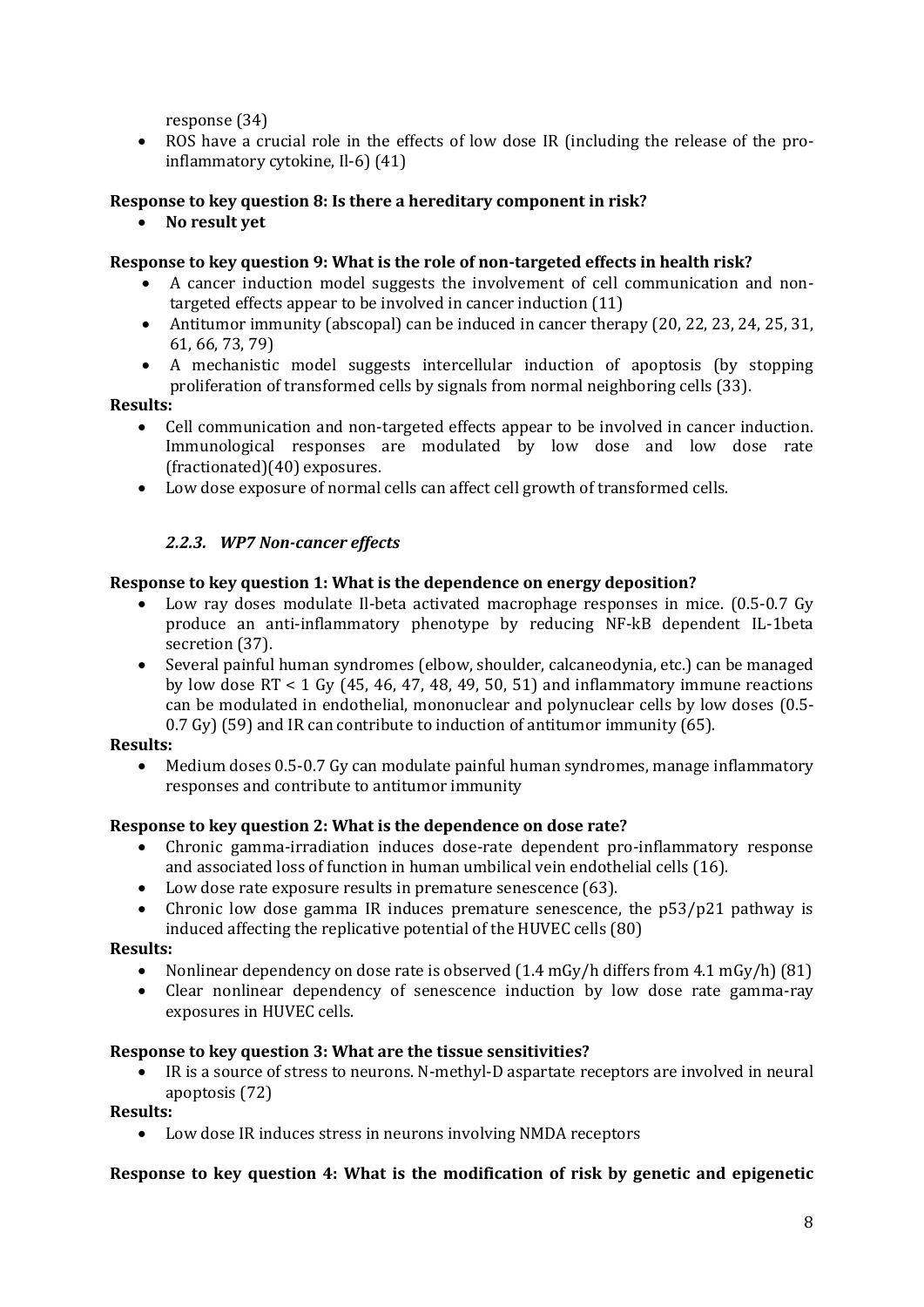response [\(34\)](#page-44-0)

 ROS have a crucial role in the effects of low dose IR (including the release of the proinflammatory cytokine, Il-6) [\(41\)](#page-46-0)

### **Response to key question 8: Is there a hereditary component in risk?**

**No result yet**

### **Response to key question 9: What is the role of non-targeted effects in health risk?**

- A cancer induction model suggests the involvement of cell communication and nontargeted effects appear to be involved in cancer induction [\(11\)](#page-33-0)
- Antitumor immunity (abscopal) can be induced in cancer therapy [\(20,](#page-37-0) [22,](#page-38-0) [23,](#page-38-1) [24,](#page-39-0) [25,](#page-39-1) [31,](#page-42-1) [61,](#page-56-1) [66,](#page-59-0) [73,](#page-62-0) [79\)](#page-64-0)
- A mechanistic model suggests intercellular induction of apoptosis (by stopping proliferation of transformed cells by signals from normal neighboring cells [\(33\)](#page-43-0).

### **Results:**

- Cell communication and non-targeted effects appear to be involved in cancer induction. Immunological responses are modulated by low dose and low dose rate (fractionated)[\(40\)](#page-46-1) exposures.
- <span id="page-7-0"></span>Low dose exposure of normal cells can affect cell growth of transformed cells.

### *2.2.3. WP7 Non-cancer effects*

### **Response to key question 1: What is the dependence on energy deposition?**

- Low ray doses modulate Il-beta activated macrophage responses in mice. (0.5-0.7 Gy produce an anti-inflammatory phenotype by reducing NF-kB dependent IL-1beta secretion [\(37\)](#page-45-1).
- Several painful human syndromes (elbow, shoulder, calcaneodynia, etc.) can be managed by low dose RT < 1 Gy [\(45,](#page-48-1) [46,](#page-49-0) [47,](#page-49-1) [48,](#page-50-0) [49,](#page-50-1) [50,](#page-51-0) [51\)](#page-51-1) and inflammatory immune reactions can be modulated in endothelial, mononuclear and polynuclear cells by low doses (0.5- 0.7 Gy) [\(59\)](#page-55-0) and IR can contribute to induction of antitumor immunity [\(65\)](#page-58-0).

### **Results:**

 Medium doses 0.5-0.7 Gy can modulate painful human syndromes, manage inflammatory responses and contribute to antitumor immunity

### **Response to key question 2: What is the dependence on dose rate?**

- Chronic gamma-irradiation induces dose-rate dependent pro-inflammatory response and associated loss of function in human umbilical vein endothelial cells [\(16\)](#page-35-1).
- Low dose rate exposure results in premature senescence [\(63\)](#page-57-1).
- Chronic low dose gamma IR induces premature senescence, the p53/p21 pathway is induced affecting the replicative potential of the HUVEC cells [\(80\)](#page-65-0)

### **Results:**

- Nonlinear dependency on dose rate is observed  $(1.4 \text{ mGy/h})$  differs from  $4.1 \text{ mGy/h}$  [\(81\)](#page-65-1)
- Clear nonlinear dependency of senescence induction by low dose rate gamma-ray exposures in HUVEC cells.

#### **Response to key question 3: What are the tissue sensitivities?**

 IR is a source of stress to neurons. N-methyl-D aspartate receptors are involved in neural apoptosis [\(72\)](#page-61-0)

**Results:**

Low dose IR induces stress in neurons involving NMDA receptors

### **Response to key question 4: What is the modification of risk by genetic and epigenetic**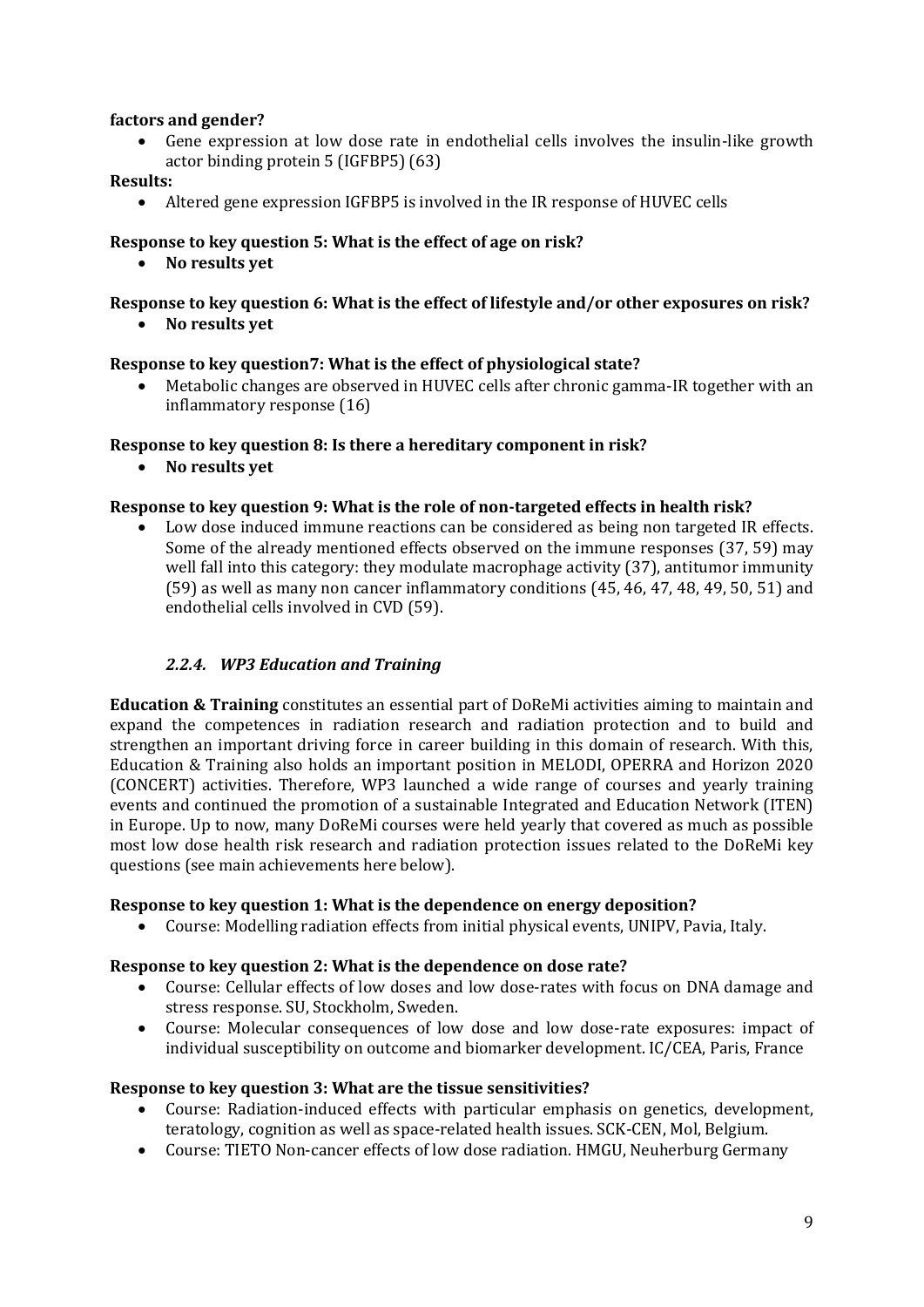### **factors and gender?**

 Gene expression at low dose rate in endothelial cells involves the insulin-like growth actor binding protein 5 (IGFBP5) [\(63\)](#page-57-1)

### **Results:**

Altered gene expression IGFBP5 is involved in the IR response of HUVEC cells

### **Response to key question 5: What is the effect of age on risk?**

**No results yet**

### **Response to key question 6: What is the effect of lifestyle and/or other exposures on risk? No results yet**

### **Response to key question7: What is the effect of physiological state?**

 Metabolic changes are observed in HUVEC cells after chronic gamma-IR together with an inflammatory response [\(16\)](#page-35-1)

### **Response to key question 8: Is there a hereditary component in risk?**

**No results yet**

### **Response to key question 9: What is the role of non-targeted effects in health risk?**

 Low dose induced immune reactions can be considered as being non targeted IR effects. Some of the already mentioned effects observed on the immune responses [\(37,](#page-45-1) [59\)](#page-55-0) may well fall into this category: they modulate macrophage activity [\(37\)](#page-45-1), antitumor immunity [\(59\)](#page-55-0) as well as many non cancer inflammatory conditions [\(45,](#page-48-1) [46,](#page-49-0) [47,](#page-49-1) [48,](#page-50-0) [49,](#page-50-1) [50,](#page-51-0) [51\)](#page-51-1) and endothelial cells involved in CVD [\(59\)](#page-55-0).

### *2.2.4. WP3 Education and Training*

<span id="page-8-0"></span>**Education & Training** constitutes an essential part of DoReMi activities aiming to maintain and expand the competences in radiation research and radiation protection and to build and strengthen an important driving force in career building in this domain of research. With this, Education & Training also holds an important position in MELODI, OPERRA and Horizon 2020 (CONCERT) activities. Therefore, WP3 launched a wide range of courses and yearly training events and continued the promotion of a sustainable Integrated and Education Network (ITEN) in Europe. Up to now, many DoReMi courses were held yearly that covered as much as possible most low dose health risk research and radiation protection issues related to the DoReMi key questions (see main achievements here below).

### **Response to key question 1: What is the dependence on energy deposition?**

Course: Modelling radiation effects from initial physical events, UNIPV, Pavia, Italy.

### **Response to key question 2: What is the dependence on dose rate?**

- Course: Cellular effects of low doses and low dose-rates with focus on DNA damage and stress response. SU, Stockholm, Sweden.
- Course: Molecular consequences of low dose and low dose-rate exposures: impact of individual susceptibility on outcome and biomarker development. IC/CEA, Paris, France

### **Response to key question 3: What are the tissue sensitivities?**

- Course: Radiation‐induced effects with particular emphasis on genetics, development, teratology, cognition as well as space‐related health issues. SCK-CEN, Mol, Belgium.
- Course: TIETO Non-cancer effects of low dose radiation. HMGU, Neuherburg Germany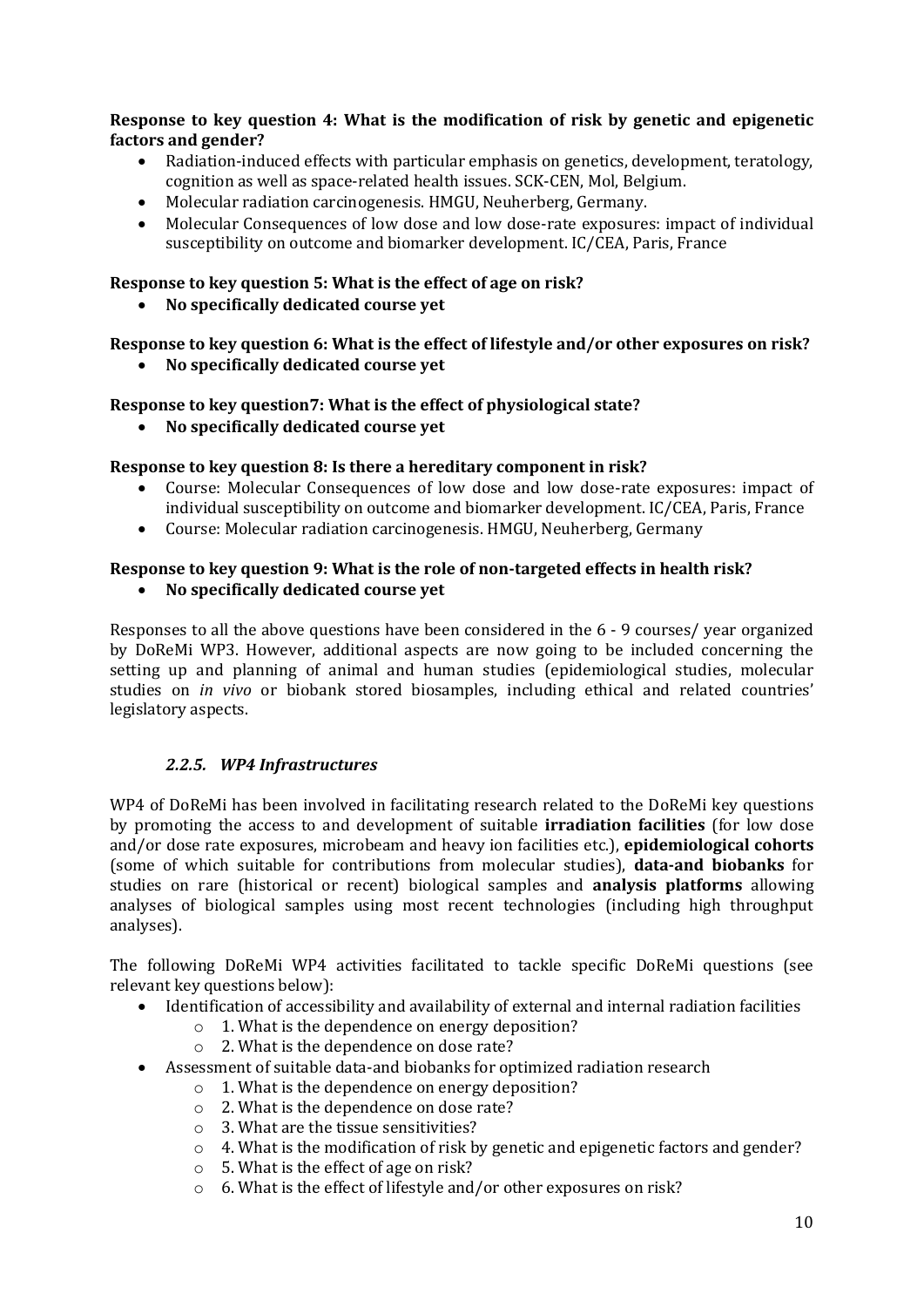### **Response to key question 4: What is the modification of risk by genetic and epigenetic factors and gender?**

- Radiation-induced effects with particular emphasis on genetics, development, teratology, cognition as well as space‐related health issues. SCK-CEN, Mol, Belgium.
- Molecular radiation carcinogenesis. HMGU, Neuherberg, Germany.
- Molecular Consequences of low dose and low dose-rate exposures: impact of individual susceptibility on outcome and biomarker development. IC/CEA, Paris, France

### **Response to key question 5: What is the effect of age on risk?**

**No specifically dedicated course yet**

### **Response to key question 6: What is the effect of lifestyle and/or other exposures on risk?**

**No specifically dedicated course yet**

### **Response to key question7: What is the effect of physiological state?**

**No specifically dedicated course yet**

### **Response to key question 8: Is there a hereditary component in risk?**

- Course: Molecular Consequences of low dose and low dose-rate exposures: impact of individual susceptibility on outcome and biomarker development. IC/CEA, Paris, France
- Course: Molecular radiation carcinogenesis. HMGU, Neuherberg, Germany

### **Response to key question 9: What is the role of non-targeted effects in health risk?**

### **No specifically dedicated course yet**

Responses to all the above questions have been considered in the 6 - 9 courses/ year organized by DoReMi WP3. However, additional aspects are now going to be included concerning the setting up and planning of animal and human studies (epidemiological studies, molecular studies on *in vivo* or biobank stored biosamples, including ethical and related countries' legislatory aspects.

### *2.2.5. WP4 Infrastructures*

<span id="page-9-0"></span>WP4 of DoReMi has been involved in facilitating research related to the DoReMi key questions by promoting the access to and development of suitable **irradiation facilities** (for low dose and/or dose rate exposures, microbeam and heavy ion facilities etc.), **epidemiological cohorts** (some of which suitable for contributions from molecular studies), **data-and biobanks** for studies on rare (historical or recent) biological samples and **analysis platforms** allowing analyses of biological samples using most recent technologies (including high throughput analyses).

The following DoReMi WP4 activities facilitated to tackle specific DoReMi questions (see relevant key questions below):

- Identification of accessibility and availability of external and internal radiation facilities
	- o 1. What is the dependence on energy deposition?
		- o 2. What is the dependence on dose rate?
- Assessment of suitable data-and biobanks for optimized radiation research
	- o 1. What is the dependence on energy deposition?
	- o 2. What is the dependence on dose rate?
	- o 3. What are the tissue sensitivities?
	- $\circ$  4. What is the modification of risk by genetic and epigenetic factors and gender?
	- o 5. What is the effect of age on risk?
	- o 6. What is the effect of lifestyle and/or other exposures on risk?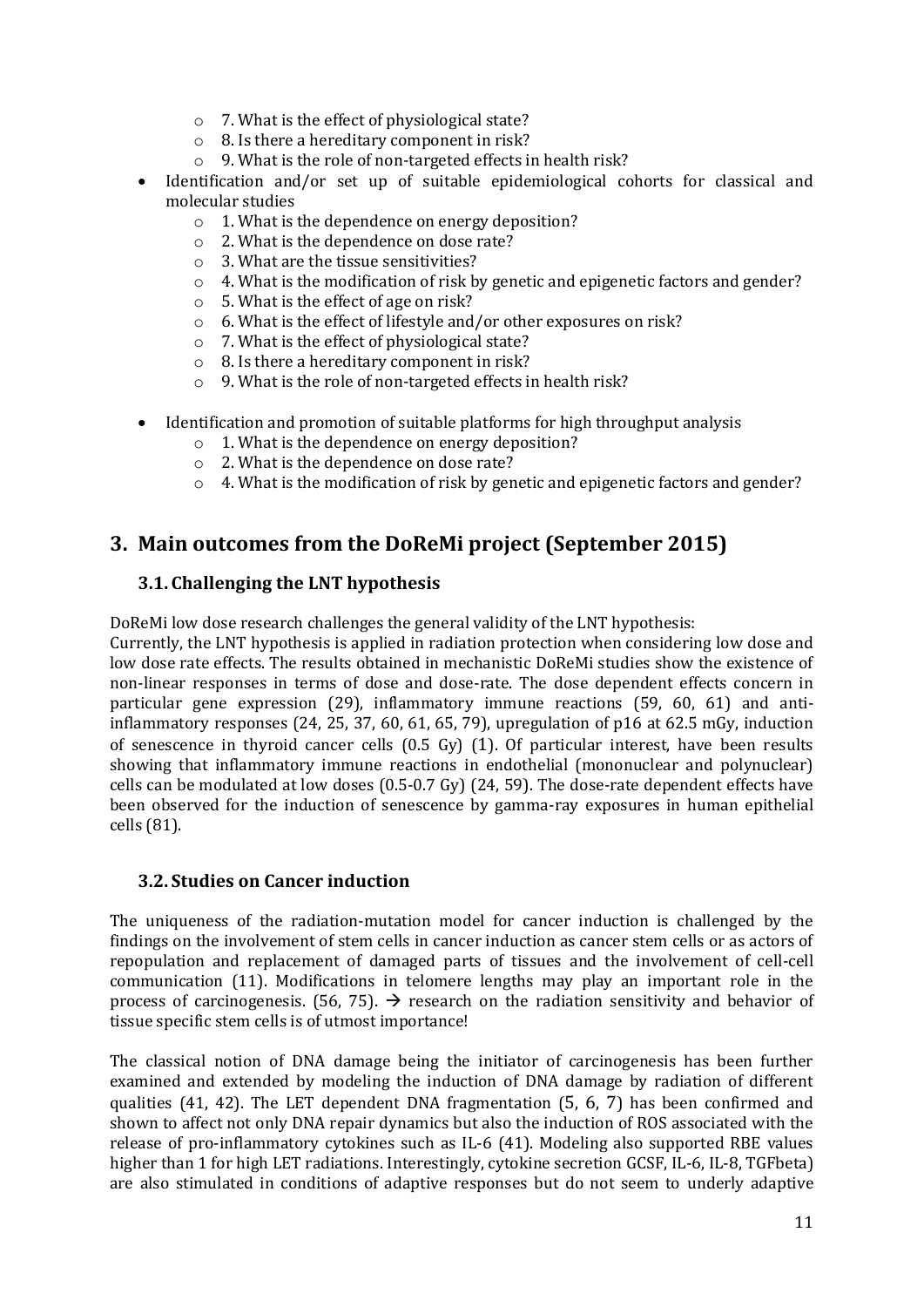- o 7. What is the effect of physiological state?
- o 8. Is there a hereditary component in risk?
- o 9. What is the role of non-targeted effects in health risk?
- Identification and/or set up of suitable epidemiological cohorts for classical and molecular studies
	- o 1. What is the dependence on energy deposition?
	- o 2. What is the dependence on dose rate?
	- o 3. What are the tissue sensitivities?
	- $\circ$  4. What is the modification of risk by genetic and epigenetic factors and gender?
	- o 5. What is the effect of age on risk?
	- o 6. What is the effect of lifestyle and/or other exposures on risk?
	- o 7. What is the effect of physiological state?
	- o 8. Is there a hereditary component in risk?
	- o 9. What is the role of non-targeted effects in health risk?
- Identification and promotion of suitable platforms for high throughput analysis
	- o 1. What is the dependence on energy deposition?
	- o 2. What is the dependence on dose rate?
	- o 4. What is the modification of risk by genetic and epigenetic factors and gender?

# <span id="page-10-1"></span><span id="page-10-0"></span>**3. Main outcomes from the DoReMi project (September 2015)**

### **3.1. Challenging the LNT hypothesis**

DoReMi low dose research challenges the general validity of the LNT hypothesis:

Currently, the LNT hypothesis is applied in radiation protection when considering low dose and low dose rate effects. The results obtained in mechanistic DoReMi studies show the existence of non-linear responses in terms of dose and dose-rate. The dose dependent effects concern in particular gene expression [\(29\)](#page-41-0), inflammatory immune reactions [\(59,](#page-55-0) [60,](#page-56-0) [61\)](#page-56-1) and antiinflammatory responses [\(24,](#page-39-0) [25,](#page-39-1) [37,](#page-45-1) [60,](#page-56-0) [61,](#page-56-1) [65,](#page-58-0) [79\)](#page-64-0), upregulation of p16 at 62.5 mGy, induction of senescence in thyroid cancer cells  $(0.5 \text{ Gy})$  ([1](#page-28-1)). Of particular interest, have been results showing that inflammatory immune reactions in endothelial (mononuclear and polynuclear) cells can be modulated at low doses (0.5-0.7 Gy) [\(24,](#page-39-0) [59\)](#page-55-0). The dose-rate dependent effects have been observed for the induction of senescence by gamma-ray exposures in human epithelial cells [\(81\)](#page-65-1).

### <span id="page-10-2"></span>**3.2. Studies on Cancer induction**

The uniqueness of the radiation-mutation model for cancer induction is challenged by the findings on the involvement of stem cells in cancer induction as cancer stem cells or as actors of repopulation and replacement of damaged parts of tissues and the involvement of cell-cell communication [\(11\)](#page-33-0). Modifications in telomere lengths may play an important role in the process of carcinogenesis. [\(56,](#page-54-0) [75\)](#page-63-1).  $\rightarrow$  research on the radiation sensitivity and behavior of tissue specific stem cells is of utmost importance!

The classical notion of DNA damage being the initiator of carcinogenesis has been further examined and extended by modeling the induction of DNA damage by radiation of different qualities [\(41,](#page-46-0) [42\)](#page-47-0). The LET dependent DNA fragmentation ([5](#page-30-0), [6](#page-30-1), [7](#page-31-0)) has been confirmed and shown to affect not only DNA repair dynamics but also the induction of ROS associated with the release of pro-inflammatory cytokines such as IL-6 [\(41\)](#page-46-0). Modeling also supported RBE values higher than 1 for high LET radiations. Interestingly, cytokine secretion GCSF, IL-6, IL-8, TGFbeta) are also stimulated in conditions of adaptive responses but do not seem to underly adaptive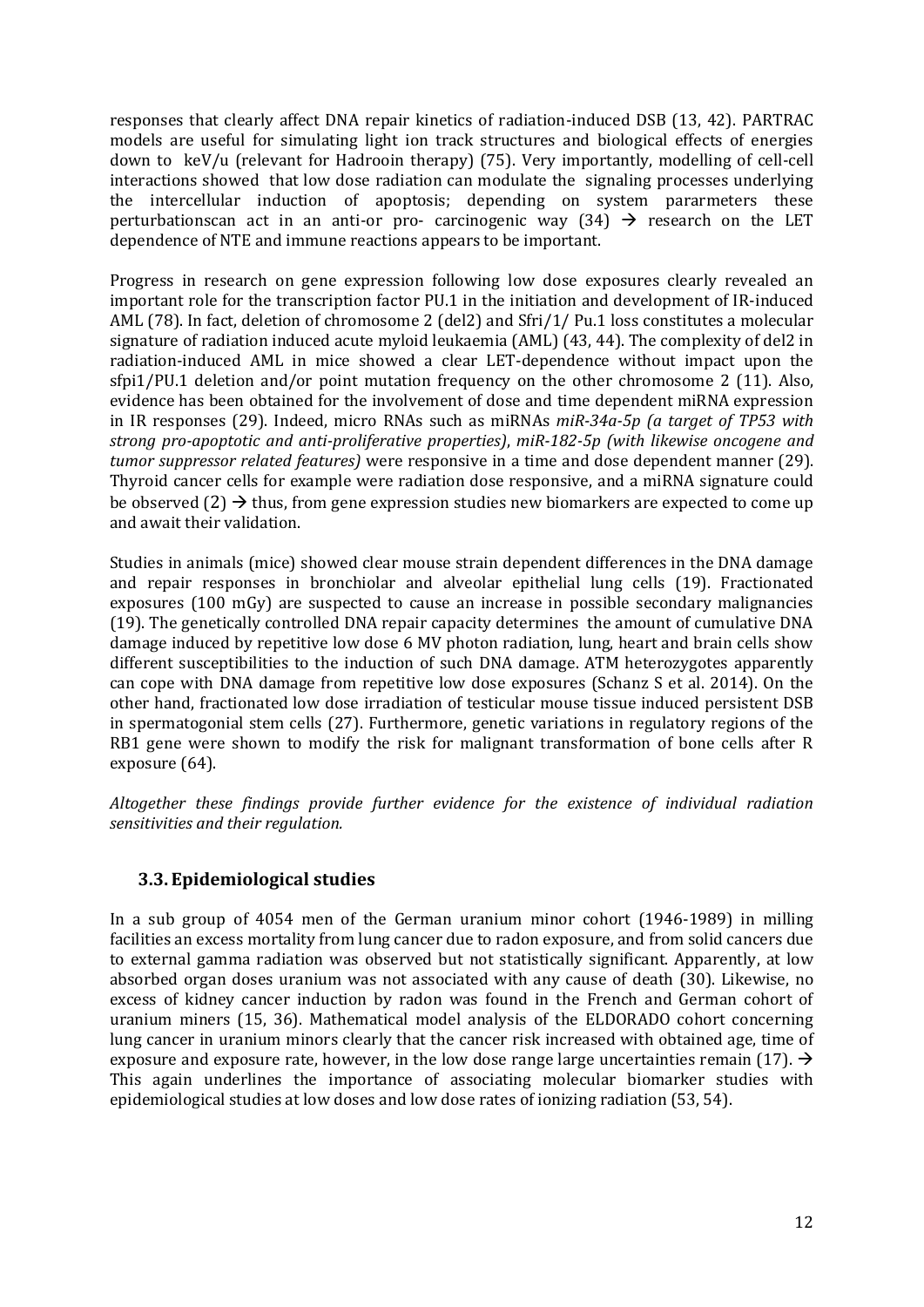responses that clearly affect DNA repair kinetics of radiation-induced DSB [\(13,](#page-34-0) [42\)](#page-47-0). PARTRAC models are useful for simulating light ion track structures and biological effects of energies down to keV/u (relevant for Hadrooin therapy) [\(75\)](#page-63-1). Very importantly, modelling of cell-cell interactions showed that low dose radiation can modulate the signaling processes underlying the intercellular induction of apoptosis; depending on system pararmeters these perturbationscan act in an anti-or pro- carcinogenic way  $(34) \rightarrow$  $(34) \rightarrow$  research on the LET dependence of NTE and immune reactions appears to be important.

Progress in research on gene expression following low dose exposures clearly revealed an important role for the transcription factor PU.1 in the initiation and development of IR-induced AML [\(78\)](#page-64-1). In fact, deletion of chromosome 2 (del2) and Sfri/1/ Pu.1 loss constitutes a molecular signature of radiation induced acute myloid leukaemia (AML) [\(43,](#page-47-1) [44\)](#page-48-0). The complexity of del2 in radiation-induced AML in mice showed a clear LET-dependence without impact upon the sfpi1/PU.1 deletion and/or point mutation frequency on the other chromosome 2 [\(11\)](#page-33-0). Also, evidence has been obtained for the involvement of dose and time dependent miRNA expression in IR responses [\(29\)](#page-41-0). Indeed, micro RNAs such as miRNAs *miR-34a-5p (a target of TP53 with strong pro-apoptotic and anti-proliferative properties)*, *miR-182-5p (with likewise oncogene and tumor suppressor related features)* were responsive in a time and dose dependent manner [\(29\)](#page-41-0). Thyroid cancer cells for example were radiation dose responsive, and a miRNA signature could be observed ([2](#page-29-0))  $\rightarrow$  thus, from gene expression studies new biomarkers are expected to come up and await their validation.

Studies in animals (mice) showed clear mouse strain dependent differences in the DNA damage and repair responses in bronchiolar and alveolar epithelial lung cells [\(19\)](#page-36-1). Fractionated exposures (100 mGy) are suspected to cause an increase in possible secondary malignancies [\(19\)](#page-36-1). The genetically controlled DNA repair capacity determines the amount of cumulative DNA damage induced by repetitive low dose 6 MV photon radiation, lung, heart and brain cells show different susceptibilities to the induction of such DNA damage. ATM heterozygotes apparently can cope with DNA damage from repetitive low dose exposures (Schanz S et al. 2014). On the other hand, fractionated low dose irradiation of testicular mouse tissue induced persistent DSB in spermatogonial stem cells [\(27\)](#page-40-0). Furthermore, genetic variations in regulatory regions of the RB1 gene were shown to modify the risk for malignant transformation of bone cells after R exposure [\(64\)](#page-57-0).

*Altogether these findings provide further evidence for the existence of individual radiation sensitivities and their regulation.*

### <span id="page-11-0"></span>**3.3. Epidemiological studies**

In a sub group of 4054 men of the German uranium minor cohort (1946-1989) in milling facilities an excess mortality from lung cancer due to radon exposure, and from solid cancers due to external gamma radiation was observed but not statistically significant. Apparently, at low absorbed organ doses uranium was not associated with any cause of death [\(30\)](#page-42-0). Likewise, no excess of kidney cancer induction by radon was found in the French and German cohort of uranium miners [\(15,](#page-35-0) [36\)](#page-44-1). Mathematical model analysis of the ELDORADO cohort concerning lung cancer in uranium minors clearly that the cancer risk increased with obtained age, time of exposure and exposure rate, however, in the low dose range large uncertainties remain [\(17\)](#page-36-0).  $\rightarrow$ This again underlines the importance of associating molecular biomarker studies with epidemiological studies at low doses and low dose rates of ionizing radiation [\(53,](#page-52-1) [54\)](#page-53-0).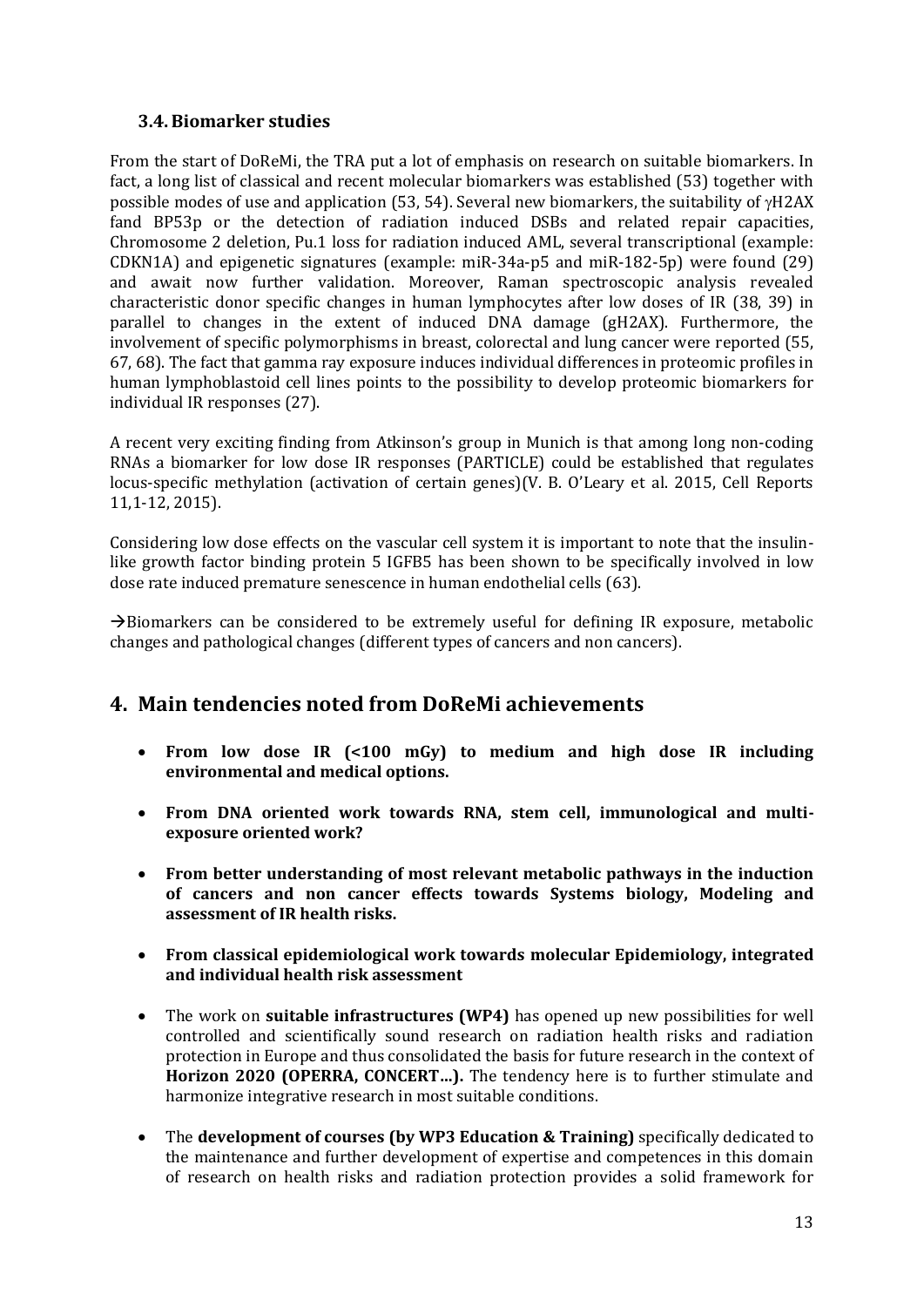### <span id="page-12-0"></span>**3.4.Biomarker studies**

From the start of DoReMi, the TRA put a lot of emphasis on research on suitable biomarkers. In fact, a long list of classical and recent molecular biomarkers was established [\(53\)](#page-52-1) together with possible modes of use and application [\(53,](#page-52-1) [54\)](#page-53-0). Several new biomarkers, the suitability of  $\gamma$ H2AX fand BP53p or the detection of radiation induced DSBs and related repair capacities, Chromosome 2 deletion, Pu.1 loss for radiation induced AML, several transcriptional (example: CDKN1A) and epigenetic signatures (example: miR-34a-p5 and miR-182-5p) were found [\(29\)](#page-41-0) and await now further validation. Moreover, Raman spectroscopic analysis revealed characteristic donor specific changes in human lymphocytes after low doses of IR [\(38,](#page-45-0) [39\)](#page-46-2) in parallel to changes in the extent of induced DNA damage (gH2AX). Furthermore, the involvement of specific polymorphisms in breast, colorectal and lung cancer were reported [\(55,](#page-54-1) [67,](#page-59-1) [68\)](#page-60-0). The fact that gamma ray exposure induces individual differences in proteomic profiles in human lymphoblastoid cell lines points to the possibility to develop proteomic biomarkers for individual IR responses [\(27\)](#page-40-0).

A recent very exciting finding from Atkinson's group in Munich is that among long non-coding RNAs a biomarker for low dose IR responses (PARTICLE) could be established that regulates locus-specific methylation (activation of certain genes)(V. B. O'Leary et al. 2015, Cell Reports 11,1-12, 2015).

Considering low dose effects on the vascular cell system it is important to note that the insulinlike growth factor binding protein 5 IGFB5 has been shown to be specifically involved in low dose rate induced premature senescence in human endothelial cells [\(63\)](#page-57-1).

 $\rightarrow$ Biomarkers can be considered to be extremely useful for defining IR exposure, metabolic changes and pathological changes (different types of cancers and non cancers).

## <span id="page-12-1"></span>**4. Main tendencies noted from DoReMi achievements**

- **From low dose IR (<100 mGy) to medium and high dose IR including environmental and medical options.**
- **From DNA oriented work towards RNA, stem cell, immunological and multiexposure oriented work?**
- **From better understanding of most relevant metabolic pathways in the induction of cancers and non cancer effects towards Systems biology, Modeling and assessment of IR health risks.**
- **From classical epidemiological work towards molecular Epidemiology, integrated and individual health risk assessment**
- The work on **suitable infrastructures (WP4)** has opened up new possibilities for well controlled and scientifically sound research on radiation health risks and radiation protection in Europe and thus consolidated the basis for future research in the context of **Horizon 2020 (OPERRA, CONCERT…).** The tendency here is to further stimulate and harmonize integrative research in most suitable conditions.
- The **development of courses (by WP3 Education & Training)** specifically dedicated to the maintenance and further development of expertise and competences in this domain of research on health risks and radiation protection provides a solid framework for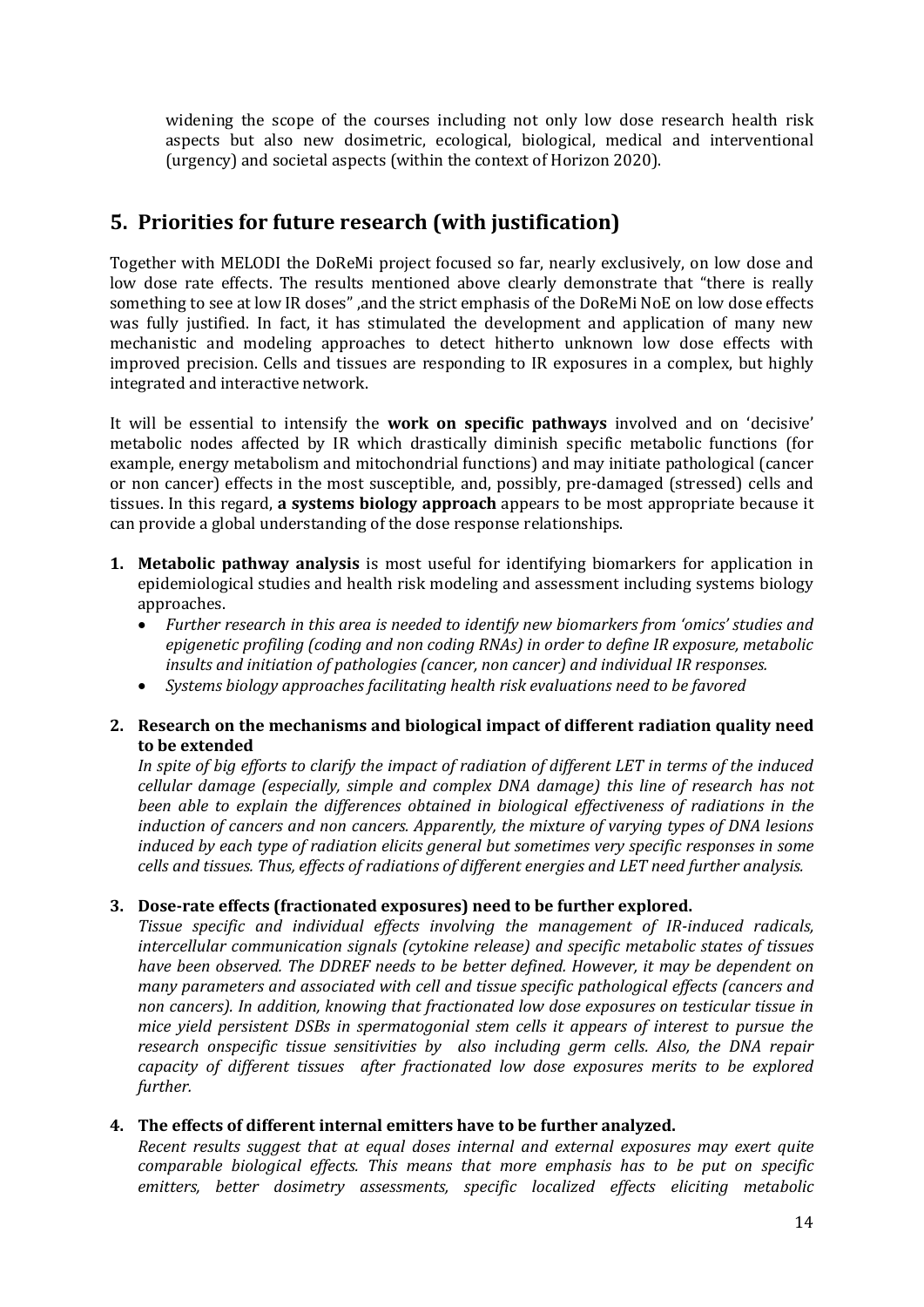widening the scope of the courses including not only low dose research health risk aspects but also new dosimetric, ecological, biological, medical and interventional (urgency) and societal aspects (within the context of Horizon 2020).

# <span id="page-13-0"></span>**5. Priorities for future research (with justification)**

Together with MELODI the DoReMi project focused so far, nearly exclusively, on low dose and low dose rate effects. The results mentioned above clearly demonstrate that "there is really something to see at low IR doses" ,and the strict emphasis of the DoReMi NoE on low dose effects was fully justified. In fact, it has stimulated the development and application of many new mechanistic and modeling approaches to detect hitherto unknown low dose effects with improved precision. Cells and tissues are responding to IR exposures in a complex, but highly integrated and interactive network.

It will be essential to intensify the **work on specific pathways** involved and on 'decisive' metabolic nodes affected by IR which drastically diminish specific metabolic functions (for example, energy metabolism and mitochondrial functions) and may initiate pathological (cancer or non cancer) effects in the most susceptible, and, possibly, pre-damaged (stressed) cells and tissues. In this regard, **a systems biology approach** appears to be most appropriate because it can provide a global understanding of the dose response relationships.

- **1. Metabolic pathway analysis** is most useful for identifying biomarkers for application in epidemiological studies and health risk modeling and assessment including systems biology approaches.
	- *Further research in this area is needed to identify new biomarkers from 'omics' studies and epigenetic profiling (coding and non coding RNAs) in order to define IR exposure, metabolic insults and initiation of pathologies (cancer, non cancer) and individual IR responses.*
	- *Systems biology approaches facilitating health risk evaluations need to be favored*

### **2. Research on the mechanisms and biological impact of different radiation quality need to be extended**

*In spite of big efforts to clarify the impact of radiation of different LET in terms of the induced cellular damage (especially, simple and complex DNA damage) this line of research has not been able to explain the differences obtained in biological effectiveness of radiations in the induction of cancers and non cancers. Apparently, the mixture of varying types of DNA lesions induced by each type of radiation elicits general but sometimes very specific responses in some cells and tissues. Thus, effects of radiations of different energies and LET need further analysis.*

### **3. Dose-rate effects (fractionated exposures) need to be further explored.**

*Tissue specific and individual effects involving the management of IR-induced radicals, intercellular communication signals (cytokine release) and specific metabolic states of tissues have been observed. The DDREF needs to be better defined. However, it may be dependent on many parameters and associated with cell and tissue specific pathological effects (cancers and non cancers). In addition, knowing that fractionated low dose exposures on testicular tissue in mice yield persistent DSBs in spermatogonial stem cells it appears of interest to pursue the research onspecific tissue sensitivities by also including germ cells. Also, the DNA repair capacity of different tissues after fractionated low dose exposures merits to be explored further.*

### **4. The effects of different internal emitters have to be further analyzed.**

*Recent results suggest that at equal doses internal and external exposures may exert quite comparable biological effects. This means that more emphasis has to be put on specific emitters, better dosimetry assessments, specific localized effects eliciting metabolic*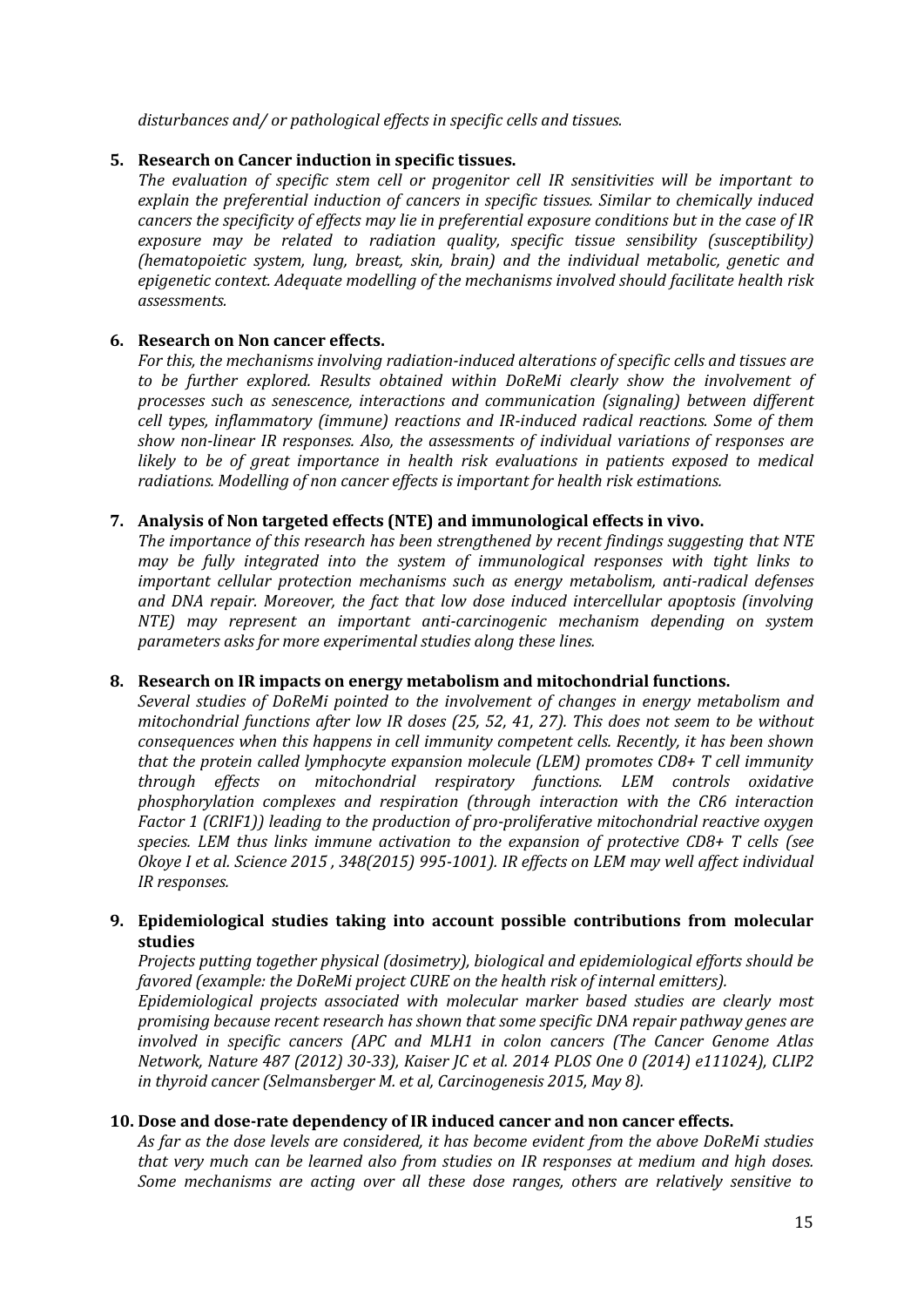*disturbances and/ or pathological effects in specific cells and tissues.*

### **5. Research on Cancer induction in specific tissues.**

*The evaluation of specific stem cell or progenitor cell IR sensitivities will be important to explain the preferential induction of cancers in specific tissues. Similar to chemically induced cancers the specificity of effects may lie in preferential exposure conditions but in the case of IR exposure may be related to radiation quality, specific tissue sensibility (susceptibility) (hematopoietic system, lung, breast, skin, brain) and the individual metabolic, genetic and epigenetic context. Adequate modelling of the mechanisms involved should facilitate health risk assessments.*

### **6. Research on Non cancer effects.**

*For this, the mechanisms involving radiation-induced alterations of specific cells and tissues are to be further explored. Results obtained within DoReMi clearly show the involvement of processes such as senescence, interactions and communication (signaling) between different cell types, inflammatory (immune) reactions and IR-induced radical reactions. Some of them show non-linear IR responses. Also, the assessments of individual variations of responses are*  likely to be of great importance in health risk evaluations in patients exposed to medical *radiations. Modelling of non cancer effects is important for health risk estimations.*

### **7. Analysis of Non targeted effects (NTE) and immunological effects in vivo.**

*The importance of this research has been strengthened by recent findings suggesting that NTE may be fully integrated into the system of immunological responses with tight links to important cellular protection mechanisms such as energy metabolism, anti-radical defenses and DNA repair. Moreover, the fact that low dose induced intercellular apoptosis (involving NTE) may represent an important anti-carcinogenic mechanism depending on system parameters asks for more experimental studies along these lines.*

#### **8. Research on IR impacts on energy metabolism and mitochondrial functions.**

*Several studies of DoReMi pointed to the involvement of changes in energy metabolism and mitochondrial functions after low IR doses [\(25,](#page-39-1) [52,](#page-52-0) [41,](#page-46-0) [27\)](#page-40-0). This does not seem to be without consequences when this happens in cell immunity competent cells. Recently, it has been shown that the protein called lymphocyte expansion molecule (LEM) promotes CD8+ T cell immunity through effects on mitochondrial respiratory functions. LEM controls oxidative phosphorylation complexes and respiration (through interaction with the CR6 interaction Factor 1 (CRIF1)) leading to the production of pro-proliferative mitochondrial reactive oxygen species. LEM thus links immune activation to the expansion of protective CD8+ T cells (see Okoye I et al. Science 2015 , 348(2015) 995-1001). IR effects on LEM may well affect individual IR responses.*

### **9. Epidemiological studies taking into account possible contributions from molecular studies**

*Projects putting together physical (dosimetry), biological and epidemiological efforts should be favored (example: the DoReMi project CURE on the health risk of internal emitters). Epidemiological projects associated with molecular marker based studies are clearly most promising because recent research has shown that some specific DNA repair pathway genes are involved in specific cancers (APC and MLH1 in colon cancers (The Cancer Genome Atlas Network, Nature 487 (2012) 30-33), Kaiser JC et al. 2014 PLOS One 0 (2014) e111024), CLIP2 in thyroid cancer (Selmansberger M. et al, Carcinogenesis 2015, May 8).*

#### **10. Dose and dose-rate dependency of IR induced cancer and non cancer effects.**

*As far as the dose levels are considered, it has become evident from the above DoReMi studies that very much can be learned also from studies on IR responses at medium and high doses. Some mechanisms are acting over all these dose ranges, others are relatively sensitive to*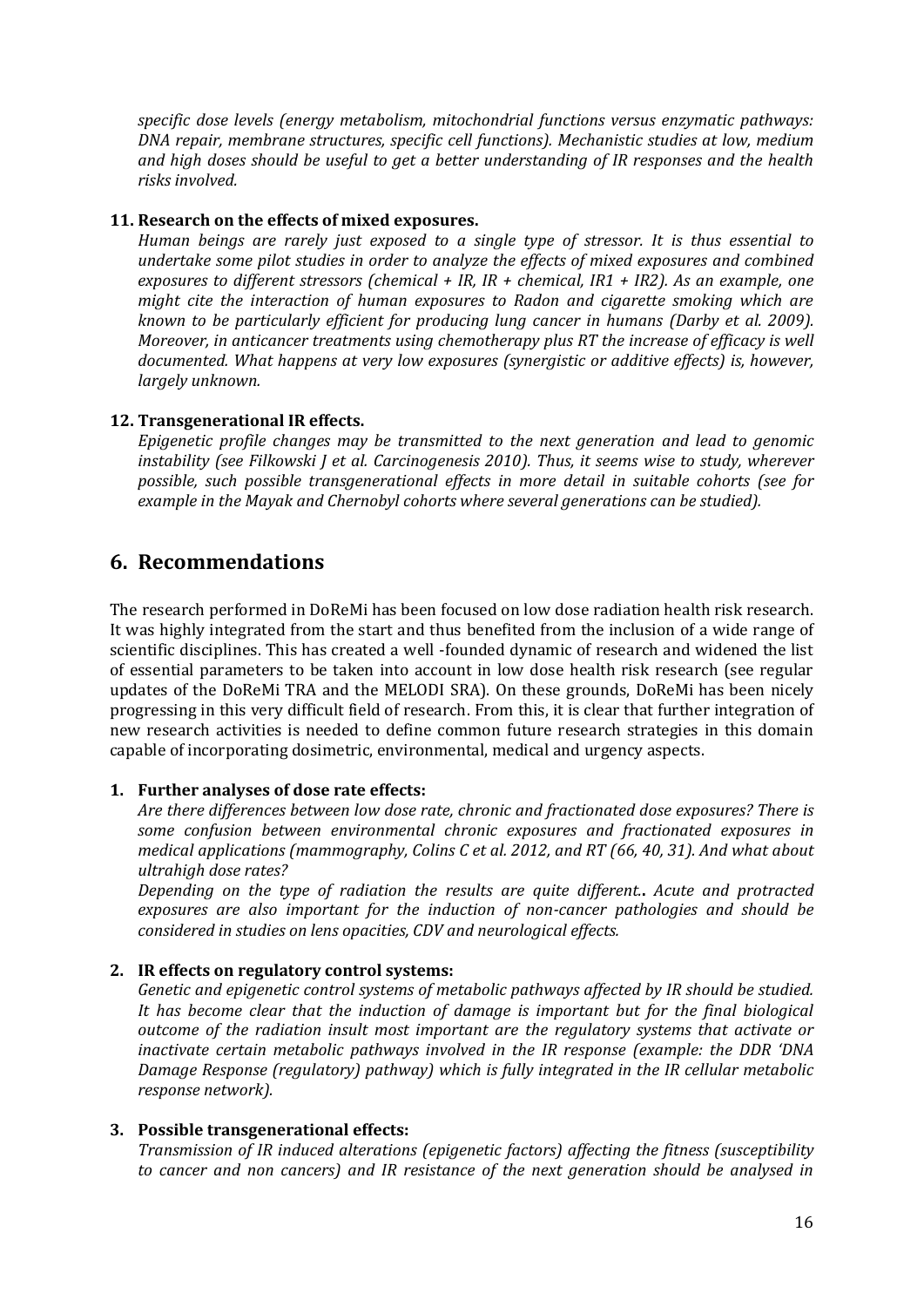*specific dose levels (energy metabolism, mitochondrial functions versus enzymatic pathways: DNA repair, membrane structures, specific cell functions). Mechanistic studies at low, medium and high doses should be useful to get a better understanding of IR responses and the health risks involved.*

### **11. Research on the effects of mixed exposures.**

*Human beings are rarely just exposed to a single type of stressor. It is thus essential to undertake some pilot studies in order to analyze the effects of mixed exposures and combined exposures to different stressors (chemical + IR, IR + chemical, IR1 + IR2). As an example, one might cite the interaction of human exposures to Radon and cigarette smoking which are known to be particularly efficient for producing lung cancer in humans (Darby et al. 2009). Moreover, in anticancer treatments using chemotherapy plus RT the increase of efficacy is well documented. What happens at very low exposures (synergistic or additive effects) is, however, largely unknown.*

### **12. Transgenerational IR effects.**

*Epigenetic profile changes may be transmitted to the next generation and lead to genomic instability (see Filkowski J et al. Carcinogenesis 2010). Thus, it seems wise to study, wherever possible, such possible transgenerational effects in more detail in suitable cohorts (see for example in the Mayak and Chernobyl cohorts where several generations can be studied).*

### <span id="page-15-0"></span>**6. Recommendations**

The research performed in DoReMi has been focused on low dose radiation health risk research. It was highly integrated from the start and thus benefited from the inclusion of a wide range of scientific disciplines. This has created a well -founded dynamic of research and widened the list of essential parameters to be taken into account in low dose health risk research (see regular updates of the DoReMi TRA and the MELODI SRA). On these grounds, DoReMi has been nicely progressing in this very difficult field of research. From this, it is clear that further integration of new research activities is needed to define common future research strategies in this domain capable of incorporating dosimetric, environmental, medical and urgency aspects.

### **1. Further analyses of dose rate effects:**

*Are there differences between low dose rate, chronic and fractionated dose exposures? There is some confusion between environmental chronic exposures and fractionated exposures in medical applications (mammography, Colins C et al. 2012, and RT [\(66,](#page-59-0) [40,](#page-46-1) [31\)](#page-42-1). And what about ultrahigh dose rates?*

*Depending on the type of radiation the results are quite different.***.** *Acute and protracted exposures are also important for the induction of non-cancer pathologies and should be considered in studies on lens opacities, CDV and neurological effects.*

### **2. IR effects on regulatory control systems:**

*Genetic and epigenetic control systems of metabolic pathways affected by IR should be studied. It has become clear that the induction of damage is important but for the final biological outcome of the radiation insult most important are the regulatory systems that activate or inactivate certain metabolic pathways involved in the IR response (example: the DDR 'DNA Damage Response (regulatory) pathway) which is fully integrated in the IR cellular metabolic response network).*

### **3. Possible transgenerational effects:**

*Transmission of IR induced alterations (epigenetic factors) affecting the fitness (susceptibility to cancer and non cancers) and IR resistance of the next generation should be analysed in*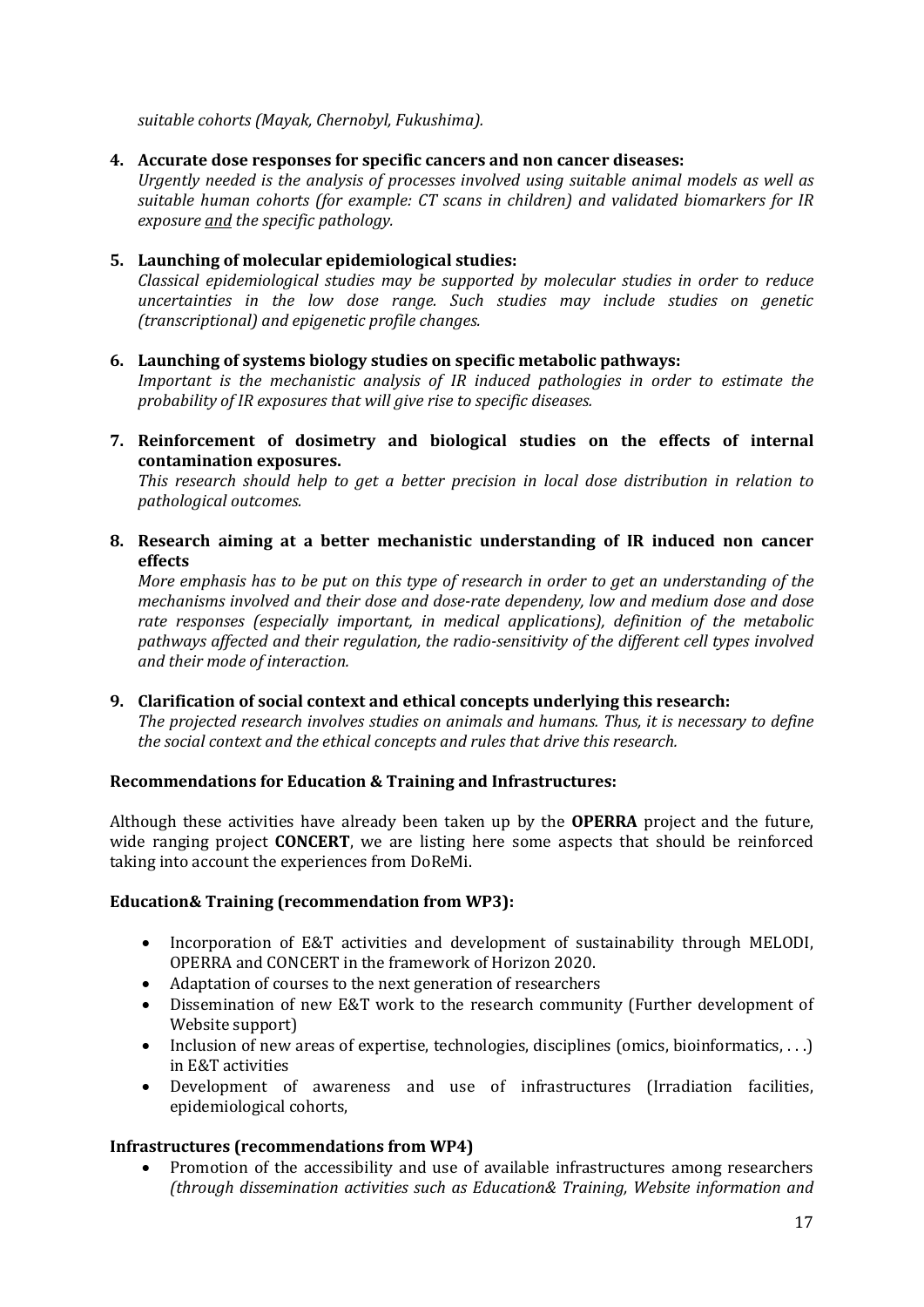*suitable cohorts (Mayak, Chernobyl, Fukushima).*

### **4. Accurate dose responses for specific cancers and non cancer diseases:**

*Urgently needed is the analysis of processes involved using suitable animal models as well as suitable human cohorts (for example: CT scans in children) and validated biomarkers for IR exposure and the specific pathology.*

### **5. Launching of molecular epidemiological studies:**

*Classical epidemiological studies may be supported by molecular studies in order to reduce uncertainties in the low dose range. Such studies may include studies on genetic (transcriptional) and epigenetic profile changes.*

## **6. Launching of systems biology studies on specific metabolic pathways:**

*Important is the mechanistic analysis of IR induced pathologies in order to estimate the probability of IR exposures that will give rise to specific diseases.*

**7. Reinforcement of dosimetry and biological studies on the effects of internal contamination exposures.**

*This research should help to get a better precision in local dose distribution in relation to pathological outcomes.*

**8. Research aiming at a better mechanistic understanding of IR induced non cancer effects**

*More emphasis has to be put on this type of research in order to get an understanding of the mechanisms involved and their dose and dose-rate dependeny, low and medium dose and dose rate responses (especially important, in medical applications), definition of the metabolic pathways affected and their regulation, the radio-sensitivity of the different cell types involved and their mode of interaction.*

**9. Clarification of social context and ethical concepts underlying this research:**

*The projected research involves studies on animals and humans. Thus, it is necessary to define the social context and the ethical concepts and rules that drive this research.*

### **Recommendations for Education & Training and Infrastructures:**

Although these activities have already been taken up by the **OPERRA** project and the future, wide ranging project **CONCERT**, we are listing here some aspects that should be reinforced taking into account the experiences from DoReMi.

### **Education& Training (recommendation from WP3):**

- Incorporation of E&T activities and development of sustainability through MELODI, OPERRA and CONCERT in the framework of Horizon 2020.
- Adaptation of courses to the next generation of researchers
- Dissemination of new E&T work to the research community (Further development of Website support)
- $\bullet$  Inclusion of new areas of expertise, technologies, disciplines (omics, bioinformatics, ...) in E&T activities
- Development of awareness and use of infrastructures (Irradiation facilities, epidemiological cohorts,

### **Infrastructures (recommendations from WP4)**

 Promotion of the accessibility and use of available infrastructures among researchers *(through dissemination activities such as Education& Training, Website information and*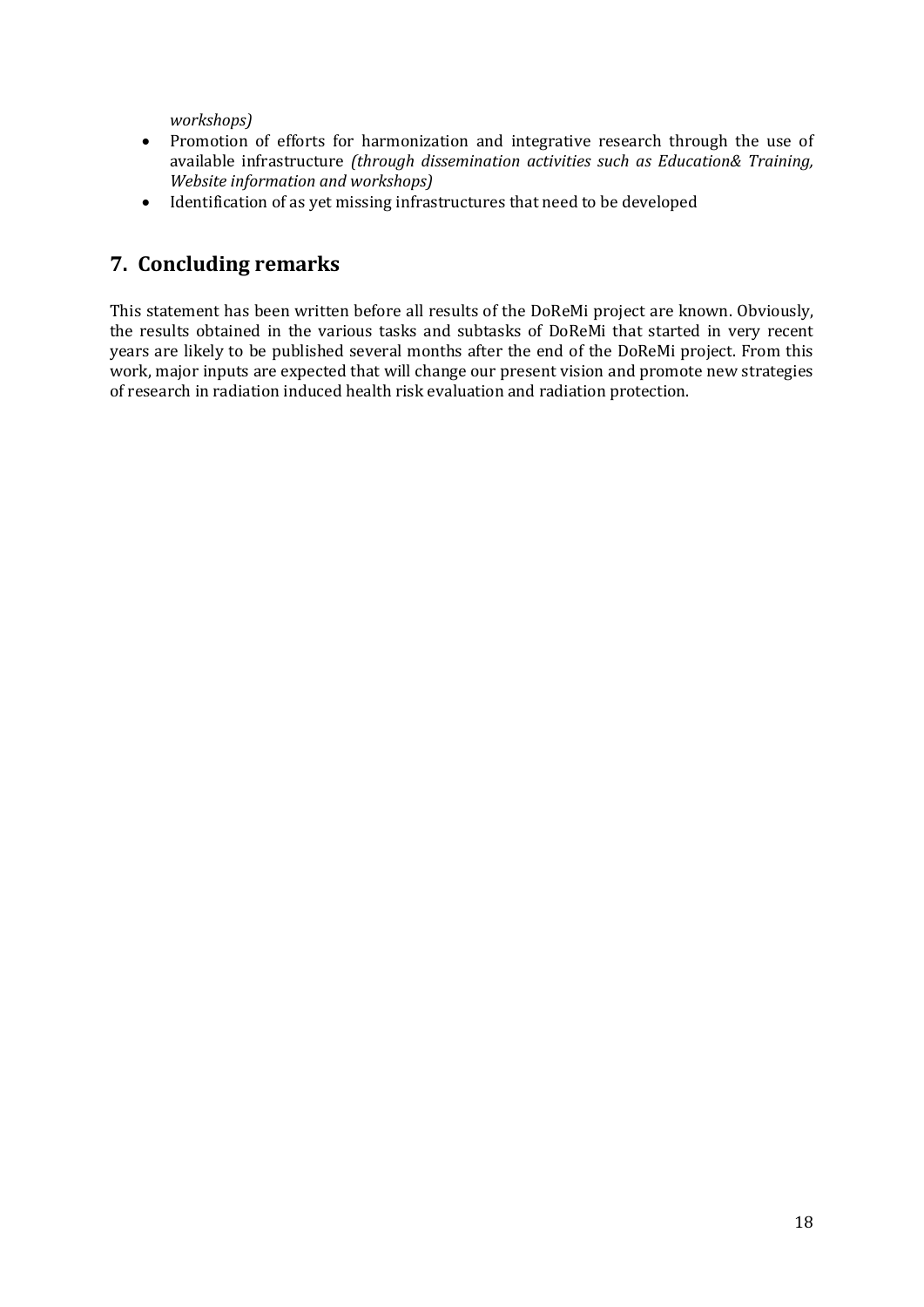*workshops)*

- Promotion of efforts for harmonization and integrative research through the use of available infrastructure *(through dissemination activities such as Education& Training, Website information and workshops)*
- Identification of as yet missing infrastructures that need to be developed

# <span id="page-17-0"></span>**7. Concluding remarks**

This statement has been written before all results of the DoReMi project are known. Obviously, the results obtained in the various tasks and subtasks of DoReMi that started in very recent years are likely to be published several months after the end of the DoReMi project. From this work, major inputs are expected that will change our present vision and promote new strategies of research in radiation induced health risk evaluation and radiation protection.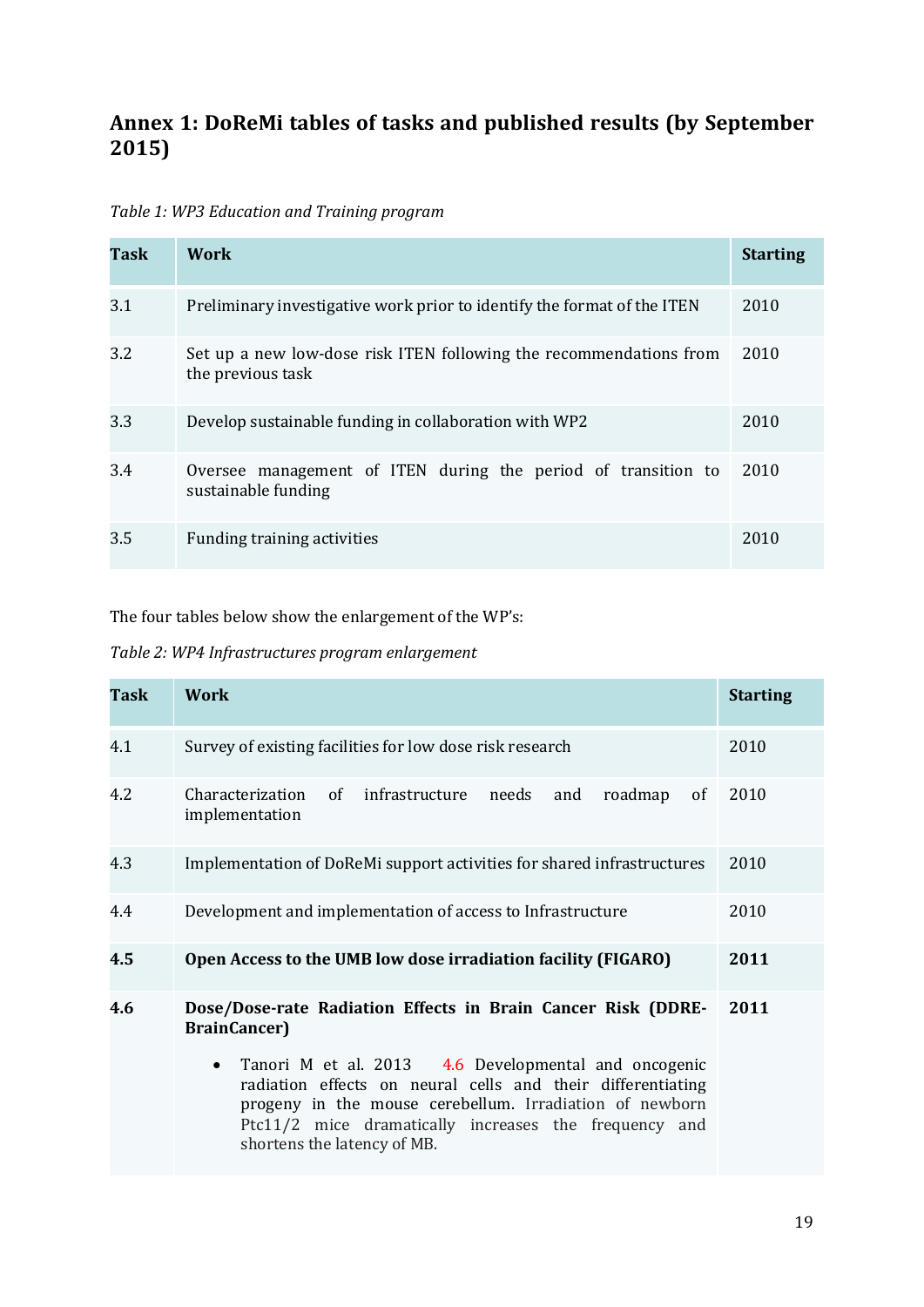# <span id="page-18-0"></span>**Annex 1: DoReMi tables of tasks and published results (by September 2015)**

*Table 1: WP3 Education and Training program* 

| <b>Task</b> | <b>Work</b>                                                                             | <b>Starting</b> |
|-------------|-----------------------------------------------------------------------------------------|-----------------|
| 3.1         | Preliminary investigative work prior to identify the format of the ITEN                 | 2010            |
| 3.2         | Set up a new low-dose risk ITEN following the recommendations from<br>the previous task | 2010            |
| 3.3         | Develop sustainable funding in collaboration with WP2                                   | 2010            |
| 3.4         | Oversee management of ITEN during the period of transition to<br>sustainable funding    | 2010            |
| 3.5         | Funding training activities                                                             | 2010            |

The four tables below show the enlargement of the WP's:

*Table 2: WP4 Infrastructures program enlargement*

| <b>Task</b> | <b>Work</b>                                                                                                                                                                                                                                                                         | <b>Starting</b> |
|-------------|-------------------------------------------------------------------------------------------------------------------------------------------------------------------------------------------------------------------------------------------------------------------------------------|-----------------|
| 4.1         | Survey of existing facilities for low dose risk research                                                                                                                                                                                                                            | 2010            |
| 4.2         | Characterization of infrastructure needs and<br>roadmap<br>of<br>implementation                                                                                                                                                                                                     | 2010            |
| 4.3         | Implementation of DoReMi support activities for shared infrastructures                                                                                                                                                                                                              | 2010            |
| 4.4         | Development and implementation of access to Infrastructure                                                                                                                                                                                                                          | 2010            |
| 4.5         | Open Access to the UMB low dose irradiation facility (FIGARO)                                                                                                                                                                                                                       | 2011            |
| 4.6         | Dose/Dose-rate Radiation Effects in Brain Cancer Risk (DDRE-<br><b>BrainCancer</b> )                                                                                                                                                                                                | 2011            |
|             | Tanori M et al. 2013 4.6 Developmental and oncogenic<br>$\bullet$<br>radiation effects on neural cells and their differentiating<br>progeny in the mouse cerebellum. Irradiation of newborn<br>Ptc11/2 mice dramatically increases the frequency and<br>shortens the latency of MB. |                 |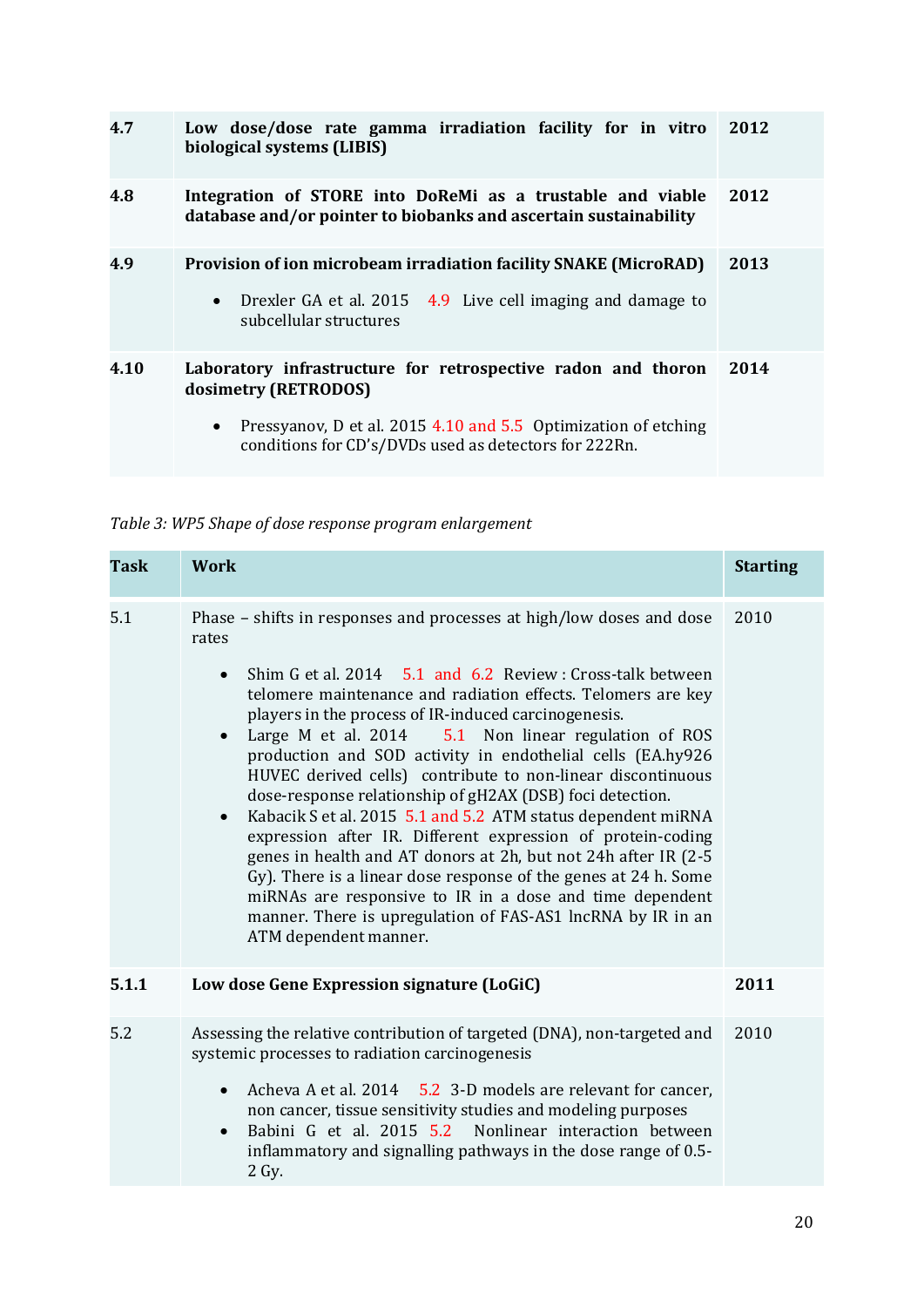| 4.7  | Low dose/dose rate gamma irradiation facility for in vitro<br>biological systems (LIBIS)                                                                                     | 2012 |
|------|------------------------------------------------------------------------------------------------------------------------------------------------------------------------------|------|
| 4.8  | Integration of STORE into DoReMi as a trustable and viable<br>database and/or pointer to biobanks and ascertain sustainability                                               | 2012 |
| 4.9  | <b>Provision of ion microbeam irradiation facility SNAKE (MicroRAD)</b><br>Drexler GA et al. 2015 4.9 Live cell imaging and damage to<br>$\bullet$<br>subcellular structures | 2013 |
| 4.10 | Laboratory infrastructure for retrospective radon and thoron<br>dosimetry (RETRODOS)                                                                                         | 2014 |
|      | Pressyanov, D et al. 2015 4.10 and 5.5 Optimization of etching<br>$\bullet$<br>conditions for CD's/DVDs used as detectors for 222Rn.                                         |      |

*Table 3: WP5 Shape of dose response program enlargement*

| <b>Task</b> | <b>Work</b>                                                                                                                                                                                                                                                                                                                                                                                                                                                                                                                                                                                                                                                                                                                                                                                                                                                                                                                                                                               | <b>Starting</b> |
|-------------|-------------------------------------------------------------------------------------------------------------------------------------------------------------------------------------------------------------------------------------------------------------------------------------------------------------------------------------------------------------------------------------------------------------------------------------------------------------------------------------------------------------------------------------------------------------------------------------------------------------------------------------------------------------------------------------------------------------------------------------------------------------------------------------------------------------------------------------------------------------------------------------------------------------------------------------------------------------------------------------------|-----------------|
| 5.1         | Phase – shifts in responses and processes at high/low doses and dose<br>rates<br>Shim G et al. 2014 5.1 and 6.2 Review: Cross-talk between<br>$\bullet$<br>telomere maintenance and radiation effects. Telomers are key<br>players in the process of IR-induced carcinogenesis.<br>Large M et al. $2014$<br>5.1 Non linear regulation of ROS<br>$\bullet$<br>production and SOD activity in endothelial cells (EA.hy926<br>HUVEC derived cells) contribute to non-linear discontinuous<br>dose-response relationship of gH2AX (DSB) foci detection.<br>Kabacik S et al. 2015 5.1 and 5.2 ATM status dependent miRNA<br>$\bullet$<br>expression after IR. Different expression of protein-coding<br>genes in health and AT donors at 2h, but not 24h after IR (2-5)<br>Gy). There is a linear dose response of the genes at 24 h. Some<br>miRNAs are responsive to IR in a dose and time dependent<br>manner. There is upregulation of FAS-AS1 lncRNA by IR in an<br>ATM dependent manner. | 2010            |
| 5.1.1       | Low dose Gene Expression signature (LoGiC)                                                                                                                                                                                                                                                                                                                                                                                                                                                                                                                                                                                                                                                                                                                                                                                                                                                                                                                                                | 2011            |
| 5.2         | Assessing the relative contribution of targeted (DNA), non-targeted and<br>systemic processes to radiation carcinogenesis<br>Acheva A et al. 2014 5.2 3-D models are relevant for cancer,<br>$\bullet$<br>non cancer, tissue sensitivity studies and modeling purposes<br>Babini G et al. 2015 5.2 Nonlinear interaction between<br>$\bullet$<br>inflammatory and signalling pathways in the dose range of 0.5-<br>2 Gy.                                                                                                                                                                                                                                                                                                                                                                                                                                                                                                                                                                  | 2010            |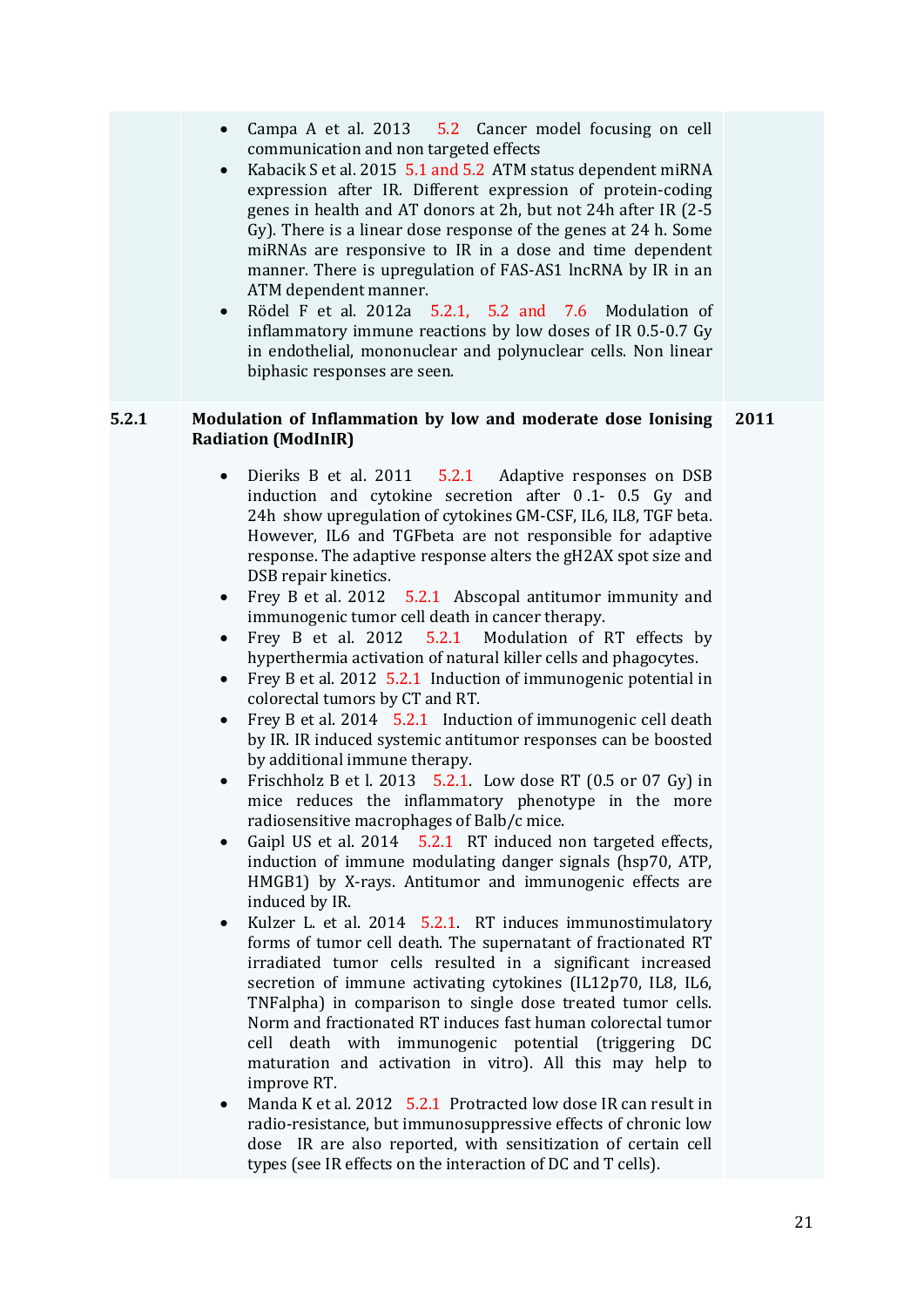- Campa A et al. 2013 5.2 Cancer model focusing on cell communication and non targeted effects
- Kabacik S et al. 2015 5.1 and 5.2 ATM status dependent miRNA expression after IR. Different expression of protein-coding genes in health and AT donors at 2h, but not 24h after IR (2-5 Gy). There is a linear dose response of the genes at 24 h. Some miRNAs are responsive to IR in a dose and time dependent manner. There is upregulation of FAS-AS1 lncRNA by IR in an ATM dependent manner.
- Rödel F et al. 2012a 5.2.1, 5.2 and 7.6 Modulation of inflammatory immune reactions by low doses of IR 0.5-0.7 Gy in endothelial, mononuclear and polynuclear cells. Non linear biphasic responses are seen.

#### **5.2.1 Modulation of Inflammation by low and moderate dose Ionising Radiation (ModInIR) 2011**

- Dieriks B et al. 2011 5.2.1 Adaptive responses on DSB induction and cytokine secretion after 0 .1- 0.5 Gy and 24h show upregulation of cytokines GM-CSF, IL6, IL8, TGF beta. However, IL6 and TGFbeta are not responsible for adaptive response. The adaptive response alters the gH2AX spot size and DSB repair kinetics.
- Frey B et al. 2012 5.2.1 Abscopal antitumor immunity and immunogenic tumor cell death in cancer therapy.
- Frey B et al. 2012 5.2.1 Modulation of RT effects by hyperthermia activation of natural killer cells and phagocytes.
- Frey B et al. 2012 5.2.1 Induction of immunogenic potential in colorectal tumors by CT and RT.
- Frey B et al. 2014 5.2.1 Induction of immunogenic cell death by IR. IR induced systemic antitumor responses can be boosted by additional immune therapy.
- Frischholz B et l. 2013 5.2.1. Low dose RT (0.5 or 07 Gy) in mice reduces the inflammatory phenotype in the more radiosensitive macrophages of Balb/c mice.
- Gaipl US et al. 2014 5.2.1 RT induced non targeted effects, induction of immune modulating danger signals (hsp70, ATP, HMGB1) by X-rays. Antitumor and immunogenic effects are induced by IR.
- Kulzer L. et al. 2014 5.2.1. RT induces immunostimulatory forms of tumor cell death. The supernatant of fractionated RT irradiated tumor cells resulted in a significant increased secretion of immune activating cytokines (IL12p70, IL8, IL6, TNFalpha) in comparison to single dose treated tumor cells. Norm and fractionated RT induces fast human colorectal tumor cell death with immunogenic potential (triggering DC maturation and activation in vitro). All this may help to improve RT.
- Manda K et al. 2012 5.2.1 Protracted low dose IR can result in radio-resistance, but immunosuppressive effects of chronic low dose IR are also reported, with sensitization of certain cell types (see IR effects on the interaction of DC and T cells).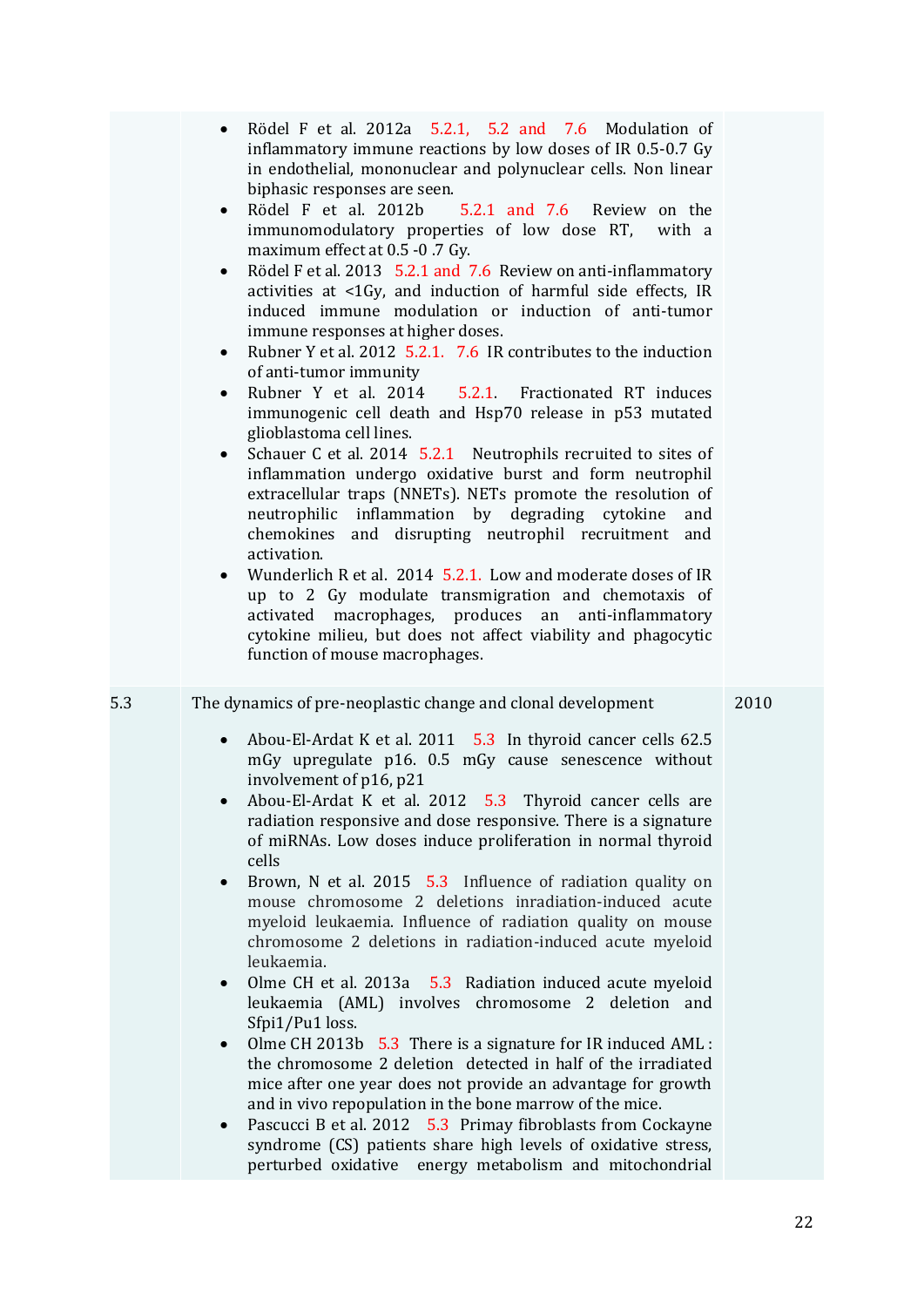|     | Rödel F et al. 2012a 5.2.1, 5.2 and 7.6 Modulation of<br>inflammatory immune reactions by low doses of IR 0.5-0.7 Gy<br>in endothelial, mononuclear and polynuclear cells. Non linear<br>biphasic responses are seen.<br>Rödel F et al. 2012b<br>5.2.1 and 7.6 Review on the<br>$\bullet$<br>immunomodulatory properties of low dose RT, with a<br>maximum effect at 0.5 -0.7 Gy.<br>Rödel F et al. 2013 5.2.1 and 7.6 Review on anti-inflammatory<br>activities at <1Gy, and induction of harmful side effects, IR<br>induced immune modulation or induction of anti-tumor<br>immune responses at higher doses.<br>Rubner Y et al. 2012 5.2.1. 7.6 IR contributes to the induction<br>$\bullet$<br>of anti-tumor immunity<br>Rubner Y et al. 2014 5.2.1. Fractionated RT induces<br>$\bullet$<br>immunogenic cell death and Hsp70 release in p53 mutated<br>glioblastoma cell lines.<br>Schauer C et al. 2014 5.2.1 Neutrophils recruited to sites of<br>$\bullet$<br>inflammation undergo oxidative burst and form neutrophil<br>extracellular traps (NNETs). NETs promote the resolution of<br>neutrophilic inflammation by degrading cytokine<br>and<br>chemokines and disrupting neutrophil recruitment and<br>activation.<br>Wunderlich R et al. 2014 5.2.1. Low and moderate doses of IR<br>$\bullet$<br>up to 2 Gy modulate transmigration and chemotaxis of<br>activated macrophages, produces an anti-inflammatory<br>cytokine milieu, but does not affect viability and phagocytic<br>function of mouse macrophages. |      |
|-----|---------------------------------------------------------------------------------------------------------------------------------------------------------------------------------------------------------------------------------------------------------------------------------------------------------------------------------------------------------------------------------------------------------------------------------------------------------------------------------------------------------------------------------------------------------------------------------------------------------------------------------------------------------------------------------------------------------------------------------------------------------------------------------------------------------------------------------------------------------------------------------------------------------------------------------------------------------------------------------------------------------------------------------------------------------------------------------------------------------------------------------------------------------------------------------------------------------------------------------------------------------------------------------------------------------------------------------------------------------------------------------------------------------------------------------------------------------------------------------------------------------------------------------|------|
| 5.3 | The dynamics of pre-neoplastic change and clonal development<br>Abou-El-Ardat K et al. 2011 5.3 In thyroid cancer cells 62.5<br>$\bullet$<br>mGy upregulate p16. 0.5 mGy cause senescence without<br>involvement of p16, p21<br>Abou-El-Ardat K et al. 2012<br>5.3 Thyroid cancer cells are<br>radiation responsive and dose responsive. There is a signature<br>of miRNAs. Low doses induce proliferation in normal thyroid<br>cells<br>Brown, N et al. 2015 5.3 Influence of radiation quality on<br>$\bullet$<br>mouse chromosome 2 deletions inradiation-induced acute<br>myeloid leukaemia. Influence of radiation quality on mouse<br>chromosome 2 deletions in radiation-induced acute myeloid<br>leukaemia.<br>Olme CH et al. 2013a 5.3 Radiation induced acute myeloid<br>leukaemia (AML) involves chromosome 2 deletion and<br>Sfpi1/Pu1 loss.<br>Olme CH 2013b 5.3 There is a signature for IR induced AML :<br>$\bullet$<br>the chromosome 2 deletion detected in half of the irradiated<br>mice after one year does not provide an advantage for growth<br>and in vivo repopulation in the bone marrow of the mice.<br>Pascucci B et al. 2012 5.3 Primay fibroblasts from Cockayne<br>$\bullet$<br>syndrome (CS) patients share high levels of oxidative stress,<br>perturbed oxidative energy metabolism and mitochondrial                                                                                                                                                                                        | 2010 |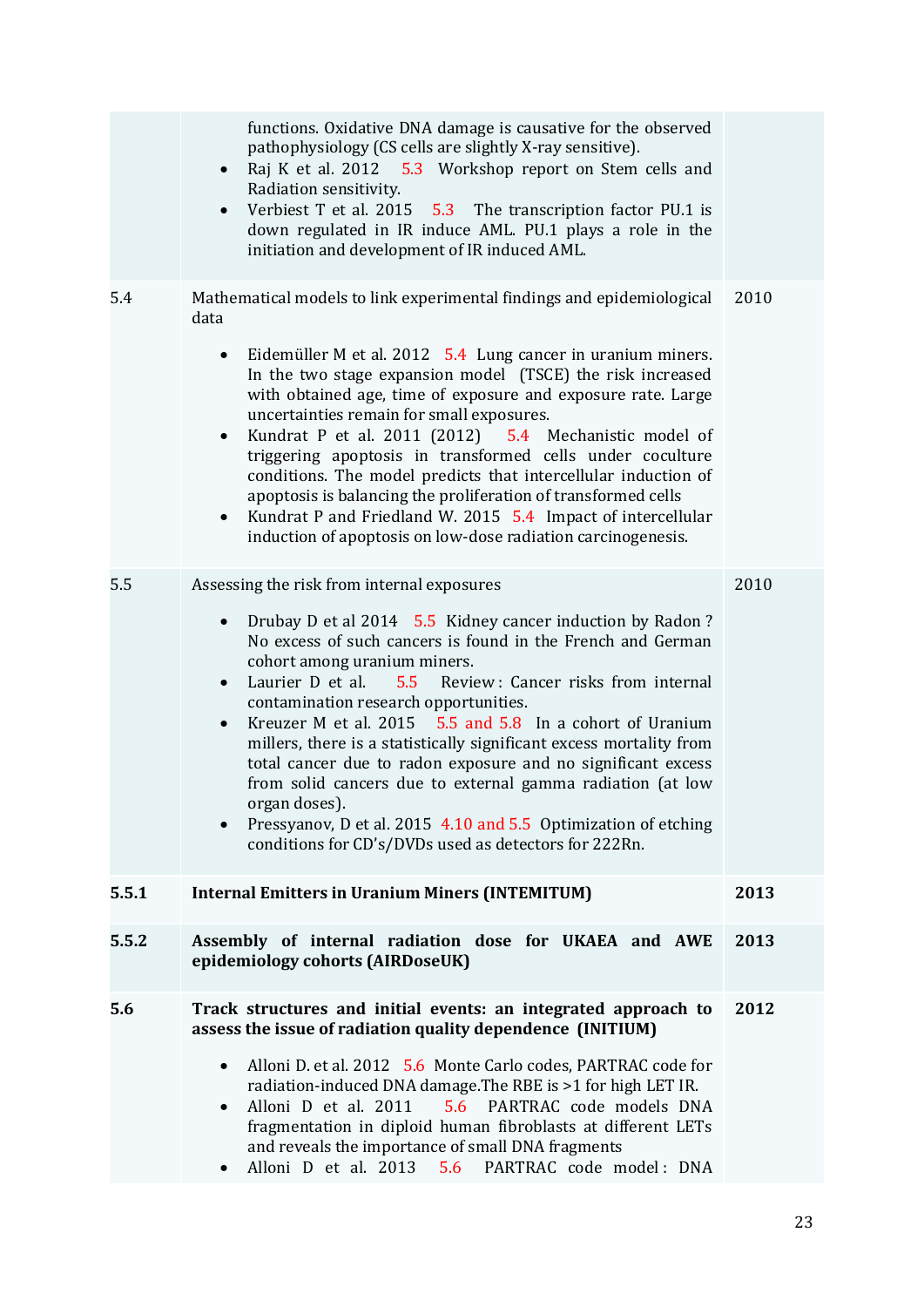|       | functions. Oxidative DNA damage is causative for the observed<br>pathophysiology (CS cells are slightly X-ray sensitive).<br>Raj K et al. 2012 5.3 Workshop report on Stem cells and<br>$\bullet$<br>Radiation sensitivity.<br>Verbiest T et al. 2015 5.3 The transcription factor PU.1 is<br>down regulated in IR induce AML. PU.1 plays a role in the<br>initiation and development of IR induced AML.                                                                                                                                                                                                                                                                                                                                                             |      |
|-------|----------------------------------------------------------------------------------------------------------------------------------------------------------------------------------------------------------------------------------------------------------------------------------------------------------------------------------------------------------------------------------------------------------------------------------------------------------------------------------------------------------------------------------------------------------------------------------------------------------------------------------------------------------------------------------------------------------------------------------------------------------------------|------|
| 5.4   | Mathematical models to link experimental findings and epidemiological<br>data<br>Eidemüller M et al. 2012 5.4 Lung cancer in uranium miners.<br>$\bullet$<br>In the two stage expansion model (TSCE) the risk increased<br>with obtained age, time of exposure and exposure rate. Large<br>uncertainties remain for small exposures.<br>Kundrat P et al. 2011 (2012) 5.4 Mechanistic model of<br>$\bullet$<br>triggering apoptosis in transformed cells under coculture<br>conditions. The model predicts that intercellular induction of<br>apoptosis is balancing the proliferation of transformed cells<br>Kundrat P and Friedland W. 2015 5.4 Impact of intercellular<br>$\bullet$<br>induction of apoptosis on low-dose radiation carcinogenesis.               | 2010 |
| 5.5   | Assessing the risk from internal exposures<br>Drubay D et al 2014 5.5 Kidney cancer induction by Radon?<br>$\bullet$<br>No excess of such cancers is found in the French and German<br>cohort among uranium miners.<br>Laurier D et al.<br>5.5<br>Review: Cancer risks from internal<br>$\bullet$<br>contamination research opportunities.<br>Kreuzer M et al. 2015 5.5 and 5.8 In a cohort of Uranium<br>$\bullet$<br>millers, there is a statistically significant excess mortality from<br>total cancer due to radon exposure and no significant excess<br>from solid cancers due to external gamma radiation (at low<br>organ doses).<br>Pressyanov, D et al. 2015 4.10 and 5.5 Optimization of etching<br>conditions for CD's/DVDs used as detectors for 222Rn. | 2010 |
| 5.5.1 | <b>Internal Emitters in Uranium Miners (INTEMITUM)</b>                                                                                                                                                                                                                                                                                                                                                                                                                                                                                                                                                                                                                                                                                                               | 2013 |
| 5.5.2 | Assembly of internal radiation dose for UKAEA and AWE<br>epidemiology cohorts (AIRDoseUK)                                                                                                                                                                                                                                                                                                                                                                                                                                                                                                                                                                                                                                                                            | 2013 |
| 5.6   | Track structures and initial events: an integrated approach to<br>assess the issue of radiation quality dependence (INITIUM)<br>Alloni D. et al. 2012 5.6 Monte Carlo codes, PARTRAC code for<br>$\bullet$<br>radiation-induced DNA damage. The RBE is >1 for high LET IR.<br>Alloni D et al. 2011<br>5.6 PARTRAC code models DNA<br>$\bullet$<br>fragmentation in diploid human fibroblasts at different LETs<br>and reveals the importance of small DNA fragments<br>Alloni D et al. 2013<br>PARTRAC code model: DNA<br>5.6                                                                                                                                                                                                                                        | 2012 |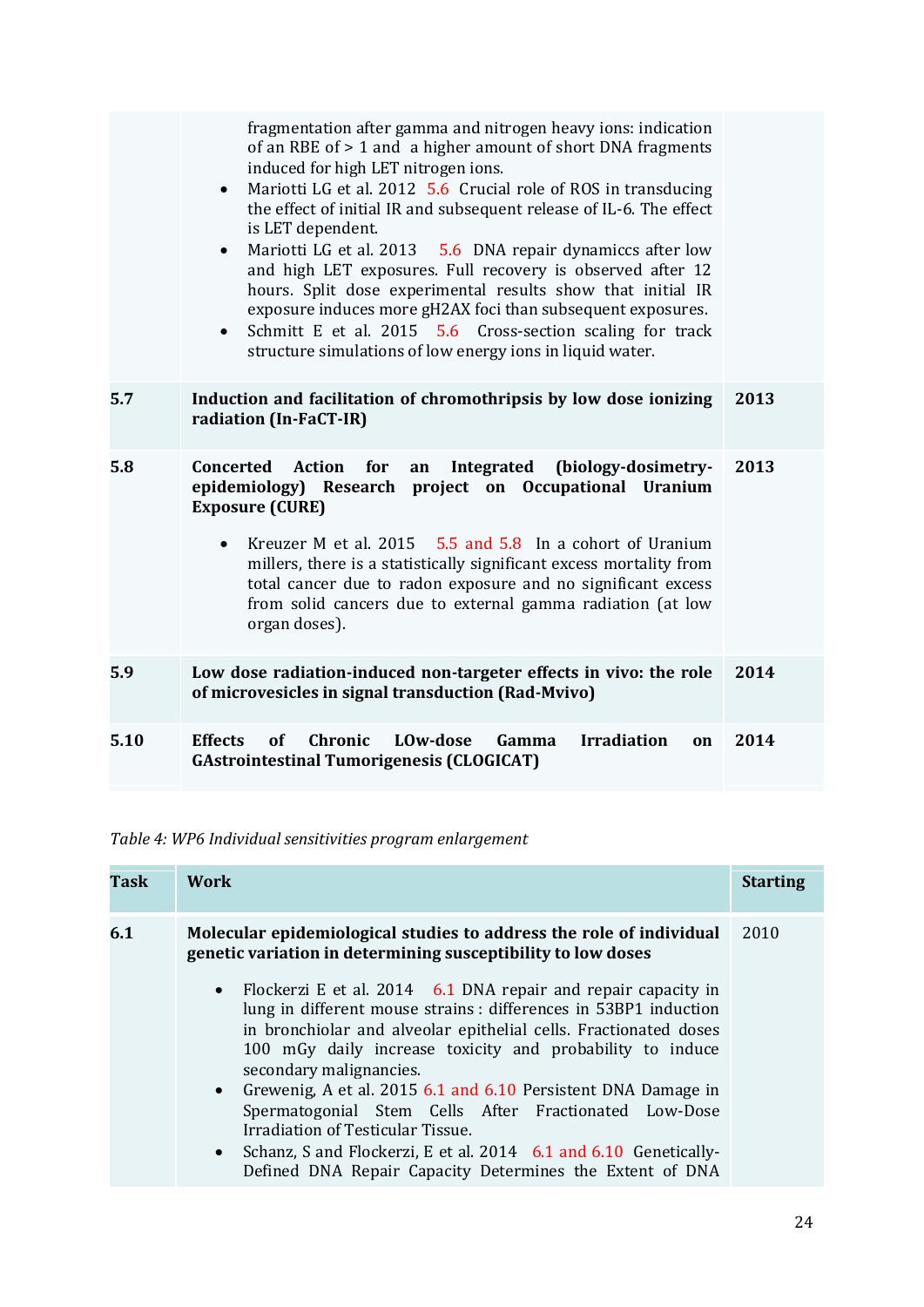|      | fragmentation after gamma and nitrogen heavy ions: indication<br>of an RBE of > 1 and a higher amount of short DNA fragments<br>induced for high LET nitrogen ions.<br>Mariotti LG et al. 2012 5.6 Crucial role of ROS in transducing<br>$\bullet$<br>the effect of initial IR and subsequent release of IL-6. The effect<br>is LET dependent.<br>Mariotti LG et al. 2013 5.6 DNA repair dynamiccs after low<br>$\bullet$<br>and high LET exposures. Full recovery is observed after 12<br>hours. Split dose experimental results show that initial IR<br>exposure induces more gH2AX foci than subsequent exposures.<br>Schmitt E et al. 2015<br>5.6 Cross-section scaling for track<br>$\bullet$<br>structure simulations of low energy ions in liquid water. |      |
|------|-----------------------------------------------------------------------------------------------------------------------------------------------------------------------------------------------------------------------------------------------------------------------------------------------------------------------------------------------------------------------------------------------------------------------------------------------------------------------------------------------------------------------------------------------------------------------------------------------------------------------------------------------------------------------------------------------------------------------------------------------------------------|------|
| 5.7  | Induction and facilitation of chromothripsis by low dose ionizing<br>radiation (In-FaCT-IR)                                                                                                                                                                                                                                                                                                                                                                                                                                                                                                                                                                                                                                                                     | 2013 |
| 5.8  | <b>Concerted</b><br><b>Action</b><br>Integrated<br>(biology-dosimetry-<br>for<br>an<br>epidemiology) Research project on Occupational Uranium<br><b>Exposure (CURE)</b><br>Kreuzer M et al. 2015<br>5.5 and 5.8 In a cohort of Uranium<br>$\bullet$<br>millers, there is a statistically significant excess mortality from<br>total cancer due to radon exposure and no significant excess<br>from solid cancers due to external gamma radiation (at low<br>organ doses).                                                                                                                                                                                                                                                                                       | 2013 |
| 5.9  | Low dose radiation-induced non-targeter effects in vivo: the role<br>of microvesicles in signal transduction (Rad-Mvivo)                                                                                                                                                                                                                                                                                                                                                                                                                                                                                                                                                                                                                                        | 2014 |
| 5.10 | <b>Irradiation</b><br>of<br>Chronic<br>LOw-dose<br><b>Effects</b><br>Gamma<br>on<br><b>GAstrointestinal Tumorigenesis (CLOGICAT)</b>                                                                                                                                                                                                                                                                                                                                                                                                                                                                                                                                                                                                                            | 2014 |

*Table 4: WP6 Individual sensitivities program enlargement*

| <b>Task</b> | <b>Work</b>                                                                                                                                                                                                                                                                                     | <b>Starting</b> |
|-------------|-------------------------------------------------------------------------------------------------------------------------------------------------------------------------------------------------------------------------------------------------------------------------------------------------|-----------------|
| 6.1         | Molecular epidemiological studies to address the role of individual<br>genetic variation in determining susceptibility to low doses                                                                                                                                                             | 2010            |
|             | • Flockerzi E et al. 2014 6.1 DNA repair and repair capacity in<br>lung in different mouse strains : differences in 53BP1 induction<br>in bronchiolar and alveolar epithelial cells. Fractionated doses<br>100 mGy daily increase toxicity and probability to induce<br>secondary malignancies. |                 |
|             | • Grewenig, A et al. 2015 6.1 and 6.10 Persistent DNA Damage in<br>Spermatogonial Stem Cells After Fractionated Low-Dose<br>Irradiation of Testicular Tissue.<br>Schanz, S and Flockerzi, E et al. 2014 6.1 and 6.10 Genetically-<br>$\bullet$                                                  |                 |
|             | Defined DNA Repair Capacity Determines the Extent of DNA                                                                                                                                                                                                                                        |                 |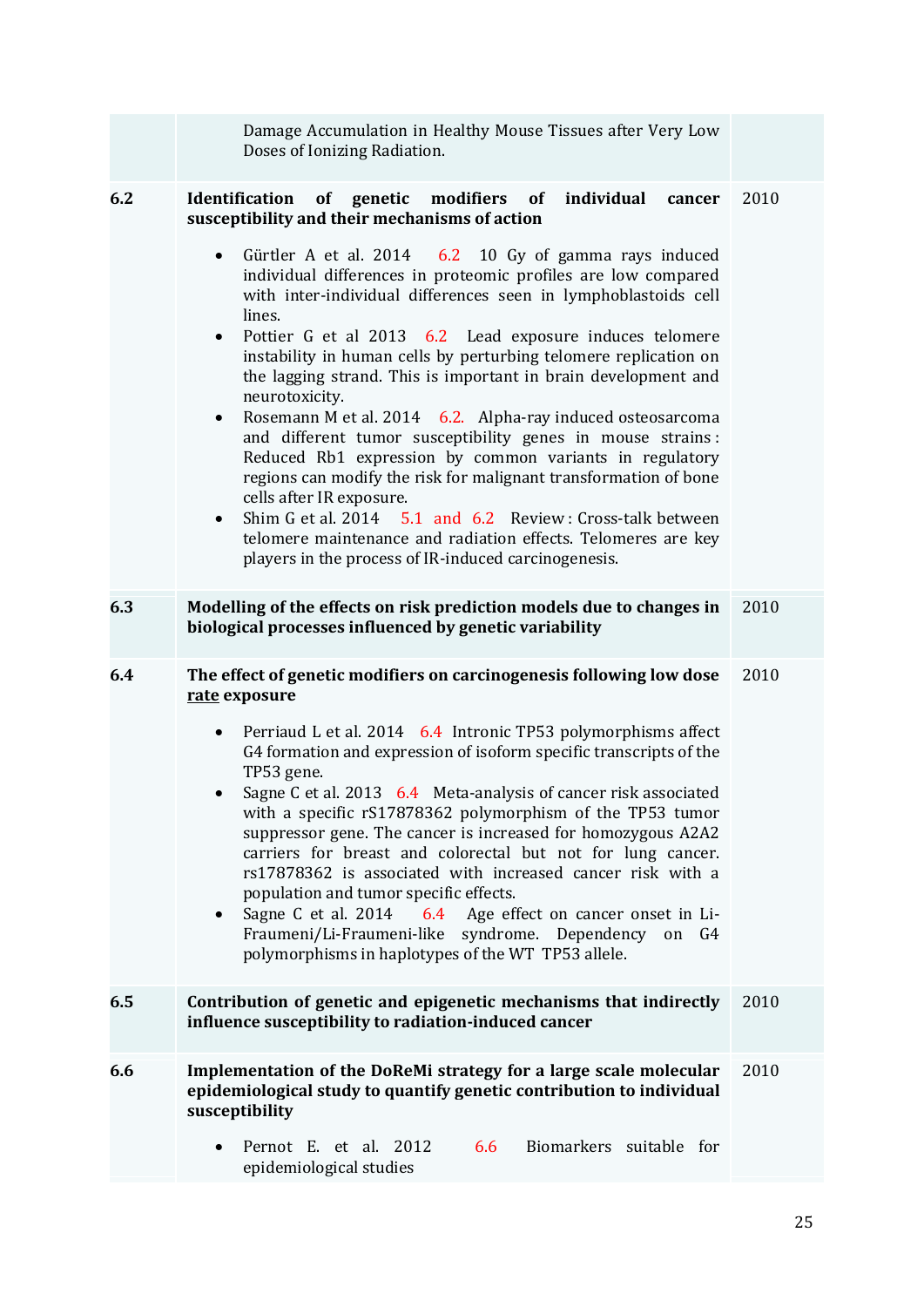|     | Damage Accumulation in Healthy Mouse Tissues after Very Low<br>Doses of Ionizing Radiation.                                                                                                                                                                                                                                                                                                                                                                                                                                                                                                                                                                                                                                                                                                                                                                                                                                                                                                                                                                                  |      |
|-----|------------------------------------------------------------------------------------------------------------------------------------------------------------------------------------------------------------------------------------------------------------------------------------------------------------------------------------------------------------------------------------------------------------------------------------------------------------------------------------------------------------------------------------------------------------------------------------------------------------------------------------------------------------------------------------------------------------------------------------------------------------------------------------------------------------------------------------------------------------------------------------------------------------------------------------------------------------------------------------------------------------------------------------------------------------------------------|------|
| 6.2 | individual<br>Identification<br>of genetic modifiers of<br>cancer<br>susceptibility and their mechanisms of action<br>Gürtler A et al. 2014 6.2 10 Gy of gamma rays induced<br>$\bullet$<br>individual differences in proteomic profiles are low compared<br>with inter-individual differences seen in lymphoblastoids cell<br>lines.<br>Pottier G et al 2013 6.2 Lead exposure induces telomere<br>$\bullet$<br>instability in human cells by perturbing telomere replication on<br>the lagging strand. This is important in brain development and<br>neurotoxicity.<br>Rosemann M et al. 2014 6.2. Alpha-ray induced osteosarcoma<br>$\bullet$<br>and different tumor susceptibility genes in mouse strains:<br>Reduced Rb1 expression by common variants in regulatory<br>regions can modify the risk for malignant transformation of bone<br>cells after IR exposure.<br>Shim G et al. 2014 5.1 and 6.2 Review: Cross-talk between<br>$\bullet$<br>telomere maintenance and radiation effects. Telomeres are key<br>players in the process of IR-induced carcinogenesis. | 2010 |
| 6.3 | Modelling of the effects on risk prediction models due to changes in<br>biological processes influenced by genetic variability                                                                                                                                                                                                                                                                                                                                                                                                                                                                                                                                                                                                                                                                                                                                                                                                                                                                                                                                               | 2010 |
| 6.4 | The effect of genetic modifiers on carcinogenesis following low dose<br>rate exposure<br>Perriaud L et al. 2014 6.4 Intronic TP53 polymorphisms affect<br>$\bullet$<br>G4 formation and expression of isoform specific transcripts of the<br>TP53 gene.<br>Sagne C et al. 2013 6.4 Meta-analysis of cancer risk associated<br>٠<br>with a specific rS17878362 polymorphism of the TP53 tumor<br>suppressor gene. The cancer is increased for homozygous A2A2<br>carriers for breast and colorectal but not for lung cancer.<br>rs17878362 is associated with increased cancer risk with a<br>population and tumor specific effects.<br>Sagne C et al. 2014<br>6.4<br>Age effect on cancer onset in Li-<br>$\bullet$<br>Fraumeni/Li-Fraumeni-like syndrome. Dependency on G4<br>polymorphisms in haplotypes of the WT TP53 allele.                                                                                                                                                                                                                                            | 2010 |
| 6.5 | Contribution of genetic and epigenetic mechanisms that indirectly<br>influence susceptibility to radiation-induced cancer                                                                                                                                                                                                                                                                                                                                                                                                                                                                                                                                                                                                                                                                                                                                                                                                                                                                                                                                                    | 2010 |
| 6.6 | Implementation of the DoReMi strategy for a large scale molecular<br>epidemiological study to quantify genetic contribution to individual<br>susceptibility<br>6.6<br>Biomarkers suitable for<br>Pernot E. et al. 2012<br>epidemiological studies                                                                                                                                                                                                                                                                                                                                                                                                                                                                                                                                                                                                                                                                                                                                                                                                                            | 2010 |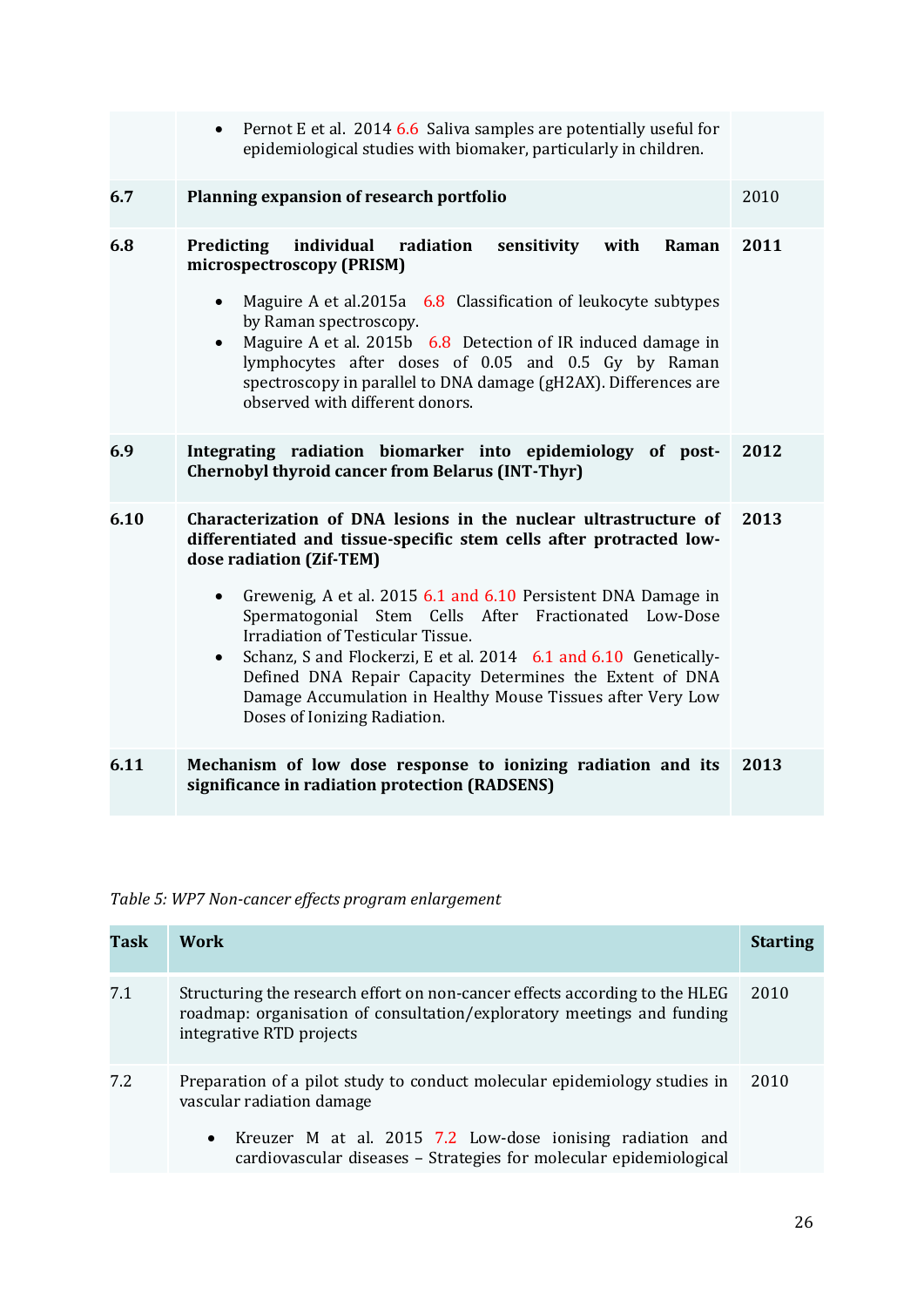|      | Pernot E et al. 2014 6.6 Saliva samples are potentially useful for<br>$\bullet$<br>epidemiological studies with biomaker, particularly in children.                                                                                                                                                                                                                                                                                                                                                                                                                                         |      |
|------|---------------------------------------------------------------------------------------------------------------------------------------------------------------------------------------------------------------------------------------------------------------------------------------------------------------------------------------------------------------------------------------------------------------------------------------------------------------------------------------------------------------------------------------------------------------------------------------------|------|
| 6.7  | Planning expansion of research portfolio                                                                                                                                                                                                                                                                                                                                                                                                                                                                                                                                                    | 2010 |
| 6.8  | Predicting<br>individual<br>radiation<br>sensitivity<br>with<br>Raman<br>microspectroscopy (PRISM)<br>Maguire A et al.2015a 6.8 Classification of leukocyte subtypes<br>$\bullet$<br>by Raman spectroscopy.<br>Maguire A et al. 2015b 6.8 Detection of IR induced damage in<br>$\bullet$<br>lymphocytes after doses of 0.05 and 0.5 Gy by Raman<br>spectroscopy in parallel to DNA damage (gH2AX). Differences are<br>observed with different donors.                                                                                                                                       | 2011 |
| 6.9  | Integrating radiation biomarker into epidemiology of post-<br><b>Chernobyl thyroid cancer from Belarus (INT-Thyr)</b>                                                                                                                                                                                                                                                                                                                                                                                                                                                                       | 2012 |
| 6.10 | Characterization of DNA lesions in the nuclear ultrastructure of<br>differentiated and tissue-specific stem cells after protracted low-<br>dose radiation (Zif-TEM)<br>Grewenig, A et al. 2015 6.1 and 6.10 Persistent DNA Damage in<br>$\bullet$<br>Spermatogonial Stem Cells After Fractionated Low-Dose<br>Irradiation of Testicular Tissue.<br>Schanz, S and Flockerzi, E et al. 2014 6.1 and 6.10 Genetically-<br>$\bullet$<br>Defined DNA Repair Capacity Determines the Extent of DNA<br>Damage Accumulation in Healthy Mouse Tissues after Very Low<br>Doses of Ionizing Radiation. | 2013 |
| 6.11 | Mechanism of low dose response to ionizing radiation and its<br>significance in radiation protection (RADSENS)                                                                                                                                                                                                                                                                                                                                                                                                                                                                              | 2013 |

# *Table 5: WP7 Non-cancer effects program enlargement*

| Task | <b>Work</b>                                                                                                                                                                                                                                 | <b>Starting</b> |
|------|---------------------------------------------------------------------------------------------------------------------------------------------------------------------------------------------------------------------------------------------|-----------------|
| 7.1  | Structuring the research effort on non-cancer effects according to the HLEG<br>roadmap: organisation of consultation/exploratory meetings and funding<br>integrative RTD projects                                                           | 2010            |
| 7.2  | Preparation of a pilot study to conduct molecular epidemiology studies in<br>vascular radiation damage<br>• Kreuzer M at al. 2015 7.2 Low-dose ionising radiation and<br>cardiovascular diseases - Strategies for molecular epidemiological | 2010            |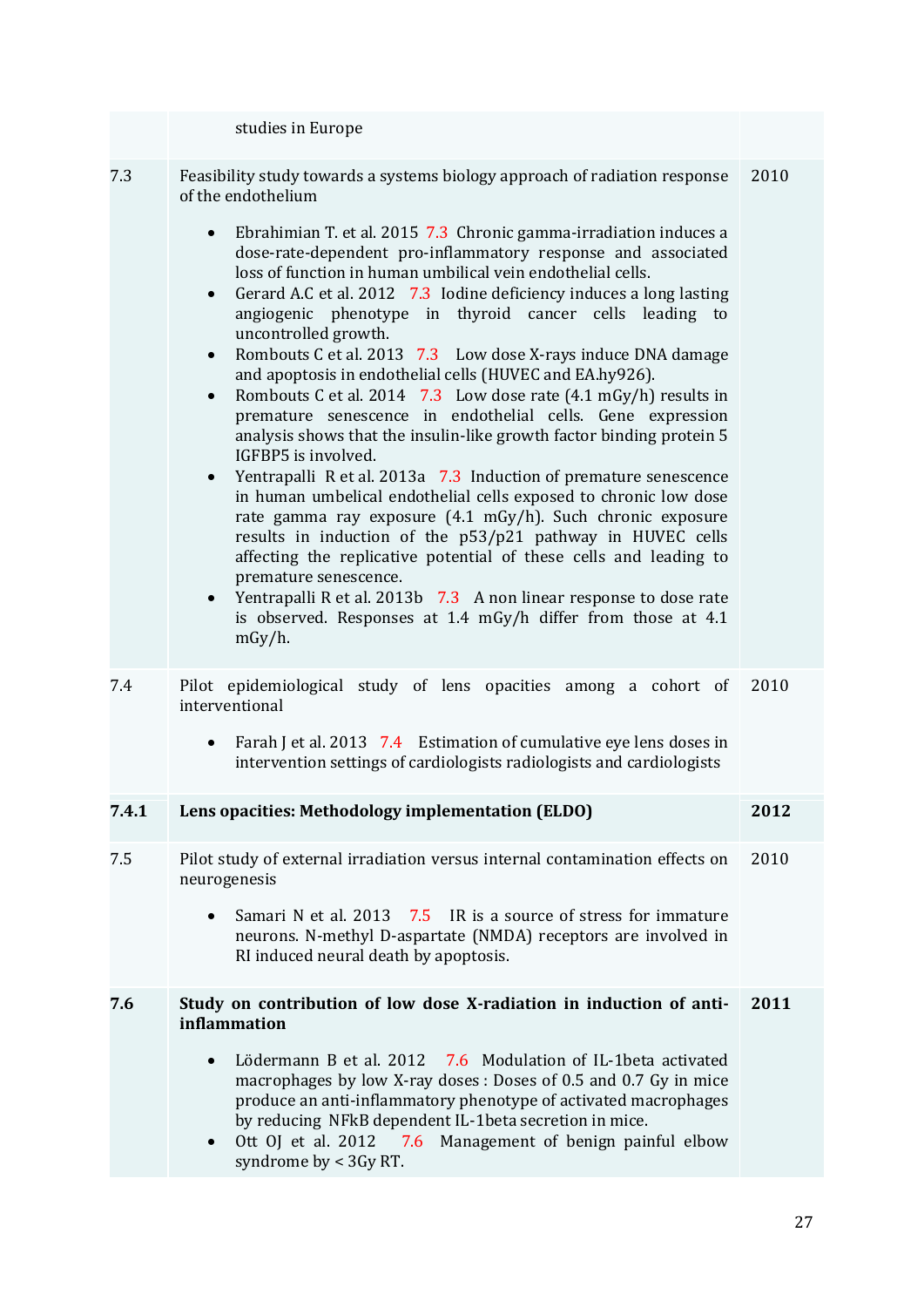|       | studies in Europe                                                                                                                                                                                                                                                                                                                                                                                                                                                                                                                                                                                                                                                                                                                                                                                                                                                                                                                                                                                                                                                                                                                                                                                                                                                                                                                                                                                                            |      |
|-------|------------------------------------------------------------------------------------------------------------------------------------------------------------------------------------------------------------------------------------------------------------------------------------------------------------------------------------------------------------------------------------------------------------------------------------------------------------------------------------------------------------------------------------------------------------------------------------------------------------------------------------------------------------------------------------------------------------------------------------------------------------------------------------------------------------------------------------------------------------------------------------------------------------------------------------------------------------------------------------------------------------------------------------------------------------------------------------------------------------------------------------------------------------------------------------------------------------------------------------------------------------------------------------------------------------------------------------------------------------------------------------------------------------------------------|------|
| 7.3   | Feasibility study towards a systems biology approach of radiation response<br>of the endothelium<br>Ebrahimian T. et al. 2015 7.3 Chronic gamma-irradiation induces a<br>$\bullet$<br>dose-rate-dependent pro-inflammatory response and associated<br>loss of function in human umbilical vein endothelial cells.<br>Gerard A.C et al. 2012 7.3 Iodine deficiency induces a long lasting<br>$\bullet$<br>angiogenic phenotype in thyroid cancer cells leading to<br>uncontrolled growth.<br>Rombouts C et al. 2013 7.3 Low dose X-rays induce DNA damage<br>$\bullet$<br>and apoptosis in endothelial cells (HUVEC and EA.hy926).<br>Rombouts C et al. 2014 7.3 Low dose rate (4.1 mGy/h) results in<br>$\bullet$<br>premature senescence in endothelial cells. Gene expression<br>analysis shows that the insulin-like growth factor binding protein 5<br>IGFBP5 is involved.<br>Yentrapalli R et al. 2013a 7.3 Induction of premature senescence<br>$\bullet$<br>in human umbelical endothelial cells exposed to chronic low dose<br>rate gamma ray exposure (4.1 mGy/h). Such chronic exposure<br>results in induction of the p53/p21 pathway in HUVEC cells<br>affecting the replicative potential of these cells and leading to<br>premature senescence.<br>Yentrapalli R et al. 2013b 7.3 A non linear response to dose rate<br>$\bullet$<br>is observed. Responses at 1.4 mGy/h differ from those at 4.1<br>$mGy/h$ . | 2010 |
| 7.4   | Pilot epidemiological study of lens opacities among a cohort of<br>interventional<br>Farah J et al. 2013 7.4 Estimation of cumulative eye lens doses in<br>$\bullet$<br>intervention settings of cardiologists radiologists and cardiologists                                                                                                                                                                                                                                                                                                                                                                                                                                                                                                                                                                                                                                                                                                                                                                                                                                                                                                                                                                                                                                                                                                                                                                                | 2010 |
| 7.4.1 | Lens opacities: Methodology implementation (ELDO)                                                                                                                                                                                                                                                                                                                                                                                                                                                                                                                                                                                                                                                                                                                                                                                                                                                                                                                                                                                                                                                                                                                                                                                                                                                                                                                                                                            | 2012 |
| 7.5   | Pilot study of external irradiation versus internal contamination effects on<br>neurogenesis<br>Samari N et al. 2013 7.5 IR is a source of stress for immature<br>neurons. N-methyl D-aspartate (NMDA) receptors are involved in<br>RI induced neural death by apoptosis.                                                                                                                                                                                                                                                                                                                                                                                                                                                                                                                                                                                                                                                                                                                                                                                                                                                                                                                                                                                                                                                                                                                                                    | 2010 |
| 7.6   | Study on contribution of low dose X-radiation in induction of anti-<br>inflammation<br>Lödermann B et al. 2012 7.6 Modulation of IL-1beta activated<br>$\bullet$<br>macrophages by low X-ray doses: Doses of 0.5 and 0.7 Gy in mice<br>produce an anti-inflammatory phenotype of activated macrophages<br>by reducing NFkB dependent IL-1beta secretion in mice.<br>Ott OJ et al. 2012 7.6 Management of benign painful elbow<br>$\bullet$<br>syndrome by < 3Gy RT.                                                                                                                                                                                                                                                                                                                                                                                                                                                                                                                                                                                                                                                                                                                                                                                                                                                                                                                                                          | 2011 |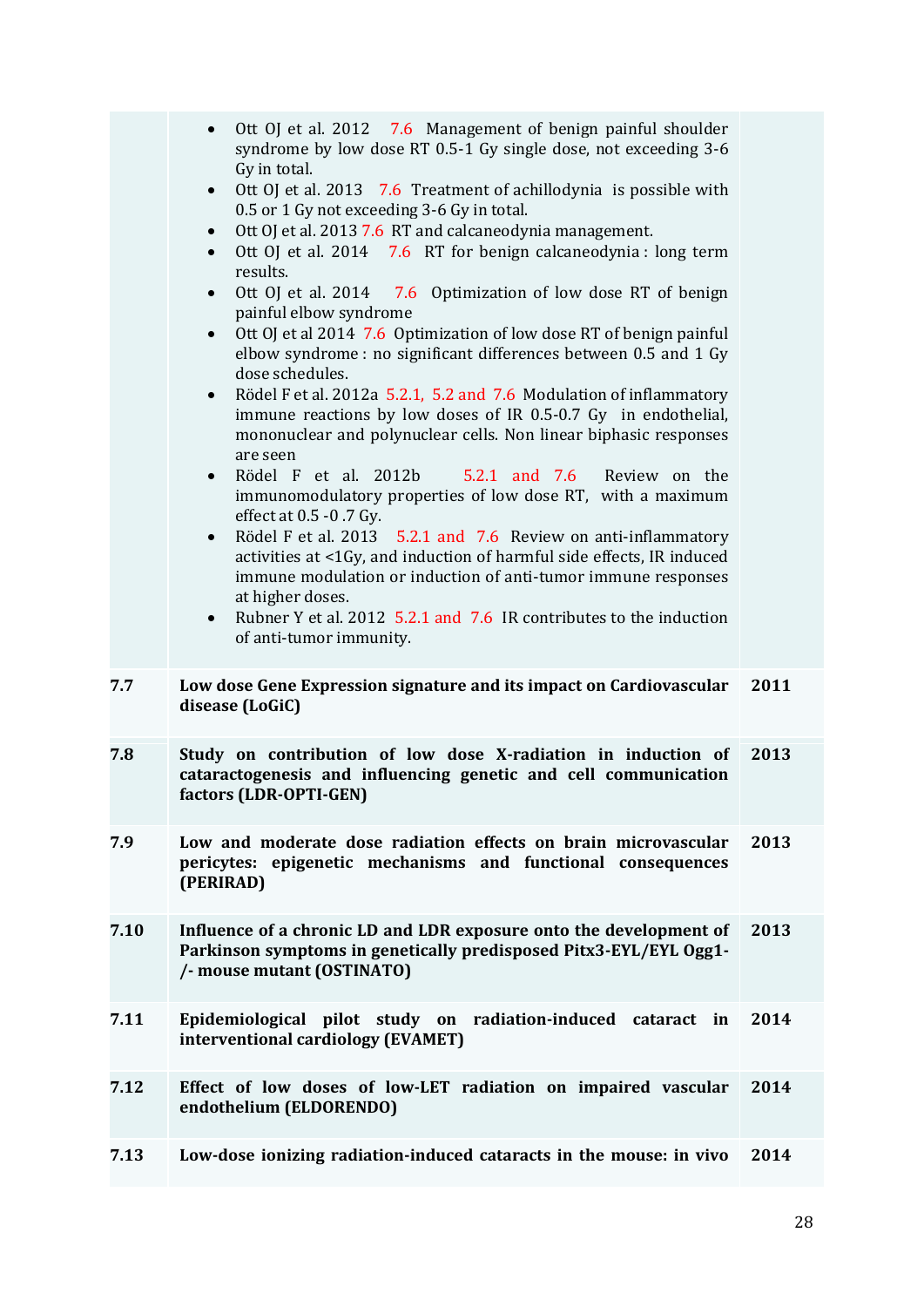|      | Ott OJ et al. 2012 7.6 Management of benign painful shoulder<br>$\bullet$<br>syndrome by low dose RT 0.5-1 Gy single dose, not exceeding 3-6<br>Gy in total.<br>Ott OJ et al. 2013 7.6 Treatment of achillodynia is possible with<br>$\bullet$<br>0.5 or 1 Gy not exceeding 3-6 Gy in total.<br>Ott OJ et al. 2013 7.6 RT and calcaneodynia management.<br>$\bullet$<br>Ott OJ et al. 2014 7.6 RT for benign calcaneodynia : long term<br>$\bullet$<br>results.<br>Ott OJ et al. 2014 7.6 Optimization of low dose RT of benign<br>$\bullet$<br>painful elbow syndrome<br>Ott OJ et al 2014 7.6 Optimization of low dose RT of benign painful<br>$\bullet$<br>elbow syndrome: no significant differences between 0.5 and 1 Gy<br>dose schedules.<br>Rödel F et al. 2012a 5.2.1, 5.2 and 7.6 Modulation of inflammatory<br>$\bullet$<br>immune reactions by low doses of IR 0.5-0.7 Gy in endothelial,<br>mononuclear and polynuclear cells. Non linear biphasic responses<br>are seen<br>5.2.1 and 7.6 Review on the<br>Rödel F et al. 2012b<br>$\bullet$<br>immunomodulatory properties of low dose RT, with a maximum<br>effect at 0.5 - 0.7 Gy.<br>Rödel F et al. 2013 5.2.1 and 7.6 Review on anti-inflammatory<br>$\bullet$<br>activities at <1Gy, and induction of harmful side effects, IR induced<br>immune modulation or induction of anti-tumor immune responses<br>at higher doses.<br>Rubner Y et al. 2012 5.2.1 and 7.6 IR contributes to the induction<br>$\bullet$<br>of anti-tumor immunity. |      |
|------|--------------------------------------------------------------------------------------------------------------------------------------------------------------------------------------------------------------------------------------------------------------------------------------------------------------------------------------------------------------------------------------------------------------------------------------------------------------------------------------------------------------------------------------------------------------------------------------------------------------------------------------------------------------------------------------------------------------------------------------------------------------------------------------------------------------------------------------------------------------------------------------------------------------------------------------------------------------------------------------------------------------------------------------------------------------------------------------------------------------------------------------------------------------------------------------------------------------------------------------------------------------------------------------------------------------------------------------------------------------------------------------------------------------------------------------------------------------------------------------------------------------|------|
| 7.7  | Low dose Gene Expression signature and its impact on Cardiovascular<br>disease (LoGiC)                                                                                                                                                                                                                                                                                                                                                                                                                                                                                                                                                                                                                                                                                                                                                                                                                                                                                                                                                                                                                                                                                                                                                                                                                                                                                                                                                                                                                       | 2011 |
| 7.8  | Study on contribution of low dose X-radiation in induction of<br>cataractogenesis and influencing genetic and cell communication<br>factors (LDR-OPTI-GEN)                                                                                                                                                                                                                                                                                                                                                                                                                                                                                                                                                                                                                                                                                                                                                                                                                                                                                                                                                                                                                                                                                                                                                                                                                                                                                                                                                   | 2013 |
| 7.9  | Low and moderate dose radiation effects on brain microvascular<br>pericytes: epigenetic mechanisms and functional consequences<br>(PERIRAD)                                                                                                                                                                                                                                                                                                                                                                                                                                                                                                                                                                                                                                                                                                                                                                                                                                                                                                                                                                                                                                                                                                                                                                                                                                                                                                                                                                  | 2013 |
| 7.10 | Influence of a chronic LD and LDR exposure onto the development of<br>Parkinson symptoms in genetically predisposed Pitx3-EYL/EYL Ogg1-<br>/- mouse mutant (OSTINATO)                                                                                                                                                                                                                                                                                                                                                                                                                                                                                                                                                                                                                                                                                                                                                                                                                                                                                                                                                                                                                                                                                                                                                                                                                                                                                                                                        | 2013 |
| 7.11 | Epidemiological pilot study on radiation-induced cataract in<br>interventional cardiology (EVAMET)                                                                                                                                                                                                                                                                                                                                                                                                                                                                                                                                                                                                                                                                                                                                                                                                                                                                                                                                                                                                                                                                                                                                                                                                                                                                                                                                                                                                           | 2014 |
| 7.12 | Effect of low doses of low-LET radiation on impaired vascular<br>endothelium (ELDORENDO)                                                                                                                                                                                                                                                                                                                                                                                                                                                                                                                                                                                                                                                                                                                                                                                                                                                                                                                                                                                                                                                                                                                                                                                                                                                                                                                                                                                                                     | 2014 |
| 7.13 | Low-dose ionizing radiation-induced cataracts in the mouse: in vivo                                                                                                                                                                                                                                                                                                                                                                                                                                                                                                                                                                                                                                                                                                                                                                                                                                                                                                                                                                                                                                                                                                                                                                                                                                                                                                                                                                                                                                          | 2014 |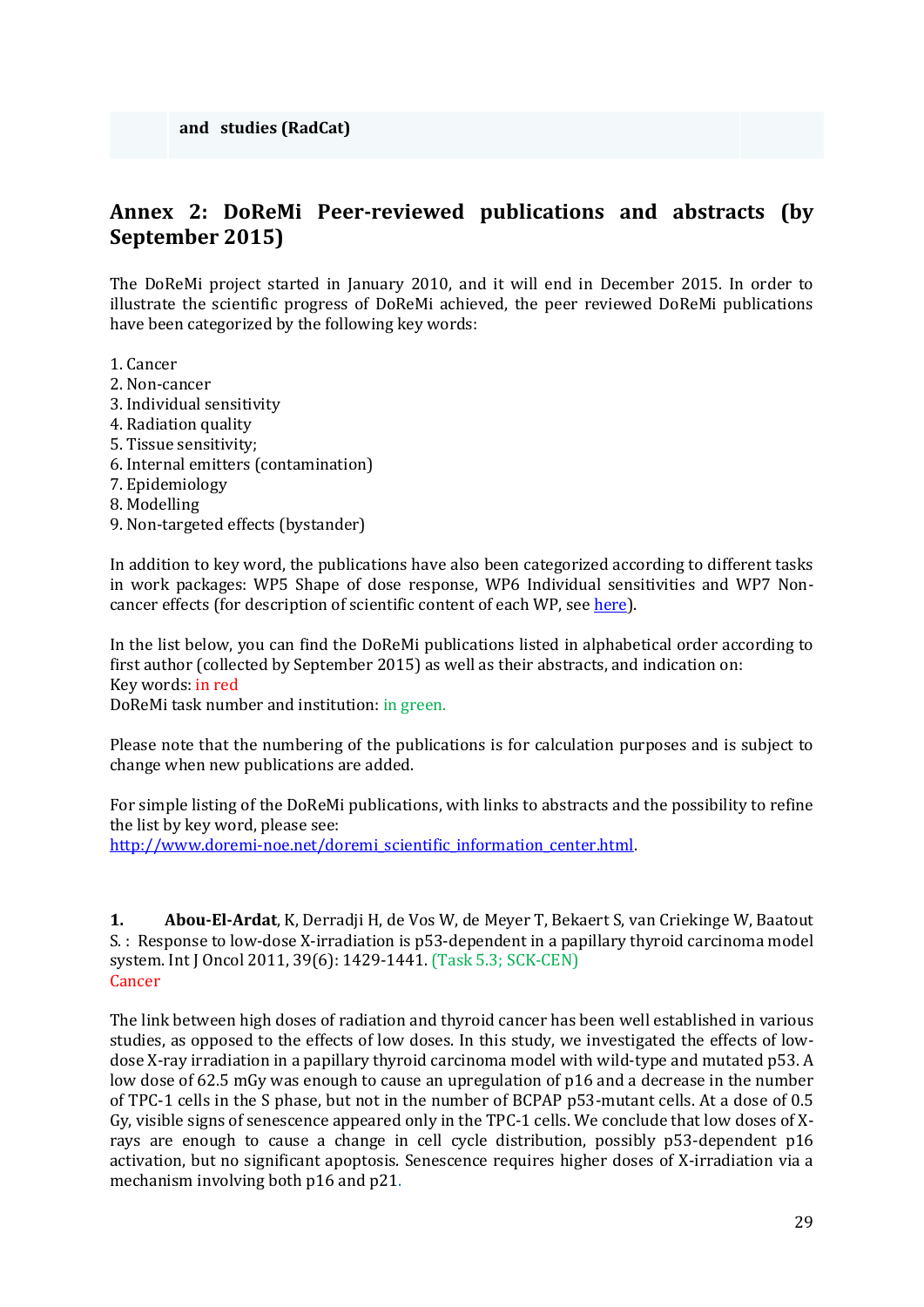# <span id="page-28-0"></span>**Annex 2: DoReMi Peer-reviewed publications and abstracts (by September 2015)**

The DoReMi project started in January 2010, and it will end in December 2015. In order to illustrate the scientific progress of DoReMi achieved, the peer reviewed DoReMi publications have been categorized by the following key words:

- 1. Cancer
- 2. Non-cancer
- 3. Individual sensitivity
- 4. Radiation quality
- 5. Tissue sensitivity;
- 6. Internal emitters (contamination)
- 7. Epidemiology
- 8. Modelling
- 9. Non-targeted effects (bystander)

In addition to key word, the publications have also been categorized according to different tasks in work packages: WP5 Shape of dose response, WP6 Individual sensitivities and WP7 Noncancer effects (for description of scientific content of each WP, see [here\)](http://www.doremi-noe.net/research_activities.html).

In the list below, you can find the DoReMi publications listed in alphabetical order according to first author (collected by September 2015) as well as their abstracts, and indication on: Key words: in red

DoReMi task number and institution: in green.

Please note that the numbering of the publications is for calculation purposes and is subject to change when new publications are added.

For simple listing of the DoReMi publications, with links to abstracts and the possibility to refine the list by key word, please see: [http://www.doremi-noe.net/doremi\\_scientific\\_information\\_center.html.](http://www.doremi-noe.net/doremi_scientific_information_center.html)

<span id="page-28-1"></span>**1. Abou-El-Ardat**, K, Derradji H, de Vos W, de Meyer T, Bekaert S, van Criekinge W, Baatout S. : Response to low-dose X-irradiation is p53-dependent in a papillary thyroid carcinoma model system. Int J Oncol 2011, 39(6): 1429-1441. (Task 5.3; SCK-CEN) **Cancer** 

The link between high doses of radiation and thyroid cancer has been well established in various studies, as opposed to the effects of low doses. In this study, we investigated the effects of lowdose X-ray irradiation in a papillary thyroid carcinoma model with wild-type and mutated p53. A low dose of 62.5 mGy was enough to cause an upregulation of p16 and a decrease in the number of TPC-1 cells in the S phase, but not in the number of BCPAP p53-mutant cells. At a dose of 0.5 Gy, visible signs of senescence appeared only in the TPC-1 cells. We conclude that low doses of Xrays are enough to cause a change in cell cycle distribution, possibly p53-dependent p16 activation, but no significant apoptosis. Senescence requires higher doses of X-irradiation via a mechanism involving both p16 and p21.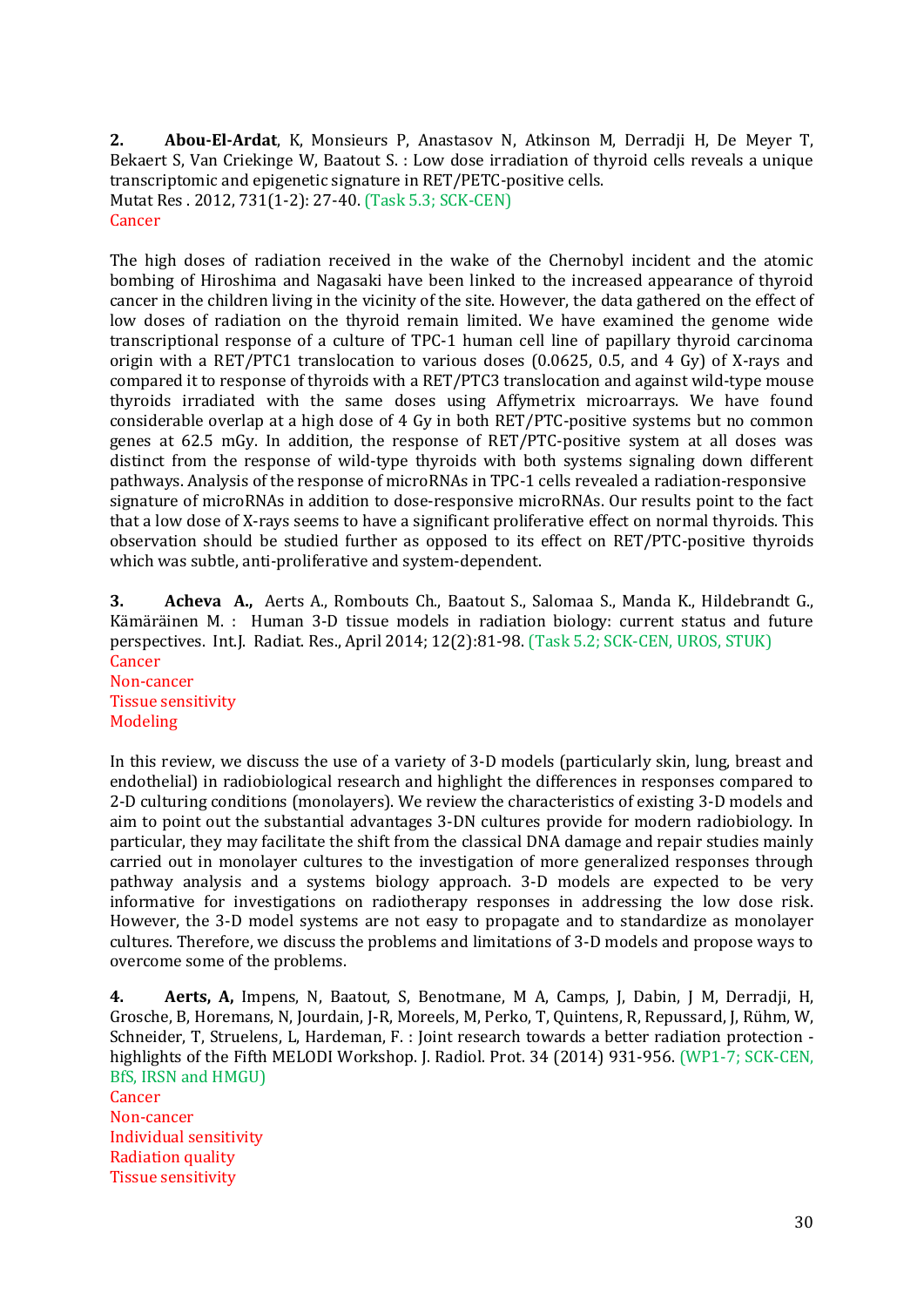<span id="page-29-0"></span>**2. Abou-El-Ardat**, K, Monsieurs P, Anastasov N, Atkinson M, Derradji H, De Meyer T, Bekaert S, Van Criekinge W, Baatout S. : Low dose irradiation of thyroid cells reveals a unique transcriptomic and epigenetic signature in RET/PETC-positive cells. Mutat Res . 2012, 731(1-2): 27-40. (Task 5.3; SCK-CEN) Cancer

The high doses of radiation received in the wake of the Chernobyl incident and the atomic bombing of Hiroshima and Nagasaki have been linked to the increased appearance of thyroid cancer in the children living in the vicinity of the site. However, the data gathered on the effect of low doses of radiation on the thyroid remain limited. We have examined the genome wide transcriptional response of a culture of TPC-1 human cell line of papillary thyroid carcinoma origin with a RET/PTC1 translocation to various doses (0.0625, 0.5, and 4 Gy) of X-rays and compared it to response of thyroids with a RET/PTC3 translocation and against wild-type mouse thyroids irradiated with the same doses using Affymetrix microarrays. We have found considerable overlap at a high dose of 4 Gy in both RET/PTC-positive systems but no common genes at 62.5 mGy. In addition, the response of RET/PTC-positive system at all doses was distinct from the response of wild-type thyroids with both systems signaling down different pathways. Analysis of the response of microRNAs in TPC-1 cells revealed a radiation-responsive signature of microRNAs in addition to dose-responsive microRNAs. Our results point to the fact that a low dose of X-rays seems to have a significant proliferative effect on normal thyroids. This observation should be studied further as opposed to its effect on RET/PTC-positive thyroids which was subtle, anti-proliferative and system-dependent.

**3. Acheva A.,** Aerts A., Rombouts Ch., Baatout S., Salomaa S., Manda K., Hildebrandt G., Kämäräinen M. : Human 3-D tissue models in radiation biology: current status and future perspectives. Int.J. Radiat. Res., April 2014; 12(2):81-98. (Task 5.2; SCK-CEN, UROS, STUK) **Cancer** Non-cancer Tissue sensitivity

Modeling

In this review, we discuss the use of a variety of 3-D models (particularly skin, lung, breast and endothelial) in radiobiological research and highlight the differences in responses compared to 2-D culturing conditions (monolayers). We review the characteristics of existing 3-D models and aim to point out the substantial advantages 3-DN cultures provide for modern radiobiology. In particular, they may facilitate the shift from the classical DNA damage and repair studies mainly carried out in monolayer cultures to the investigation of more generalized responses through pathway analysis and a systems biology approach. 3-D models are expected to be very informative for investigations on radiotherapy responses in addressing the low dose risk. However, the 3-D model systems are not easy to propagate and to standardize as monolayer cultures. Therefore, we discuss the problems and limitations of 3-D models and propose ways to overcome some of the problems.

**4. Aerts, A,** Impens, N, Baatout, S, Benotmane, M A, Camps, J, Dabin, J M, Derradji, H, Grosche, B, Horemans, N, Jourdain, J-R, Moreels, M, Perko, T, Quintens, R, Repussard, J, Rühm, W, Schneider, T, Struelens, L, Hardeman, F. : Joint research towards a better radiation protection highlights of the Fifth MELODI Workshop. J. Radiol. Prot. 34 (2014) 931-956. (WP1-7; SCK-CEN, BfS, IRSN and HMGU)

Cancer Non-cancer Individual sensitivity Radiation quality Tissue sensitivity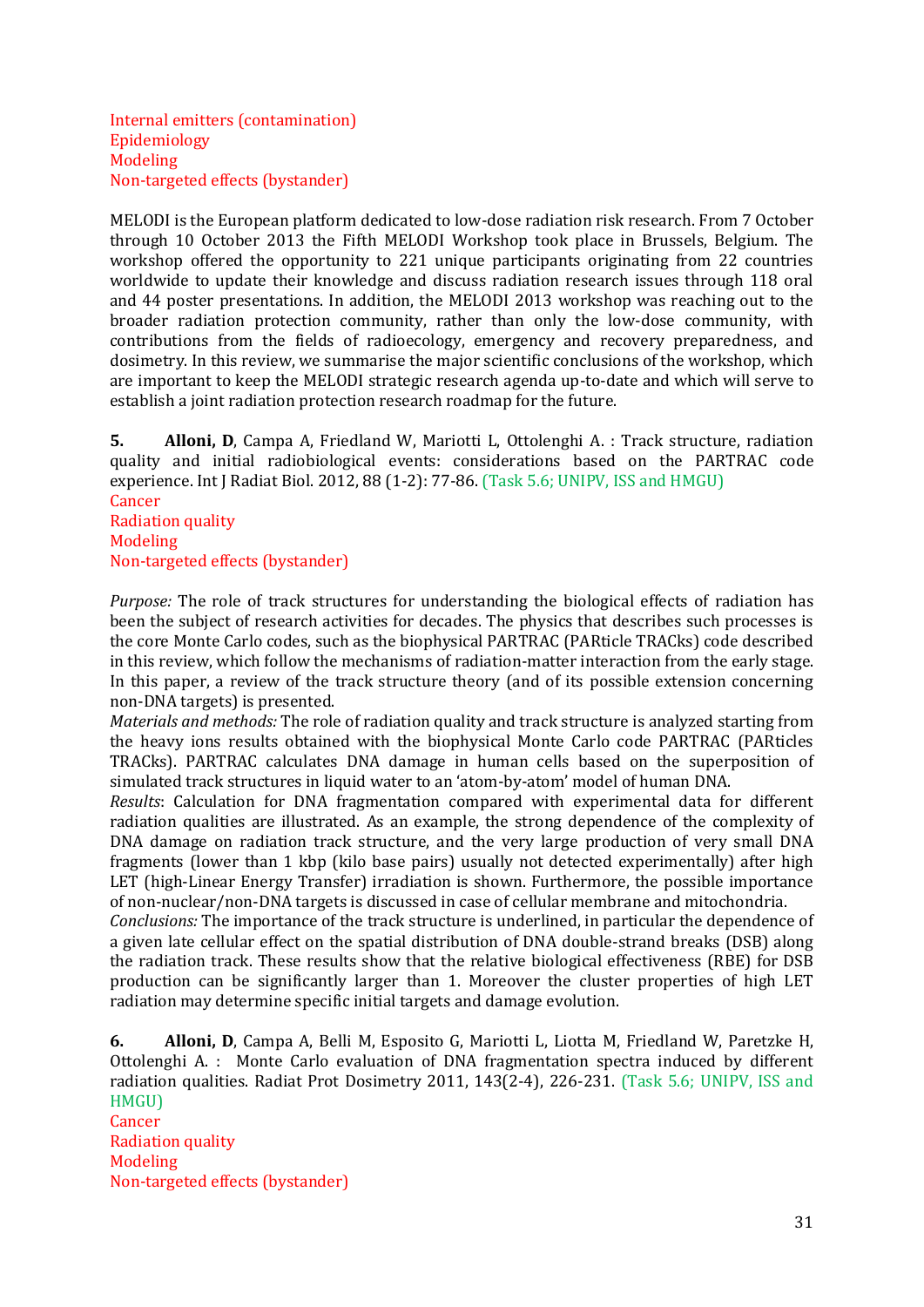Internal emitters (contamination) Epidemiology Modeling Non-targeted effects (bystander)

MELODI is the European platform dedicated to low-dose radiation risk research. From 7 October through 10 October 2013 the Fifth MELODI Workshop took place in Brussels, Belgium. The workshop offered the opportunity to 221 unique participants originating from 22 countries worldwide to update their knowledge and discuss radiation research issues through 118 oral and 44 poster presentations. In addition, the MELODI 2013 workshop was reaching out to the broader radiation protection community, rather than only the low-dose community, with contributions from the fields of radioecology, emergency and recovery preparedness, and dosimetry. In this review, we summarise the major scientific conclusions of the workshop, which are important to keep the MELODI strategic research agenda up-to-date and which will serve to establish a joint radiation protection research roadmap for the future.

<span id="page-30-0"></span>**5. Alloni, D**, Campa A, Friedland W, Mariotti L, Ottolenghi A. : Track structure, radiation quality and initial radiobiological events: considerations based on the PARTRAC code experience. Int J Radiat Biol. 2012, 88 (1-2): 77-86. (Task 5.6; UNIPV, ISS and HMGU) Cancer Radiation quality Modeling Non-targeted effects (bystander)

*Purpose:* The role of track structures for understanding the biological effects of radiation has been the subject of research activities for decades. The physics that describes such processes is the core Monte Carlo codes, such as the biophysical PARTRAC (PARticle TRACks) code described in this review, which follow the mechanisms of radiation-matter interaction from the early stage. In this paper, a review of the track structure theory (and of its possible extension concerning non-DNA targets) is presented.

*Materials and methods:* The role of radiation quality and track structure is analyzed starting from the heavy ions results obtained with the biophysical Monte Carlo code PARTRAC (PARticles TRACks). PARTRAC calculates DNA damage in human cells based on the superposition of simulated track structures in liquid water to an 'atom-by-atom' model of human DNA.

*Results*: Calculation for DNA fragmentation compared with experimental data for different radiation qualities are illustrated. As an example, the strong dependence of the complexity of DNA damage on radiation track structure, and the very large production of very small DNA fragments (lower than 1 kbp (kilo base pairs) usually not detected experimentally) after high LET (high-Linear Energy Transfer) irradiation is shown. Furthermore, the possible importance of non-nuclear/non-DNA targets is discussed in case of cellular membrane and mitochondria.

*Conclusions:* The importance of the track structure is underlined, in particular the dependence of a given late cellular effect on the spatial distribution of DNA double-strand breaks (DSB) along the radiation track. These results show that the relative biological effectiveness (RBE) for DSB production can be significantly larger than 1. Moreover the cluster properties of high LET radiation may determine specific initial targets and damage evolution.

<span id="page-30-1"></span>**6. Alloni, D**, Campa A, Belli M, Esposito G, Mariotti L, Liotta M, Friedland W, Paretzke H, Ottolenghi A. : Monte Carlo evaluation of DNA fragmentation spectra induced by different radiation qualities. Radiat Prot Dosimetry 2011, 143(2-4), 226-231. (Task 5.6; UNIPV, ISS and HMGU)

Cancer Radiation quality Modeling Non-targeted effects (bystander)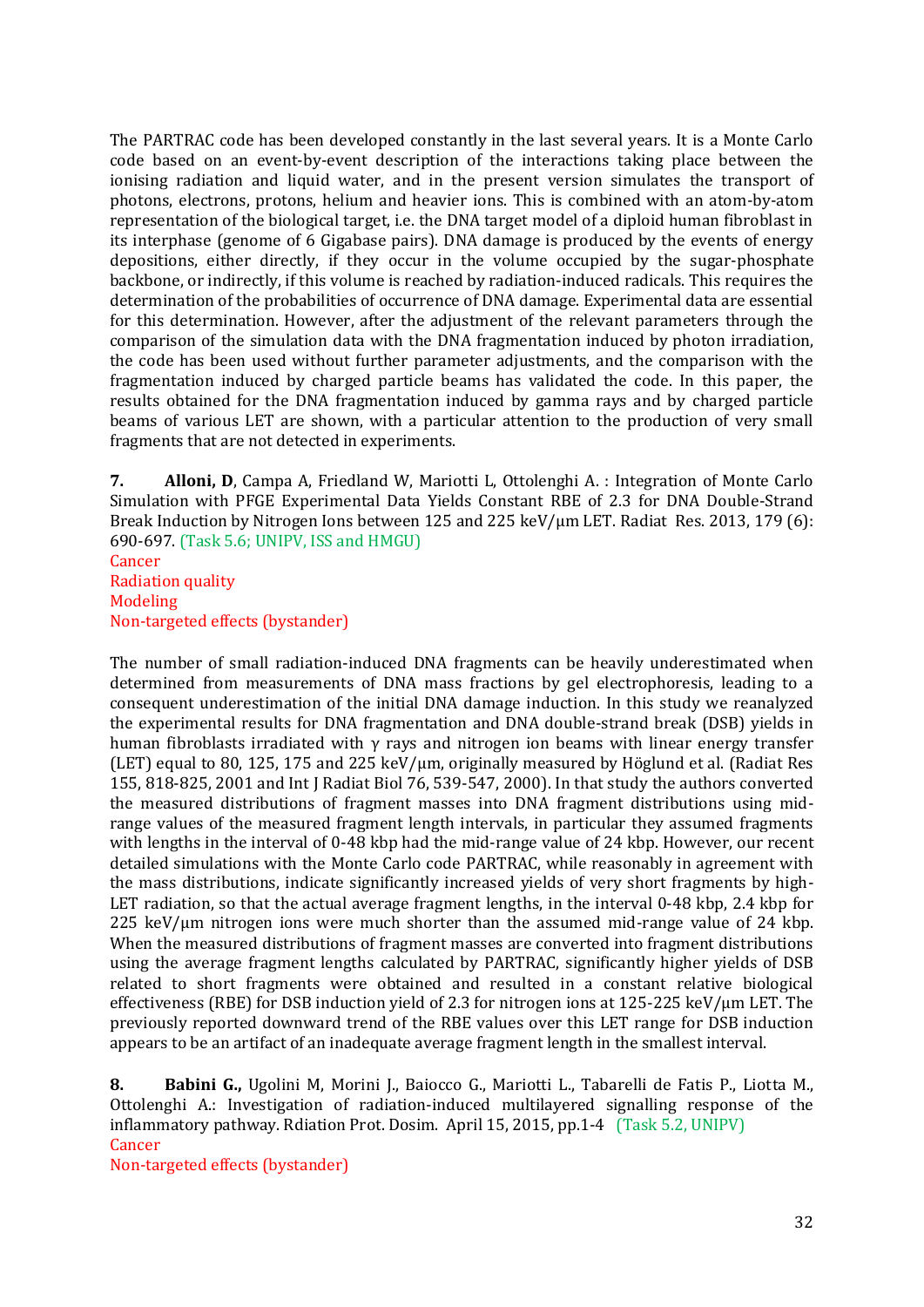The PARTRAC code has been developed constantly in the last several years. It is a Monte Carlo code based on an event-by-event description of the interactions taking place between the ionising radiation and liquid water, and in the present version simulates the transport of photons, electrons, protons, helium and heavier ions. This is combined with an atom-by-atom representation of the biological target, i.e. the DNA target model of a diploid human fibroblast in its interphase (genome of 6 Gigabase pairs). DNA damage is produced by the events of energy depositions, either directly, if they occur in the volume occupied by the sugar-phosphate backbone, or indirectly, if this volume is reached by radiation-induced radicals. This requires the determination of the probabilities of occurrence of DNA damage. Experimental data are essential for this determination. However, after the adjustment of the relevant parameters through the comparison of the simulation data with the DNA fragmentation induced by photon irradiation, the code has been used without further parameter adjustments, and the comparison with the fragmentation induced by charged particle beams has validated the code. In this paper, the results obtained for the DNA fragmentation induced by gamma rays and by charged particle beams of various LET are shown, with a particular attention to the production of very small fragments that are not detected in experiments.

<span id="page-31-0"></span>**7. Alloni, D**, Campa A, Friedland W, Mariotti L, Ottolenghi A. : Integration of Monte Carlo Simulation with PFGE Experimental Data Yields Constant RBE of 2.3 for DNA Double-Strand Break Induction by Nitrogen Ions between 125 and 225 keV/um LET. Radiat Res. 2013, 179 (6): 690-697. (Task 5.6; UNIPV, ISS and HMGU)

Cancer Radiation quality Modeling Non-targeted effects (bystander)

The number of small radiation-induced DNA fragments can be heavily underestimated when determined from measurements of DNA mass fractions by gel electrophoresis, leading to a consequent underestimation of the initial DNA damage induction. In this study we reanalyzed the experimental results for DNA fragmentation and DNA double-strand break (DSB) yields in human fibroblasts irradiated with γ rays and nitrogen ion beams with linear energy transfer (LET) equal to 80, 125, 175 and 225 keV/ $\mu$ m, originally measured by Höglund et al. (Radiat Res 155, 818-825, 2001 and Int J Radiat Biol 76, 539-547, 2000). In that study the authors converted the measured distributions of fragment masses into DNA fragment distributions using midrange values of the measured fragment length intervals, in particular they assumed fragments with lengths in the interval of 0-48 kbp had the mid-range value of 24 kbp. However, our recent detailed simulations with the Monte Carlo code PARTRAC, while reasonably in agreement with the mass distributions, indicate significantly increased yields of very short fragments by high-LET radiation, so that the actual average fragment lengths, in the interval 0-48 kbp, 2.4 kbp for 225 keV/um nitrogen ions were much shorter than the assumed mid-range value of 24 kbp. When the measured distributions of fragment masses are converted into fragment distributions using the average fragment lengths calculated by PARTRAC, significantly higher yields of DSB related to short fragments were obtained and resulted in a constant relative biological effectiveness (RBE) for DSB induction yield of 2.3 for nitrogen ions at 125-225 keV/μm LET. The previously reported downward trend of the RBE values over this LET range for DSB induction appears to be an artifact of an inadequate average fragment length in the smallest interval.

**8. Babini G.,** Ugolini M, Morini J., Baiocco G., Mariotti L., Tabarelli de Fatis P., Liotta M., Ottolenghi A.: Investigation of radiation-induced multilayered signalling response of the inflammatory pathway. Rdiation Prot. Dosim. April 15, 2015, pp.1-4 (Task 5.2, UNIPV) Cancer

Non-targeted effects (bystander)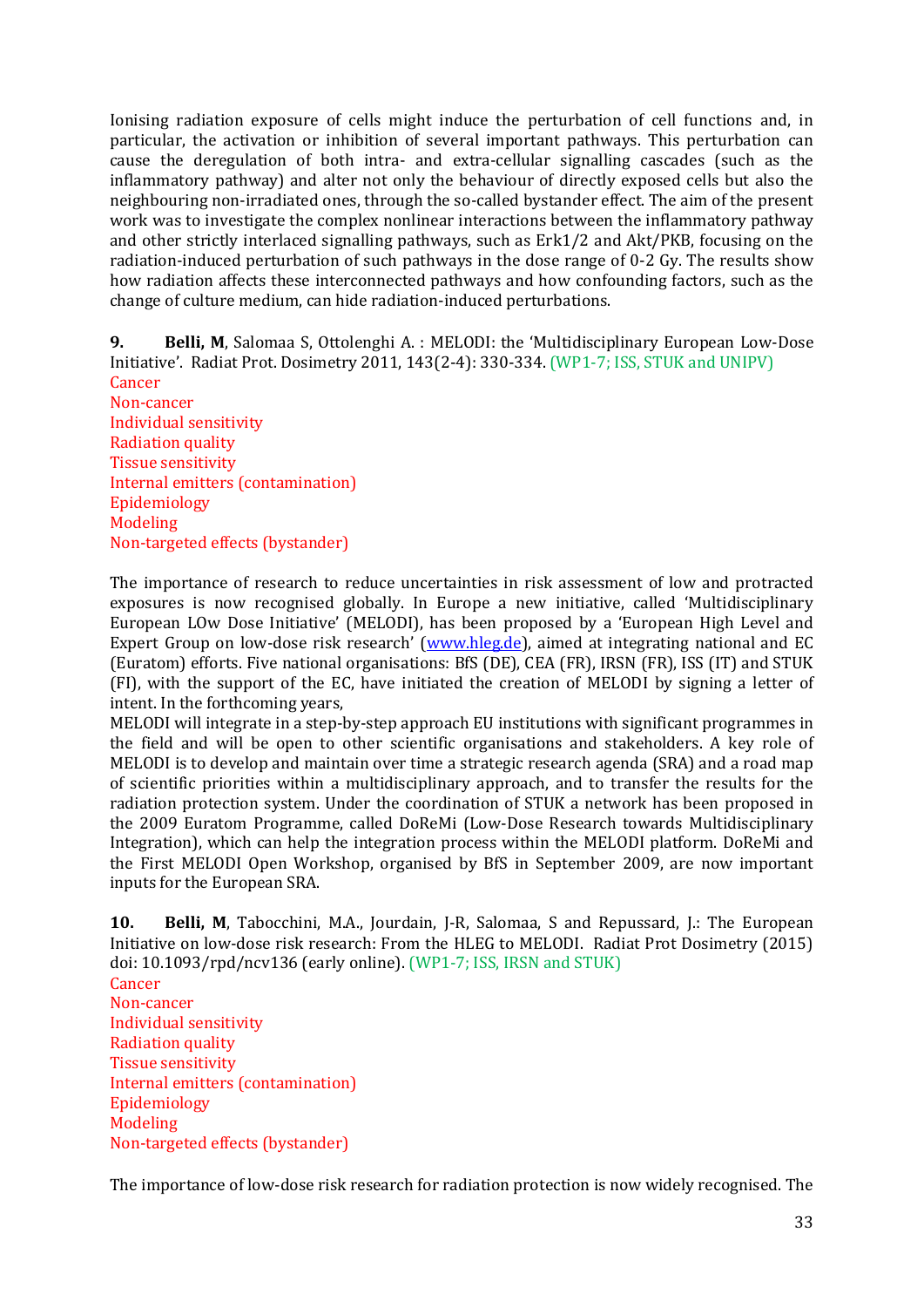Ionising radiation exposure of cells might induce the perturbation of cell functions and, in particular, the activation or inhibition of several important pathways. This perturbation can cause the deregulation of both intra- and extra-cellular signalling cascades (such as the inflammatory pathway) and alter not only the behaviour of directly exposed cells but also the neighbouring non-irradiated ones, through the so-called bystander effect. The aim of the present work was to investigate the complex nonlinear interactions between the inflammatory pathway and other strictly interlaced signalling pathways, such as Erk1/2 and Akt/PKB, focusing on the radiation-induced perturbation of such pathways in the dose range of 0-2 Gy. The results show how radiation affects these interconnected pathways and how confounding factors, such as the change of culture medium, can hide radiation-induced perturbations.

**9. Belli, M**, Salomaa S, Ottolenghi A. : MELODI: the 'Multidisciplinary European Low-Dose Initiative'. Radiat Prot. Dosimetry 2011, 143(2-4): 330-334. (WP1-7; ISS, STUK and UNIPV) Cancer Non-cancer Individual sensitivity Radiation quality Tissue sensitivity Internal emitters (contamination) Epidemiology Modeling Non-targeted effects (bystander)

The importance of research to reduce uncertainties in risk assessment of low and protracted exposures is now recognised globally. In Europe a new initiative, called 'Multidisciplinary European LOw Dose Initiative' (MELODI), has been proposed by a 'European High Level and Expert Group on low-dose risk research' ([www.hleg.de\)](http://www.hleg.de/), aimed at integrating national and EC (Euratom) efforts. Five national organisations: BfS (DE), CEA (FR), IRSN (FR), ISS (IT) and STUK (FI), with the support of the EC, have initiated the creation of MELODI by signing a letter of intent. In the forthcoming years,

MELODI will integrate in a step-by-step approach EU institutions with significant programmes in the field and will be open to other scientific organisations and stakeholders. A key role of MELODI is to develop and maintain over time a strategic research agenda (SRA) and a road map of scientific priorities within a multidisciplinary approach, and to transfer the results for the radiation protection system. Under the coordination of STUK a network has been proposed in the 2009 Euratom Programme, called DoReMi (Low-Dose Research towards Multidisciplinary Integration), which can help the integration process within the MELODI platform. DoReMi and the First MELODI Open Workshop, organised by BfS in September 2009, are now important inputs for the European SRA.

**10. Belli, M**, Tabocchini, M.A., Jourdain, J-R, Salomaa, S and Repussard, J.: The European Initiative on low-dose risk research: From the HLEG to MELODI. Radiat Prot Dosimetry (2015) doi: 10.1093/rpd/ncv136 (early online). (WP1-7; ISS, IRSN and STUK)

**Cancer** Non-cancer Individual sensitivity Radiation quality Tissue sensitivity Internal emitters (contamination) Epidemiology Modeling Non-targeted effects (bystander)

The importance of low-dose risk research for radiation protection is now widely recognised. The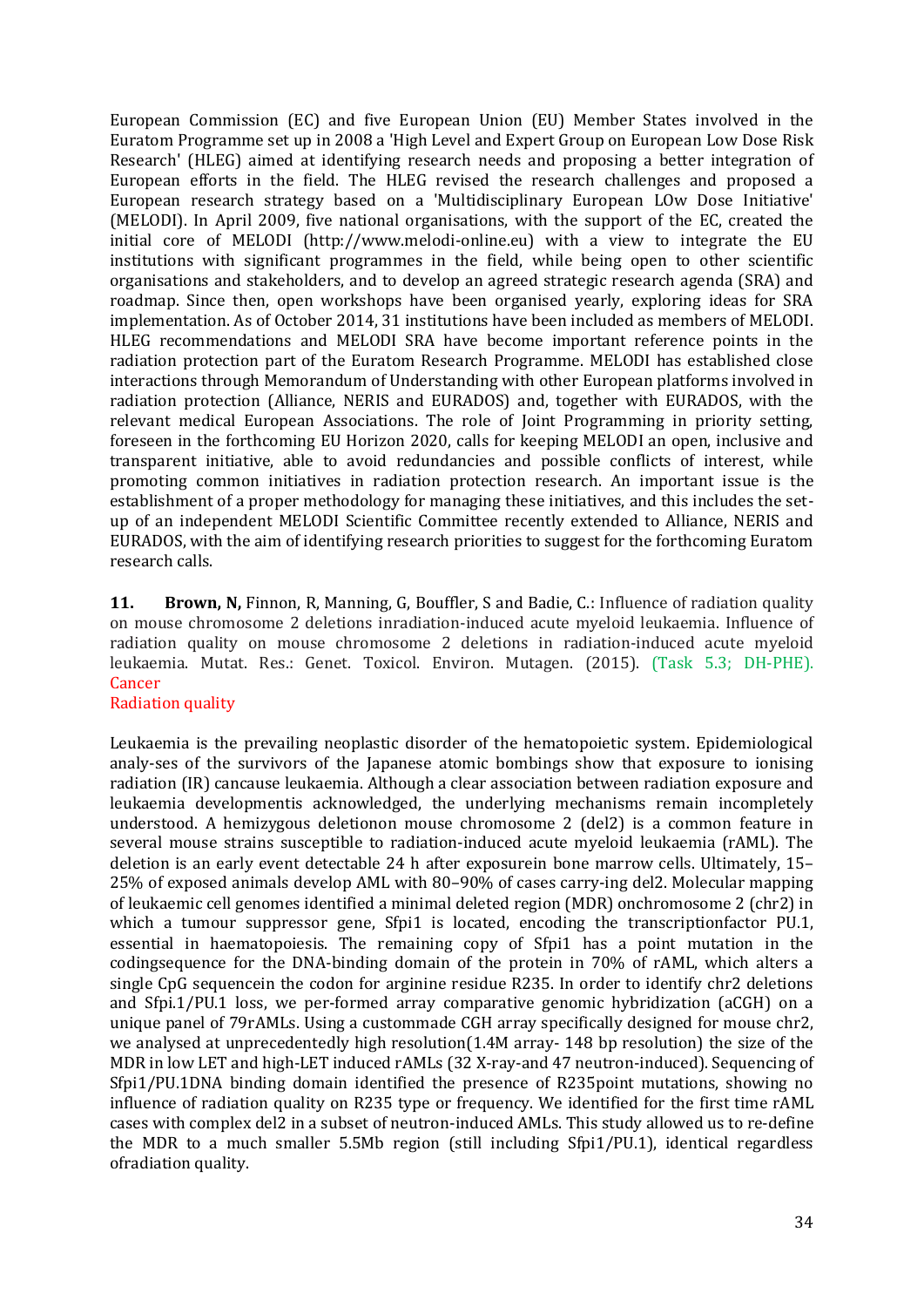European Commission (EC) and five European Union (EU) Member States involved in the Euratom Programme set up in 2008 a 'High Level and Expert Group on European Low Dose Risk Research' (HLEG) aimed at identifying research needs and proposing a better integration of European efforts in the field. The HLEG revised the research challenges and proposed a European research strategy based on a 'Multidisciplinary European LOw Dose Initiative' (MELODI). In April 2009, five national organisations, with the support of the EC, created the initial core of MELODI (http://www.melodi-online.eu) with a view to integrate the EU institutions with significant programmes in the field, while being open to other scientific organisations and stakeholders, and to develop an agreed strategic research agenda (SRA) and roadmap. Since then, open workshops have been organised yearly, exploring ideas for SRA implementation. As of October 2014, 31 institutions have been included as members of MELODI. HLEG recommendations and MELODI SRA have become important reference points in the radiation protection part of the Euratom Research Programme. MELODI has established close interactions through Memorandum of Understanding with other European platforms involved in radiation protection (Alliance, NERIS and EURADOS) and, together with EURADOS, with the relevant medical European Associations. The role of Joint Programming in priority setting, foreseen in the forthcoming EU Horizon 2020, calls for keeping MELODI an open, inclusive and transparent initiative, able to avoid redundancies and possible conflicts of interest, while promoting common initiatives in radiation protection research. An important issue is the establishment of a proper methodology for managing these initiatives, and this includes the setup of an independent MELODI Scientific Committee recently extended to Alliance, NERIS and EURADOS, with the aim of identifying research priorities to suggest for the forthcoming Euratom research calls.

<span id="page-33-0"></span>**11. Brown, N,** Finnon, R, Manning, G, Bouffler, S and Badie, C.: Influence of radiation quality on mouse chromosome 2 deletions inradiation-induced acute myeloid leukaemia. Influence of radiation quality on mouse chromosome 2 deletions in radiation-induced acute myeloid leukaemia. Mutat. Res.: Genet. Toxicol. Environ. Mutagen. (2015). (Task 5.3; DH-PHE). Cancer

Radiation quality

Leukaemia is the prevailing neoplastic disorder of the hematopoietic system. Epidemiological analy-ses of the survivors of the Japanese atomic bombings show that exposure to ionising radiation (IR) cancause leukaemia. Although a clear association between radiation exposure and leukaemia developmentis acknowledged, the underlying mechanisms remain incompletely understood. A hemizygous deletionon mouse chromosome 2 (del2) is a common feature in several mouse strains susceptible to radiation-induced acute myeloid leukaemia (rAML). The deletion is an early event detectable 24 h after exposurein bone marrow cells. Ultimately, 15– 25% of exposed animals develop AML with 80–90% of cases carry-ing del2. Molecular mapping of leukaemic cell genomes identified a minimal deleted region (MDR) onchromosome 2 (chr2) in which a tumour suppressor gene, Sfpi1 is located, encoding the transcriptionfactor PU.1, essential in haematopoiesis. The remaining copy of Sfpi1 has a point mutation in the codingsequence for the DNA-binding domain of the protein in 70% of rAML, which alters a single CpG sequencein the codon for arginine residue R235. In order to identify chr2 deletions and Sfpi.1/PU.1 loss, we per-formed array comparative genomic hybridization (aCGH) on a unique panel of 79rAMLs. Using a custommade CGH array specifically designed for mouse chr2, we analysed at unprecedentedly high resolution(1.4M array- 148 bp resolution) the size of the MDR in low LET and high-LET induced rAMLs (32 X-ray-and 47 neutron-induced). Sequencing of Sfpi1/PU.1DNA binding domain identified the presence of R235point mutations, showing no influence of radiation quality on R235 type or frequency. We identified for the first time rAML cases with complex del2 in a subset of neutron-induced AMLs. This study allowed us to re-define the MDR to a much smaller 5.5Mb region (still including Sfpi1/PU.1), identical regardless ofradiation quality.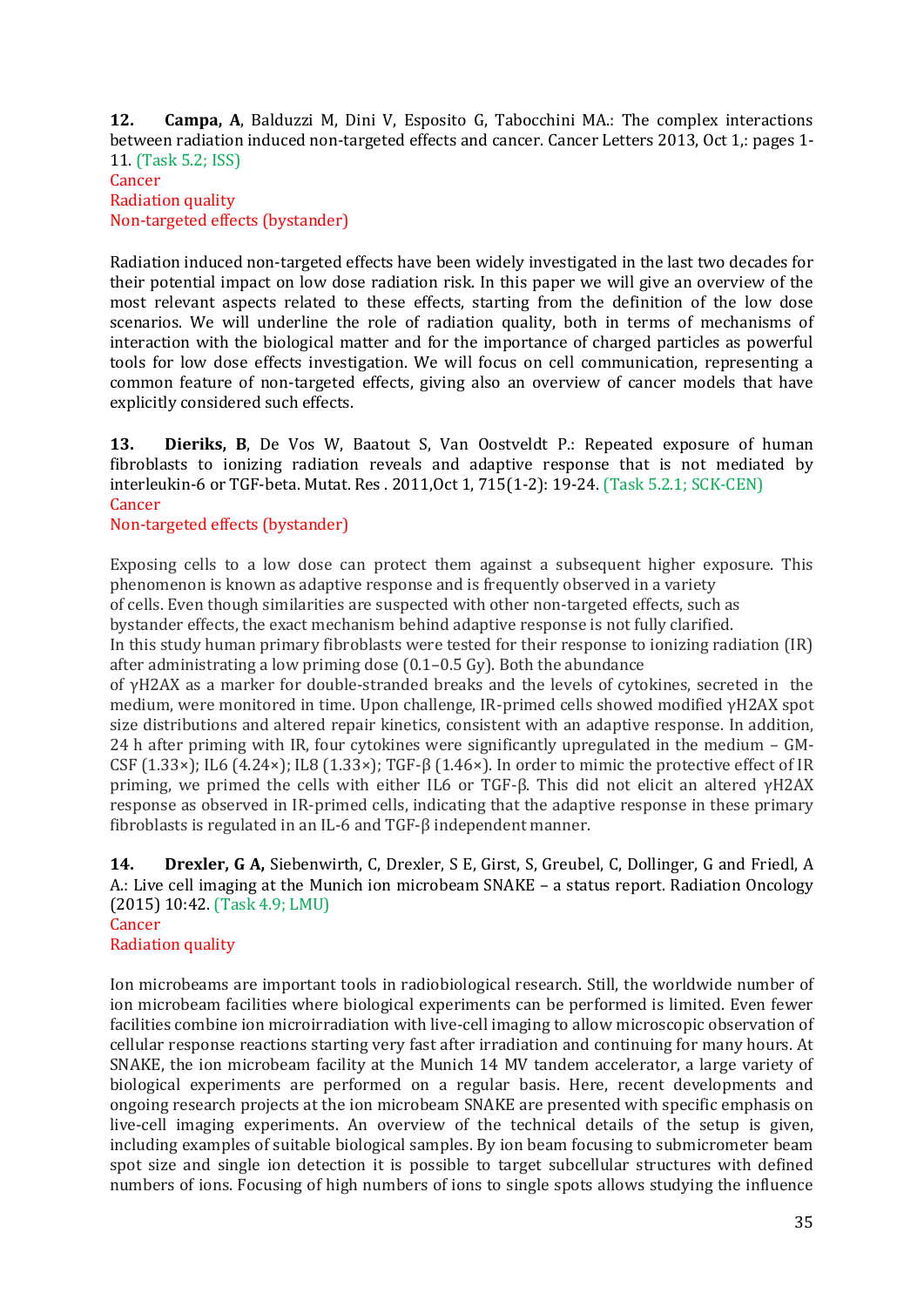**12. Campa, A**, Balduzzi M, Dini V, Esposito G, Tabocchini MA.: The complex interactions between radiation induced non-targeted effects and cancer. Cancer Letters 2013, Oct 1,: pages 1- 11. (Task 5.2; ISS) Cancer

Radiation quality Non-targeted effects (bystander)

Radiation induced non-targeted effects have been widely investigated in the last two decades for their potential impact on low dose radiation risk. In this paper we will give an overview of the most relevant aspects related to these effects, starting from the definition of the low dose scenarios. We will underline the role of radiation quality, both in terms of mechanisms of interaction with the biological matter and for the importance of charged particles as powerful tools for low dose effects investigation. We will focus on cell communication, representing a common feature of non-targeted effects, giving also an overview of cancer models that have explicitly considered such effects.

<span id="page-34-0"></span>**13. Dieriks, B**, De Vos W, Baatout S, Van Oostveldt P.: Repeated exposure of human fibroblasts to ionizing radiation reveals and adaptive response that is not mediated by interleukin-6 or TGF-beta. Mutat. Res . 2011,Oct 1, 715(1-2): 19-24. (Task 5.2.1; SCK-CEN) Cancer

Non-targeted effects (bystander)

Exposing cells to a low dose can protect them against a subsequent higher exposure. This phenomenon is known as adaptive response and is frequently observed in a variety of cells. Even though similarities are suspected with other non-targeted effects, such as

bystander effects, the exact mechanism behind adaptive response is not fully clarified.

In this study human primary fibroblasts were tested for their response to ionizing radiation (IR) after administrating a low priming dose (0.1–0.5 Gy). Both the abundance

of γH2AX as a marker for double-stranded breaks and the levels of cytokines, secreted in the medium, were monitored in time. Upon challenge, IR-primed cells showed modified γH2AX spot size distributions and altered repair kinetics, consistent with an adaptive response. In addition, 24 h after priming with IR, four cytokines were significantly upregulated in the medium – GM-CSF (1.33×); IL6 (4.24×); IL8 (1.33×); TGF-β (1.46×). In order to mimic the protective effect of IR priming, we primed the cells with either IL6 or TGF-β. This did not elicit an altered γH2AX response as observed in IR-primed cells, indicating that the adaptive response in these primary fibroblasts is regulated in an IL-6 and TGF-β independent manner.

**14. Drexler, G A,** Siebenwirth, C, Drexler, S E, Girst, S, Greubel, C, Dollinger, G and Friedl, A A.: Live cell imaging at the Munich ion microbeam SNAKE – a status report. Radiation Oncology (2015) 10:42. (Task 4.9; LMU) Cancer

Radiation quality

Ion microbeams are important tools in radiobiological research. Still, the worldwide number of ion microbeam facilities where biological experiments can be performed is limited. Even fewer facilities combine ion microirradiation with live-cell imaging to allow microscopic observation of cellular response reactions starting very fast after irradiation and continuing for many hours. At SNAKE, the ion microbeam facility at the Munich 14 MV tandem accelerator, a large variety of biological experiments are performed on a regular basis. Here, recent developments and ongoing research projects at the ion microbeam SNAKE are presented with specific emphasis on live-cell imaging experiments. An overview of the technical details of the setup is given, including examples of suitable biological samples. By ion beam focusing to submicrometer beam spot size and single ion detection it is possible to target subcellular structures with defined numbers of ions. Focusing of high numbers of ions to single spots allows studying the influence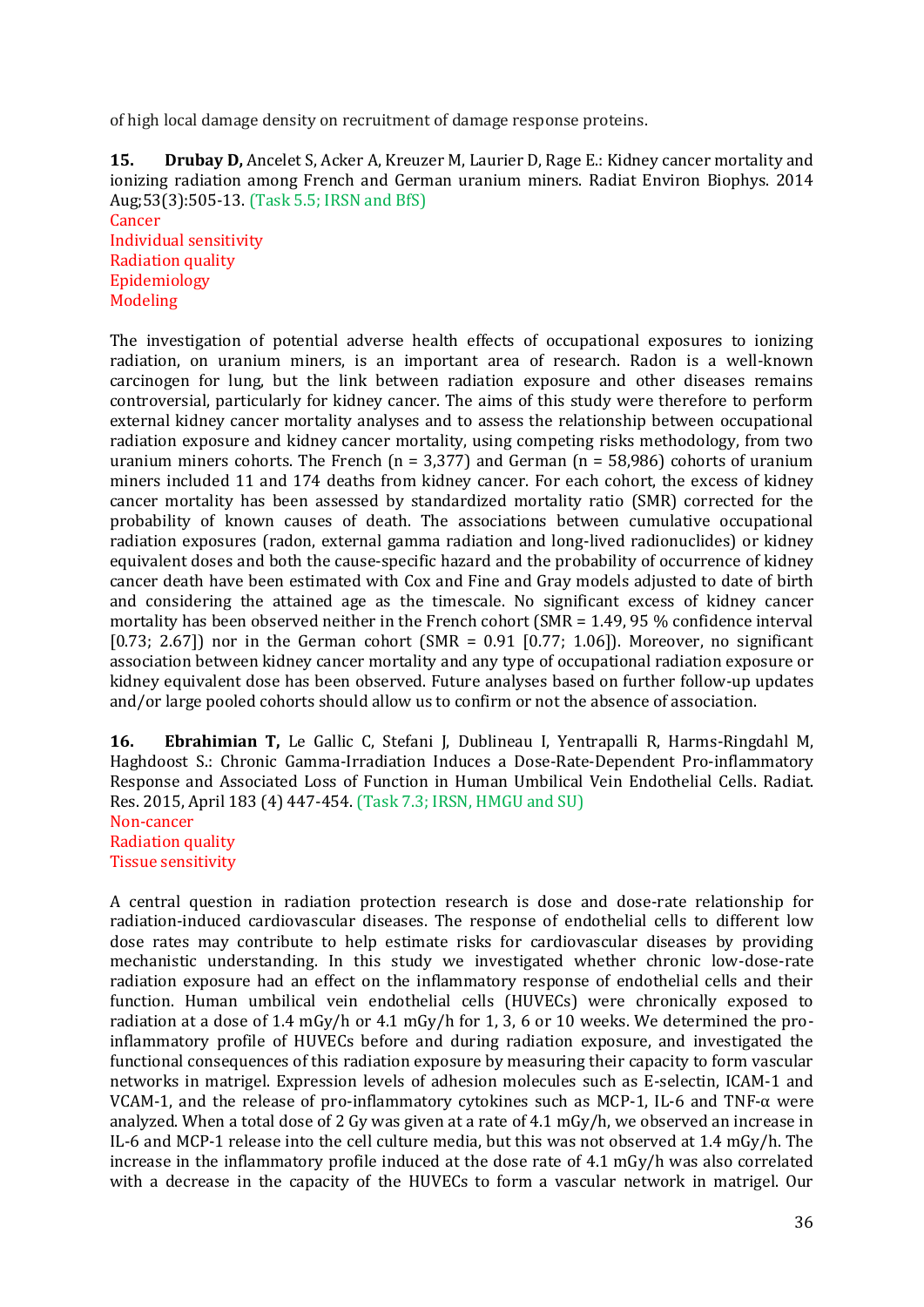of high local damage density on recruitment of damage response proteins.

<span id="page-35-0"></span>**15. Drubay D,** Ancelet S, Acker A, Kreuzer M, Laurier D, Rage E.: Kidney cancer mortality and ionizing radiation among French and German uranium miners. Radiat Environ Biophys. 2014 Aug;53(3):505-13. (Task 5.5; IRSN and BfS) Cancer Individual sensitivity Radiation quality

Epidemiology Modeling

The investigation of potential adverse health effects of occupational exposures to ionizing radiation, on uranium miners, is an important area of research. Radon is a well-known carcinogen for lung, but the link between radiation exposure and other diseases remains controversial, particularly for kidney cancer. The aims of this study were therefore to perform external kidney cancer mortality analyses and to assess the relationship between occupational radiation exposure and kidney cancer mortality, using competing risks methodology, from two uranium miners cohorts. The French ( $n = 3.377$ ) and German ( $n = 58.986$ ) cohorts of uranium miners included 11 and 174 deaths from kidney cancer. For each cohort, the excess of kidney cancer mortality has been assessed by standardized mortality ratio (SMR) corrected for the probability of known causes of death. The associations between cumulative occupational radiation exposures (radon, external gamma radiation and long-lived radionuclides) or kidney equivalent doses and both the cause-specific hazard and the probability of occurrence of kidney cancer death have been estimated with Cox and Fine and Gray models adjusted to date of birth and considering the attained age as the timescale. No significant excess of kidney cancer mortality has been observed neither in the French cohort (SMR = 1.49, 95 % confidence interval  $[0.73; 2.67]$  nor in the German cohort  $(SMR = 0.91$   $[0.77; 1.06]$ ). Moreover, no significant association between kidney cancer mortality and any type of occupational radiation exposure or kidney equivalent dose has been observed. Future analyses based on further follow-up updates and/or large pooled cohorts should allow us to confirm or not the absence of association.

<span id="page-35-1"></span>**16. Ebrahimian T,** Le Gallic C, Stefani J, Dublineau I, Yentrapalli R, Harms-Ringdahl M, Haghdoost S.: Chronic Gamma-Irradiation Induces a Dose-Rate-Dependent Pro-inflammatory Response and Associated Loss of Function in Human Umbilical Vein Endothelial Cells. Radiat. Res. 2015, April 183 (4) 447-454. (Task 7.3; IRSN, HMGU and SU) Non-cancer Radiation quality Tissue sensitivity

A central question in radiation protection research is dose and dose-rate relationship for radiation-induced cardiovascular diseases. The response of endothelial cells to different low dose rates may contribute to help estimate risks for cardiovascular diseases by providing mechanistic understanding. In this study we investigated whether chronic low-dose-rate radiation exposure had an effect on the inflammatory response of endothelial cells and their function. Human umbilical vein endothelial cells (HUVECs) were chronically exposed to radiation at a dose of 1.4 mGy/h or 4.1 mGy/h for 1, 3, 6 or 10 weeks. We determined the proinflammatory profile of HUVECs before and during radiation exposure, and investigated the functional consequences of this radiation exposure by measuring their capacity to form vascular networks in matrigel. Expression levels of adhesion molecules such as E-selectin, ICAM-1 and VCAM-1, and the release of pro-inflammatory cytokines such as MCP-1, IL-6 and TNF-α were analyzed. When a total dose of 2 Gy was given at a rate of 4.1 mGy/h, we observed an increase in IL-6 and MCP-1 release into the cell culture media, but this was not observed at 1.4 mGy/h. The increase in the inflammatory profile induced at the dose rate of 4.1 mGy/h was also correlated with a decrease in the capacity of the HUVECs to form a vascular network in matrigel. Our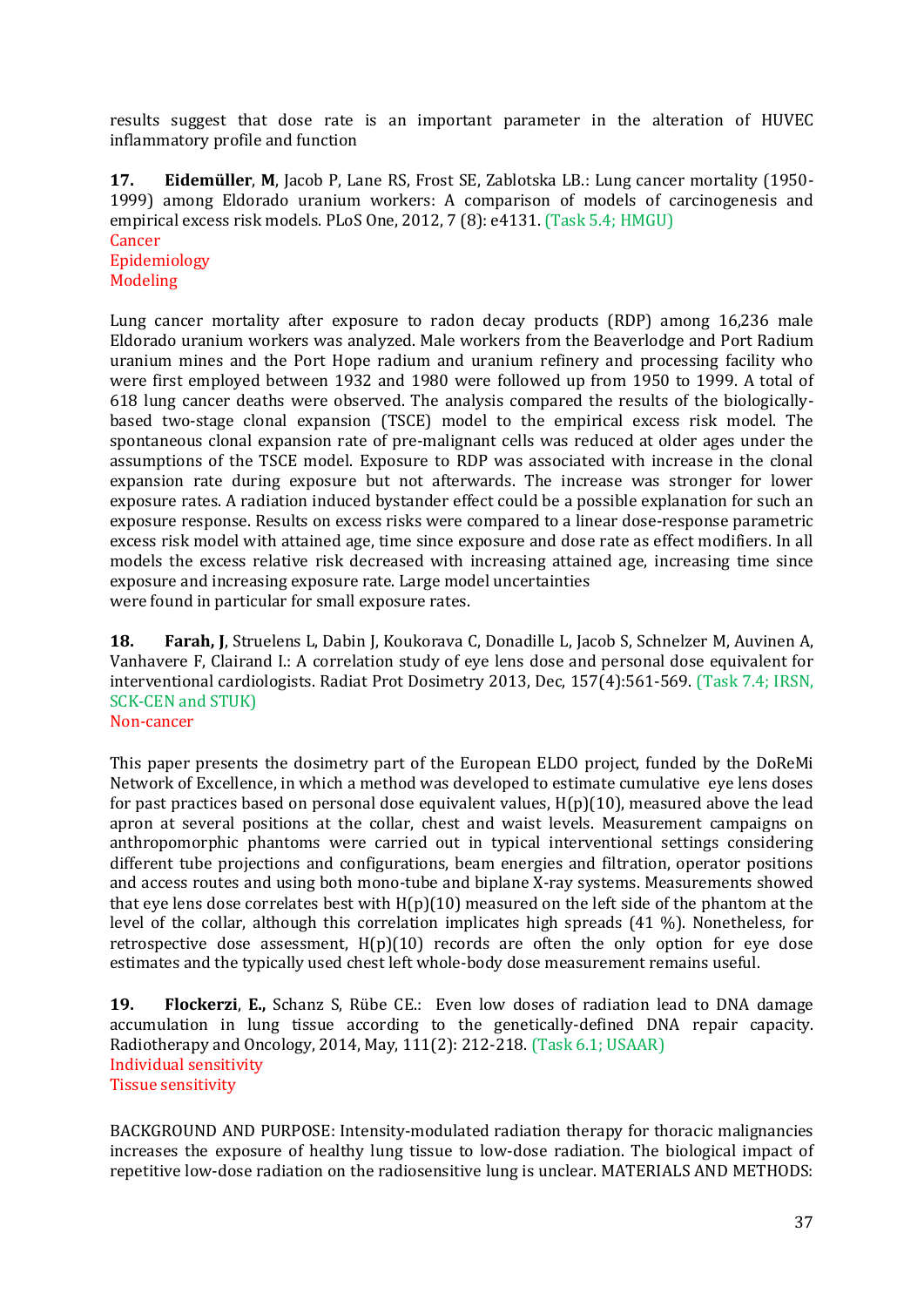results suggest that dose rate is an important parameter in the alteration of HUVEC inflammatory profile and function

<span id="page-36-0"></span>**17. Eidemüller**, **M**, Jacob P, Lane RS, Frost SE, Zablotska LB.: Lung cancer mortality (1950- 1999) among Eldorado uranium workers: A comparison of models of carcinogenesis and empirical excess risk models. PLoS One, 2012, 7 (8): e4131. (Task 5.4; HMGU) Cancer Epidemiology Modeling

Lung cancer mortality after exposure to radon decay products (RDP) among 16,236 male Eldorado uranium workers was analyzed. Male workers from the Beaverlodge and Port Radium uranium mines and the Port Hope radium and uranium refinery and processing facility who were first employed between 1932 and 1980 were followed up from 1950 to 1999. A total of 618 lung cancer deaths were observed. The analysis compared the results of the biologicallybased two-stage clonal expansion (TSCE) model to the empirical excess risk model. The spontaneous clonal expansion rate of pre-malignant cells was reduced at older ages under the assumptions of the TSCE model. Exposure to RDP was associated with increase in the clonal expansion rate during exposure but not afterwards. The increase was stronger for lower exposure rates. A radiation induced bystander effect could be a possible explanation for such an exposure response. Results on excess risks were compared to a linear dose-response parametric excess risk model with attained age, time since exposure and dose rate as effect modifiers. In all models the excess relative risk decreased with increasing attained age, increasing time since exposure and increasing exposure rate. Large model uncertainties were found in particular for small exposure rates.

**18. Farah, J**, Struelens L, Dabin J, Koukorava C, Donadille L, Jacob S, Schnelzer M, Auvinen A, Vanhavere F, Clairand I.: A correlation study of eye lens dose and personal dose equivalent for interventional cardiologists. Radiat Prot Dosimetry 2013, Dec, 157(4):561-569. (Task 7.4; IRSN, SCK-CEN and STUK)

Non-cancer

This paper presents the dosimetry part of the European ELDO project, funded by the DoReMi Network of Excellence, in which a method was developed to estimate cumulative eye lens doses for past practices based on personal dose equivalent values,  $H(p)(10)$ , measured above the lead apron at several positions at the collar, chest and waist levels. Measurement campaigns on anthropomorphic phantoms were carried out in typical interventional settings considering different tube projections and configurations, beam energies and filtration, operator positions and access routes and using both mono-tube and biplane X-ray systems. Measurements showed that eye lens dose correlates best with  $H(p)(10)$  measured on the left side of the phantom at the level of the collar, although this correlation implicates high spreads (41 %). Nonetheless, for retrospective dose assessment,  $H(p)(10)$  records are often the only option for eye dose estimates and the typically used chest left whole-body dose measurement remains useful.

<span id="page-36-1"></span>**19. Flockerzi**, **E.,** Schanz S, Rübe CE.:Even low doses of radiation lead to DNA damage accumulation in lung tissue according to the genetically-defined DNA repair capacity. Radiotherapy and Oncology, 2014, May, 111(2): 212-218. (Task 6.1; USAAR) Individual sensitivity Tissue sensitivity

BACKGROUND AND PURPOSE: Intensity-modulated radiation therapy for thoracic malignancies increases the exposure of healthy lung tissue to low-dose radiation. The biological impact of repetitive low-dose radiation on the radiosensitive lung is unclear. MATERIALS AND METHODS: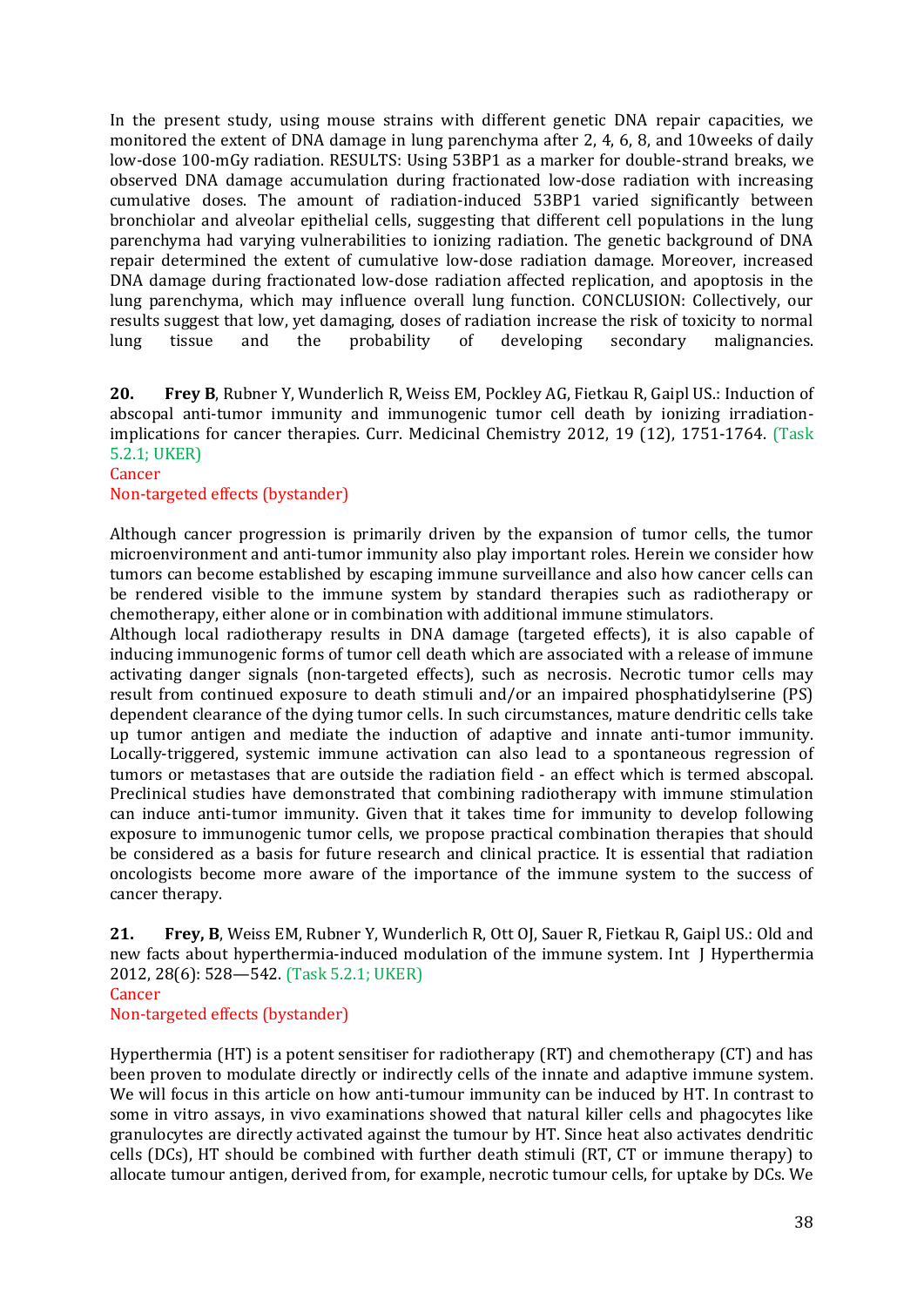In the present study, using mouse strains with different genetic DNA repair capacities, we monitored the extent of DNA damage in lung parenchyma after 2, 4, 6, 8, and 10weeks of daily low-dose 100-mGy radiation. RESULTS: Using 53BP1 as a marker for double-strand breaks, we observed DNA damage accumulation during fractionated low-dose radiation with increasing cumulative doses. The amount of radiation-induced 53BP1 varied significantly between bronchiolar and alveolar epithelial cells, suggesting that different cell populations in the lung parenchyma had varying vulnerabilities to ionizing radiation. The genetic background of DNA repair determined the extent of cumulative low-dose radiation damage. Moreover, increased DNA damage during fractionated low-dose radiation affected replication, and apoptosis in the lung parenchyma, which may influence overall lung function. CONCLUSION: Collectively, our results suggest that low, yet damaging, doses of radiation increase the risk of toxicity to normal lung tissue and the probability of developing secondary malignancies.

<span id="page-37-0"></span>**20. Frey B**, Rubner Y, Wunderlich R, Weiss EM, Pockley AG, Fietkau R, Gaipl US.: Induction of abscopal anti-tumor immunity and immunogenic tumor cell death by ionizing irradiationimplications for cancer therapies. Curr. Medicinal Chemistry 2012, 19 (12), 1751-1764. (Task 5.2.1; UKER)

#### Cancer

Non-targeted effects (bystander)

Although cancer progression is primarily driven by the expansion of tumor cells, the tumor microenvironment and anti-tumor immunity also play important roles. Herein we consider how tumors can become established by escaping immune surveillance and also how cancer cells can be rendered visible to the immune system by standard therapies such as radiotherapy or chemotherapy, either alone or in combination with additional immune stimulators.

Although local radiotherapy results in DNA damage (targeted effects), it is also capable of inducing immunogenic forms of tumor cell death which are associated with a release of immune activating danger signals (non-targeted effects), such as necrosis. Necrotic tumor cells may result from continued exposure to death stimuli and/or an impaired phosphatidylserine (PS) dependent clearance of the dying tumor cells. In such circumstances, mature dendritic cells take up tumor antigen and mediate the induction of adaptive and innate anti-tumor immunity. Locally-triggered, systemic immune activation can also lead to a spontaneous regression of tumors or metastases that are outside the radiation field - an effect which is termed abscopal. Preclinical studies have demonstrated that combining radiotherapy with immune stimulation can induce anti-tumor immunity. Given that it takes time for immunity to develop following exposure to immunogenic tumor cells, we propose practical combination therapies that should be considered as a basis for future research and clinical practice. It is essential that radiation oncologists become more aware of the importance of the immune system to the success of cancer therapy.

**21. Frey, B**, Weiss EM, Rubner Y, Wunderlich R, Ott OJ, Sauer R, Fietkau R, Gaipl US.: Old and new facts about hyperthermia-induced modulation of the immune system. Int J Hyperthermia 2012, 28(6): 528—542. (Task 5.2.1; UKER)

#### Cancer

Non-targeted effects (bystander)

Hyperthermia (HT) is a potent sensitiser for radiotherapy (RT) and chemotherapy (CT) and has been proven to modulate directly or indirectly cells of the innate and adaptive immune system. We will focus in this article on how anti-tumour immunity can be induced by HT. In contrast to some in vitro assays, in vivo examinations showed that natural killer cells and phagocytes like granulocytes are directly activated against the tumour by HT. Since heat also activates dendritic cells (DCs), HT should be combined with further death stimuli (RT, CT or immune therapy) to allocate tumour antigen, derived from, for example, necrotic tumour cells, for uptake by DCs. We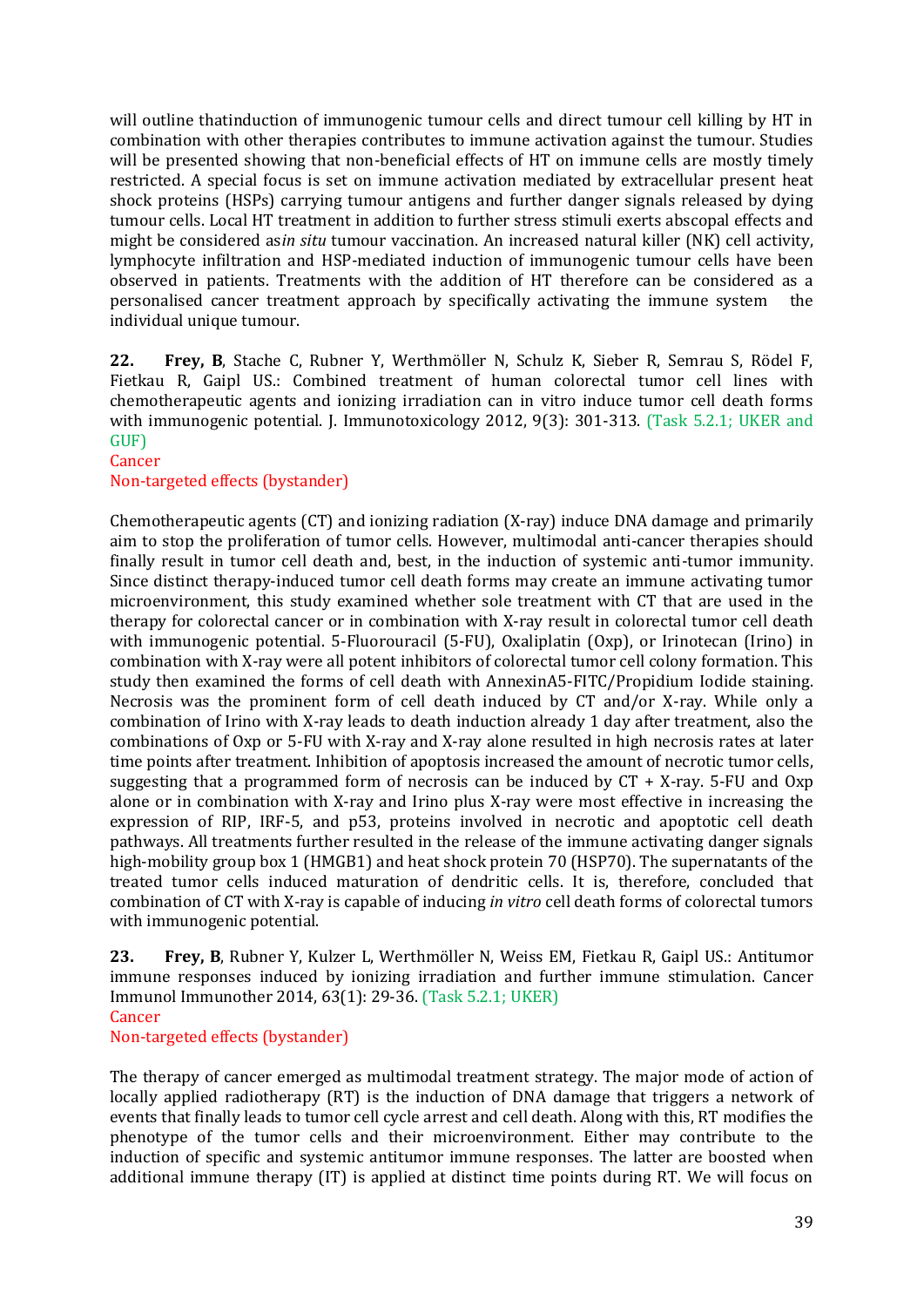will outline thatinduction of immunogenic tumour cells and direct tumour cell killing by HT in combination with other therapies contributes to immune activation against the tumour. Studies will be presented showing that non-beneficial effects of HT on immune cells are mostly timely restricted. A special focus is set on immune activation mediated by extracellular present heat shock proteins (HSPs) carrying tumour antigens and further danger signals released by dying tumour cells. Local HT treatment in addition to further stress stimuli exerts abscopal effects and might be considered as*in situ* tumour vaccination. An increased natural killer (NK) cell activity, lymphocyte infiltration and HSP-mediated induction of immunogenic tumour cells have been observed in patients. Treatments with the addition of HT therefore can be considered as a personalised cancer treatment approach by specifically activating the immune system the individual unique tumour.

<span id="page-38-0"></span>**22. Frey, B**, Stache C, Rubner Y, Werthmöller N, Schulz K, Sieber R, Semrau S, Rödel F, Fietkau R, Gaipl US.: Combined treatment of human colorectal tumor cell lines with chemotherapeutic agents and ionizing irradiation can in vitro induce tumor cell death forms with immunogenic potential. J. Immunotoxicology 2012, 9(3): 301-313. (Task 5.2.1; UKER and GUF)

#### Cancer

#### Non-targeted effects (bystander)

Chemotherapeutic agents (CT) and ionizing radiation (X-ray) induce DNA damage and primarily aim to stop the proliferation of tumor cells. However, multimodal anti-cancer therapies should finally result in tumor cell death and, best, in the induction of systemic anti-tumor immunity. Since distinct therapy-induced tumor cell death forms may create an immune activating tumor microenvironment, this study examined whether sole treatment with CT that are used in the therapy for colorectal cancer or in combination with X-ray result in colorectal tumor cell death with immunogenic potential. 5-Fluorouracil (5-FU), Oxaliplatin (Oxp), or Irinotecan (Irino) in combination with X-ray were all potent inhibitors of colorectal tumor cell colony formation. This study then examined the forms of cell death with AnnexinA5-FITC/Propidium Iodide staining. Necrosis was the prominent form of cell death induced by CT and/or X-ray. While only a combination of Irino with X-ray leads to death induction already 1 day after treatment, also the combinations of Oxp or 5-FU with X-ray and X-ray alone resulted in high necrosis rates at later time points after treatment. Inhibition of apoptosis increased the amount of necrotic tumor cells, suggesting that a programmed form of necrosis can be induced by  $CT + X$ -ray. 5-FU and Oxp alone or in combination with X-ray and Irino plus X-ray were most effective in increasing the expression of RIP, IRF-5, and p53, proteins involved in necrotic and apoptotic cell death pathways. All treatments further resulted in the release of the immune activating danger signals high-mobility group box 1 (HMGB1) and heat shock protein 70 (HSP70). The supernatants of the treated tumor cells induced maturation of dendritic cells. It is, therefore, concluded that combination of CT with X-ray is capable of inducing *in vitro* cell death forms of colorectal tumors with immunogenic potential.

<span id="page-38-1"></span>**23. Frey, B**, Rubner Y, Kulzer L, Werthmöller N, Weiss EM, Fietkau R, Gaipl US.: Antitumor immune responses induced by ionizing irradiation and further immune stimulation. Cancer Immunol Immunother 2014, 63(1): 29-36. (Task 5.2.1; UKER)

Cancer

Non-targeted effects (bystander)

The therapy of cancer emerged as multimodal treatment strategy. The major mode of action of locally applied radiotherapy (RT) is the induction of DNA damage that triggers a network of events that finally leads to tumor cell cycle arrest and cell death. Along with this, RT modifies the phenotype of the tumor cells and their microenvironment. Either may contribute to the induction of specific and systemic antitumor immune responses. The latter are boosted when additional immune therapy (IT) is applied at distinct time points during RT. We will focus on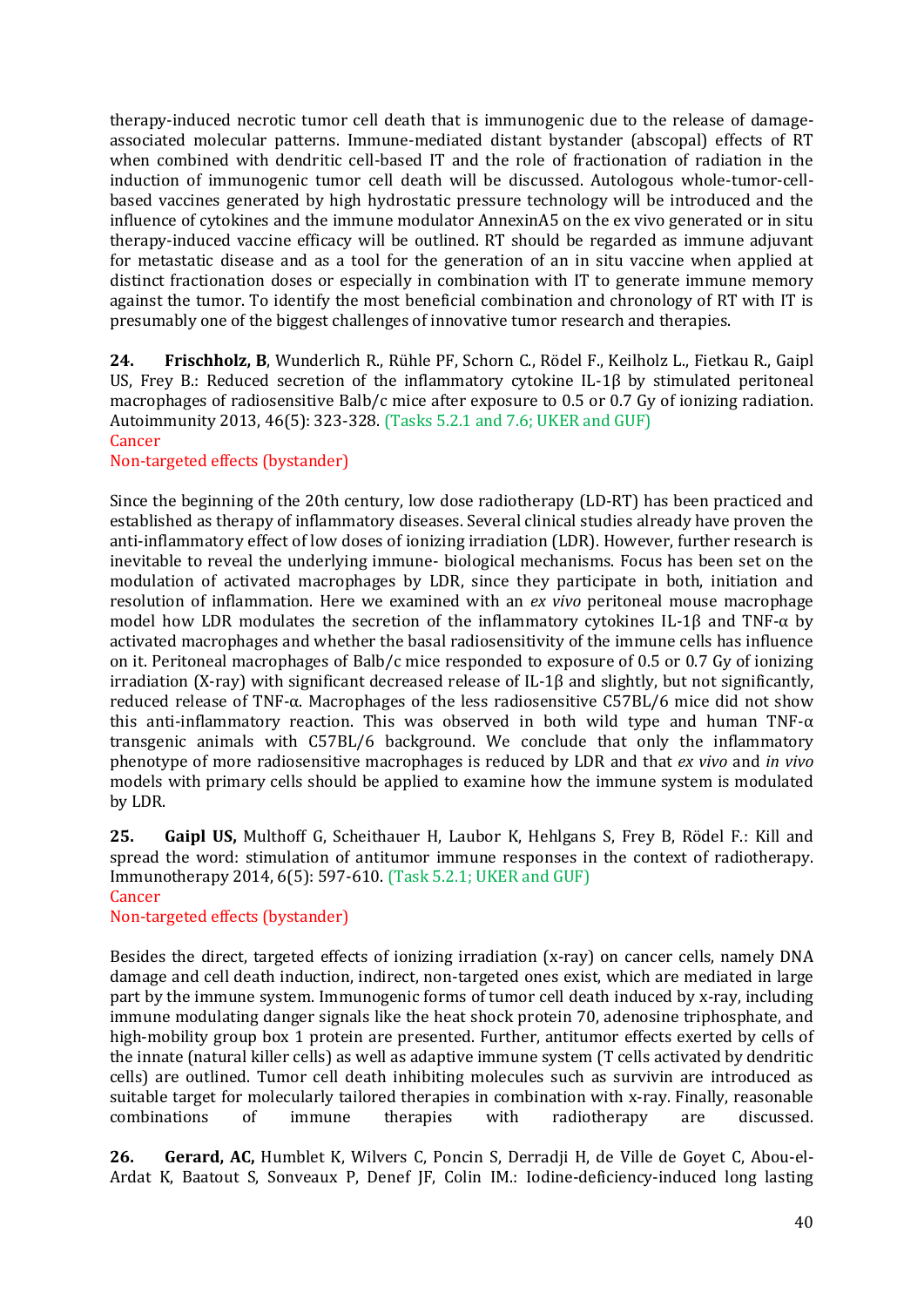therapy-induced necrotic tumor cell death that is immunogenic due to the release of damageassociated molecular patterns. Immune-mediated distant bystander (abscopal) effects of RT when combined with dendritic cell-based IT and the role of fractionation of radiation in the induction of immunogenic tumor cell death will be discussed. Autologous whole-tumor-cellbased vaccines generated by high hydrostatic pressure technology will be introduced and the influence of cytokines and the immune modulator AnnexinA5 on the ex vivo generated or in situ therapy-induced vaccine efficacy will be outlined. RT should be regarded as immune adjuvant for metastatic disease and as a tool for the generation of an in situ vaccine when applied at distinct fractionation doses or especially in combination with IT to generate immune memory against the tumor. To identify the most beneficial combination and chronology of RT with IT is presumably one of the biggest challenges of innovative tumor research and therapies.

<span id="page-39-0"></span>**24. Frischholz, B**, Wunderlich R., Rühle PF, Schorn C., Rödel F., Keilholz L., Fietkau R., Gaipl US, Frey B.: Reduced secretion of the inflammatory cytokine IL-1β by stimulated peritoneal macrophages of radiosensitive Balb/c mice after exposure to 0.5 or 0.7 Gy of ionizing radiation. Autoimmunity 2013, 46(5): 323-328. (Tasks 5.2.1 and 7.6; UKER and GUF)

#### Cancer

### Non-targeted effects (bystander)

Since the beginning of the 20th century, low dose radiotherapy (LD-RT) has been practiced and established as therapy of inflammatory diseases. Several clinical studies already have proven the anti-inflammatory effect of low doses of ionizing irradiation (LDR). However, further research is inevitable to reveal the underlying immune- biological mechanisms. Focus has been set on the modulation of activated macrophages by LDR, since they participate in both, initiation and resolution of inflammation. Here we examined with an *ex vivo* peritoneal mouse macrophage model how LDR modulates the secretion of the inflammatory cytokines IL-1 $\beta$  and TNF- $\alpha$  by activated macrophages and whether the basal radiosensitivity of the immune cells has influence on it. Peritoneal macrophages of Balb/c mice responded to exposure of 0.5 or 0.7 Gy of ionizing irradiation (X-ray) with significant decreased release of IL-1β and slightly, but not significantly, reduced release of TNF-α. Macrophages of the less radiosensitive C57BL/6 mice did not show this anti-inflammatory reaction. This was observed in both wild type and human TNF- $\alpha$ transgenic animals with C57BL/6 background. We conclude that only the inflammatory phenotype of more radiosensitive macrophages is reduced by LDR and that *ex vivo* and *in vivo* models with primary cells should be applied to examine how the immune system is modulated by LDR.

<span id="page-39-1"></span>**25. Gaipl US,** Multhoff G, Scheithauer H, Laubor K, Hehlgans S, Frey B, Rödel F.: Kill and spread the word: stimulation of antitumor immune responses in the context of radiotherapy. Immunotherapy 2014, 6(5): 597-610. (Task 5.2.1; UKER and GUF) **Cancer** 

Non-targeted effects (bystander)

Besides the direct, targeted effects of ionizing irradiation (x-ray) on cancer cells, namely DNA damage and cell death induction, indirect, non-targeted ones exist, which are mediated in large part by the immune system. Immunogenic forms of tumor cell death induced by x-ray, including immune modulating danger signals like the heat shock protein 70, adenosine triphosphate, and high-mobility group box 1 protein are presented. Further, antitumor effects exerted by cells of the innate (natural killer cells) as well as adaptive immune system (T cells activated by dendritic cells) are outlined. Tumor cell death inhibiting molecules such as survivin are introduced as suitable target for molecularly tailored therapies in combination with x-ray. Finally, reasonable combinations of immune therapies with radiotherapy are discussed.

**26. Gerard, AC,** Humblet K, Wilvers C, Poncin S, Derradji H, de Ville de Goyet C, Abou-el-Ardat K, Baatout S, Sonveaux P, Denef JF, Colin IM.: Iodine-deficiency-induced long lasting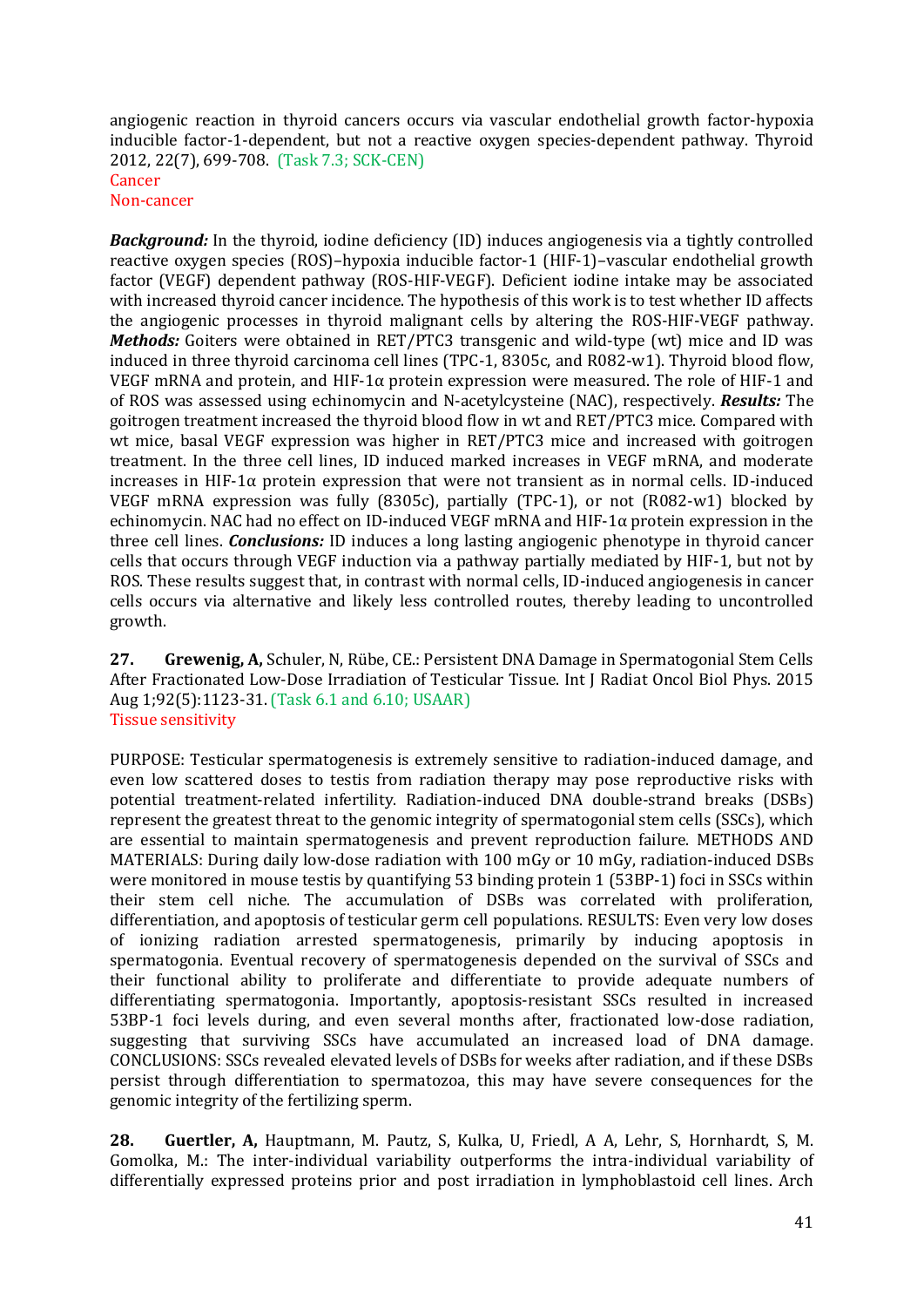angiogenic reaction in thyroid cancers occurs via vascular endothelial growth factor-hypoxia inducible factor-1-dependent, but not a reactive oxygen species-dependent pathway. Thyroid 2012, 22(7), 699-708. (Task 7.3; SCK-CEN) **Cancer** Non-cancer

**Background:** In the thyroid, iodine deficiency (ID) induces angiogenesis via a tightly controlled reactive oxygen species (ROS)–hypoxia inducible factor-1 (HIF-1)–vascular endothelial growth factor (VEGF) dependent pathway (ROS-HIF-VEGF). Deficient iodine intake may be associated with increased thyroid cancer incidence. The hypothesis of this work is to test whether ID affects the angiogenic processes in thyroid malignant cells by altering the ROS-HIF-VEGF pathway. *Methods:* Goiters were obtained in RET/PTC3 transgenic and wild-type (wt) mice and ID was induced in three thyroid carcinoma cell lines (TPC-1, 8305c, and R082-w1). Thyroid blood flow, VEGF mRNA and protein, and HIF-1α protein expression were measured. The role of HIF-1 and of ROS was assessed using echinomycin and N-acetylcysteine (NAC), respectively. *Results:* The goitrogen treatment increased the thyroid blood flow in wt and RET/PTC3 mice. Compared with wt mice, basal VEGF expression was higher in RET/PTC3 mice and increased with goitrogen treatment. In the three cell lines, ID induced marked increases in VEGF mRNA, and moderate increases in HIF-1 $\alpha$  protein expression that were not transient as in normal cells. ID-induced VEGF mRNA expression was fully (8305c), partially (TPC-1), or not (R082-w1) blocked by echinomycin. NAC had no effect on ID-induced VEGF mRNA and HIF-1 $\alpha$  protein expression in the three cell lines. *Conclusions:* ID induces a long lasting angiogenic phenotype in thyroid cancer cells that occurs through VEGF induction via a pathway partially mediated by HIF-1, but not by ROS. These results suggest that, in contrast with normal cells, ID-induced angiogenesis in cancer cells occurs via alternative and likely less controlled routes, thereby leading to uncontrolled growth.

<span id="page-40-0"></span>**27. Grewenig, A,** Schuler, N, Rübe, CE.: Persistent DNA Damage in Spermatogonial Stem Cells After Fractionated Low-Dose Irradiation of Testicular Tissue. Int J Radiat Oncol Biol Phys. 2015 Aug 1;92(5):1123-31.(Task 6.1 and 6.10; USAAR) Tissue sensitivity

PURPOSE: Testicular spermatogenesis is extremely sensitive to radiation-induced damage, and even low scattered doses to testis from radiation therapy may pose reproductive risks with potential treatment-related infertility. Radiation-induced DNA double-strand breaks (DSBs) represent the greatest threat to the genomic integrity of spermatogonial stem cells (SSCs), which are essential to maintain spermatogenesis and prevent reproduction failure. METHODS AND MATERIALS: During daily low-dose radiation with 100 mGy or 10 mGy, radiation-induced DSBs were monitored in mouse testis by quantifying 53 binding protein 1 (53BP-1) foci in SSCs within their stem cell niche. The accumulation of DSBs was correlated with proliferation, differentiation, and apoptosis of testicular germ cell populations. RESULTS: Even very low doses of ionizing radiation arrested spermatogenesis, primarily by inducing apoptosis in spermatogonia. Eventual recovery of spermatogenesis depended on the survival of SSCs and their functional ability to proliferate and differentiate to provide adequate numbers of differentiating spermatogonia. Importantly, apoptosis-resistant SSCs resulted in increased 53BP-1 foci levels during, and even several months after, fractionated low-dose radiation, suggesting that surviving SSCs have accumulated an increased load of DNA damage. CONCLUSIONS: SSCs revealed elevated levels of DSBs for weeks after radiation, and if these DSBs persist through differentiation to spermatozoa, this may have severe consequences for the genomic integrity of the fertilizing sperm.

**28. Guertler, A,** Hauptmann, M. Pautz, S, Kulka, U, Friedl, A A, Lehr, S, Hornhardt, S, M. Gomolka, M.: The inter-individual variability outperforms the intra-individual variability of differentially expressed proteins prior and post irradiation in lymphoblastoid cell lines. Arch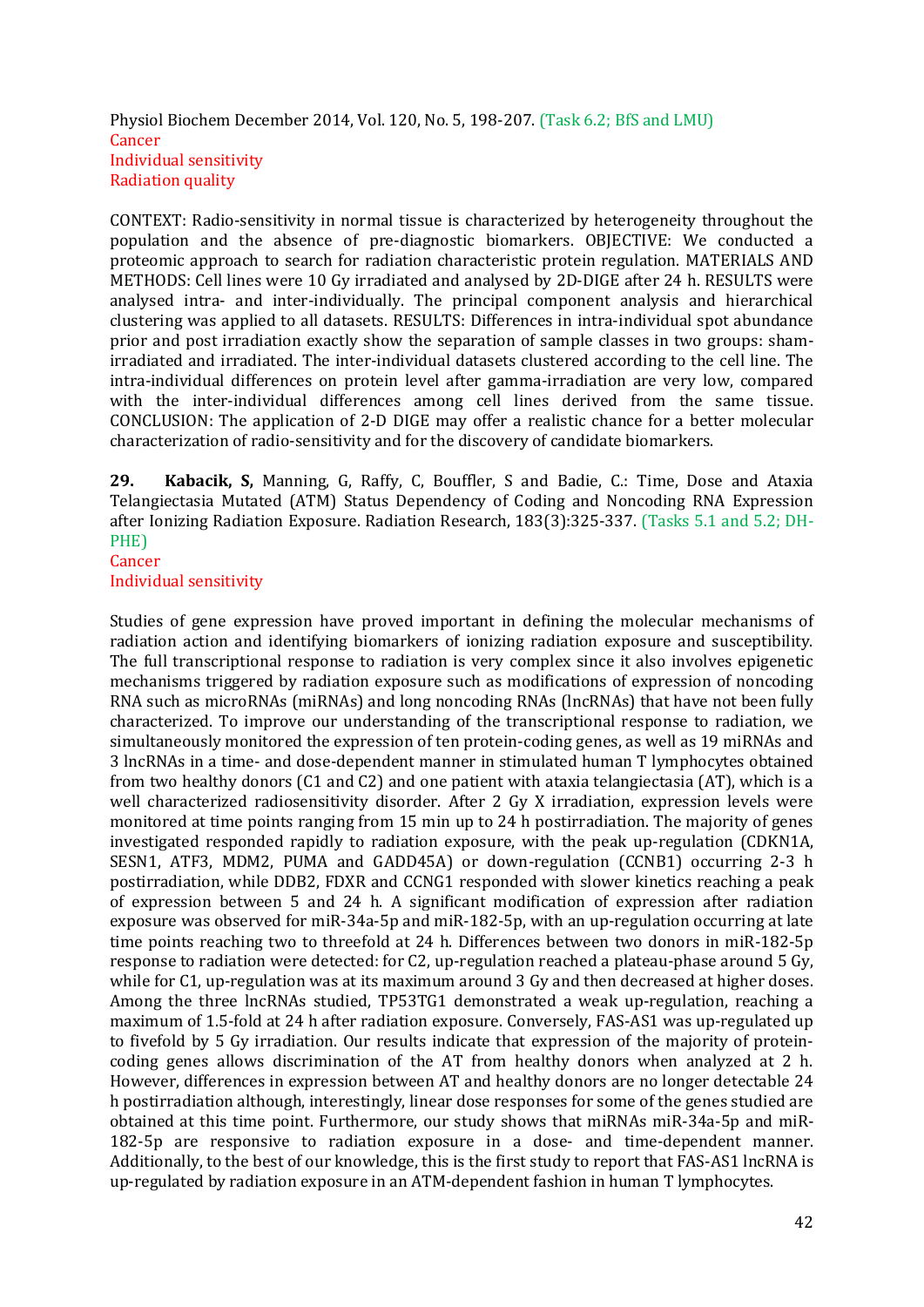Physiol Biochem December 2014, Vol. 120, No. 5, 198-207. (Task 6.2; BfS and LMU) Cancer Individual sensitivity Radiation quality

CONTEXT: Radio-sensitivity in normal tissue is characterized by heterogeneity throughout the population and the absence of pre-diagnostic biomarkers. OBJECTIVE: We conducted a proteomic approach to search for radiation characteristic protein regulation. MATERIALS AND METHODS: Cell lines were 10 Gy irradiated and analysed by 2D-DIGE after 24 h. RESULTS were analysed intra- and inter-individually. The principal component analysis and hierarchical clustering was applied to all datasets. RESULTS: Differences in intra-individual spot abundance prior and post irradiation exactly show the separation of sample classes in two groups: shamirradiated and irradiated. The inter-individual datasets clustered according to the cell line. The intra-individual differences on protein level after gamma-irradiation are very low, compared with the inter-individual differences among cell lines derived from the same tissue. CONCLUSION: The application of 2-D DIGE may offer a realistic chance for a better molecular characterization of radio-sensitivity and for the discovery of candidate biomarkers.

<span id="page-41-0"></span>**29. Kabacik, S,** Manning, G, Raffy, C, Bouffler, S and Badie, C.: Time, Dose and Ataxia Telangiectasia Mutated (ATM) Status Dependency of Coding and Noncoding RNA Expression after Ionizing Radiation Exposure. Radiation Research, 183(3):325-337. (Tasks 5.1 and 5.2; DH-PHE)

### **Cancer**

Individual sensitivity

Studies of gene expression have proved important in defining the molecular mechanisms of radiation action and identifying biomarkers of ionizing radiation exposure and susceptibility. The full transcriptional response to radiation is very complex since it also involves epigenetic mechanisms triggered by radiation exposure such as modifications of expression of noncoding RNA such as microRNAs (miRNAs) and long noncoding RNAs (lncRNAs) that have not been fully characterized. To improve our understanding of the transcriptional response to radiation, we simultaneously monitored the expression of ten protein-coding genes, as well as 19 miRNAs and 3 lncRNAs in a time- and dose-dependent manner in stimulated human T lymphocytes obtained from two healthy donors (C1 and C2) and one patient with ataxia telangiectasia (AT), which is a well characterized radiosensitivity disorder. After 2 Gy X irradiation, expression levels were monitored at time points ranging from 15 min up to 24 h postirradiation. The majority of genes investigated responded rapidly to radiation exposure, with the peak up-regulation (CDKN1A, SESN1, ATF3, MDM2, PUMA and GADD45A) or down-regulation (CCNB1) occurring 2-3 h postirradiation, while DDB2, FDXR and CCNG1 responded with slower kinetics reaching a peak of expression between 5 and 24 h. A significant modification of expression after radiation exposure was observed for miR-34a-5p and miR-182-5p, with an up-regulation occurring at late time points reaching two to threefold at 24 h. Differences between two donors in miR-182-5p response to radiation were detected: for C2, up-regulation reached a plateau-phase around 5 Gy, while for C1, up-regulation was at its maximum around 3 Gy and then decreased at higher doses. Among the three lncRNAs studied, TP53TG1 demonstrated a weak up-regulation, reaching a maximum of 1.5-fold at 24 h after radiation exposure. Conversely, FAS-AS1 was up-regulated up to fivefold by 5 Gy irradiation. Our results indicate that expression of the majority of proteincoding genes allows discrimination of the AT from healthy donors when analyzed at 2 h. However, differences in expression between AT and healthy donors are no longer detectable 24 h postirradiation although, interestingly, linear dose responses for some of the genes studied are obtained at this time point. Furthermore, our study shows that miRNAs miR-34a-5p and miR-182-5p are responsive to radiation exposure in a dose- and time-dependent manner. Additionally, to the best of our knowledge, this is the first study to report that FAS-AS1 lncRNA is up-regulated by radiation exposure in an ATM-dependent fashion in human T lymphocytes.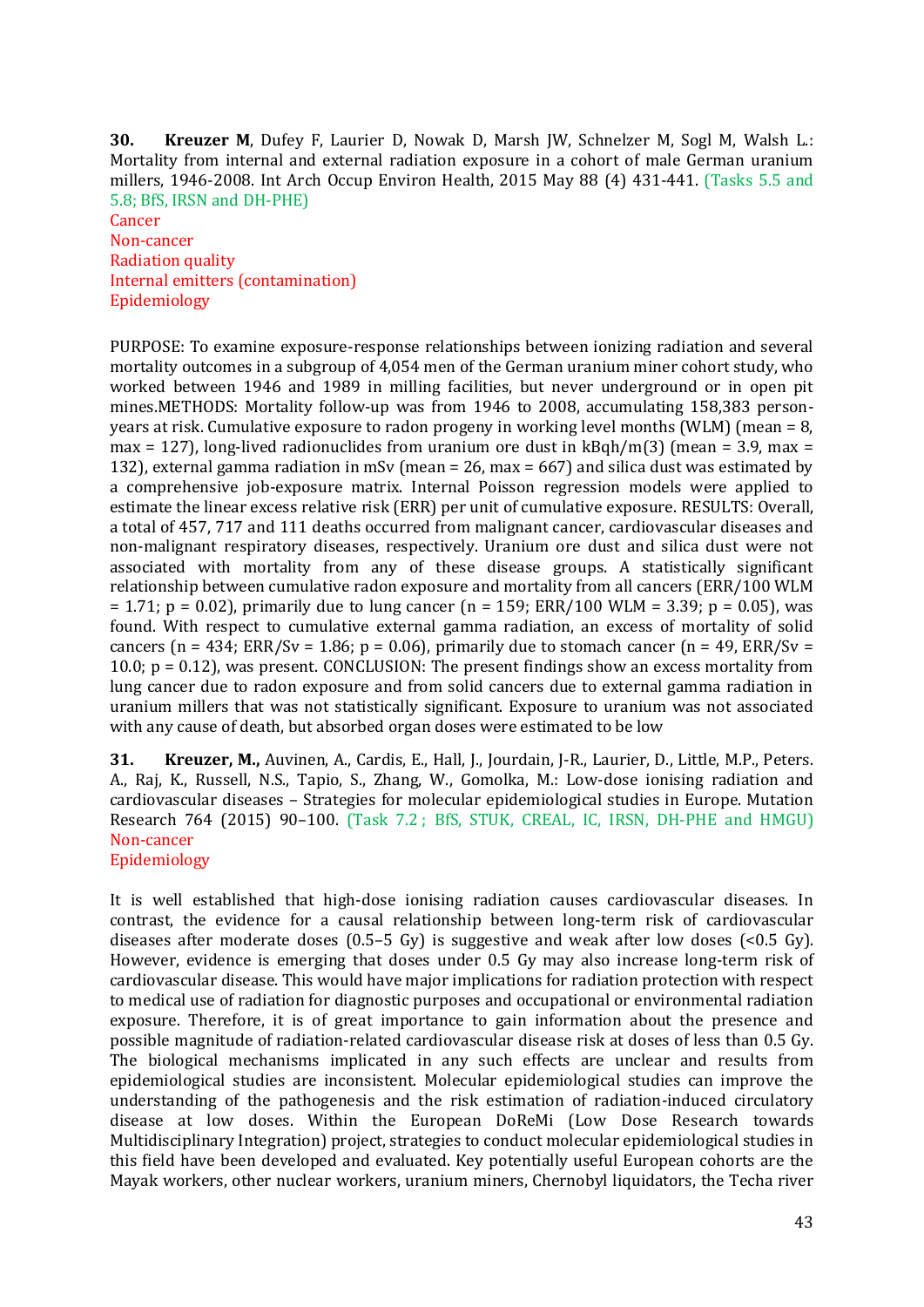<span id="page-42-0"></span>**30. Kreuzer M**, Dufey F, Laurier D, Nowak D, Marsh JW, Schnelzer M, Sogl M, Walsh L.: Mortality from internal and external radiation exposure in a cohort of male German uranium millers, 1946-2008. Int Arch Occup Environ Health, 2015 May 88 (4) 431-441. (Tasks 5.5 and 5.8; BfS, IRSN and DH-PHE)

Cancer Non-cancer Radiation quality Internal emitters (contamination) Epidemiology

PURPOSE: To examine exposure-response relationships between ionizing radiation and several mortality outcomes in a subgroup of 4,054 men of the German uranium miner cohort study, who worked between 1946 and 1989 in milling facilities, but never underground or in open pit mines.METHODS: Mortality follow-up was from 1946 to 2008, accumulating 158,383 personyears at risk. Cumulative exposure to radon progeny in working level months (WLM) (mean = 8, max = 127), long-lived radionuclides from uranium ore dust in  $kBqh/m(3)$  (mean = 3.9, max = 132), external gamma radiation in mSv (mean = 26, max = 667) and silica dust was estimated by a comprehensive job-exposure matrix. Internal Poisson regression models were applied to estimate the linear excess relative risk (ERR) per unit of cumulative exposure. RESULTS: Overall, a total of 457, 717 and 111 deaths occurred from malignant cancer, cardiovascular diseases and non-malignant respiratory diseases, respectively. Uranium ore dust and silica dust were not associated with mortality from any of these disease groups. A statistically significant relationship between cumulative radon exposure and mortality from all cancers (ERR/100 WLM  $= 1.71$ ; p = 0.02), primarily due to lung cancer (n = 159; ERR/100 WLM = 3.39; p = 0.05), was found. With respect to cumulative external gamma radiation, an excess of mortality of solid cancers (n = 434; ERR/Sv = 1.86; p = 0.06), primarily due to stomach cancer (n = 49, ERR/Sv = 10.0;  $p = 0.12$ ), was present. CONCLUSION: The present findings show an excess mortality from lung cancer due to radon exposure and from solid cancers due to external gamma radiation in uranium millers that was not statistically significant. Exposure to uranium was not associated with any cause of death, but absorbed organ doses were estimated to be low

<span id="page-42-1"></span>**31. Kreuzer, M.,** Auvinen, A., Cardis, E., Hall, J., Jourdain, J-R., Laurier, D., Little, M.P., Peters. A., Raj, K., Russell, N.S., Tapio, S., Zhang, W., Gomolka, M.: Low-dose ionising radiation and cardiovascular diseases – Strategies for molecular epidemiological studies in Europe. Mutation Research 764 (2015) 90–100. (Task 7.2 ; BfS, STUK, CREAL, IC, IRSN, DH-PHE and HMGU) Non-cancer

Epidemiology

It is well established that high-dose ionising radiation causes cardiovascular diseases. In contrast, the evidence for a causal relationship between long-term risk of cardiovascular diseases after moderate doses  $(0.5-5 \text{ Gy})$  is suggestive and weak after low doses  $(0.5 \text{ Gy})$ . However, evidence is emerging that doses under 0.5 Gy may also increase long-term risk of cardiovascular disease. This would have major implications for radiation protection with respect to medical use of radiation for diagnostic purposes and occupational or environmental radiation exposure. Therefore, it is of great importance to gain information about the presence and possible magnitude of radiation-related cardiovascular disease risk at doses of less than 0.5 Gy. The biological mechanisms implicated in any such effects are unclear and results from epidemiological studies are inconsistent. Molecular epidemiological studies can improve the understanding of the pathogenesis and the risk estimation of radiation-induced circulatory disease at low doses. Within the European DoReMi (Low Dose Research towards Multidisciplinary Integration) project, strategies to conduct molecular epidemiological studies in this field have been developed and evaluated. Key potentially useful European cohorts are the Mayak workers, other nuclear workers, uranium miners, Chernobyl liquidators, the Techa river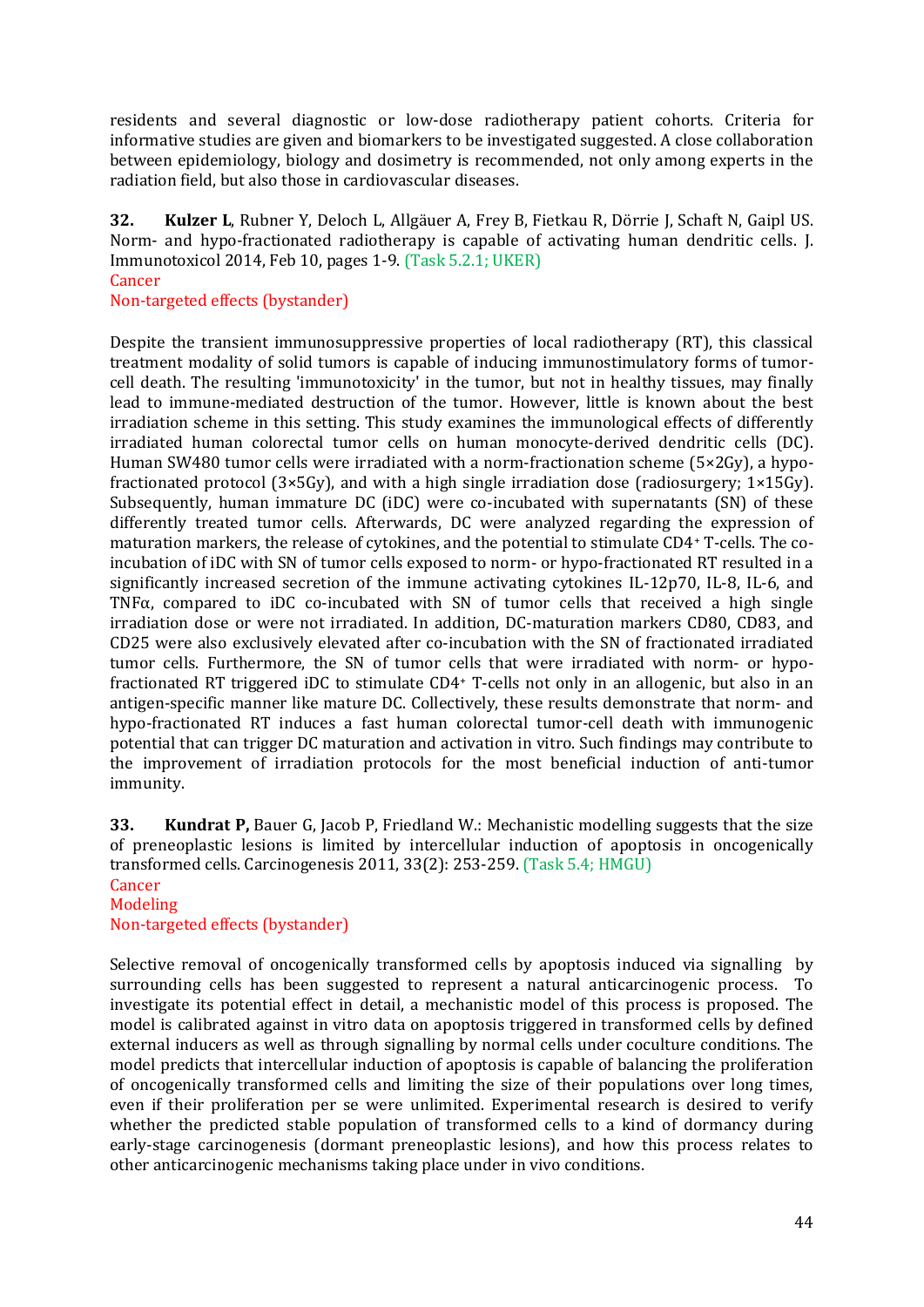residents and several diagnostic or low-dose radiotherapy patient cohorts. Criteria for informative studies are given and biomarkers to be investigated suggested. A close collaboration between epidemiology, biology and dosimetry is recommended, not only among experts in the radiation field, but also those in cardiovascular diseases.

**32. Kulzer L**, Rubner Y, Deloch L, Allgäuer A, Frey B, Fietkau R, Dörrie J, Schaft N, Gaipl US. Norm- and hypo-fractionated radiotherapy is capable of activating human dendritic cells. J. Immunotoxicol 2014, Feb 10, pages 1-9. (Task 5.2.1; UKER) Cancer

Non-targeted effects (bystander)

Despite the transient immunosuppressive properties of local radiotherapy (RT), this classical treatment modality of solid tumors is capable of inducing immunostimulatory forms of tumorcell death. The resulting 'immunotoxicity' in the tumor, but not in healthy tissues, may finally lead to immune-mediated destruction of the tumor. However, little is known about the best irradiation scheme in this setting. This study examines the immunological effects of differently irradiated human colorectal tumor cells on human monocyte-derived dendritic cells (DC). Human SW480 tumor cells were irradiated with a norm-fractionation scheme (5×2Gy), a hypofractionated protocol (3×5Gy), and with a high single irradiation dose (radiosurgery; 1×15Gy). Subsequently, human immature DC (iDC) were co-incubated with supernatants (SN) of these differently treated tumor cells. Afterwards, DC were analyzed regarding the expression of maturation markers, the release of cytokines, and the potential to stimulate CD4<sup>+</sup> T-cells. The coincubation of iDC with SN of tumor cells exposed to norm- or hypo-fractionated RT resulted in a significantly increased secretion of the immune activating cytokines IL-12p70, IL-8, IL-6, and TNFα, compared to iDC co-incubated with SN of tumor cells that received a high single irradiation dose or were not irradiated. In addition, DC-maturation markers CD80, CD83, and CD25 were also exclusively elevated after co-incubation with the SN of fractionated irradiated tumor cells. Furthermore, the SN of tumor cells that were irradiated with norm- or hypofractionated RT triggered iDC to stimulate CD4<sup>+</sup> T-cells not only in an allogenic, but also in an antigen-specific manner like mature DC. Collectively, these results demonstrate that norm- and hypo-fractionated RT induces a fast human colorectal tumor-cell death with immunogenic potential that can trigger DC maturation and activation in vitro. Such findings may contribute to the improvement of irradiation protocols for the most beneficial induction of anti-tumor immunity.

<span id="page-43-0"></span>**33. Kundrat P,** Bauer G, Jacob P, Friedland W.: Mechanistic modelling suggests that the size of preneoplastic lesions is limited by intercellular induction of apoptosis in oncogenically transformed cells. Carcinogenesis 2011, 33(2): 253-259. (Task 5.4; HMGU)

#### **Cancer** Modeling

### Non-targeted effects (bystander)

Selective removal of oncogenically transformed cells by apoptosis induced via signalling by surrounding cells has been suggested to represent a natural anticarcinogenic process. To investigate its potential effect in detail, a mechanistic model of this process is proposed. The model is calibrated against in vitro data on apoptosis triggered in transformed cells by defined external inducers as well as through signalling by normal cells under coculture conditions. The model predicts that intercellular induction of apoptosis is capable of balancing the proliferation of oncogenically transformed cells and limiting the size of their populations over long times, even if their proliferation per se were unlimited. Experimental research is desired to verify whether the predicted stable population of transformed cells to a kind of dormancy during early-stage carcinogenesis (dormant preneoplastic lesions), and how this process relates to other anticarcinogenic mechanisms taking place under in vivo conditions.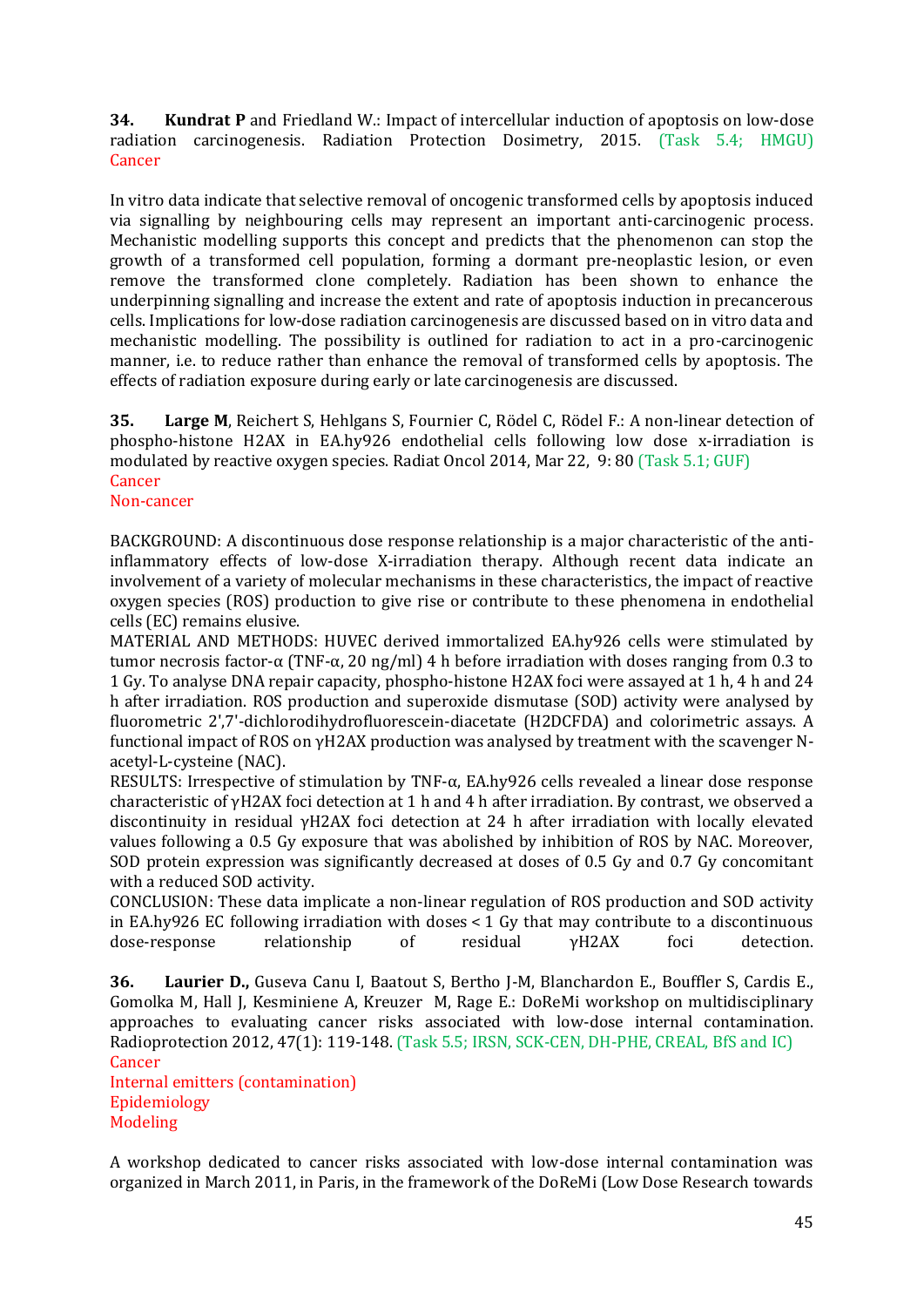<span id="page-44-0"></span>**34. Kundrat P** and Friedland W.: Impact of intercellular induction of apoptosis on low-dose radiation carcinogenesis. Radiation Protection Dosimetry, 2015. (Task 5.4; HMGU) Cancer

In vitro data indicate that selective removal of oncogenic transformed cells by apoptosis induced via signalling by neighbouring cells may represent an important anti-carcinogenic process. Mechanistic modelling supports this concept and predicts that the phenomenon can stop the growth of a transformed cell population, forming a dormant pre-neoplastic lesion, or even remove the transformed clone completely. Radiation has been shown to enhance the underpinning signalling and increase the extent and rate of apoptosis induction in precancerous cells. Implications for low-dose radiation carcinogenesis are discussed based on in vitro data and mechanistic modelling. The possibility is outlined for radiation to act in a pro-carcinogenic manner, i.e. to reduce rather than enhance the removal of transformed cells by apoptosis. The effects of radiation exposure during early or late carcinogenesis are discussed.

**35. Large M**, Reichert S, Hehlgans S, Fournier C, Rödel C, Rödel F.: A non-linear detection of phospho-histone H2AX in EA.hy926 endothelial cells following low dose x-irradiation is modulated by reactive oxygen species. Radiat Oncol 2014, Mar 22, 9: 80 (Task 5.1; GUF) **Cancer** 

Non-cancer

BACKGROUND: A discontinuous dose response relationship is a major characteristic of the antiinflammatory effects of low-dose X-irradiation therapy. Although recent data indicate an involvement of a variety of molecular mechanisms in these characteristics, the impact of reactive oxygen species (ROS) production to give rise or contribute to these phenomena in endothelial cells (EC) remains elusive.

MATERIAL AND METHODS: HUVEC derived immortalized EA.hy926 cells were stimulated by tumor necrosis factor-α (TNF-α, 20 ng/ml) 4 h before irradiation with doses ranging from 0.3 to 1 Gy. To analyse DNA repair capacity, phospho-histone H2AX foci were assayed at 1 h, 4 h and 24 h after irradiation. ROS production and superoxide dismutase (SOD) activity were analysed by fluorometric 2',7'-dichlorodihydrofluorescein-diacetate (H2DCFDA) and colorimetric assays. A functional impact of ROS on γH2AX production was analysed by treatment with the scavenger Nacetyl-L-cysteine (NAC).

RESULTS: Irrespective of stimulation by TNF- $\alpha$ , EA.hy926 cells revealed a linear dose response characteristic of γH2AX foci detection at 1 h and 4 h after irradiation. By contrast, we observed a discontinuity in residual γH2AX foci detection at 24 h after irradiation with locally elevated values following a 0.5 Gy exposure that was abolished by inhibition of ROS by NAC. Moreover, SOD protein expression was significantly decreased at doses of 0.5 Gy and 0.7 Gy concomitant with a reduced SOD activity.

CONCLUSION: These data implicate a non-linear regulation of ROS production and SOD activity in EA.hy926 EC following irradiation with doses < 1 Gy that may contribute to a discontinuous dose-response relationship of residual γH2AX foci detection.

<span id="page-44-1"></span>**36. Laurier D.,** Guseva Canu I, Baatout S, Bertho J-M, Blanchardon E., Bouffler S, Cardis E., Gomolka M, Hall J, Kesminiene A, Kreuzer M, Rage E.: DoReMi workshop on multidisciplinary approaches to evaluating cancer risks associated with low-dose internal contamination. Radioprotection 2012, 47(1): 119-148. (Task 5.5; IRSN, SCK-CEN, DH-PHE, CREAL, BfS and IC) **Cancer** 

Internal emitters (contamination) Epidemiology Modeling

A workshop dedicated to cancer risks associated with low-dose internal contamination was organized in March 2011, in Paris, in the framework of the DoReMi (Low Dose Research towards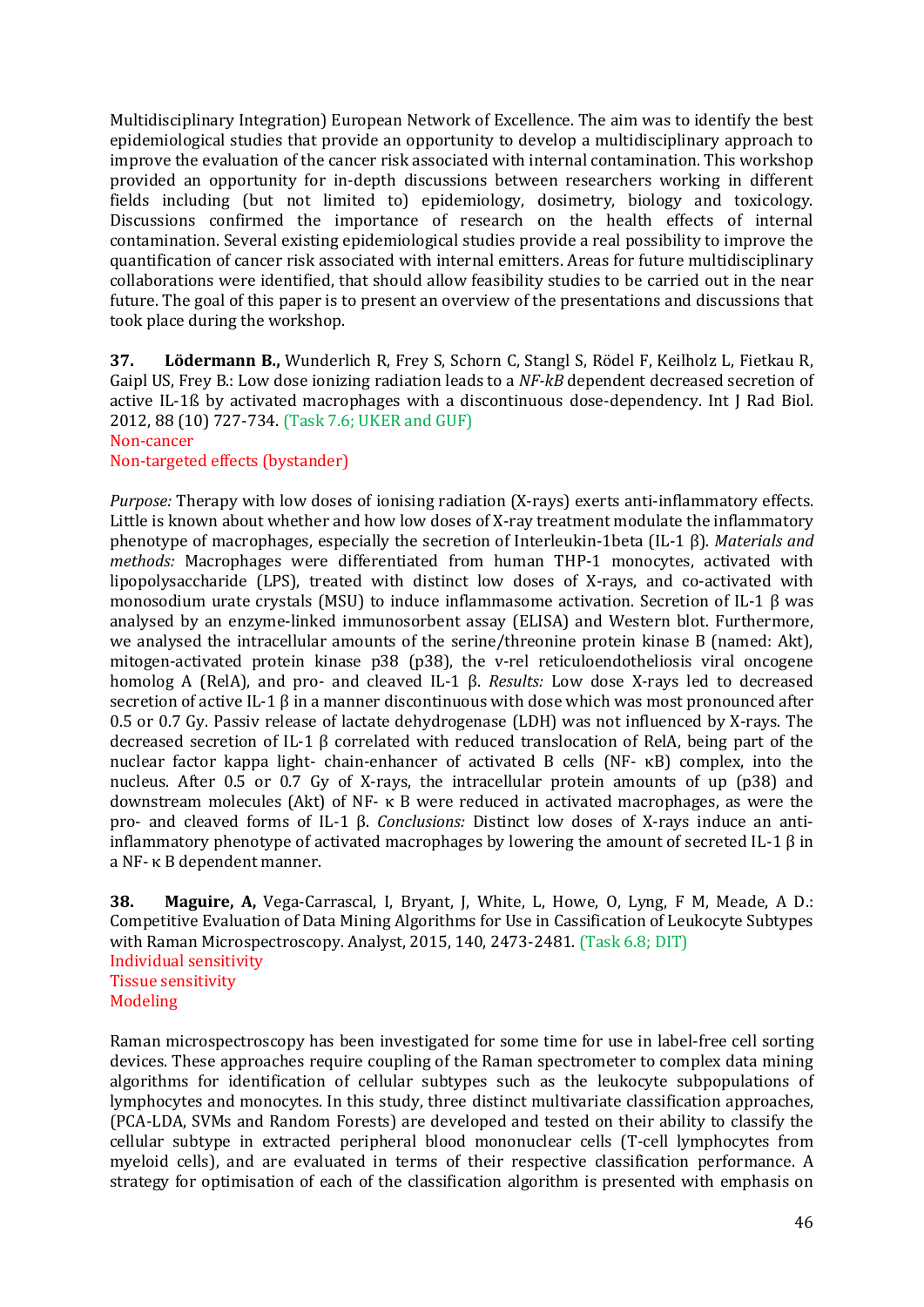Multidisciplinary Integration) European Network of Excellence. The aim was to identify the best epidemiological studies that provide an opportunity to develop a multidisciplinary approach to improve the evaluation of the cancer risk associated with internal contamination. This workshop provided an opportunity for in-depth discussions between researchers working in different fields including (but not limited to) epidemiology, dosimetry, biology and toxicology. Discussions confirmed the importance of research on the health effects of internal contamination. Several existing epidemiological studies provide a real possibility to improve the quantification of cancer risk associated with internal emitters. Areas for future multidisciplinary collaborations were identified, that should allow feasibility studies to be carried out in the near future. The goal of this paper is to present an overview of the presentations and discussions that took place during the workshop.

<span id="page-45-1"></span>**37. Lödermann B.,** Wunderlich R, Frey S, Schorn C, Stangl S, Rödel F, Keilholz L, Fietkau R, Gaipl US, Frey B.: Low dose ionizing radiation leads to a *NF-kB* dependent decreased secretion of active IL-1ß by activated macrophages with a discontinuous dose-dependency. Int J Rad Biol. 2012, 88 (10) 727-734. (Task 7.6; UKER and GUF)

Non-cancer

### Non-targeted effects (bystander)

*Purpose:* Therapy with low doses of ionising radiation (X-rays) exerts anti-inflammatory effects. Little is known about whether and how low doses of X-ray treatment modulate the inflammatory phenotype of macrophages, especially the secretion of Interleukin-1beta (IL-1 β). *Materials and methods:* Macrophages were differentiated from human THP-1 monocytes, activated with lipopolysaccharide (LPS), treated with distinct low doses of X-rays, and co-activated with monosodium urate crystals (MSU) to induce inflammasome activation. Secretion of IL-1 β was analysed by an enzyme-linked immunosorbent assay (ELISA) and Western blot. Furthermore, we analysed the intracellular amounts of the serine/threonine protein kinase B (named: Akt), mitogen-activated protein kinase p38 (p38), the v-rel reticuloendotheliosis viral oncogene homolog A (RelA), and pro- and cleaved IL-1 β. *Results:* Low dose X-rays led to decreased secretion of active IL-1 β in a manner discontinuous with dose which was most pronounced after 0.5 or 0.7 Gy. Passiv release of lactate dehydrogenase (LDH) was not influenced by X-rays. The decreased secretion of IL-1 β correlated with reduced translocation of RelA, being part of the nuclear factor kappa light- chain-enhancer of activated B cells (NF- κB) complex, into the nucleus. After 0.5 or 0.7 Gy of X-rays, the intracellular protein amounts of up (p38) and downstream molecules (Akt) of NF- κ B were reduced in activated macrophages, as were the pro- and cleaved forms of IL-1 β. *Conclusions:* Distinct low doses of X-rays induce an antiinflammatory phenotype of activated macrophages by lowering the amount of secreted IL-1  $\beta$  in a NF- κ B dependent manner.

<span id="page-45-0"></span>**38. Maguire, A,** Vega-Carrascal, I, Bryant, J, White, L, Howe, O, Lyng, F M, Meade, A D.: Competitive Evaluation of Data Mining Algorithms for Use in Cassification of Leukocyte Subtypes with Raman Microspectroscopy. Analyst, 2015, 140, 2473-2481. (Task 6.8; DIT) Individual sensitivity Tissue sensitivity Modeling

Raman microspectroscopy has been investigated for some time for use in label-free cell sorting devices. These approaches require coupling of the Raman spectrometer to complex data mining algorithms for identification of cellular subtypes such as the leukocyte subpopulations of lymphocytes and monocytes. In this study, three distinct multivariate classification approaches, (PCA-LDA, SVMs and Random Forests) are developed and tested on their ability to classify the cellular subtype in extracted peripheral blood mononuclear cells (T-cell lymphocytes from myeloid cells), and are evaluated in terms of their respective classification performance. A strategy for optimisation of each of the classification algorithm is presented with emphasis on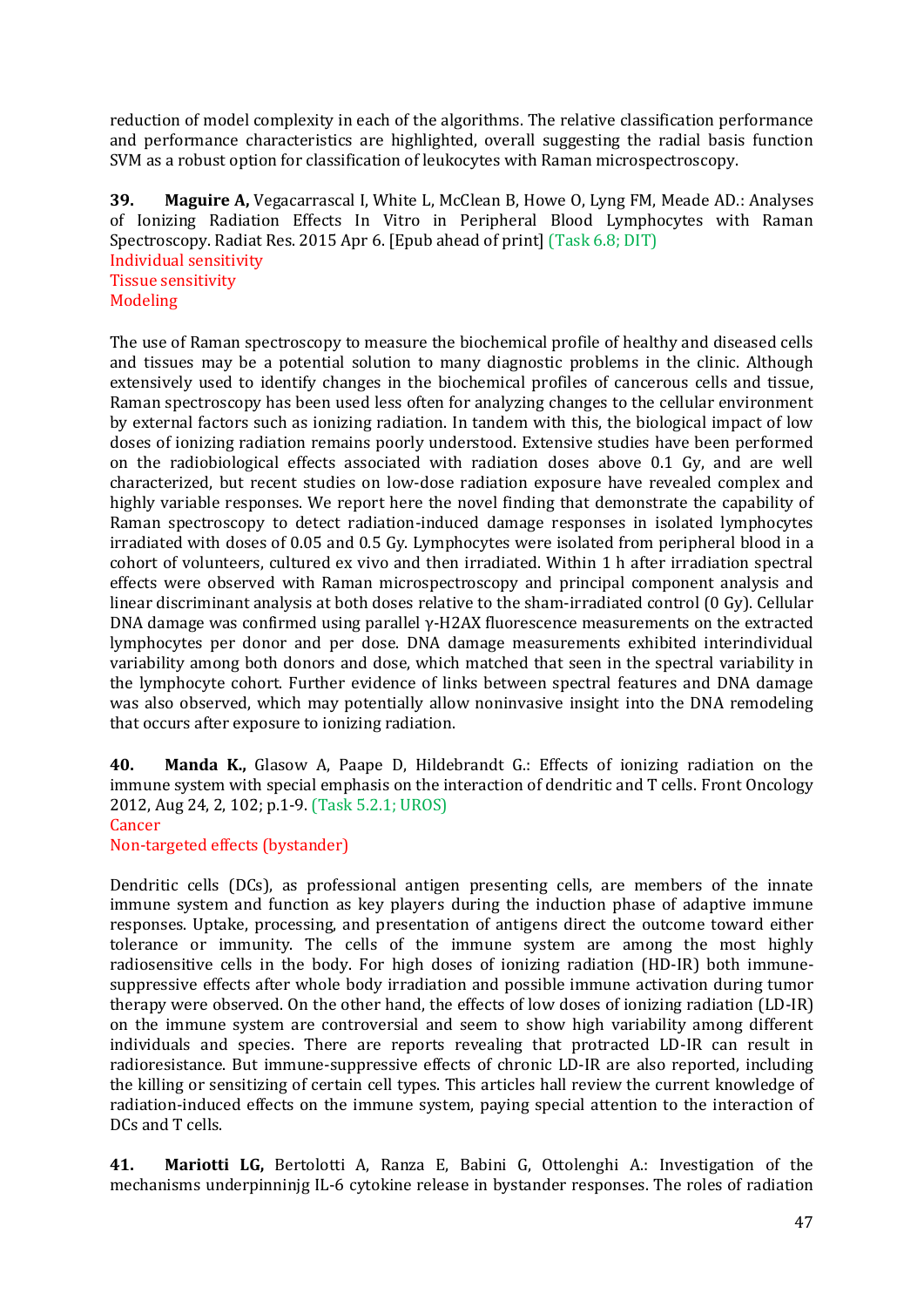reduction of model complexity in each of the algorithms. The relative classification performance and performance characteristics are highlighted, overall suggesting the radial basis function SVM as a robust option for classification of leukocytes with Raman microspectroscopy.

<span id="page-46-2"></span>**39. Maguire A,** Vegacarrascal I, White L, McClean B, Howe O, Lyng FM, Meade AD.: Analyses of Ionizing Radiation Effects In Vitro in Peripheral Blood Lymphocytes with Raman Spectroscopy. Radiat Res. 2015 Apr 6. [Epub ahead of print] (Task 6.8; DIT) Individual sensitivity Tissue sensitivity Modeling

The use of Raman spectroscopy to measure the biochemical profile of healthy and diseased cells and tissues may be a potential solution to many diagnostic problems in the clinic. Although extensively used to identify changes in the biochemical profiles of cancerous cells and tissue, Raman spectroscopy has been used less often for analyzing changes to the cellular environment by external factors such as ionizing radiation. In tandem with this, the biological impact of low doses of ionizing radiation remains poorly understood. Extensive studies have been performed on the radiobiological effects associated with radiation doses above 0.1 Gy, and are well characterized, but recent studies on low-dose radiation exposure have revealed complex and highly variable responses. We report here the novel finding that demonstrate the capability of Raman spectroscopy to detect radiation-induced damage responses in isolated lymphocytes irradiated with doses of 0.05 and 0.5 Gy. Lymphocytes were isolated from peripheral blood in a cohort of volunteers, cultured ex vivo and then irradiated. Within 1 h after irradiation spectral effects were observed with Raman microspectroscopy and principal component analysis and linear discriminant analysis at both doses relative to the sham-irradiated control (0 Gy). Cellular DNA damage was confirmed using parallel γ-H2AX fluorescence measurements on the extracted lymphocytes per donor and per dose. DNA damage measurements exhibited interindividual variability among both donors and dose, which matched that seen in the spectral variability in the lymphocyte cohort. Further evidence of links between spectral features and DNA damage was also observed, which may potentially allow noninvasive insight into the DNA remodeling that occurs after exposure to ionizing radiation.

<span id="page-46-1"></span>**40. Manda K.,** Glasow A, Paape D, Hildebrandt G.: Effects of ionizing radiation on the immune system with special emphasis on the interaction of dendritic and T cells. Front Oncology 2012, Aug 24, 2, 102; p.1-9. (Task 5.2.1; UROS)

### Cancer

Non-targeted effects (bystander)

Dendritic cells (DCs), as professional antigen presenting cells, are members of the innate immune system and function as key players during the induction phase of adaptive immune responses. Uptake, processing, and presentation of antigens direct the outcome toward either tolerance or immunity. The cells of the immune system are among the most highly radiosensitive cells in the body. For high doses of ionizing radiation (HD-IR) both immunesuppressive effects after whole body irradiation and possible immune activation during tumor therapy were observed. On the other hand, the effects of low doses of ionizing radiation (LD-IR) on the immune system are controversial and seem to show high variability among different individuals and species. There are reports revealing that protracted LD-IR can result in radioresistance. But immune-suppressive effects of chronic LD-IR are also reported, including the killing or sensitizing of certain cell types. This articles hall review the current knowledge of radiation-induced effects on the immune system, paying special attention to the interaction of DCs and T cells.

<span id="page-46-0"></span>**41. Mariotti LG,** Bertolotti A, Ranza E, Babini G, Ottolenghi A.: Investigation of the mechanisms underpinninjg IL-6 cytokine release in bystander responses. The roles of radiation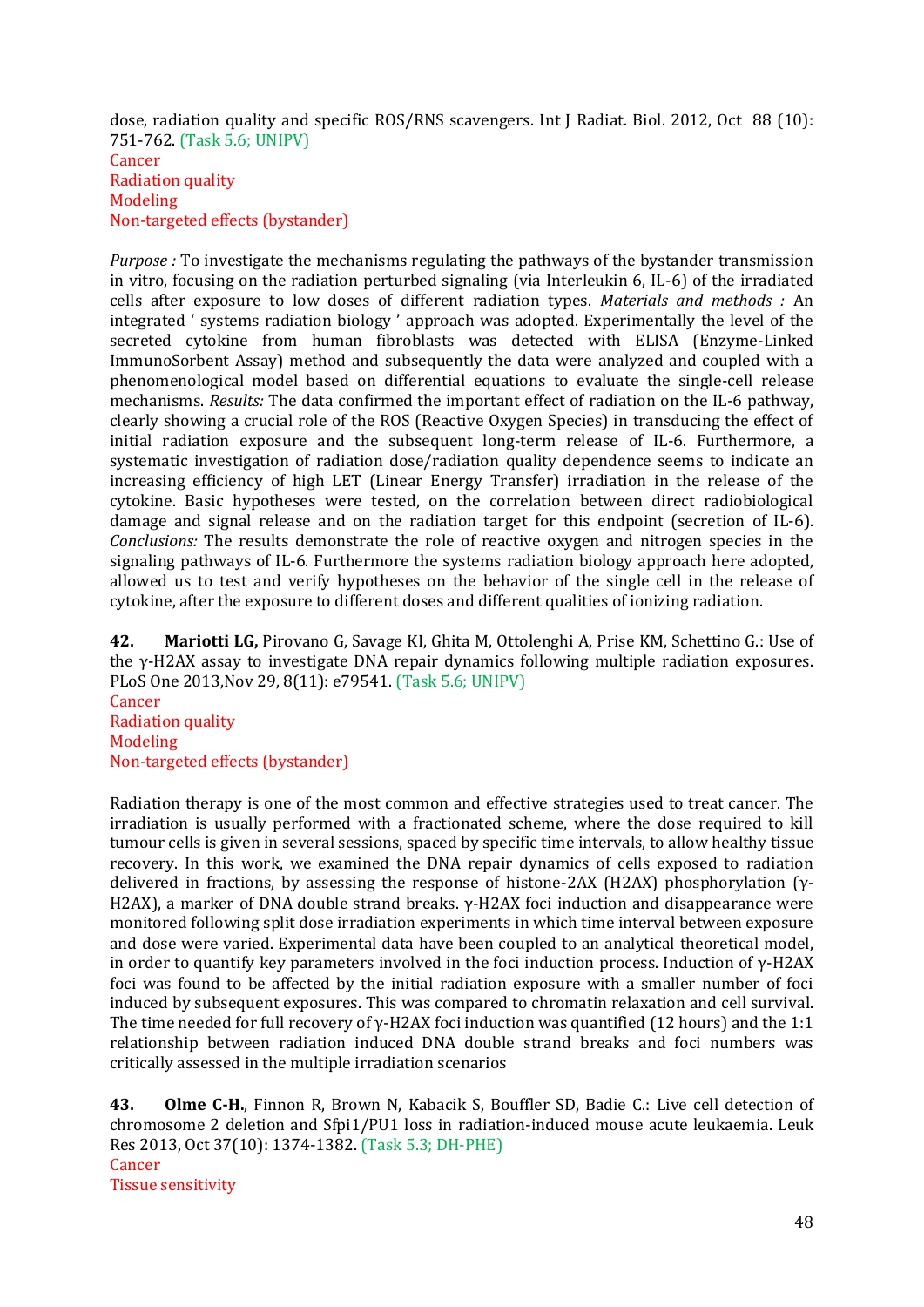dose, radiation quality and specific ROS/RNS scavengers. Int J Radiat. Biol. 2012, Oct 88 (10): 751-762. (Task 5.6; UNIPV) Cancer Radiation quality Modeling Non-targeted effects (bystander)

*Purpose :* To investigate the mechanisms regulating the pathways of the bystander transmission in vitro, focusing on the radiation perturbed signaling (via Interleukin 6, IL-6) of the irradiated cells after exposure to low doses of different radiation types. *Materials and methods :* An integrated ' systems radiation biology ' approach was adopted. Experimentally the level of the secreted cytokine from human fibroblasts was detected with ELISA (Enzyme-Linked ImmunoSorbent Assay) method and subsequently the data were analyzed and coupled with a phenomenological model based on differential equations to evaluate the single-cell release mechanisms. *Results:* The data confirmed the important effect of radiation on the IL-6 pathway, clearly showing a crucial role of the ROS (Reactive Oxygen Species) in transducing the effect of initial radiation exposure and the subsequent long-term release of IL-6. Furthermore, a systematic investigation of radiation dose/radiation quality dependence seems to indicate an increasing efficiency of high LET (Linear Energy Transfer) irradiation in the release of the cytokine. Basic hypotheses were tested, on the correlation between direct radiobiological damage and signal release and on the radiation target for this endpoint (secretion of IL-6). *Conclusions:* The results demonstrate the role of reactive oxygen and nitrogen species in the signaling pathways of IL-6. Furthermore the systems radiation biology approach here adopted, allowed us to test and verify hypotheses on the behavior of the single cell in the release of cytokine, after the exposure to different doses and different qualities of ionizing radiation.

<span id="page-47-0"></span>**42. Mariotti LG,** Pirovano G, Savage KI, Ghita M, Ottolenghi A, Prise KM, Schettino G.: Use of the γ-H2AX assay to investigate DNA repair dynamics following multiple radiation exposures. PLoS One 2013,Nov 29, 8(11): e79541. (Task 5.6; UNIPV) Cancer Radiation quality Modeling Non-targeted effects (bystander)

Radiation therapy is one of the most common and effective strategies used to treat cancer. The irradiation is usually performed with a fractionated scheme, where the dose required to kill tumour cells is given in several sessions, spaced by specific time intervals, to allow healthy tissue recovery. In this work, we examined the DNA repair dynamics of cells exposed to radiation delivered in fractions, by assessing the response of histone-2AX (H2AX) phosphorylation (γ-H2AX), a marker of DNA double strand breaks. γ-H2AX foci induction and disappearance were monitored following split dose irradiation experiments in which time interval between exposure and dose were varied. Experimental data have been coupled to an analytical theoretical model, in order to quantify key parameters involved in the foci induction process. Induction of γ-H2AX foci was found to be affected by the initial radiation exposure with a smaller number of foci induced by subsequent exposures. This was compared to chromatin relaxation and cell survival. The time needed for full recovery of y-H2AX foci induction was quantified (12 hours) and the 1:1 relationship between radiation induced DNA double strand breaks and foci numbers was critically assessed in the multiple irradiation scenarios

<span id="page-47-1"></span>**43. Olme C-H.**, Finnon R, Brown N, Kabacik S, Bouffler SD, Badie C.: Live cell detection of chromosome 2 deletion and Sfpi1/PU1 loss in radiation-induced mouse acute leukaemia. Leuk Res 2013, Oct 37(10): 1374-1382. (Task 5.3; DH-PHE) **Cancer** Tissue sensitivity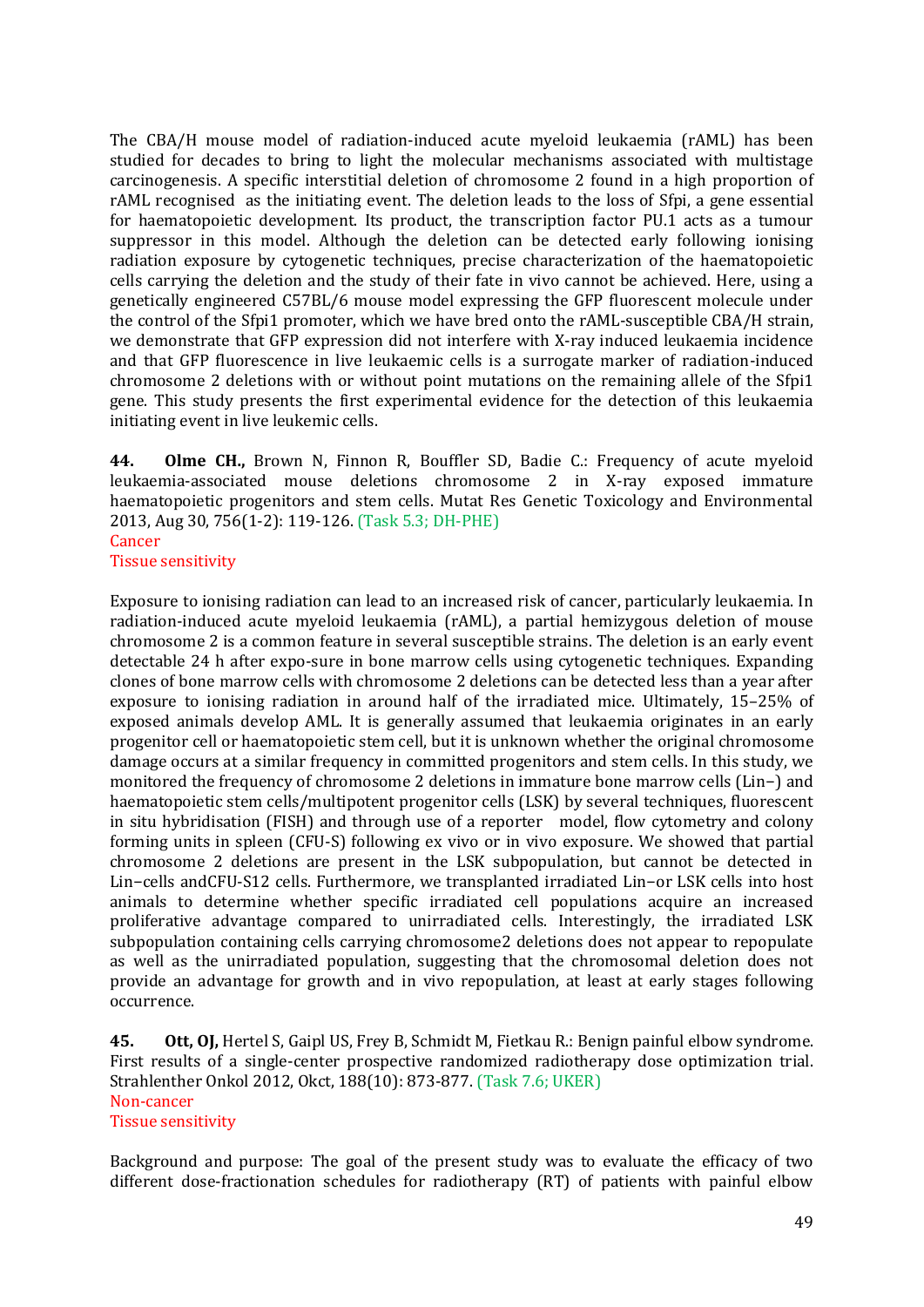The CBA/H mouse model of radiation-induced acute myeloid leukaemia (rAML) has been studied for decades to bring to light the molecular mechanisms associated with multistage carcinogenesis. A specific interstitial deletion of chromosome 2 found in a high proportion of rAML recognised as the initiating event. The deletion leads to the loss of Sfpi, a gene essential for haematopoietic development. Its product, the transcription factor PU.1 acts as a tumour suppressor in this model. Although the deletion can be detected early following ionising radiation exposure by cytogenetic techniques, precise characterization of the haematopoietic cells carrying the deletion and the study of their fate in vivo cannot be achieved. Here, using a genetically engineered C57BL/6 mouse model expressing the GFP fluorescent molecule under the control of the Sfpi1 promoter, which we have bred onto the rAML-susceptible CBA/H strain, we demonstrate that GFP expression did not interfere with X-ray induced leukaemia incidence and that GFP fluorescence in live leukaemic cells is a surrogate marker of radiation-induced chromosome 2 deletions with or without point mutations on the remaining allele of the Sfpi1 gene. This study presents the first experimental evidence for the detection of this leukaemia initiating event in live leukemic cells.

<span id="page-48-0"></span>**44. Olme CH.,** Brown N, Finnon R, Bouffler SD, Badie C.: Frequency of acute myeloid leukaemia-associated mouse deletions chromosome 2 in X-ray exposed immature haematopoietic progenitors and stem cells. Mutat Res Genetic Toxicology and Environmental 2013, Aug 30, 756(1-2): 119-126. (Task 5.3; DH-PHE) Cancer

Tissue sensitivity

Exposure to ionising radiation can lead to an increased risk of cancer, particularly leukaemia. In radiation-induced acute myeloid leukaemia (rAML), a partial hemizygous deletion of mouse chromosome 2 is a common feature in several susceptible strains. The deletion is an early event detectable 24 h after expo-sure in bone marrow cells using cytogenetic techniques. Expanding clones of bone marrow cells with chromosome 2 deletions can be detected less than a year after exposure to ionising radiation in around half of the irradiated mice. Ultimately, 15–25% of exposed animals develop AML. It is generally assumed that leukaemia originates in an early progenitor cell or haematopoietic stem cell, but it is unknown whether the original chromosome damage occurs at a similar frequency in committed progenitors and stem cells. In this study, we monitored the frequency of chromosome 2 deletions in immature bone marrow cells (Lin−) and haematopoietic stem cells/multipotent progenitor cells (LSK) by several techniques, fluorescent in situ hybridisation (FISH) and through use of a reporter model, flow cytometry and colony forming units in spleen (CFU-S) following ex vivo or in vivo exposure. We showed that partial chromosome 2 deletions are present in the LSK subpopulation, but cannot be detected in Lin−cells andCFU-S12 cells. Furthermore, we transplanted irradiated Lin−or LSK cells into host animals to determine whether specific irradiated cell populations acquire an increased proliferative advantage compared to unirradiated cells. Interestingly, the irradiated LSK subpopulation containing cells carrying chromosome2 deletions does not appear to repopulate as well as the unirradiated population, suggesting that the chromosomal deletion does not provide an advantage for growth and in vivo repopulation, at least at early stages following occurrence.

<span id="page-48-1"></span>**45. Ott, OJ,** Hertel S, Gaipl US, Frey B, Schmidt M, Fietkau R.: Benign painful elbow syndrome. First results of a single-center prospective randomized radiotherapy dose optimization trial. Strahlenther Onkol 2012, Okct, 188(10): 873-877. (Task 7.6; UKER) Non-cancer

Tissue sensitivity

Background and purpose: The goal of the present study was to evaluate the efficacy of two different dose-fractionation schedules for radiotherapy (RT) of patients with painful elbow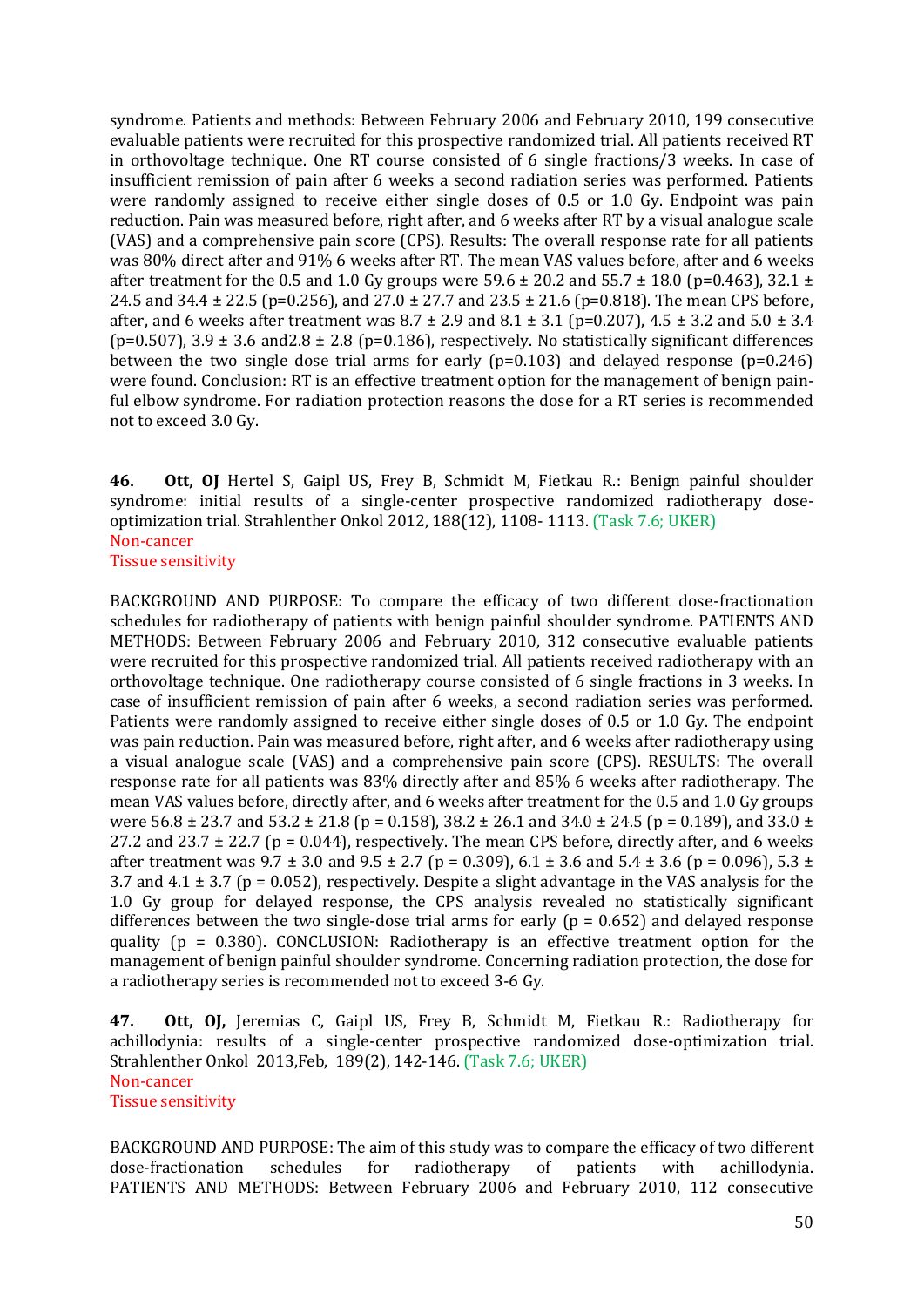syndrome. Patients and methods: Between February 2006 and February 2010, 199 consecutive evaluable patients were recruited for this prospective randomized trial. All patients received RT in orthovoltage technique. One RT course consisted of 6 single fractions/3 weeks. In case of insufficient remission of pain after 6 weeks a second radiation series was performed. Patients were randomly assigned to receive either single doses of 0.5 or 1.0 Gy. Endpoint was pain reduction. Pain was measured before, right after, and 6 weeks after RT by a visual analogue scale (VAS) and a comprehensive pain score (CPS). Results: The overall response rate for all patients was 80% direct after and 91% 6 weeks after RT. The mean VAS values before, after and 6 weeks after treatment for the 0.5 and 1.0 Gy groups were  $59.6 \pm 20.2$  and  $55.7 \pm 18.0$  (p=0.463), 32.1  $\pm$ 24.5 and 34.4  $\pm$  22.5 (p=0.256), and 27.0  $\pm$  27.7 and 23.5  $\pm$  21.6 (p=0.818). The mean CPS before, after, and 6 weeks after treatment was  $8.7 \pm 2.9$  and  $8.1 \pm 3.1$  (p=0.207),  $4.5 \pm 3.2$  and  $5.0 \pm 3.4$ (p=0.507), 3.9  $\pm$  3.6 and 2.8  $\pm$  2.8 (p=0.186), respectively. No statistically significant differences between the two single dose trial arms for early  $(p=0.103)$  and delayed response  $(p=0.246)$ were found. Conclusion: RT is an effective treatment option for the management of benign painful elbow syndrome. For radiation protection reasons the dose for a RT series is recommended not to exceed 3.0 Gy.

<span id="page-49-0"></span>**46. Ott, OJ** Hertel S, Gaipl US, Frey B, Schmidt M, Fietkau R.: Benign painful shoulder syndrome: initial results of a single-center prospective randomized radiotherapy doseoptimization trial. Strahlenther Onkol 2012, 188(12), 1108- 1113. (Task 7.6; UKER) Non-cancer Tissue sensitivity

BACKGROUND AND PURPOSE: To compare the efficacy of two different dose-fractionation schedules for radiotherapy of patients with benign painful shoulder syndrome. PATIENTS AND METHODS: Between February 2006 and February 2010, 312 consecutive evaluable patients were recruited for this prospective randomized trial. All patients received radiotherapy with an orthovoltage technique. One radiotherapy course consisted of 6 single fractions in 3 weeks. In case of insufficient remission of pain after 6 weeks, a second radiation series was performed. Patients were randomly assigned to receive either single doses of 0.5 or 1.0 Gy. The endpoint was pain reduction. Pain was measured before, right after, and 6 weeks after radiotherapy using a visual analogue scale (VAS) and a comprehensive pain score (CPS). RESULTS: The overall response rate for all patients was 83% directly after and 85% 6 weeks after radiotherapy. The mean VAS values before, directly after, and 6 weeks after treatment for the 0.5 and 1.0 Gy groups were  $56.8 \pm 23.7$  and  $53.2 \pm 21.8$  (p = 0.158),  $38.2 \pm 26.1$  and  $34.0 \pm 24.5$  (p = 0.189), and  $33.0 \pm 24.5$ 27.2 and 23.7  $\pm$  22.7 (p = 0.044), respectively. The mean CPS before, directly after, and 6 weeks after treatment was  $9.7 \pm 3.0$  and  $9.5 \pm 2.7$  (p = 0.309), 6.1  $\pm$  3.6 and 5.4  $\pm$  3.6 (p = 0.096), 5.3  $\pm$ 3.7 and  $4.1 \pm 3.7$  (p = 0.052), respectively. Despite a slight advantage in the VAS analysis for the 1.0 Gy group for delayed response, the CPS analysis revealed no statistically significant differences between the two single-dose trial arms for early ( $p = 0.652$ ) and delayed response quality (p = 0.380). CONCLUSION: Radiotherapy is an effective treatment option for the management of benign painful shoulder syndrome. Concerning radiation protection, the dose for a radiotherapy series is recommended not to exceed 3-6 Gy.

<span id="page-49-1"></span>**47. Ott, OJ,** Jeremias C, Gaipl US, Frey B, Schmidt M, Fietkau R.: Radiotherapy for achillodynia: results of a single-center prospective randomized dose-optimization trial. Strahlenther Onkol 2013,Feb, 189(2), 142-146. (Task 7.6; UKER) Non-cancer

Tissue sensitivity

BACKGROUND AND PURPOSE: The aim of this study was to compare the efficacy of two different dose-fractionation schedules for radiotherapy of patients with achillodynia. PATIENTS AND METHODS: Between February 2006 and February 2010, 112 consecutive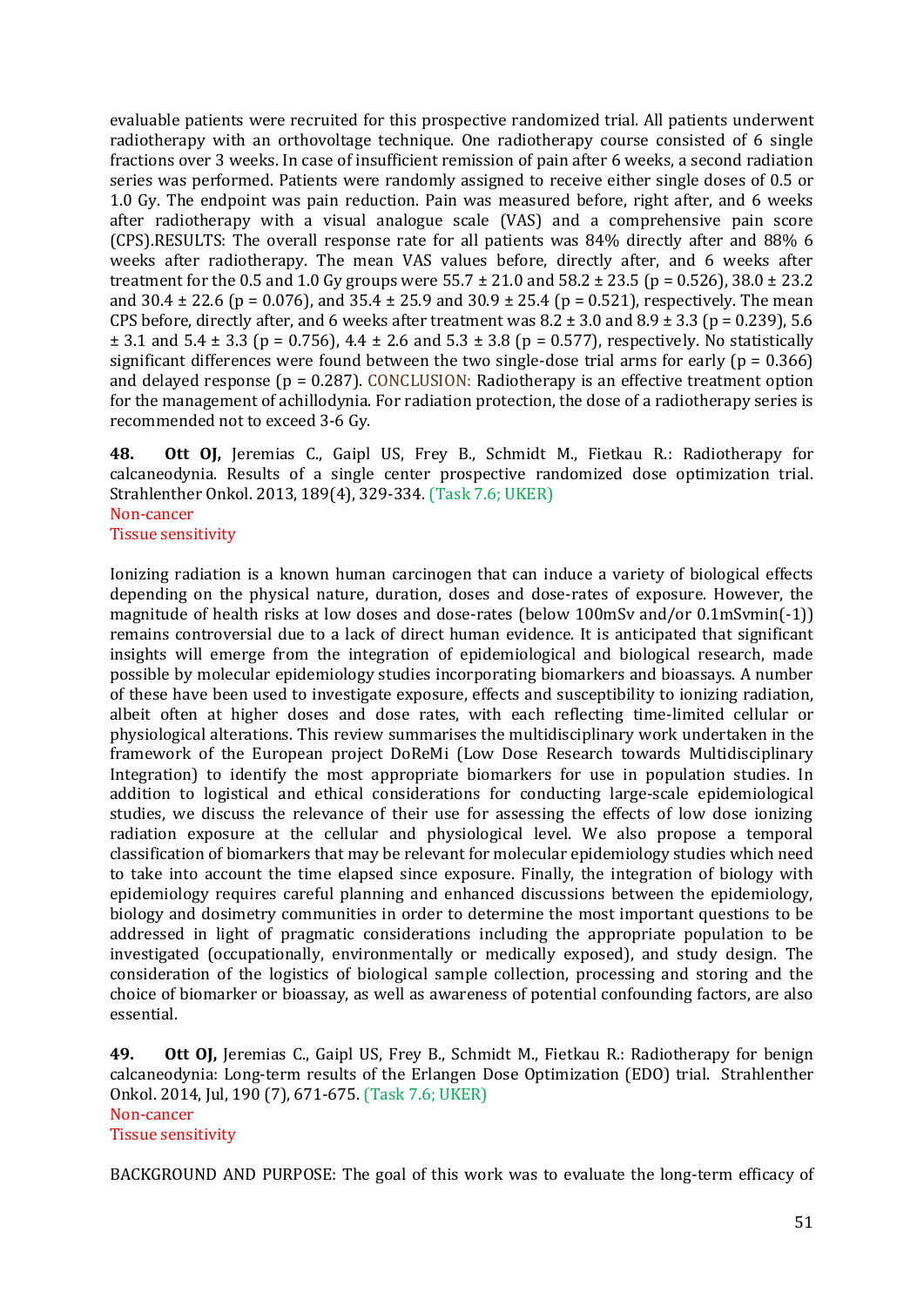evaluable patients were recruited for this prospective randomized trial. All patients underwent radiotherapy with an orthovoltage technique. One radiotherapy course consisted of 6 single fractions over 3 weeks. In case of insufficient remission of pain after 6 weeks, a second radiation series was performed. Patients were randomly assigned to receive either single doses of 0.5 or 1.0 Gy. The endpoint was pain reduction. Pain was measured before, right after, and 6 weeks after radiotherapy with a visual analogue scale (VAS) and a comprehensive pain score (CPS).RESULTS: The overall response rate for all patients was 84% directly after and 88% 6 weeks after radiotherapy. The mean VAS values before, directly after, and 6 weeks after treatment for the 0.5 and 1.0 Gy groups were  $55.7 \pm 21.0$  and  $58.2 \pm 23.5$  (p = 0.526), 38.0  $\pm 23.2$ and 30.4  $\pm$  22.6 (p = 0.076), and 35.4  $\pm$  25.9 and 30.9  $\pm$  25.4 (p = 0.521), respectively. The mean CPS before, directly after, and 6 weeks after treatment was  $8.2 \pm 3.0$  and  $8.9 \pm 3.3$  (p = 0.239), 5.6  $\pm$  3.1 and 5.4  $\pm$  3.3 (p = 0.756), 4.4  $\pm$  2.6 and 5.3  $\pm$  3.8 (p = 0.577), respectively. No statistically significant differences were found between the two single-dose trial arms for early ( $p = 0.366$ ) and delayed response (p = 0.287). CONCLUSION: Radiotherapy is an effective treatment option for the management of achillodynia. For radiation protection, the dose of a radiotherapy series is recommended not to exceed 3-6 Gy.

<span id="page-50-0"></span>**48. Ott OJ,** Jeremias C., Gaipl US, Frey B., Schmidt M., Fietkau R.: Radiotherapy for calcaneodynia. Results of a single center prospective randomized dose optimization trial. Strahlenther Onkol. 2013, 189(4), 329-334. (Task 7.6; UKER)

Non-cancer

Tissue sensitivity

Ionizing radiation is a known human carcinogen that can induce a variety of biological effects depending on the physical nature, duration, doses and dose-rates of exposure. However, the magnitude of health risks at low doses and dose-rates (below 100mSv and/or 0.1mSvmin(-1)) remains controversial due to a lack of direct human evidence. It is anticipated that significant insights will emerge from the integration of epidemiological and biological research, made possible by molecular epidemiology studies incorporating biomarkers and bioassays. A number of these have been used to investigate exposure, effects and susceptibility to ionizing radiation, albeit often at higher doses and dose rates, with each reflecting time-limited cellular or physiological alterations. This review summarises the multidisciplinary work undertaken in the framework of the European project DoReMi (Low Dose Research towards Multidisciplinary Integration) to identify the most appropriate biomarkers for use in population studies. In addition to logistical and ethical considerations for conducting large-scale epidemiological studies, we discuss the relevance of their use for assessing the effects of low dose ionizing radiation exposure at the cellular and physiological level. We also propose a temporal classification of biomarkers that may be relevant for molecular epidemiology studies which need to take into account the time elapsed since exposure. Finally, the integration of biology with epidemiology requires careful planning and enhanced discussions between the epidemiology, biology and dosimetry communities in order to determine the most important questions to be addressed in light of pragmatic considerations including the appropriate population to be investigated (occupationally, environmentally or medically exposed), and study design. The consideration of the logistics of biological sample collection, processing and storing and the choice of biomarker or bioassay, as well as awareness of potential confounding factors, are also essential.

<span id="page-50-1"></span>**49. Ott OJ,** Jeremias C., Gaipl US, Frey B., Schmidt M., Fietkau R.: Radiotherapy for benign calcaneodynia: Long-term results of the Erlangen Dose Optimization (EDO) trial. Strahlenther Onkol. 2014, Jul, 190 (7), 671-675. (Task 7.6; UKER) Non-cancer Tissue sensitivity

BACKGROUND AND PURPOSE: The goal of this work was to evaluate the long-term efficacy of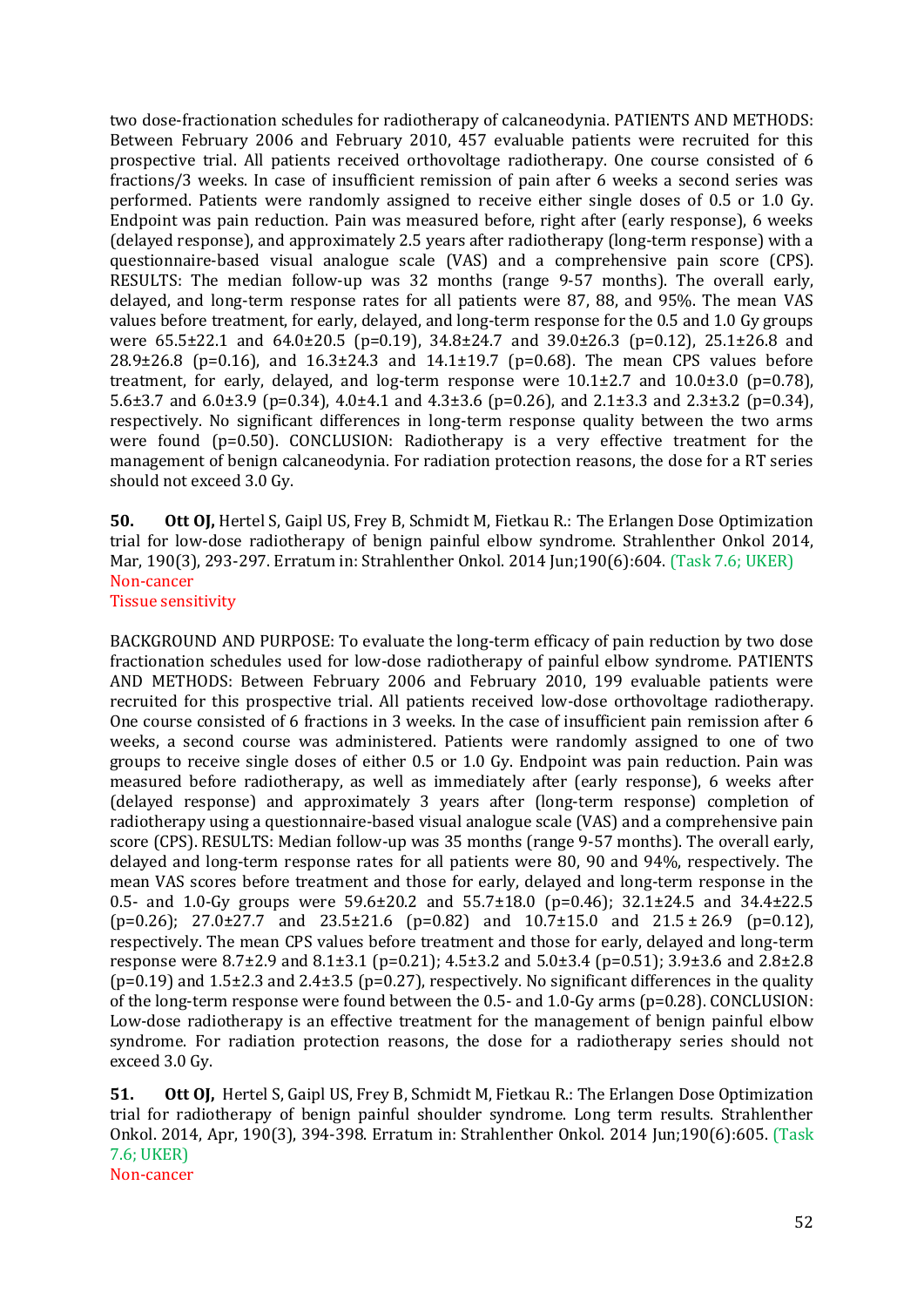two dose-fractionation schedules for radiotherapy of calcaneodynia. PATIENTS AND METHODS: Between February 2006 and February 2010, 457 evaluable patients were recruited for this prospective trial. All patients received orthovoltage radiotherapy. One course consisted of 6 fractions/3 weeks. In case of insufficient remission of pain after 6 weeks a second series was performed. Patients were randomly assigned to receive either single doses of 0.5 or 1.0 Gy. Endpoint was pain reduction. Pain was measured before, right after (early response), 6 weeks (delayed response), and approximately 2.5 years after radiotherapy (long-term response) with a questionnaire-based visual analogue scale (VAS) and a comprehensive pain score (CPS). RESULTS: The median follow-up was 32 months (range 9-57 months). The overall early, delayed, and long-term response rates for all patients were 87, 88, and 95%. The mean VAS values before treatment, for early, delayed, and long-term response for the 0.5 and 1.0 Gy groups were 65.5±22.1 and 64.0±20.5 (p=0.19), 34.8±24.7 and 39.0±26.3 (p=0.12), 25.1±26.8 and  $28.9\pm26.8$  (p=0.16), and  $16.3\pm24.3$  and  $14.1\pm19.7$  (p=0.68). The mean CPS values before treatment, for early, delayed, and log-term response were  $10.1\pm2.7$  and  $10.0\pm3.0$  (p=0.78), 5.6 $\pm$ 3.7 and 6.0 $\pm$ 3.9 (p=0.34), 4.0 $\pm$ 4.1 and 4.3 $\pm$ 3.6 (p=0.26), and 2.1 $\pm$ 3.3 and 2.3 $\pm$ 3.2 (p=0.34), respectively. No significant differences in long-term response quality between the two arms were found (p=0.50). CONCLUSION: Radiotherapy is a very effective treatment for the management of benign calcaneodynia. For radiation protection reasons, the dose for a RT series should not exceed 3.0 Gy.

<span id="page-51-0"></span>**50. Ott OJ,** Hertel S, Gaipl US, Frey B, Schmidt M, Fietkau R.: The Erlangen Dose Optimization trial for low-dose radiotherapy of benign painful elbow syndrome. Strahlenther Onkol 2014, Mar, 190(3), 293-297. Erratum in: Strahlenther Onkol. 2014 Jun;190(6):604. (Task 7.6; UKER) Non-cancer

Tissue sensitivity

BACKGROUND AND PURPOSE: To evaluate the long-term efficacy of pain reduction by two dose fractionation schedules used for low-dose radiotherapy of painful elbow syndrome. PATIENTS AND METHODS: Between February 2006 and February 2010, 199 evaluable patients were recruited for this prospective trial. All patients received low-dose orthovoltage radiotherapy. One course consisted of 6 fractions in 3 weeks. In the case of insufficient pain remission after 6 weeks, a second course was administered. Patients were randomly assigned to one of two groups to receive single doses of either 0.5 or 1.0 Gy. Endpoint was pain reduction. Pain was measured before radiotherapy, as well as immediately after (early response), 6 weeks after (delayed response) and approximately 3 years after (long-term response) completion of radiotherapy using a questionnaire-based visual analogue scale (VAS) and a comprehensive pain score (CPS). RESULTS: Median follow-up was 35 months (range 9-57 months). The overall early, delayed and long-term response rates for all patients were 80, 90 and 94%, respectively. The mean VAS scores before treatment and those for early, delayed and long-term response in the 0.5- and 1.0-Gy groups were  $59.6\pm20.2$  and  $55.7\pm18.0$  (p=0.46); 32.1 $\pm24.5$  and 34.4 $\pm22.5$  $(p=0.26)$ ; 27.0±27.7 and 23.5±21.6 (p=0.82) and 10.7±15.0 and 21.5 ± 26.9 (p=0.12), respectively. The mean CPS values before treatment and those for early, delayed and long-term response were 8.7±2.9 and 8.1±3.1 (p=0.21); 4.5±3.2 and 5.0±3.4 (p=0.51); 3.9±3.6 and 2.8±2.8  $(p=0.19)$  and  $1.5\pm2.3$  and  $2.4\pm3.5$  (p=0.27), respectively. No significant differences in the quality of the long-term response were found between the 0.5- and 1.0-Gy arms (p=0.28). CONCLUSION: Low-dose radiotherapy is an effective treatment for the management of benign painful elbow syndrome. For radiation protection reasons, the dose for a radiotherapy series should not exceed 3.0 Gy.

<span id="page-51-1"></span>**51. Ott OJ,** Hertel S, Gaipl US, Frey B, Schmidt M, Fietkau R.: The Erlangen Dose Optimization trial for radiotherapy of benign painful shoulder syndrome. Long term results. Strahlenther Onkol. 2014, Apr, 190(3), 394-398. Erratum in: Strahlenther Onkol. 2014 Jun;190(6):605. (Task 7.6; UKER) Non-cancer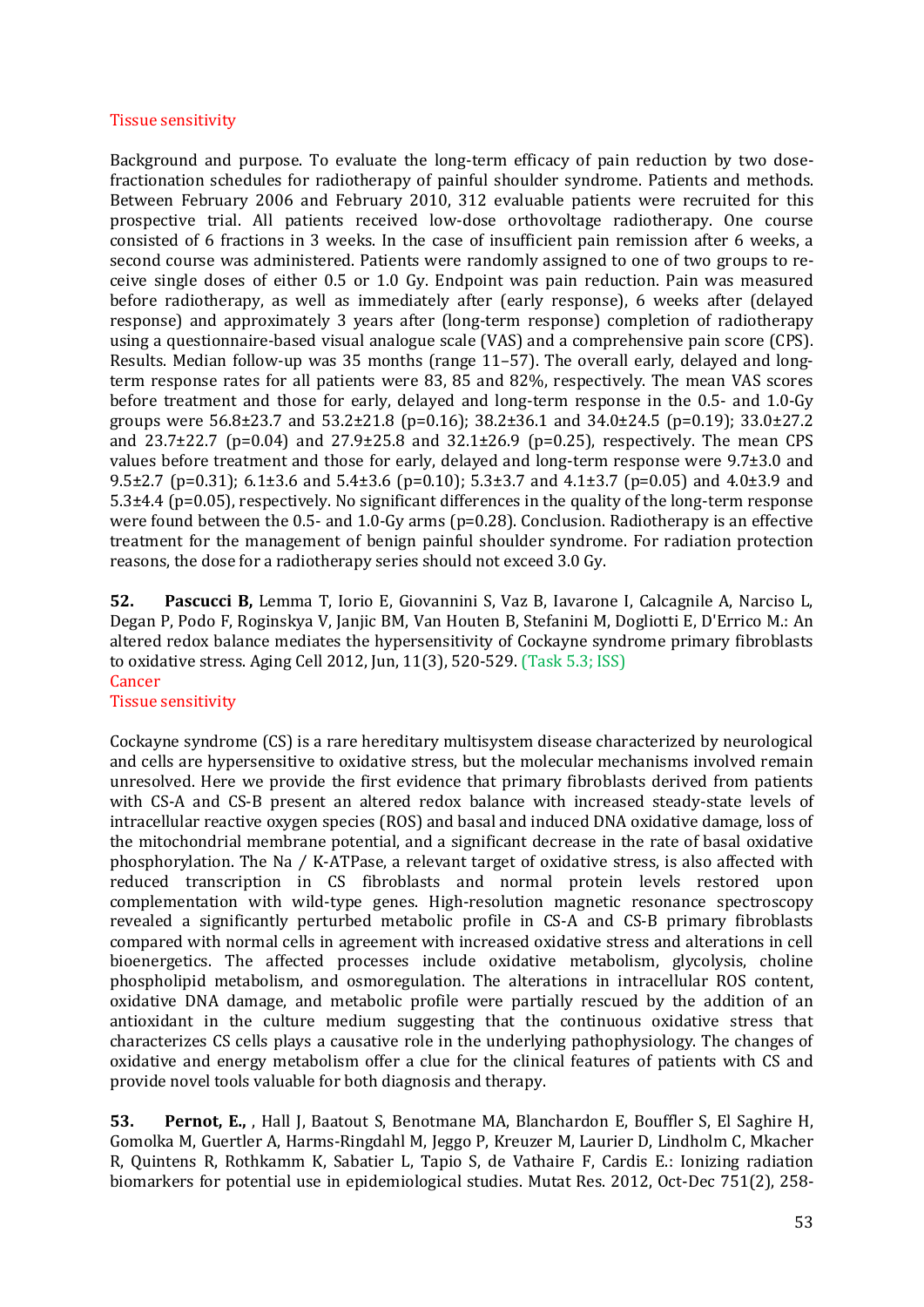### Tissue sensitivity

Background and purpose. To evaluate the long-term efficacy of pain reduction by two dosefractionation schedules for radiotherapy of painful shoulder syndrome. Patients and methods. Between February 2006 and February 2010, 312 evaluable patients were recruited for this prospective trial. All patients received low-dose orthovoltage radiotherapy. One course consisted of 6 fractions in 3 weeks. In the case of insufficient pain remission after 6 weeks, a second course was administered. Patients were randomly assigned to one of two groups to receive single doses of either 0.5 or 1.0 Gy. Endpoint was pain reduction. Pain was measured before radiotherapy, as well as immediately after (early response), 6 weeks after (delayed response) and approximately 3 years after (long-term response) completion of radiotherapy using a questionnaire-based visual analogue scale (VAS) and a comprehensive pain score (CPS). Results. Median follow-up was 35 months (range 11–57). The overall early, delayed and longterm response rates for all patients were 83, 85 and 82%, respectively. The mean VAS scores before treatment and those for early, delayed and long-term response in the 0.5- and 1.0-Gy groups were  $56.8\pm23.7$  and  $53.2\pm21.8$  (p=0.16);  $38.2\pm36.1$  and  $34.0\pm24.5$  (p=0.19);  $33.0\pm27.2$ and 23.7 $\pm$ 22.7 (p=0.04) and 27.9 $\pm$ 25.8 and 32.1 $\pm$ 26.9 (p=0.25), respectively. The mean CPS values before treatment and those for early, delayed and long-term response were 9.7±3.0 and 9.5 $\pm$ 2.7 (p=0.31); 6.1 $\pm$ 3.6 and 5.4 $\pm$ 3.6 (p=0.10); 5.3 $\pm$ 3.7 and 4.1 $\pm$ 3.7 (p=0.05) and 4.0 $\pm$ 3.9 and 5.3±4.4 (p=0.05), respectively. No significant differences in the quality of the long-term response were found between the 0.5- and 1.0-Gy arms (p=0.28). Conclusion. Radiotherapy is an effective treatment for the management of benign painful shoulder syndrome. For radiation protection reasons, the dose for a radiotherapy series should not exceed 3.0 Gy.

<span id="page-52-0"></span>**52. Pascucci B,** Lemma T, Iorio E, Giovannini S, Vaz B, Iavarone I, Calcagnile A, Narciso L, Degan P, Podo F, Roginskya V, Janjic BM, Van Houten B, Stefanini M, Dogliotti E, D'Errico M.: An altered redox balance mediates the hypersensitivity of Cockayne syndrome primary fibroblasts to oxidative stress. Aging Cell 2012, Jun, 11(3), 520-529. (Task 5.3; ISS) **Cancer** 

Tissue sensitivity

Cockayne syndrome (CS) is a rare hereditary multisystem disease characterized by neurological and cells are hypersensitive to oxidative stress, but the molecular mechanisms involved remain unresolved. Here we provide the first evidence that primary fibroblasts derived from patients with CS-A and CS-B present an altered redox balance with increased steady-state levels of intracellular reactive oxygen species (ROS) and basal and induced DNA oxidative damage, loss of the mitochondrial membrane potential, and a significant decrease in the rate of basal oxidative phosphorylation. The Na ⁄ K-ATPase, a relevant target of oxidative stress, is also affected with reduced transcription in CS fibroblasts and normal protein levels restored upon complementation with wild-type genes. High-resolution magnetic resonance spectroscopy revealed a significantly perturbed metabolic profile in CS-A and CS-B primary fibroblasts compared with normal cells in agreement with increased oxidative stress and alterations in cell bioenergetics. The affected processes include oxidative metabolism, glycolysis, choline phospholipid metabolism, and osmoregulation. The alterations in intracellular ROS content, oxidative DNA damage, and metabolic profile were partially rescued by the addition of an antioxidant in the culture medium suggesting that the continuous oxidative stress that characterizes CS cells plays a causative role in the underlying pathophysiology. The changes of oxidative and energy metabolism offer a clue for the clinical features of patients with CS and provide novel tools valuable for both diagnosis and therapy.

<span id="page-52-1"></span>**53. Pernot, E.,** , Hall J, Baatout S, Benotmane MA, Blanchardon E, Bouffler S, El Saghire H, Gomolka M, Guertler A, Harms-Ringdahl M, Jeggo P, Kreuzer M, Laurier D, Lindholm C, Mkacher R, Quintens R, Rothkamm K, Sabatier L, Tapio S, de Vathaire F, Cardis E.: Ionizing radiation biomarkers for potential use in epidemiological studies. Mutat Res. 2012, Oct-Dec 751(2), 258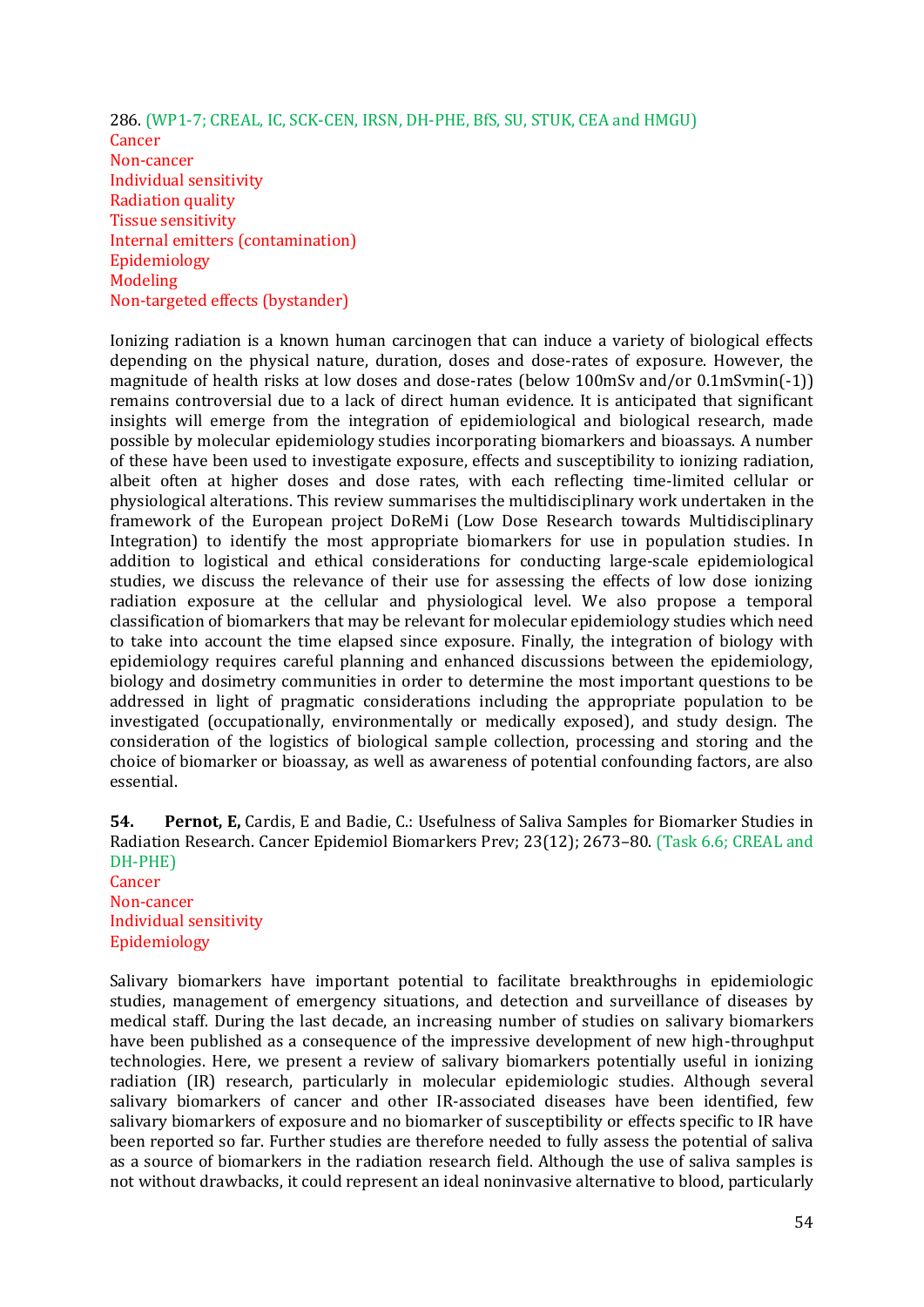286. (WP1-7; CREAL, IC, SCK-CEN, IRSN, DH-PHE, BfS, SU, STUK, CEA and HMGU) Cancer Non-cancer Individual sensitivity Radiation quality Tissue sensitivity Internal emitters (contamination) Epidemiology Modeling Non-targeted effects (bystander)

Ionizing radiation is a known human carcinogen that can induce a variety of biological effects depending on the physical nature, duration, doses and dose-rates of exposure. However, the magnitude of health risks at low doses and dose-rates (below 100mSv and/or 0.1mSvmin(-1)) remains controversial due to a lack of direct human evidence. It is anticipated that significant insights will emerge from the integration of epidemiological and biological research, made possible by molecular epidemiology studies incorporating biomarkers and bioassays. A number of these have been used to investigate exposure, effects and susceptibility to ionizing radiation, albeit often at higher doses and dose rates, with each reflecting time-limited cellular or physiological alterations. This review summarises the multidisciplinary work undertaken in the framework of the European project DoReMi (Low Dose Research towards Multidisciplinary Integration) to identify the most appropriate biomarkers for use in population studies. In addition to logistical and ethical considerations for conducting large-scale epidemiological studies, we discuss the relevance of their use for assessing the effects of low dose ionizing radiation exposure at the cellular and physiological level. We also propose a temporal classification of biomarkers that may be relevant for molecular epidemiology studies which need to take into account the time elapsed since exposure. Finally, the integration of biology with epidemiology requires careful planning and enhanced discussions between the epidemiology, biology and dosimetry communities in order to determine the most important questions to be addressed in light of pragmatic considerations including the appropriate population to be investigated (occupationally, environmentally or medically exposed), and study design. The consideration of the logistics of biological sample collection, processing and storing and the choice of biomarker or bioassay, as well as awareness of potential confounding factors, are also essential.

<span id="page-53-0"></span>**54. Pernot, E,** Cardis, E and Badie, C.: Usefulness of Saliva Samples for Biomarker Studies in Radiation Research. Cancer Epidemiol Biomarkers Prev; 23(12); 2673–80. (Task 6.6; CREAL and DH-PHE)

**Cancer** Non-cancer Individual sensitivity Epidemiology

Salivary biomarkers have important potential to facilitate breakthroughs in epidemiologic studies, management of emergency situations, and detection and surveillance of diseases by medical staff. During the last decade, an increasing number of studies on salivary biomarkers have been published as a consequence of the impressive development of new high-throughput technologies. Here, we present a review of salivary biomarkers potentially useful in ionizing radiation (IR) research, particularly in molecular epidemiologic studies. Although several salivary biomarkers of cancer and other IR-associated diseases have been identified, few salivary biomarkers of exposure and no biomarker of susceptibility or effects specific to IR have been reported so far. Further studies are therefore needed to fully assess the potential of saliva as a source of biomarkers in the radiation research field. Although the use of saliva samples is not without drawbacks, it could represent an ideal noninvasive alternative to blood, particularly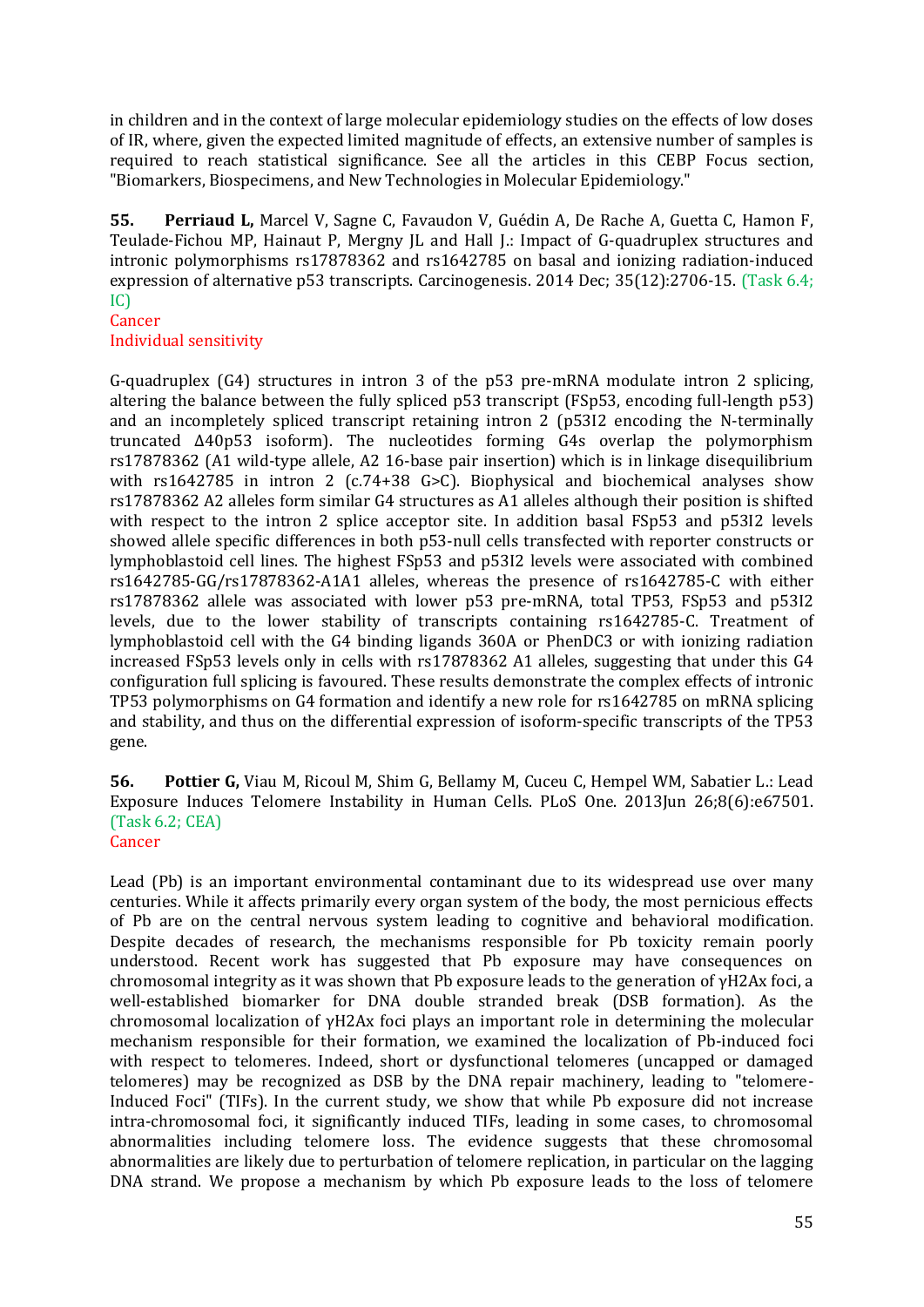in children and in the context of large molecular epidemiology studies on the effects of low doses of IR, where, given the expected limited magnitude of effects, an extensive number of samples is required to reach statistical significance. See all the articles in this CEBP Focus section, "Biomarkers, Biospecimens, and New Technologies in Molecular Epidemiology."

<span id="page-54-1"></span>**55. Perriaud L,** Marcel V, Sagne C, Favaudon V, Guédin A, De Rache A, Guetta C, Hamon F, Teulade-Fichou MP, Hainaut P, Mergny JL and Hall J.: Impact of G-quadruplex structures and intronic polymorphisms rs17878362 and rs1642785 on basal and ionizing radiation-induced expression of alternative p53 transcripts. Carcinogenesis. 2014 Dec; 35(12):2706-15. (Task 6.4; IC)

### **Cancer**

Individual sensitivity

G-quadruplex (G4) structures in intron 3 of the p53 pre-mRNA modulate intron 2 splicing, altering the balance between the fully spliced p53 transcript (FSp53, encoding full-length p53) and an incompletely spliced transcript retaining intron 2 (p53I2 encoding the N-terminally truncated Δ40p53 isoform). The nucleotides forming G4s overlap the polymorphism rs17878362 (A1 wild-type allele, A2 16-base pair insertion) which is in linkage disequilibrium with rs1642785 in intron 2 (c.74+38 G>C). Biophysical and biochemical analyses show rs17878362 A2 alleles form similar G4 structures as A1 alleles although their position is shifted with respect to the intron 2 splice acceptor site. In addition basal FSp53 and p53I2 levels showed allele specific differences in both p53-null cells transfected with reporter constructs or lymphoblastoid cell lines. The highest FSp53 and p53I2 levels were associated with combined rs1642785-GG/rs17878362-A1A1 alleles, whereas the presence of rs1642785-C with either rs17878362 allele was associated with lower p53 pre-mRNA, total TP53, FSp53 and p53I2 levels, due to the lower stability of transcripts containing rs1642785-C. Treatment of lymphoblastoid cell with the G4 binding ligands 360A or PhenDC3 or with ionizing radiation increased FSp53 levels only in cells with rs17878362 A1 alleles, suggesting that under this G4 configuration full splicing is favoured. These results demonstrate the complex effects of intronic TP53 polymorphisms on G4 formation and identify a new role for rs1642785 on mRNA splicing and stability, and thus on the differential expression of isoform-specific transcripts of the TP53 gene.

<span id="page-54-0"></span>**56. Pottier G,** Viau M, Ricoul M, Shim G, Bellamy M, Cuceu C, Hempel WM, Sabatier L.: Lead Exposure Induces Telomere Instability in Human Cells. PLoS One. 2013Jun 26;8(6):e67501. (Task 6.2; CEA)

### Cancer

Lead (Pb) is an important environmental contaminant due to its widespread use over many centuries. While it affects primarily every organ system of the body, the most pernicious effects of Pb are on the central nervous system leading to cognitive and behavioral modification. Despite decades of research, the mechanisms responsible for Pb toxicity remain poorly understood. Recent work has suggested that Pb exposure may have consequences on chromosomal integrity as it was shown that Pb exposure leads to the generation of γH2Ax foci, a well-established biomarker for DNA double stranded break (DSB formation). As the chromosomal localization of γH2Ax foci plays an important role in determining the molecular mechanism responsible for their formation, we examined the localization of Pb-induced foci with respect to telomeres. Indeed, short or dysfunctional telomeres (uncapped or damaged telomeres) may be recognized as DSB by the DNA repair machinery, leading to "telomere-Induced Foci" (TIFs). In the current study, we show that while Pb exposure did not increase intra-chromosomal foci, it significantly induced TIFs, leading in some cases, to chromosomal abnormalities including telomere loss. The evidence suggests that these chromosomal abnormalities are likely due to perturbation of telomere replication, in particular on the lagging DNA strand. We propose a mechanism by which Pb exposure leads to the loss of telomere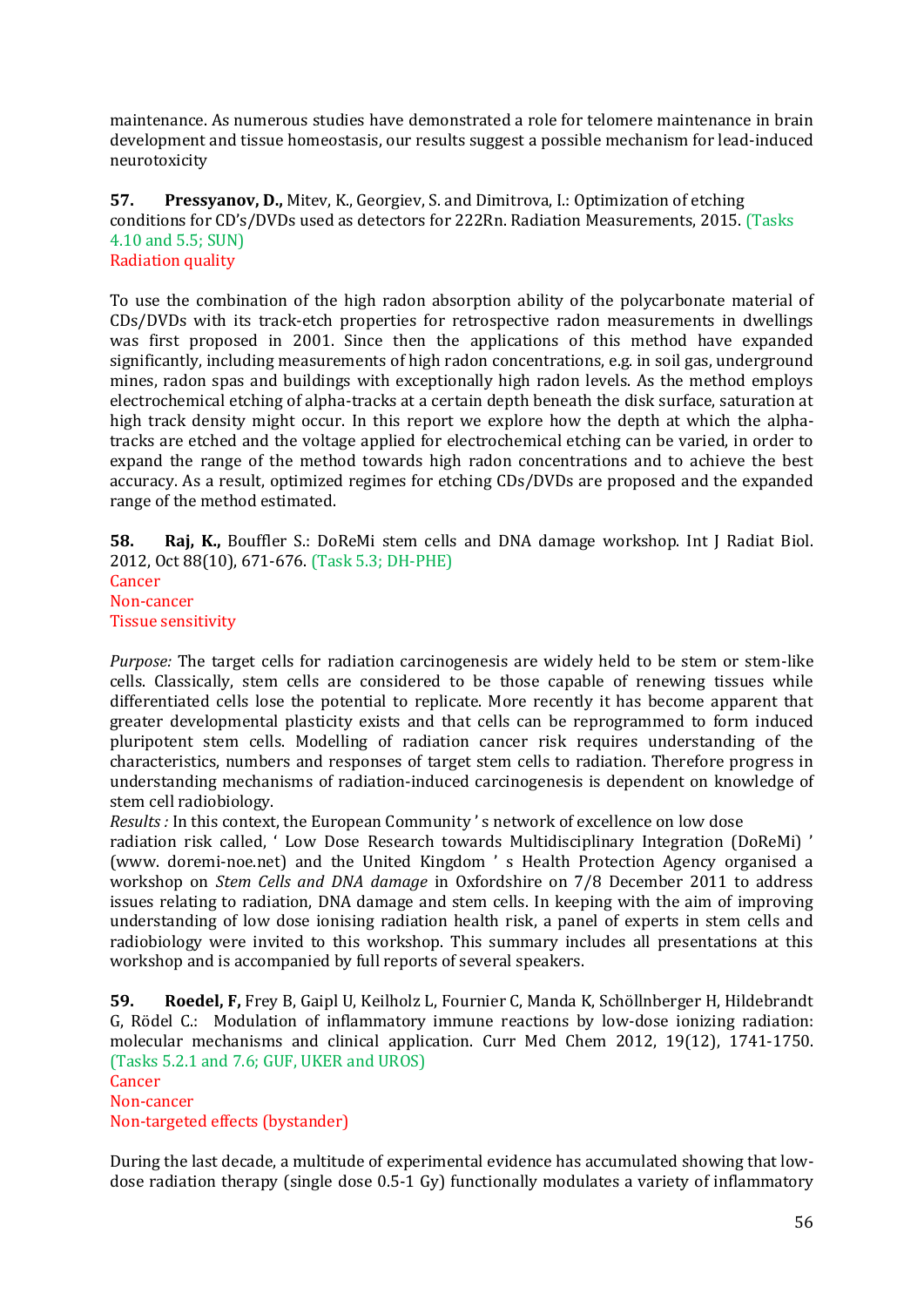maintenance. As numerous studies have demonstrated a role for telomere maintenance in brain development and tissue homeostasis, our results suggest a possible mechanism for lead-induced neurotoxicity

**57. Pressyanov, D.,** Mitev, K., Georgiev, S. and Dimitrova, I.: Optimization of etching conditions for CD's/DVDs used as detectors for 222Rn. Radiation Measurements, 2015. (Tasks 4.10 and 5.5; SUN) Radiation quality

To use the combination of the high radon absorption ability of the polycarbonate material of CDs/DVDs with its track-etch properties for retrospective radon measurements in dwellings was first proposed in 2001. Since then the applications of this method have expanded significantly, including measurements of high radon concentrations, e.g. in soil gas, underground mines, radon spas and buildings with exceptionally high radon levels. As the method employs electrochemical etching of alpha-tracks at a certain depth beneath the disk surface, saturation at high track density might occur. In this report we explore how the depth at which the alphatracks are etched and the voltage applied for electrochemical etching can be varied, in order to expand the range of the method towards high radon concentrations and to achieve the best accuracy. As a result, optimized regimes for etching CDs/DVDs are proposed and the expanded range of the method estimated.

**58. Raj, K.,** Bouffler S.: DoReMi stem cells and DNA damage workshop. Int J Radiat Biol. 2012, Oct 88(10), 671-676. (Task 5.3; DH-PHE) Cancer Non-cancer Tissue sensitivity

*Purpose:* The target cells for radiation carcinogenesis are widely held to be stem or stem-like cells. Classically, stem cells are considered to be those capable of renewing tissues while differentiated cells lose the potential to replicate. More recently it has become apparent that greater developmental plasticity exists and that cells can be reprogrammed to form induced pluripotent stem cells. Modelling of radiation cancer risk requires understanding of the characteristics, numbers and responses of target stem cells to radiation. Therefore progress in understanding mechanisms of radiation-induced carcinogenesis is dependent on knowledge of stem cell radiobiology.

*Results :* In this context, the European Community ' s network of excellence on low dose

radiation risk called, ' Low Dose Research towards Multidisciplinary Integration (DoReMi) ' (www. doremi-noe.net) and the United Kingdom ' s Health Protection Agency organised a workshop on *Stem Cells and DNA damage* in Oxfordshire on 7/8 December 2011 to address issues relating to radiation, DNA damage and stem cells. In keeping with the aim of improving understanding of low dose ionising radiation health risk, a panel of experts in stem cells and radiobiology were invited to this workshop. This summary includes all presentations at this workshop and is accompanied by full reports of several speakers.

<span id="page-55-0"></span>**59. Roedel, F,** Frey B, Gaipl U, Keilholz L, Fournier C, Manda K, Schöllnberger H, Hildebrandt G, Rödel C.: Modulation of inflammatory immune reactions by low-dose ionizing radiation: molecular mechanisms and clinical application. Curr Med Chem 2012, 19(12), 1741-1750. (Tasks 5.2.1 and 7.6; GUF, UKER and UROS)

Cancer

Non-cancer

Non-targeted effects (bystander)

During the last decade, a multitude of experimental evidence has accumulated showing that lowdose radiation therapy (single dose 0.5-1 Gy) functionally modulates a variety of inflammatory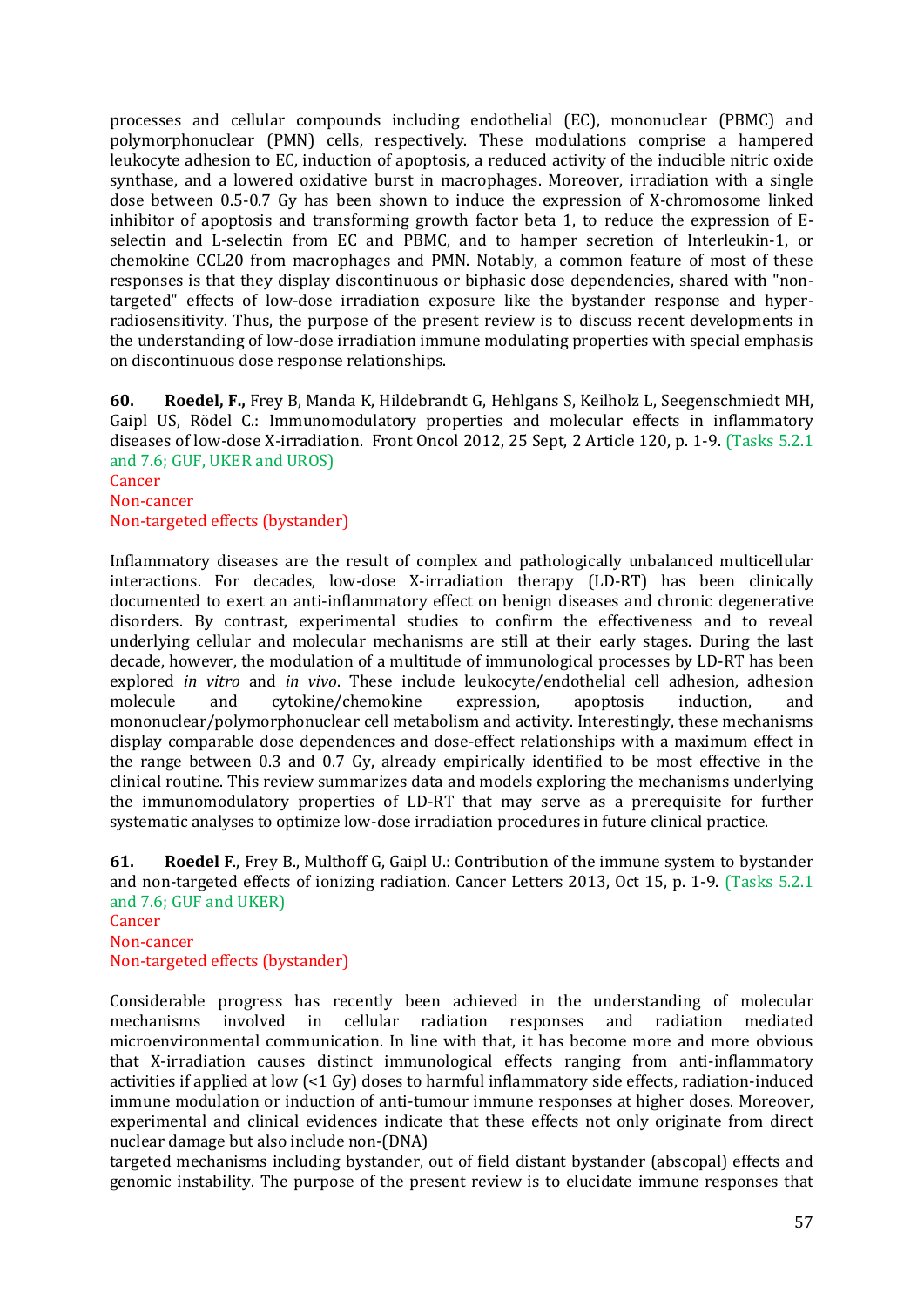processes and cellular compounds including endothelial (EC), mononuclear (PBMC) and polymorphonuclear (PMN) cells, respectively. These modulations comprise a hampered leukocyte adhesion to EC, induction of apoptosis, a reduced activity of the inducible nitric oxide synthase, and a lowered oxidative burst in macrophages. Moreover, irradiation with a single dose between 0.5-0.7 Gy has been shown to induce the expression of X-chromosome linked inhibitor of apoptosis and transforming growth factor beta 1, to reduce the expression of Eselectin and L-selectin from EC and PBMC, and to hamper secretion of Interleukin-1, or chemokine CCL20 from macrophages and PMN. Notably, a common feature of most of these responses is that they display discontinuous or biphasic dose dependencies, shared with "nontargeted" effects of low-dose irradiation exposure like the bystander response and hyperradiosensitivity. Thus, the purpose of the present review is to discuss recent developments in the understanding of low-dose irradiation immune modulating properties with special emphasis on discontinuous dose response relationships.

<span id="page-56-0"></span>**60. Roedel, F.,** Frey B, Manda K, Hildebrandt G, Hehlgans S, Keilholz L, Seegenschmiedt MH, Gaipl US, Rödel C.: Immunomodulatory properties and molecular effects in inflammatory diseases of low-dose X-irradiation. Front Oncol 2012, 25 Sept, 2 Article 120, p. 1-9. (Tasks 5.2.1 and 7.6; GUF, UKER and UROS)

**Cancer** 

Non-cancer Non-targeted effects (bystander)

Inflammatory diseases are the result of complex and pathologically unbalanced multicellular interactions. For decades, low-dose X-irradiation therapy (LD-RT) has been clinically documented to exert an anti-inflammatory effect on benign diseases and chronic degenerative disorders. By contrast, experimental studies to confirm the effectiveness and to reveal underlying cellular and molecular mechanisms are still at their early stages. During the last decade, however, the modulation of a multitude of immunological processes by LD-RT has been explored *in vitro* and *in vivo*. These include leukocyte/endothelial cell adhesion, adhesion molecule and cytokine/chemokine expression, apoptosis induction, and mononuclear/polymorphonuclear cell metabolism and activity. Interestingly, these mechanisms display comparable dose dependences and dose-effect relationships with a maximum effect in the range between 0.3 and 0.7 Gy, already empirically identified to be most effective in the clinical routine. This review summarizes data and models exploring the mechanisms underlying the immunomodulatory properties of LD-RT that may serve as a prerequisite for further systematic analyses to optimize low-dose irradiation procedures in future clinical practice.

<span id="page-56-1"></span>**61. Roedel F**., Frey B., Multhoff G, Gaipl U.: Contribution of the immune system to bystander and non-targeted effects of ionizing radiation. Cancer Letters 2013, Oct 15, p. 1-9. (Tasks 5.2.1 and 7.6; GUF and UKER) **Cancer** 

Non-cancer Non-targeted effects (bystander)

Considerable progress has recently been achieved in the understanding of molecular mechanisms involved in cellular radiation responses and radiation mediated microenvironmental communication. In line with that, it has become more and more obvious that X-irradiation causes distinct immunological effects ranging from anti-inflammatory activities if applied at low (<1 Gy) doses to harmful inflammatory side effects, radiation-induced immune modulation or induction of anti-tumour immune responses at higher doses. Moreover, experimental and clinical evidences indicate that these effects not only originate from direct nuclear damage but also include non-(DNA)

targeted mechanisms including bystander, out of field distant bystander (abscopal) effects and genomic instability. The purpose of the present review is to elucidate immune responses that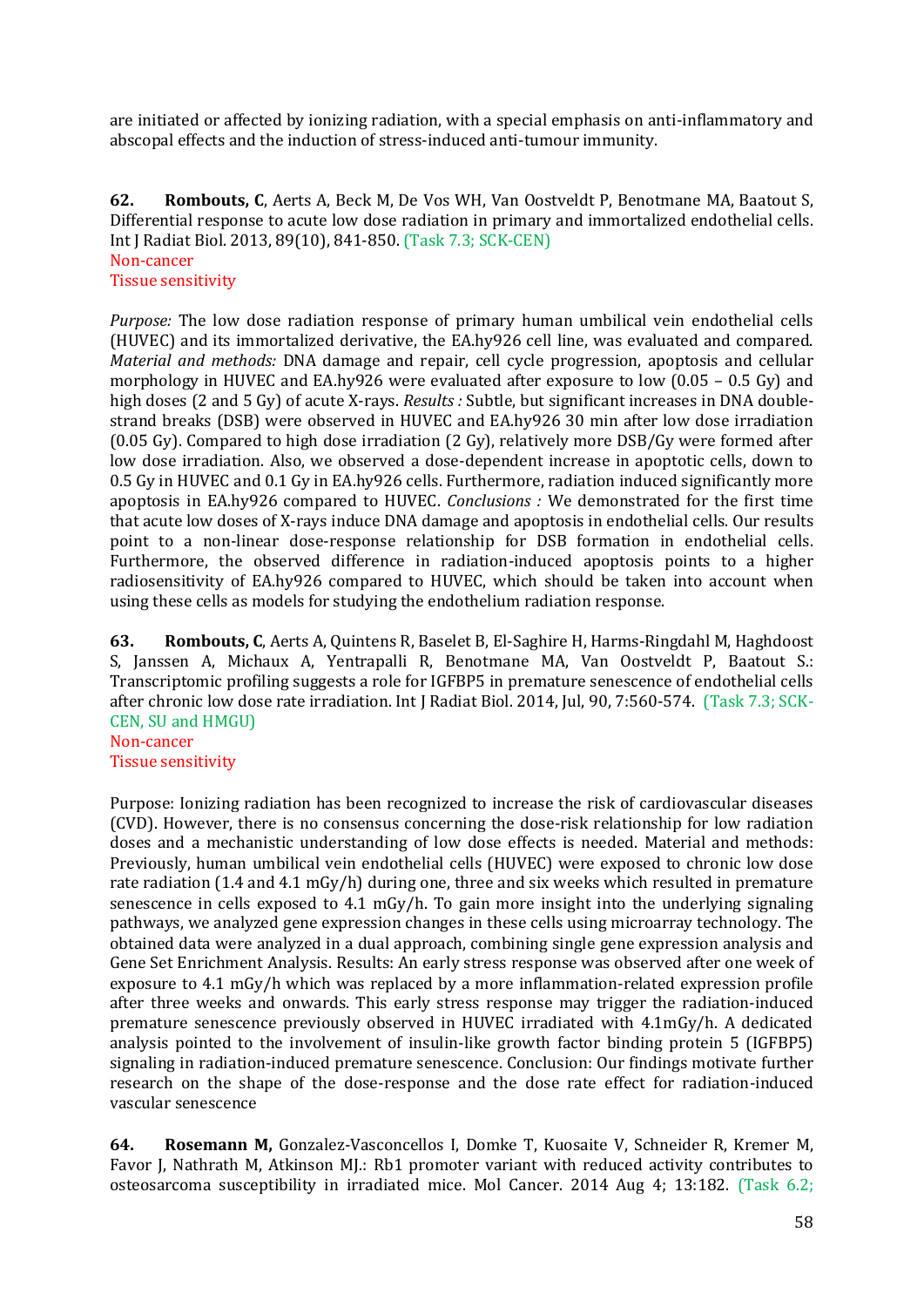are initiated or affected by ionizing radiation, with a special emphasis on anti-inflammatory and abscopal effects and the induction of stress-induced anti-tumour immunity.

**62. Rombouts, C**, Aerts A, Beck M, De Vos WH, Van Oostveldt P, Benotmane MA, Baatout S, Differential response to acute low dose radiation in primary and immortalized endothelial cells. Int J Radiat Biol. 2013, 89(10), 841-850. (Task 7.3; SCK-CEN) Non-cancer Tissue sensitivity

*Purpose:* The low dose radiation response of primary human umbilical vein endothelial cells (HUVEC) and its immortalized derivative, the EA.hy926 cell line, was evaluated and compared. *Material and methods:* DNA damage and repair, cell cycle progression, apoptosis and cellular morphology in HUVEC and EA.hy926 were evaluated after exposure to low (0.05 – 0.5 Gy) and high doses (2 and 5 Gy) of acute X-rays. *Results :* Subtle, but significant increases in DNA doublestrand breaks (DSB) were observed in HUVEC and EA.hy926 30 min after low dose irradiation (0.05 Gy). Compared to high dose irradiation (2 Gy), relatively more DSB/Gy were formed after low dose irradiation. Also, we observed a dose-dependent increase in apoptotic cells, down to 0.5 Gy in HUVEC and 0.1 Gy in EA.hy926 cells. Furthermore, radiation induced significantly more apoptosis in EA.hy926 compared to HUVEC. *Conclusions :* We demonstrated for the first time that acute low doses of X-rays induce DNA damage and apoptosis in endothelial cells. Our results point to a non-linear dose-response relationship for DSB formation in endothelial cells. Furthermore, the observed difference in radiation-induced apoptosis points to a higher radiosensitivity of EA.hy926 compared to HUVEC, which should be taken into account when using these cells as models for studying the endothelium radiation response.

<span id="page-57-1"></span>**63. Rombouts, C**, Aerts A, Quintens R, Baselet B, El-Saghire H, Harms-Ringdahl M, Haghdoost S, Janssen A, Michaux A, Yentrapalli R, Benotmane MA, Van Oostveldt P, Baatout S.: Transcriptomic profiling suggests a role for IGFBP5 in premature senescence of endothelial cells after chronic low dose rate irradiation. Int J Radiat Biol. 2014, Jul, 90, 7:560-574. (Task 7.3; SCK-CEN, SU and HMGU)

Non-cancer Tissue sensitivity

Purpose: Ionizing radiation has been recognized to increase the risk of cardiovascular diseases (CVD). However, there is no consensus concerning the dose-risk relationship for low radiation doses and a mechanistic understanding of low dose effects is needed. Material and methods: Previously, human umbilical vein endothelial cells (HUVEC) were exposed to chronic low dose rate radiation (1.4 and 4.1 mGy/h) during one, three and six weeks which resulted in premature senescence in cells exposed to 4.1 mGy/h. To gain more insight into the underlying signaling pathways, we analyzed gene expression changes in these cells using microarray technology. The obtained data were analyzed in a dual approach, combining single gene expression analysis and Gene Set Enrichment Analysis. Results: An early stress response was observed after one week of exposure to 4.1 mGy/h which was replaced by a more inflammation-related expression profile after three weeks and onwards. This early stress response may trigger the radiation-induced premature senescence previously observed in HUVEC irradiated with 4.1mGy/h. A dedicated analysis pointed to the involvement of insulin-like growth factor binding protein 5 (IGFBP5) signaling in radiation-induced premature senescence. Conclusion: Our findings motivate further research on the shape of the dose-response and the dose rate effect for radiation-induced vascular senescence

<span id="page-57-0"></span>**64. Rosemann M,** Gonzalez-Vasconcellos I, Domke T, Kuosaite V, Schneider R, Kremer M, Favor J, Nathrath M, Atkinson MJ.: Rb1 promoter variant with reduced activity contributes to osteosarcoma susceptibility in irradiated mice. Mol Cancer. 2014 Aug 4; 13:182. (Task 6.2;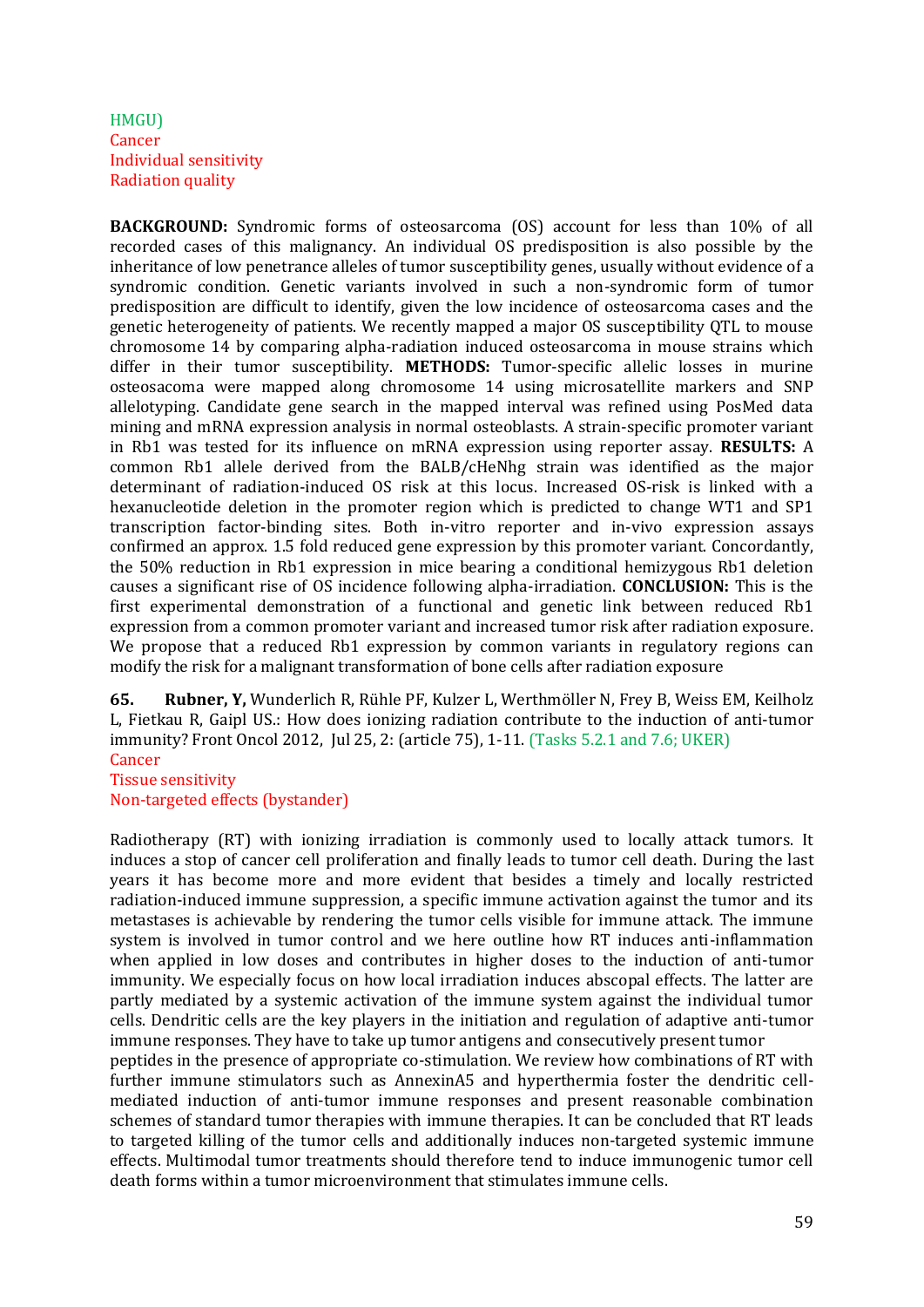### HMGU) Cancer Individual sensitivity Radiation quality

**BACKGROUND:** Syndromic forms of osteosarcoma (OS) account for less than 10% of all recorded cases of this malignancy. An individual OS predisposition is also possible by the inheritance of low penetrance alleles of tumor susceptibility genes, usually without evidence of a syndromic condition. Genetic variants involved in such a non-syndromic form of tumor predisposition are difficult to identify, given the low incidence of osteosarcoma cases and the genetic heterogeneity of patients. We recently mapped a major OS susceptibility QTL to mouse chromosome 14 by comparing alpha-radiation induced osteosarcoma in mouse strains which differ in their tumor susceptibility. **METHODS:** Tumor-specific allelic losses in murine osteosacoma were mapped along chromosome 14 using microsatellite markers and SNP allelotyping. Candidate gene search in the mapped interval was refined using PosMed data mining and mRNA expression analysis in normal osteoblasts. A strain-specific promoter variant in Rb1 was tested for its influence on mRNA expression using reporter assay. **RESULTS:** A common Rb1 allele derived from the BALB/cHeNhg strain was identified as the major determinant of radiation-induced OS risk at this locus. Increased OS-risk is linked with a hexanucleotide deletion in the promoter region which is predicted to change WT1 and SP1 transcription factor-binding sites. Both in-vitro reporter and in-vivo expression assays confirmed an approx. 1.5 fold reduced gene expression by this promoter variant. Concordantly, the 50% reduction in Rb1 expression in mice bearing a conditional hemizygous Rb1 deletion causes a significant rise of OS incidence following alpha-irradiation. **CONCLUSION:** This is the first experimental demonstration of a functional and genetic link between reduced Rb1 expression from a common promoter variant and increased tumor risk after radiation exposure. We propose that a reduced Rb1 expression by common variants in regulatory regions can modify the risk for a malignant transformation of bone cells after radiation exposure

<span id="page-58-0"></span>**65. Rubner, Y,** Wunderlich R, Rühle PF, Kulzer L, Werthmöller N, Frey B, Weiss EM, Keilholz L, Fietkau R, Gaipl US.: How does ionizing radiation contribute to the induction of anti-tumor immunity? Front Oncol 2012, Jul 25, 2: (article 75), 1-11. (Tasks 5.2.1 and 7.6; UKER) **Cancer** 

Tissue sensitivity Non-targeted effects (bystander)

Radiotherapy (RT) with ionizing irradiation is commonly used to locally attack tumors. It induces a stop of cancer cell proliferation and finally leads to tumor cell death. During the last years it has become more and more evident that besides a timely and locally restricted radiation-induced immune suppression, a specific immune activation against the tumor and its metastases is achievable by rendering the tumor cells visible for immune attack. The immune system is involved in tumor control and we here outline how RT induces anti-inflammation when applied in low doses and contributes in higher doses to the induction of anti-tumor immunity. We especially focus on how local irradiation induces abscopal effects. The latter are partly mediated by a systemic activation of the immune system against the individual tumor cells. Dendritic cells are the key players in the initiation and regulation of adaptive anti-tumor immune responses. They have to take up tumor antigens and consecutively present tumor

peptides in the presence of appropriate co-stimulation. We review how combinations of RT with further immune stimulators such as AnnexinA5 and hyperthermia foster the dendritic cellmediated induction of anti-tumor immune responses and present reasonable combination schemes of standard tumor therapies with immune therapies. It can be concluded that RT leads to targeted killing of the tumor cells and additionally induces non-targeted systemic immune effects. Multimodal tumor treatments should therefore tend to induce immunogenic tumor cell death forms within a tumor microenvironment that stimulates immune cells.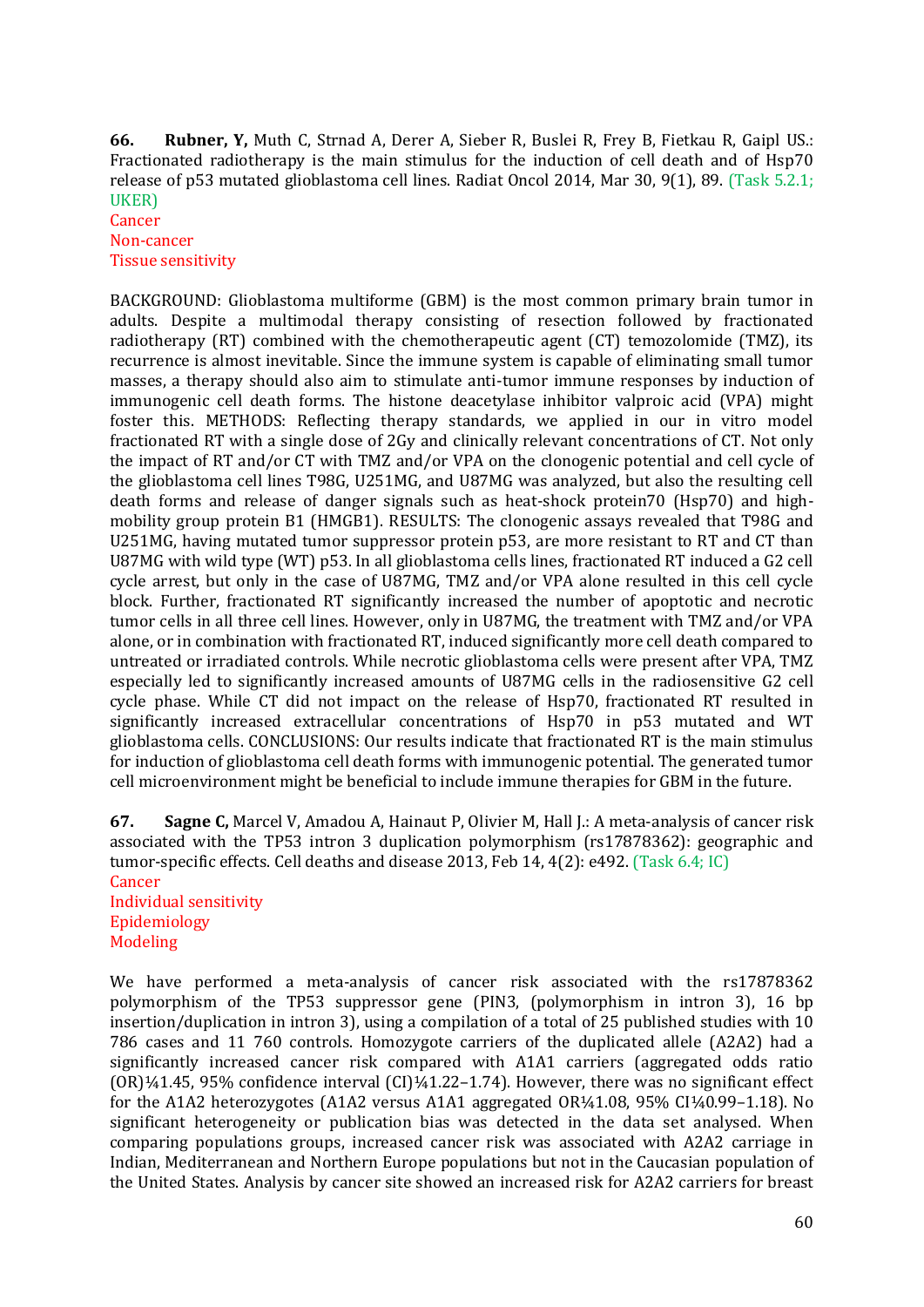<span id="page-59-0"></span>**66. Rubner, Y,** Muth C, Strnad A, Derer A, Sieber R, Buslei R, Frey B, Fietkau R, Gaipl US.: Fractionated radiotherapy is the main stimulus for the induction of cell death and of Hsp70 release of p53 mutated glioblastoma cell lines. Radiat Oncol 2014, Mar 30, 9(1), 89. (Task 5.2.1; UKER)

### Cancer Non-cancer Tissue sensitivity

BACKGROUND: Glioblastoma multiforme (GBM) is the most common primary brain tumor in adults. Despite a multimodal therapy consisting of resection followed by fractionated radiotherapy (RT) combined with the chemotherapeutic agent (CT) temozolomide (TMZ), its recurrence is almost inevitable. Since the immune system is capable of eliminating small tumor masses, a therapy should also aim to stimulate anti-tumor immune responses by induction of immunogenic cell death forms. The histone deacetylase inhibitor valproic acid (VPA) might foster this. METHODS: Reflecting therapy standards, we applied in our in vitro model fractionated RT with a single dose of 2Gy and clinically relevant concentrations of CT. Not only the impact of RT and/or CT with TMZ and/or VPA on the clonogenic potential and cell cycle of the glioblastoma cell lines T98G, U251MG, and U87MG was analyzed, but also the resulting cell death forms and release of danger signals such as heat-shock protein70 (Hsp70) and highmobility group protein B1 (HMGB1). RESULTS: The clonogenic assays revealed that T98G and U251MG, having mutated tumor suppressor protein p53, are more resistant to RT and CT than U87MG with wild type (WT) p53. In all glioblastoma cells lines, fractionated RT induced a G2 cell cycle arrest, but only in the case of U87MG, TMZ and/or VPA alone resulted in this cell cycle block. Further, fractionated RT significantly increased the number of apoptotic and necrotic tumor cells in all three cell lines. However, only in U87MG, the treatment with TMZ and/or VPA alone, or in combination with fractionated RT, induced significantly more cell death compared to untreated or irradiated controls. While necrotic glioblastoma cells were present after VPA, TMZ especially led to significantly increased amounts of U87MG cells in the radiosensitive G2 cell cycle phase. While CT did not impact on the release of Hsp70, fractionated RT resulted in significantly increased extracellular concentrations of Hsp70 in p53 mutated and WT glioblastoma cells. CONCLUSIONS: Our results indicate that fractionated RT is the main stimulus for induction of glioblastoma cell death forms with immunogenic potential. The generated tumor cell microenvironment might be beneficial to include immune therapies for GBM in the future.

<span id="page-59-1"></span>**67. Sagne C,** Marcel V, Amadou A, Hainaut P, Olivier M, Hall J.: A meta-analysis of cancer risk associated with the TP53 intron 3 duplication polymorphism (rs17878362): geographic and tumor-specific effects. Cell deaths and disease 2013, Feb 14, 4(2): e492. (Task 6.4; IC) Cancer

### Individual sensitivity Epidemiology Modeling

We have performed a meta-analysis of cancer risk associated with the rs17878362 polymorphism of the TP53 suppressor gene (PIN3, (polymorphism in intron 3), 16 bp insertion/duplication in intron 3), using a compilation of a total of 25 published studies with 10 786 cases and 11 760 controls. Homozygote carriers of the duplicated allele (A2A2) had a significantly increased cancer risk compared with A1A1 carriers (aggregated odds ratio  $(OR)$ <sup>1</sup>/41.45, 95% confidence interval  $(CI)$ <sup>1</sup>/41.22–1.74). However, there was no significant effect for the A1A2 heterozygotes (A1A2 versus A1A1 aggregated  $OR\frac{1}{4}1.08$ , 95% CI $\frac{1}{4}0.99-1.18$ ). No significant heterogeneity or publication bias was detected in the data set analysed. When comparing populations groups, increased cancer risk was associated with A2A2 carriage in Indian, Mediterranean and Northern Europe populations but not in the Caucasian population of the United States. Analysis by cancer site showed an increased risk for A2A2 carriers for breast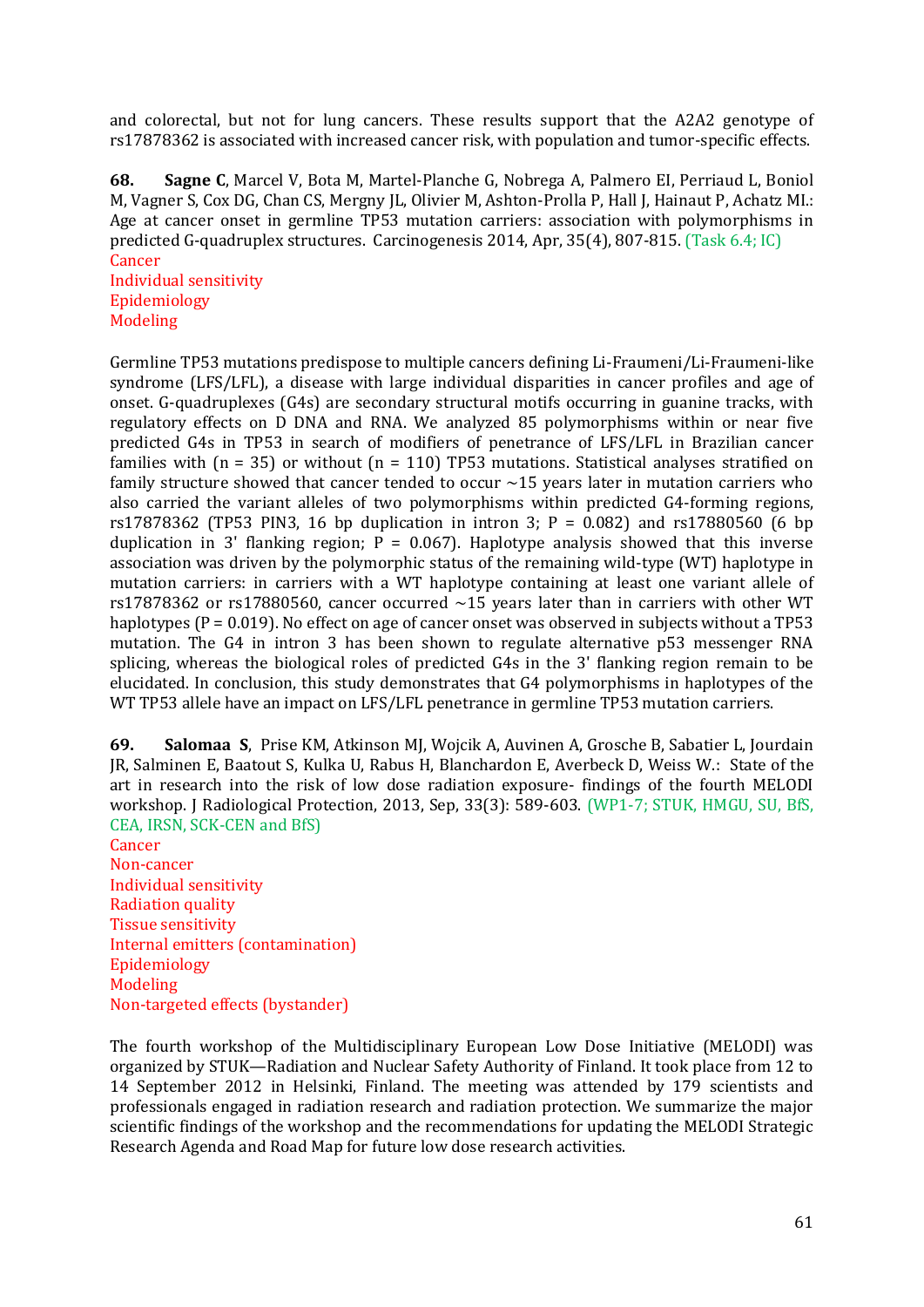and colorectal, but not for lung cancers. These results support that the A2A2 genotype of rs17878362 is associated with increased cancer risk, with population and tumor-specific effects.

<span id="page-60-0"></span>**68. Sagne C**, Marcel V, Bota M, Martel-Planche G, Nobrega A, Palmero EI, Perriaud L, Boniol M, Vagner S, Cox DG, Chan CS, Mergny JL, Olivier M, Ashton-Prolla P, Hall J, Hainaut P, Achatz MI.: Age at cancer onset in germline TP53 mutation carriers: association with polymorphisms in predicted G-quadruplex structures. Carcinogenesis 2014, Apr, 35(4), 807-815. (Task 6.4; IC) Cancer Individual sensitivity

Epidemiology Modeling

Germline TP53 mutations predispose to multiple cancers defining Li-Fraumeni/Li-Fraumeni-like syndrome (LFS/LFL), a disease with large individual disparities in cancer profiles and age of onset. G-quadruplexes (G4s) are secondary structural motifs occurring in guanine tracks, with regulatory effects on D DNA and RNA. We analyzed 85 polymorphisms within or near five predicted G4s in TP53 in search of modifiers of penetrance of LFS/LFL in Brazilian cancer families with  $(n = 35)$  or without  $(n = 110)$  TP53 mutations. Statistical analyses stratified on family structure showed that cancer tended to occur  $\sim$ 15 years later in mutation carriers who also carried the variant alleles of two polymorphisms within predicted G4-forming regions, rs17878362 (TP53 PIN3, 16 bp duplication in intron 3; P = 0.082) and rs17880560 (6 bp duplication in 3' flanking region;  $P = 0.067$ ). Haplotype analysis showed that this inverse association was driven by the polymorphic status of the remaining wild-type (WT) haplotype in mutation carriers: in carriers with a WT haplotype containing at least one variant allele of rs17878362 or rs17880560, cancer occurred  $\sim$ 15 years later than in carriers with other WT haplotypes ( $P = 0.019$ ). No effect on age of cancer onset was observed in subjects without a TP53 mutation. The G4 in intron 3 has been shown to regulate alternative p53 messenger RNA splicing, whereas the biological roles of predicted G4s in the 3' flanking region remain to be elucidated. In conclusion, this study demonstrates that G4 polymorphisms in haplotypes of the WT TP53 allele have an impact on LFS/LFL penetrance in germline TP53 mutation carriers.

**69. Salomaa S**, Prise KM, Atkinson MJ, Wojcik A, Auvinen A, Grosche B, Sabatier L, Jourdain JR, Salminen E, Baatout S, Kulka U, Rabus H, Blanchardon E, Averbeck D, Weiss W.: State of the art in research into the risk of low dose radiation exposure- findings of the fourth MELODI workshop. J Radiological Protection, 2013, Sep, 33(3): 589-603. (WP1-7; STUK, HMGU, SU, BfS, CEA, IRSN, SCK-CEN and BfS)

**Cancer** Non-cancer Individual sensitivity Radiation quality Tissue sensitivity Internal emitters (contamination) Epidemiology Modeling Non-targeted effects (bystander)

The fourth workshop of the Multidisciplinary European Low Dose Initiative (MELODI) was organized by STUK—Radiation and Nuclear Safety Authority of Finland. It took place from 12 to 14 September 2012 in Helsinki, Finland. The meeting was attended by 179 scientists and professionals engaged in radiation research and radiation protection. We summarize the major scientific findings of the workshop and the recommendations for updating the MELODI Strategic Research Agenda and Road Map for future low dose research activities.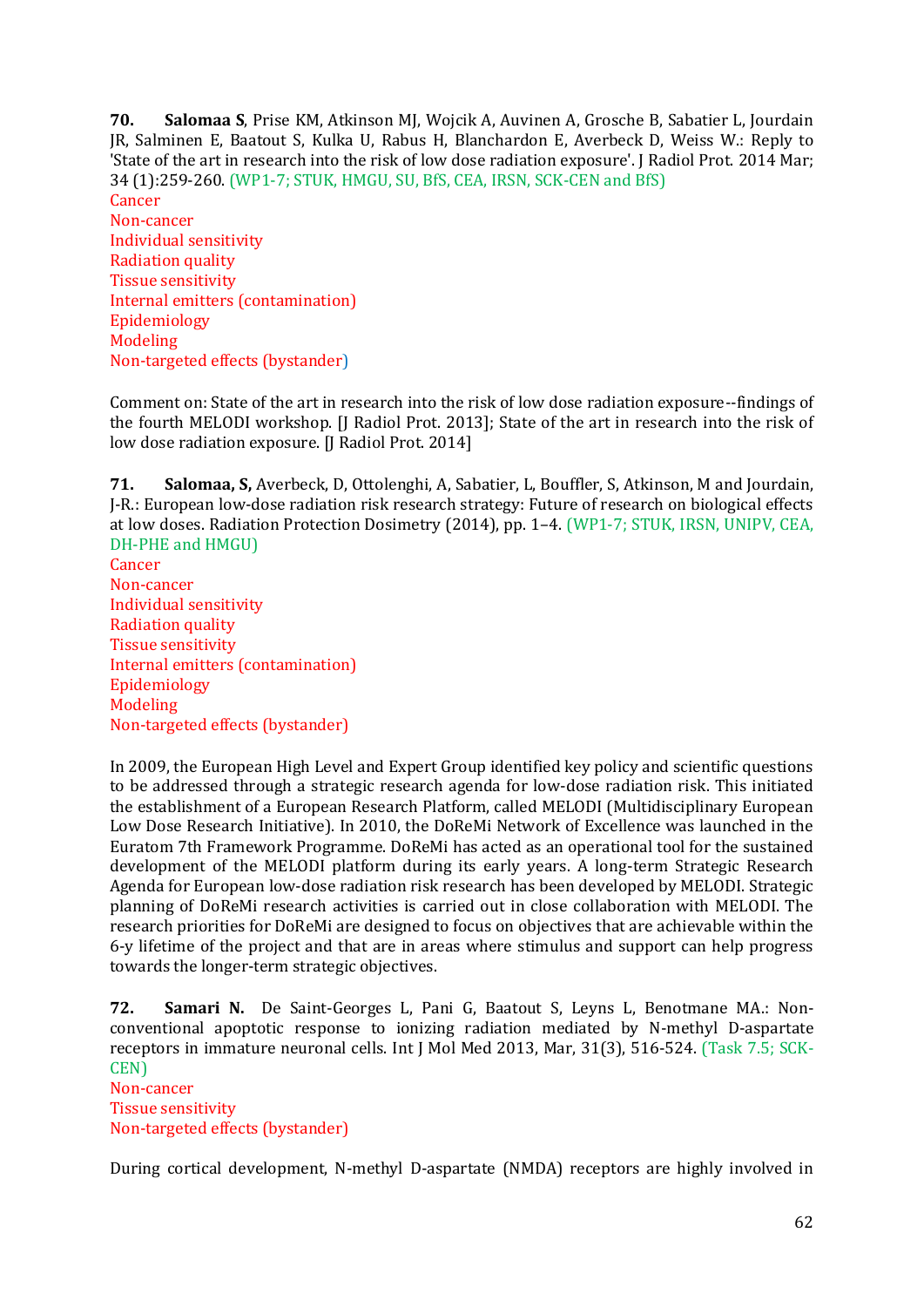**70. Salomaa S**, Prise KM, Atkinson MJ, Wojcik A, Auvinen A, Grosche B, Sabatier L, Jourdain JR, Salminen E, Baatout S, Kulka U, Rabus H, Blanchardon E, Averbeck D, Weiss W.: Reply to 'State of the art in research into the risk of low dose radiation exposure'. J Radiol Prot. 2014 Mar; 34 (1):259-260. (WP1-7; STUK, HMGU, SU, BfS, CEA, IRSN, SCK-CEN and BfS) **Cancer** Non-cancer Individual sensitivity Radiation quality Tissue sensitivity Internal emitters (contamination) Epidemiology Modeling Non-targeted effects (bystander)

Comment on: [State of the art in research into the risk of low dose radiation exposure--findings of](http://www.ncbi.nlm.nih.gov/pubmed/23803528)  [the fourth MELODI workshop.](http://www.ncbi.nlm.nih.gov/pubmed/23803528) [J Radiol Prot. 2013]; [State of the art in research into the risk of](http://www.ncbi.nlm.nih.gov/pubmed/24595009)  [low dose radiation exposure.](http://www.ncbi.nlm.nih.gov/pubmed/24595009) [J Radiol Prot. 2014]

**71. Salomaa, S,** Averbeck, D, Ottolenghi, A, Sabatier, L, Bouffler, S, Atkinson, M and Jourdain, J-R.: European low-dose radiation risk research strategy: Future of research on biological effects at low doses. Radiation Protection Dosimetry (2014), pp. 1–4. (WP1-7; STUK, IRSN, UNIPV, CEA, DH-PHE and HMGU)

**Cancer** Non-cancer Individual sensitivity Radiation quality Tissue sensitivity Internal emitters (contamination) Epidemiology Modeling Non-targeted effects (bystander)

In 2009, the European High Level and Expert Group identified key policy and scientific questions to be addressed through a strategic research agenda for low-dose radiation risk. This initiated the establishment of a European Research Platform, called MELODI (Multidisciplinary European Low Dose Research Initiative). In 2010, the DoReMi Network of Excellence was launched in the Euratom 7th Framework Programme. DoReMi has acted as an operational tool for the sustained development of the MELODI platform during its early years. A long-term Strategic Research Agenda for European low-dose radiation risk research has been developed by MELODI. Strategic planning of DoReMi research activities is carried out in close collaboration with MELODI. The research priorities for DoReMi are designed to focus on objectives that are achievable within the 6-y lifetime of the project and that are in areas where stimulus and support can help progress towards the longer-term strategic objectives.

<span id="page-61-0"></span>**72. Samari N.** De Saint-Georges L, Pani G, Baatout S, Leyns L, Benotmane MA.: Nonconventional apoptotic response to ionizing radiation mediated by N-methyl D-aspartate receptors in immature neuronal cells. Int J Mol Med 2013, Mar, 31(3), 516-524. (Task 7.5; SCK-CEN) Non-cancer Tissue sensitivity Non-targeted effects (bystander)

During cortical development, N-methyl D-aspartate (NMDA) receptors are highly involved in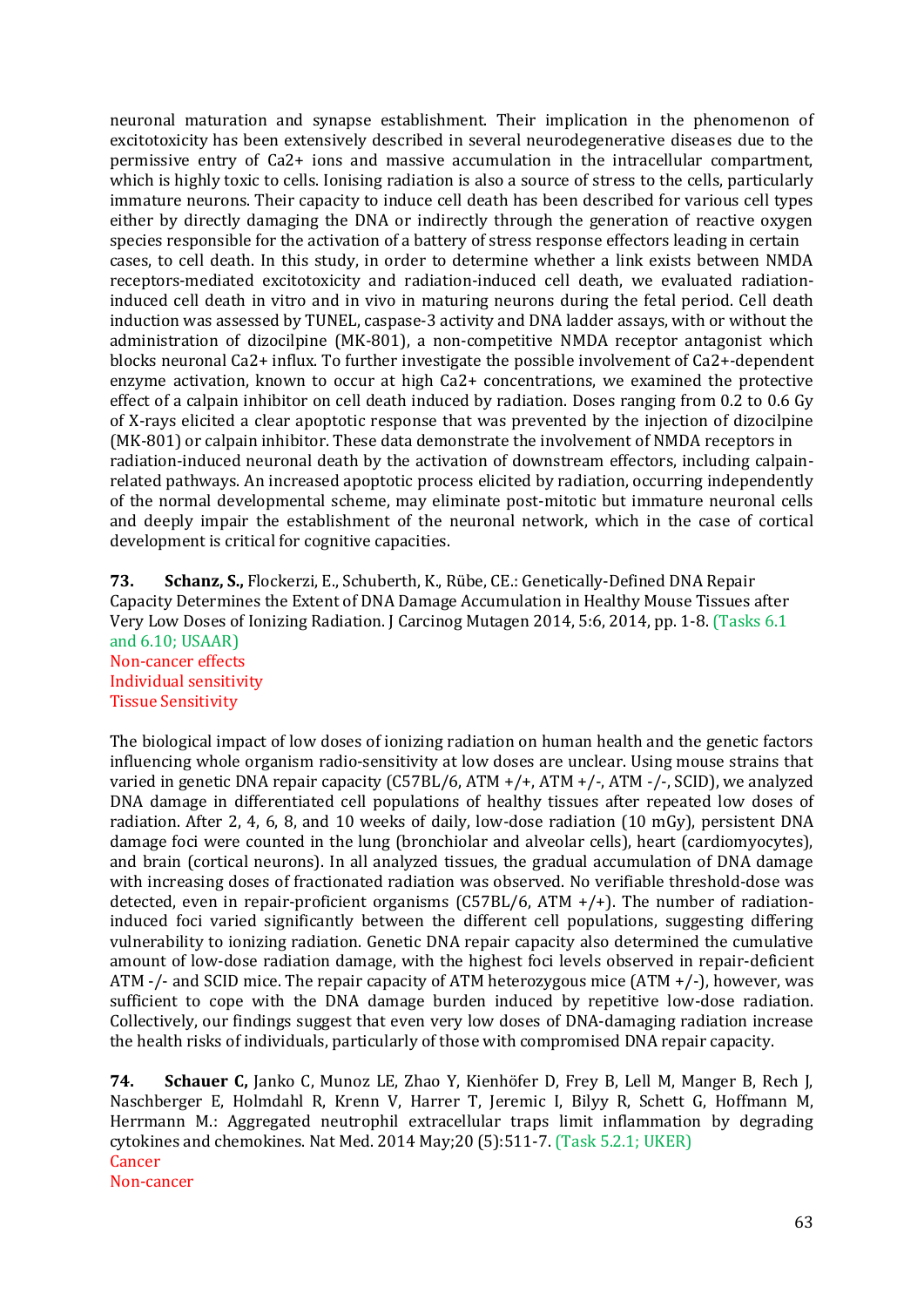neuronal maturation and synapse establishment. Their implication in the phenomenon of excitotoxicity has been extensively described in several neurodegenerative diseases due to the permissive entry of Ca2+ ions and massive accumulation in the intracellular compartment, which is highly toxic to cells. Ionising radiation is also a source of stress to the cells, particularly immature neurons. Their capacity to induce cell death has been described for various cell types either by directly damaging the DNA or indirectly through the generation of reactive oxygen species responsible for the activation of a battery of stress response effectors leading in certain cases, to cell death. In this study, in order to determine whether a link exists between NMDA receptors-mediated excitotoxicity and radiation-induced cell death, we evaluated radiationinduced cell death in vitro and in vivo in maturing neurons during the fetal period. Cell death induction was assessed by TUNEL, caspase-3 activity and DNA ladder assays, with or without the administration of dizocilpine (MK-801), a non-competitive NMDA receptor antagonist which blocks neuronal Ca2+ influx. To further investigate the possible involvement of Ca2+-dependent enzyme activation, known to occur at high Ca2+ concentrations, we examined the protective effect of a calpain inhibitor on cell death induced by radiation. Doses ranging from 0.2 to 0.6 Gy of X-rays elicited a clear apoptotic response that was prevented by the injection of dizocilpine (MK-801) or calpain inhibitor. These data demonstrate the involvement of NMDA receptors in radiation-induced neuronal death by the activation of downstream effectors, including calpainrelated pathways. An increased apoptotic process elicited by radiation, occurring independently of the normal developmental scheme, may eliminate post-mitotic but immature neuronal cells and deeply impair the establishment of the neuronal network, which in the case of cortical development is critical for cognitive capacities.

<span id="page-62-0"></span>**73. Schanz, S.,** Flockerzi, E., Schuberth, K., Rübe, CE.: Genetically-Defined DNA Repair Capacity Determines the Extent of DNA Damage Accumulation in Healthy Mouse Tissues after Very Low Doses of Ionizing Radiation. J Carcinog Mutagen 2014, 5:6, 2014, pp. 1-8. (Tasks 6.1 and 6.10; USAAR) Non-cancer effects Individual sensitivity Tissue Sensitivity

The biological impact of low doses of ionizing radiation on human health and the genetic factors influencing whole organism radio-sensitivity at low doses are unclear. Using mouse strains that varied in genetic DNA repair capacity (C57BL/6, ATM +/+, ATM +/-, ATM -/-, SCID), we analyzed DNA damage in differentiated cell populations of healthy tissues after repeated low doses of radiation. After 2, 4, 6, 8, and 10 weeks of daily, low-dose radiation (10 mGy), persistent DNA damage foci were counted in the lung (bronchiolar and alveolar cells), heart (cardiomyocytes), and brain (cortical neurons). In all analyzed tissues, the gradual accumulation of DNA damage with increasing doses of fractionated radiation was observed. No verifiable threshold-dose was detected, even in repair-proficient organisms (C57BL/6, ATM  $+$ / $+$ ). The number of radiationinduced foci varied significantly between the different cell populations, suggesting differing vulnerability to ionizing radiation. Genetic DNA repair capacity also determined the cumulative amount of low-dose radiation damage, with the highest foci levels observed in repair-deficient ATM  $-/-$  and SCID mice. The repair capacity of ATM heterozygous mice (ATM  $+/-$ ), however, was sufficient to cope with the DNA damage burden induced by repetitive low-dose radiation. Collectively, our findings suggest that even very low doses of DNA-damaging radiation increase the health risks of individuals, particularly of those with compromised DNA repair capacity.

**74. Schauer C,** Janko C, Munoz LE, Zhao Y, Kienhöfer D, Frey B, Lell M, Manger B, Rech J, Naschberger E, Holmdahl R, Krenn V, Harrer T, Jeremic I, Bilyy R, Schett G, Hoffmann M, Herrmann M.: Aggregated neutrophil extracellular traps limit inflammation by degrading cytokines and chemokines. Nat Med. 2014 May;20 (5):511-7. (Task 5.2.1; UKER) **Cancer** Non-cancer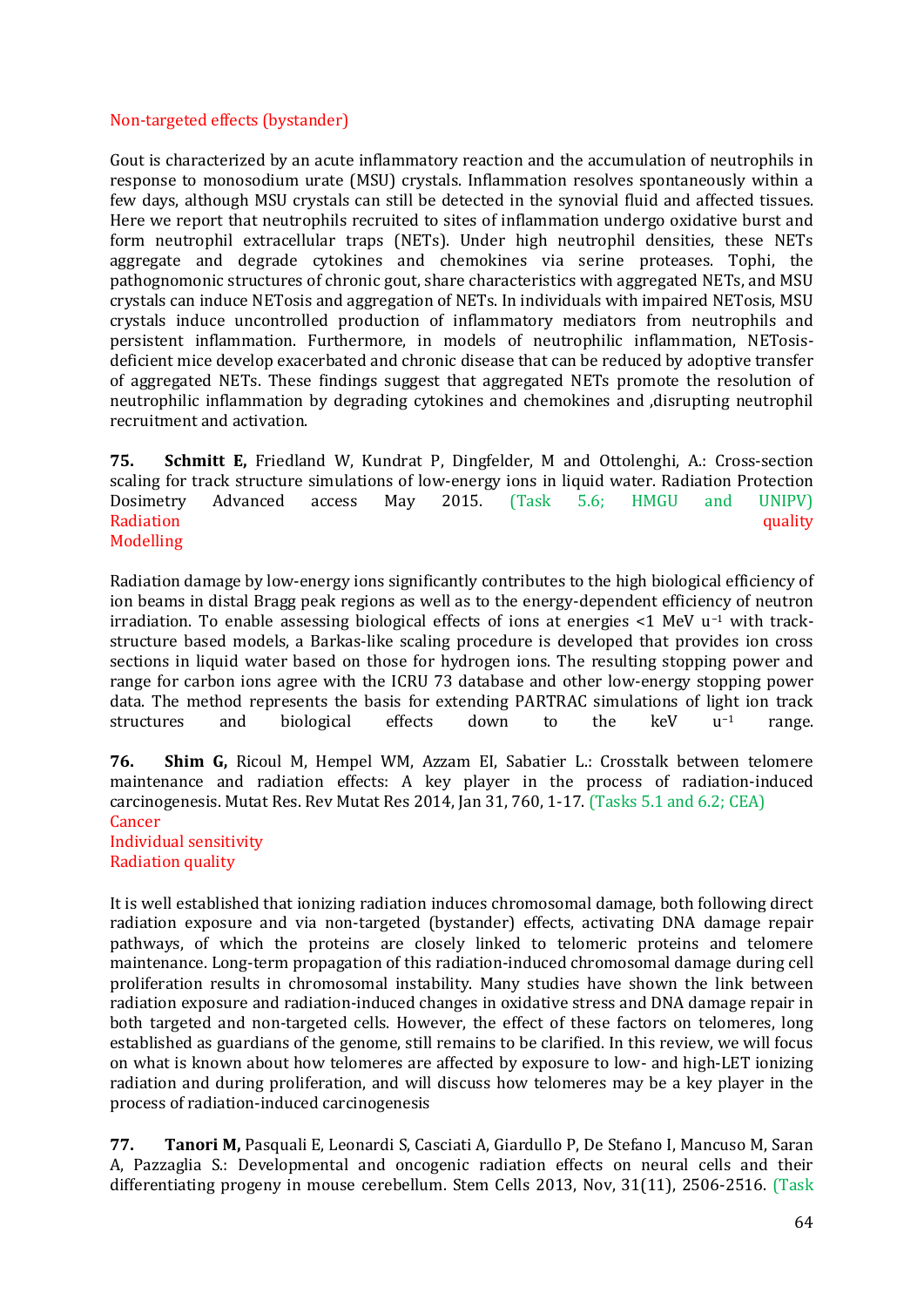#### Non-targeted effects (bystander)

Gout is characterized by an acute inflammatory reaction and the accumulation of neutrophils in response to monosodium urate (MSU) crystals. Inflammation resolves spontaneously within a few days, although MSU crystals can still be detected in the synovial fluid and affected tissues. Here we report that neutrophils recruited to sites of inflammation undergo oxidative burst and form neutrophil extracellular traps (NETs). Under high neutrophil densities, these NETs aggregate and degrade cytokines and chemokines via serine proteases. Tophi, the pathognomonic structures of chronic gout, share characteristics with aggregated NETs, and MSU crystals can induce NETosis and aggregation of NETs. In individuals with impaired NETosis, MSU crystals induce uncontrolled production of inflammatory mediators from neutrophils and persistent inflammation. Furthermore, in models of neutrophilic inflammation, NETosisdeficient mice develop exacerbated and chronic disease that can be reduced by adoptive transfer of aggregated NETs. These findings suggest that aggregated NETs promote the resolution of neutrophilic inflammation by degrading cytokines and chemokines and ,disrupting neutrophil recruitment and activation.

<span id="page-63-1"></span>**75. Schmitt E,** Friedland W, Kundrat P, Dingfelder, M and Ottolenghi, A.: Cross-section scaling for track structure simulations of low-energy ions in liquid water. Radiation Protection Dosimetry Advanced access May 2015. (Task 5.6; HMGU and UNIPV) Radiation **Research Contract Contract Contract Contract Contract Contract Contract Contract Contract Contract Contract Contract Contract Contract Contract Contract Contract Contract Contract Contract Contract Contract Cont** Modelling

Radiation damage by low-energy ions significantly contributes to the high biological efficiency of ion beams in distal Bragg peak regions as well as to the energy-dependent efficiency of neutron irradiation. To enable assessing biological effects of ions at energies <1 MeV u−1 with trackstructure based models, a Barkas-like scaling procedure is developed that provides ion cross sections in liquid water based on those for hydrogen ions. The resulting stopping power and range for carbon ions agree with the ICRU 73 database and other low-energy stopping power data. The method represents the basis for extending PARTRAC simulations of light ion track structures and biological effects down to the keV u−1 range.

<span id="page-63-0"></span>**76. Shim G,** Ricoul M, Hempel WM, Azzam EI, Sabatier L.: Crosstalk between telomere maintenance and radiation effects: A key player in the process of radiation-induced carcinogenesis. Mutat Res. Rev Mutat Res 2014, Jan 31, 760, 1-17. (Tasks 5.1 and 6.2; CEA) Cancer

Individual sensitivity Radiation quality

It is well established that ionizing radiation induces chromosomal damage, both following direct radiation exposure and via non-targeted (bystander) effects, activating DNA damage repair pathways, of which the proteins are closely linked to telomeric proteins and telomere maintenance. Long-term propagation of this radiation-induced chromosomal damage during cell proliferation results in chromosomal instability. Many studies have shown the link between radiation exposure and radiation-induced changes in oxidative stress and DNA damage repair in both targeted and non-targeted cells. However, the effect of these factors on telomeres, long established as guardians of the genome, still remains to be clarified. In this review, we will focus on what is known about how telomeres are affected by exposure to low- and high-LET ionizing radiation and during proliferation, and will discuss how telomeres may be a key player in the process of radiation-induced carcinogenesis

**77. Tanori M,** Pasquali E, Leonardi S, Casciati A, Giardullo P, De Stefano I, Mancuso M, Saran A, Pazzaglia S.: Developmental and oncogenic radiation effects on neural cells and their differentiating progeny in mouse cerebellum. Stem Cells 2013, Nov, 31(11), 2506-2516. (Task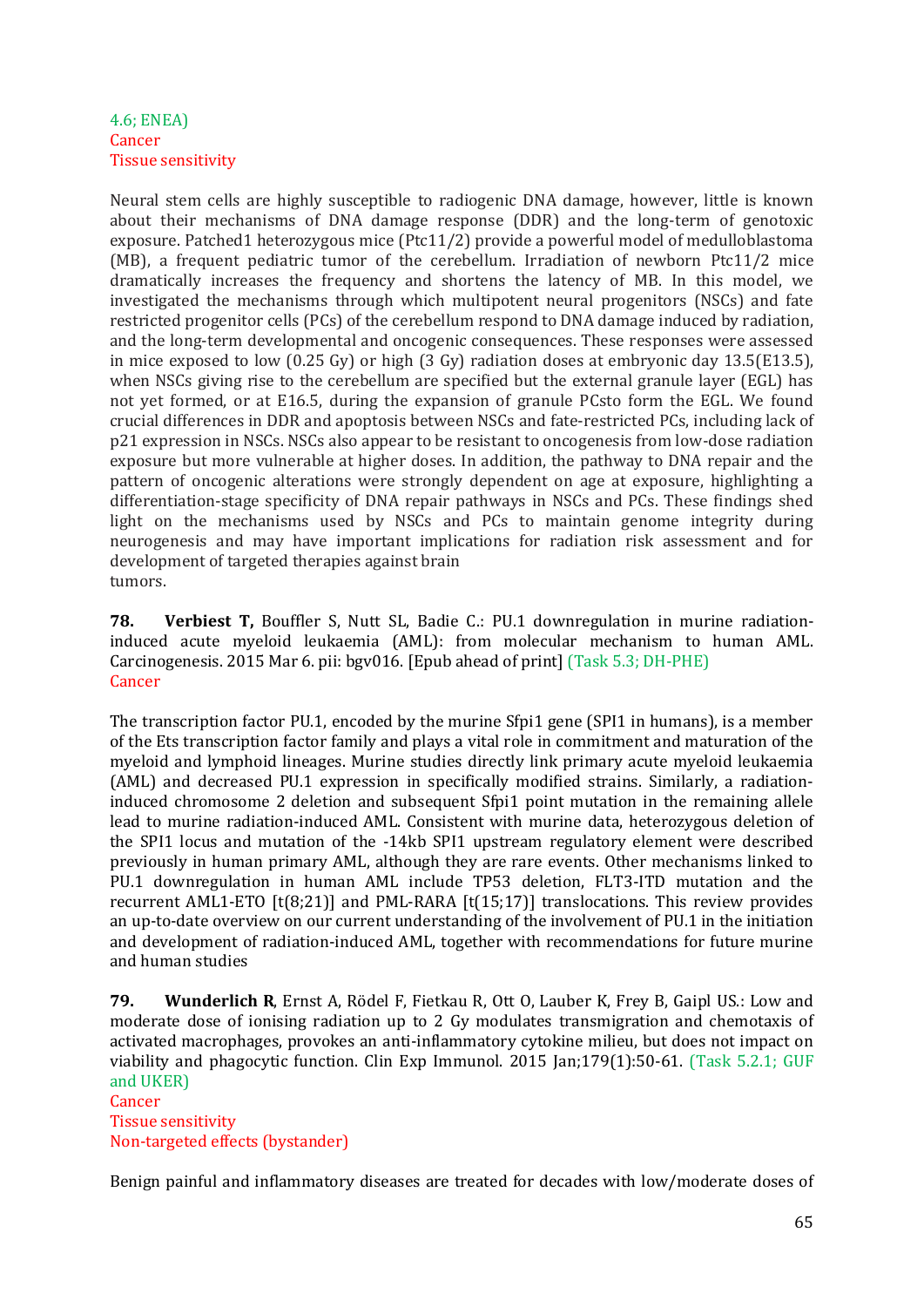### 4.6; ENEA) Cancer Tissue sensitivity

Neural stem cells are highly susceptible to radiogenic DNA damage, however, little is known about their mechanisms of DNA damage response (DDR) and the long-term of genotoxic exposure. Patched1 heterozygous mice (Ptc11/2) provide a powerful model of medulloblastoma (MB), a frequent pediatric tumor of the cerebellum. Irradiation of newborn Ptc11/2 mice dramatically increases the frequency and shortens the latency of MB. In this model, we investigated the mechanisms through which multipotent neural progenitors (NSCs) and fate restricted progenitor cells (PCs) of the cerebellum respond to DNA damage induced by radiation, and the long-term developmental and oncogenic consequences. These responses were assessed in mice exposed to low (0.25 Gy) or high (3 Gy) radiation doses at embryonic day 13.5(E13.5), when NSCs giving rise to the cerebellum are specified but the external granule layer (EGL) has not yet formed, or at E16.5, during the expansion of granule PCsto form the EGL. We found crucial differences in DDR and apoptosis between NSCs and fate-restricted PCs, including lack of p21 expression in NSCs. NSCs also appear to be resistant to oncogenesis from low-dose radiation exposure but more vulnerable at higher doses. In addition, the pathway to DNA repair and the pattern of oncogenic alterations were strongly dependent on age at exposure, highlighting a differentiation-stage specificity of DNA repair pathways in NSCs and PCs. These findings shed light on the mechanisms used by NSCs and PCs to maintain genome integrity during neurogenesis and may have important implications for radiation risk assessment and for development of targeted therapies against brain tumors.

<span id="page-64-1"></span>**78. Verbiest T,** Bouffler S, Nutt SL, Badie C.: PU.1 downregulation in murine radiationinduced acute myeloid leukaemia (AML): from molecular mechanism to human AML. Carcinogenesis. 2015 Mar 6. pii: bgv016. [Epub ahead of print] (Task 5.3; DH-PHE) Cancer

The transcription factor PU.1, encoded by the murine Sfpi1 gene (SPI1 in humans), is a member of the Ets transcription factor family and plays a vital role in commitment and maturation of the myeloid and lymphoid lineages. Murine studies directly link primary acute myeloid leukaemia (AML) and decreased PU.1 expression in specifically modified strains. Similarly, a radiationinduced chromosome 2 deletion and subsequent Sfpi1 point mutation in the remaining allele lead to murine radiation-induced AML. Consistent with murine data, heterozygous deletion of the SPI1 locus and mutation of the -14kb SPI1 upstream regulatory element were described previously in human primary AML, although they are rare events. Other mechanisms linked to PU.1 downregulation in human AML include TP53 deletion, FLT3-ITD mutation and the recurrent AML1-ETO [t(8;21)] and PML-RARA [t(15;17)] translocations. This review provides an up-to-date overview on our current understanding of the involvement of PU.1 in the initiation and development of radiation-induced AML, together with recommendations for future murine and human studies

<span id="page-64-0"></span>**79. Wunderlich R**, Ernst A, Rödel F, Fietkau R, Ott O, Lauber K, Frey B, Gaipl US.: Low and moderate dose of ionising radiation up to 2 Gy modulates transmigration and chemotaxis of activated macrophages, provokes an anti-inflammatory cytokine milieu, but does not impact on viability and phagocytic function. Clin Exp Immunol. 2015 Jan;179(1):50-61. (Task 5.2.1; GUF and UKER)

**Cancer** Tissue sensitivity Non-targeted effects (bystander)

Benign painful and inflammatory diseases are treated for decades with low/moderate doses of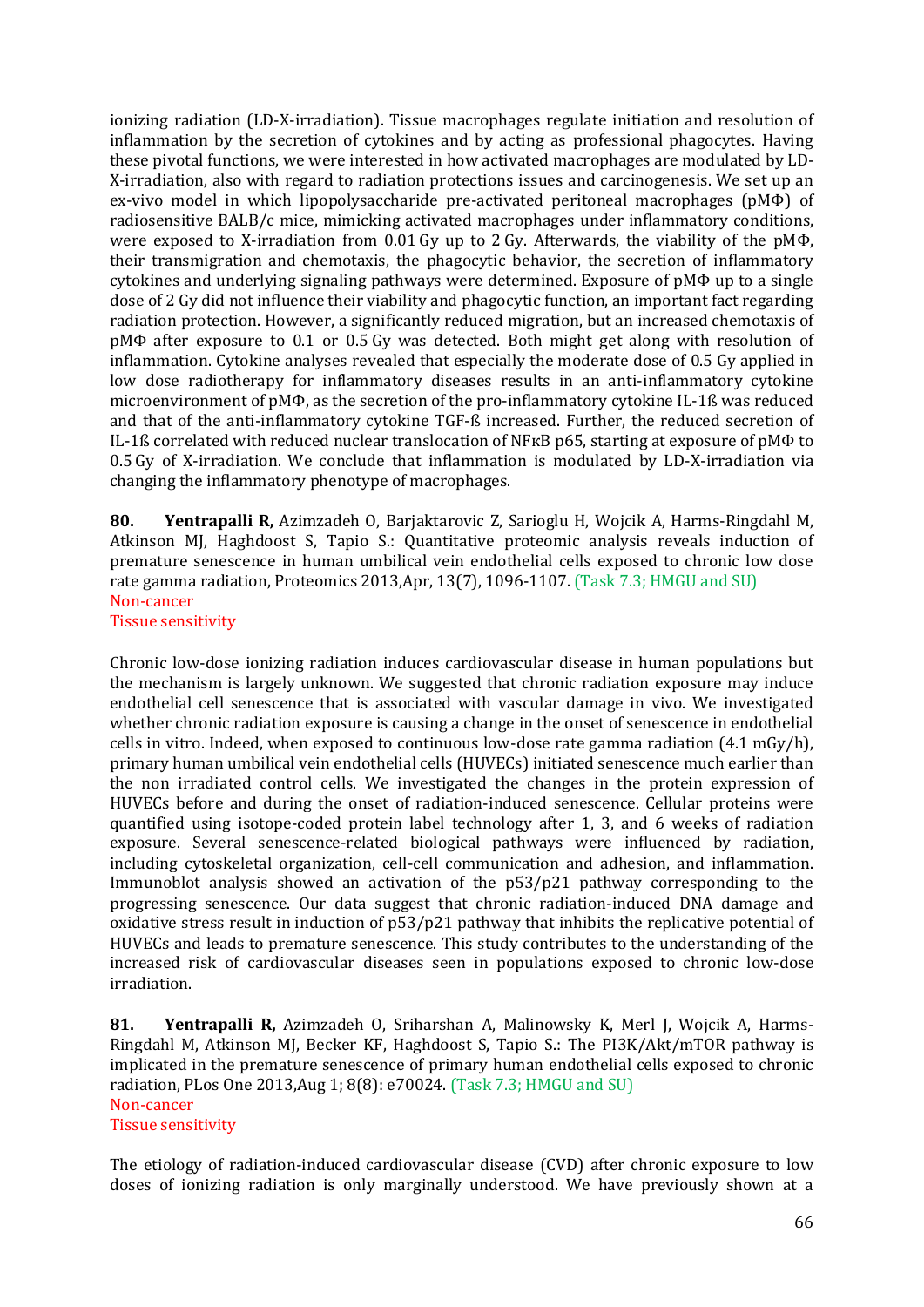ionizing radiation (LD-X-irradiation). Tissue macrophages regulate initiation and resolution of inflammation by the secretion of cytokines and by acting as professional phagocytes. Having these pivotal functions, we were interested in how activated macrophages are modulated by LD-X-irradiation, also with regard to radiation protections issues and carcinogenesis. We set up an ex-vivo model in which lipopolysaccharide pre-activated peritoneal macrophages (pMΦ) of radiosensitive BALB/c mice, mimicking activated macrophages under inflammatory conditions, were exposed to X-irradiation from 0.01 Gy up to 2 Gy. Afterwards, the viability of the pMΦ, their transmigration and chemotaxis, the phagocytic behavior, the secretion of inflammatory cytokines and underlying signaling pathways were determined. Exposure of pMΦ up to a single dose of 2 Gy did not influence their viability and phagocytic function, an important fact regarding radiation protection. However, a significantly reduced migration, but an increased chemotaxis of pMΦ after exposure to 0.1 or 0.5 Gy was detected. Both might get along with resolution of inflammation. Cytokine analyses revealed that especially the moderate dose of 0.5 Gy applied in low dose radiotherapy for inflammatory diseases results in an anti-inflammatory cytokine microenvironment of pMΦ, as the secretion of the pro-inflammatory cytokine IL-1ß was reduced and that of the anti-inflammatory cytokine TGF-ß increased. Further, the reduced secretion of IL-1ß correlated with reduced nuclear translocation of NFкB p65, starting at exposure of pMΦ to 0.5 Gy of X-irradiation. We conclude that inflammation is modulated by LD-X-irradiation via changing the inflammatory phenotype of macrophages.

<span id="page-65-0"></span>**80. Yentrapalli R,** Azimzadeh O, Barjaktarovic Z, Sarioglu H, Wojcik A, Harms-Ringdahl M, Atkinson MJ, Haghdoost S, Tapio S.: Quantitative proteomic analysis reveals induction of premature senescence in human umbilical vein endothelial cells exposed to chronic low dose rate gamma radiation, Proteomics 2013,Apr, 13(7), 1096-1107. (Task 7.3; HMGU and SU) Non-cancer

Tissue sensitivity

Chronic low-dose ionizing radiation induces cardiovascular disease in human populations but the mechanism is largely unknown. We suggested that chronic radiation exposure may induce endothelial cell senescence that is associated with vascular damage in vivo. We investigated whether chronic radiation exposure is causing a change in the onset of senescence in endothelial cells in vitro. Indeed, when exposed to continuous low-dose rate gamma radiation  $(4.1 \text{ mGv/h})$ , primary human umbilical vein endothelial cells (HUVECs) initiated senescence much earlier than the non irradiated control cells. We investigated the changes in the protein expression of HUVECs before and during the onset of radiation-induced senescence. Cellular proteins were quantified using isotope-coded protein label technology after 1, 3, and 6 weeks of radiation exposure. Several senescence-related biological pathways were influenced by radiation, including cytoskeletal organization, cell-cell communication and adhesion, and inflammation. Immunoblot analysis showed an activation of the p53/p21 pathway corresponding to the progressing senescence. Our data suggest that chronic radiation-induced DNA damage and oxidative stress result in induction of p53/p21 pathway that inhibits the replicative potential of HUVECs and leads to premature senescence. This study contributes to the understanding of the increased risk of cardiovascular diseases seen in populations exposed to chronic low-dose irradiation.

<span id="page-65-1"></span>**81. Yentrapalli R,** Azimzadeh O, Sriharshan A, Malinowsky K, Merl J, Wojcik A, Harms-Ringdahl M, Atkinson MJ, Becker KF, Haghdoost S, Tapio S.: The PI3K/Akt/mTOR pathway is implicated in the premature senescence of primary human endothelial cells exposed to chronic radiation, PLos One 2013,Aug 1; 8(8): e70024. (Task 7.3; HMGU and SU) Non-cancer

Tissue sensitivity

The etiology of radiation-induced cardiovascular disease (CVD) after chronic exposure to low doses of ionizing radiation is only marginally understood. We have previously shown at a